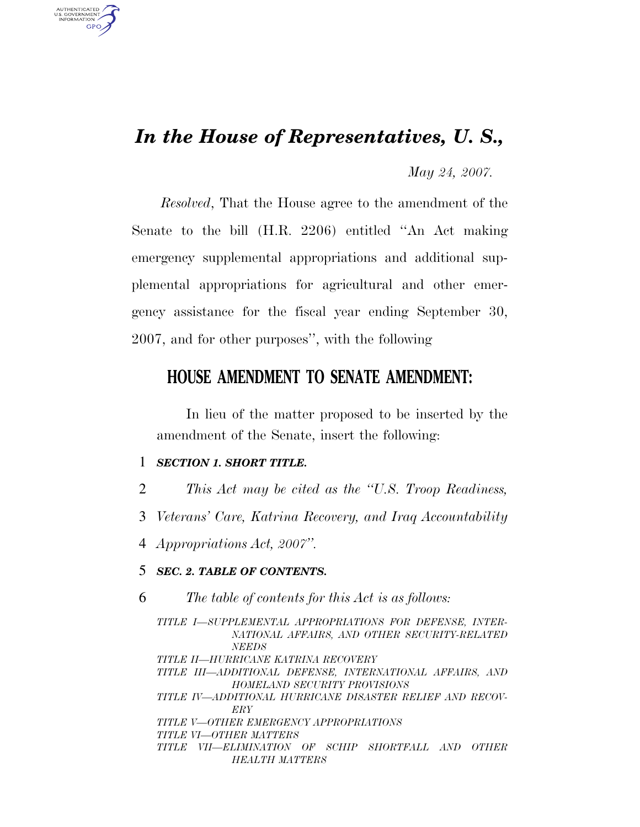## *In the House of Representatives, U. S.,*

*May 24, 2007.*

*Resolved*, That the House agree to the amendment of the Senate to the bill (H.R. 2206) entitled ''An Act making emergency supplemental appropriations and additional supplemental appropriations for agricultural and other emergency assistance for the fiscal year ending September 30, 2007, and for other purposes'', with the following

## **HOUSE AMENDMENT TO SENATE AMENDMENT:**

In lieu of the matter proposed to be inserted by the amendment of the Senate, insert the following:

```
1 SECTION 1. SHORT TITLE.
```
AUTHENTICATED U.S. GOVERNMENT **GPO** 

- 2 *This Act may be cited as the ''U.S. Troop Readiness,*
- 3 *Veterans' Care, Katrina Recovery, and Iraq Accountability*
- 4 *Appropriations Act, 2007''.*

## 5 *SEC. 2. TABLE OF CONTENTS.*

6 *The table of contents for this Act is as follows:*

*TITLE I—SUPPLEMENTAL APPROPRIATIONS FOR DEFENSE, INTER-NATIONAL AFFAIRS, AND OTHER SECURITY-RELATED NEEDS TITLE II—HURRICANE KATRINA RECOVERY TITLE III—ADDITIONAL DEFENSE, INTERNATIONAL AFFAIRS, AND HOMELAND SECURITY PROVISIONS TITLE IV—ADDITIONAL HURRICANE DISASTER RELIEF AND RECOV-ERY TITLE V—OTHER EMERGENCY APPROPRIATIONS TITLE VI—OTHER MATTERS TITLE VII—ELIMINATION OF SCHIP SHORTFALL AND OTHER HEALTH MATTERS*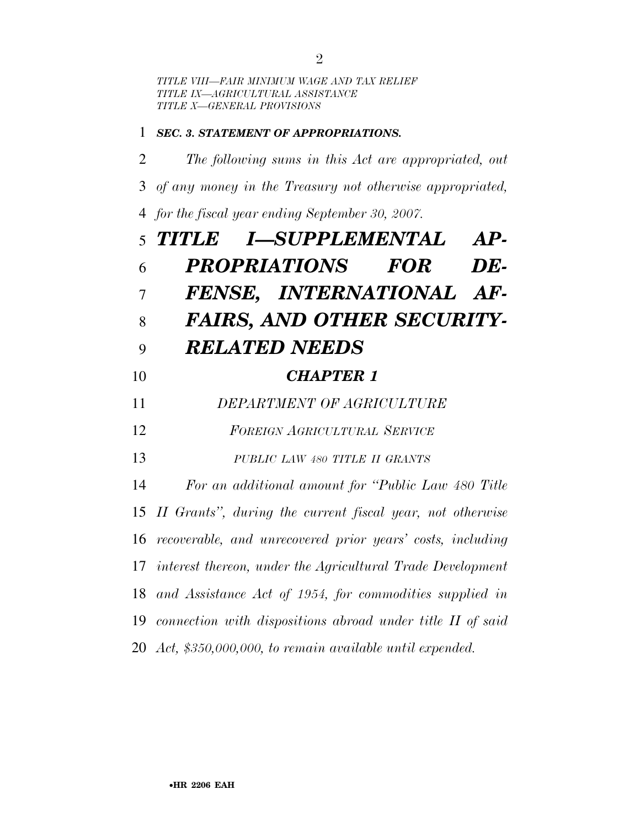*TITLE VIII—FAIR MINIMUM WAGE AND TAX RELIEF TITLE IX—AGRICULTURAL ASSISTANCE TITLE X—GENERAL PROVISIONS*

## *SEC. 3. STATEMENT OF APPROPRIATIONS.*

 *The following sums in this Act are appropriated, out of any money in the Treasury not otherwise appropriated, for the fiscal year ending September 30, 2007. TITLE I—SUPPLEMENTAL AP-*

|                | 5 <i>IIILE</i><br>1—SUPPLEMENTAL<br>$AP-$                     |
|----------------|---------------------------------------------------------------|
| 6              | <i><b>PROPRIATIONS</b></i><br><b>FOR</b><br>DE-               |
| $\overline{7}$ | FENSE, INTERNATIONAL AF-                                      |
| 8              | <b>FAIRS, AND OTHER SECURITY-</b>                             |
| 9              | <b>RELATED NEEDS</b>                                          |
| 10             | <b>CHAPTER 1</b>                                              |
| 11             | DEPARTMENT OF AGRICULTURE                                     |
| 12             | FOREIGN AGRICULTURAL SERVICE                                  |
| 13             | PUBLIC LAW 480 TITLE II GRANTS                                |
| 14             | For an additional amount for "Public Law 480 Title"           |
|                | 15 II Grants", during the current fiscal year, not otherwise  |
|                | 16 recoverable, and unrecovered prior years' costs, including |
|                | 17 interest thereon, under the Agricultural Trade Development |
|                | 18 and Assistance Act of 1954, for commodities supplied in    |
|                | 19 connection with dispositions abroad under title II of said |
|                | 20 Act, \$350,000,000, to remain available until expended.    |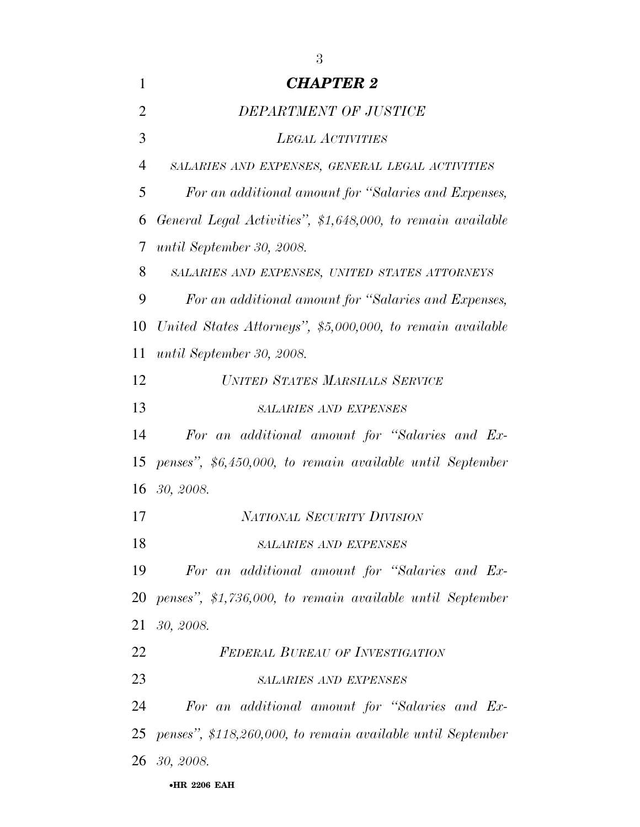| 1              | <b>CHAPTER 2</b>                                            |
|----------------|-------------------------------------------------------------|
| $\overline{2}$ | DEPARTMENT OF JUSTICE                                       |
| 3              | <b>LEGAL ACTIVITIES</b>                                     |
| 4              | SALARIES AND EXPENSES, GENERAL LEGAL ACTIVITIES             |
| 5              | For an additional amount for "Salaries and Expenses,        |
| 6              | General Legal Activities", \$1,648,000, to remain available |
| 7              | until September 30, 2008.                                   |
| 8              | SALARIES AND EXPENSES, UNITED STATES ATTORNEYS              |
| 9              | For an additional amount for "Salaries and Expenses,        |
| 10             | United States Attorneys", \$5,000,000, to remain available  |
| 11             | until September 30, 2008.                                   |
| 12             | UNITED STATES MARSHALS SERVICE                              |
| 13             | <b>SALARIES AND EXPENSES</b>                                |
| 14             | For an additional amount for "Salaries and Ex-              |
| 15             | penses", \$6,450,000, to remain available until September   |
| 16             | 30, 2008.                                                   |
| 17             | <b>NATIONAL SECURITY DIVISION</b>                           |
| 18             | <b>SALARIES AND EXPENSES</b>                                |
| 19             | For an additional amount for "Salaries and Ex-              |
| 20             | penses", \$1,736,000, to remain available until September   |
| 21             | 30, 2008.                                                   |
| 22             | <b>FEDERAL BUREAU OF INVESTIGATION</b>                      |
| 23             | <b>SALARIES AND EXPENSES</b>                                |
| 24             | For an additional amount for "Salaries and Ex-              |
| 25             | penses", \$118,260,000, to remain available until September |
|                | <b>26</b> 30, 2008.                                         |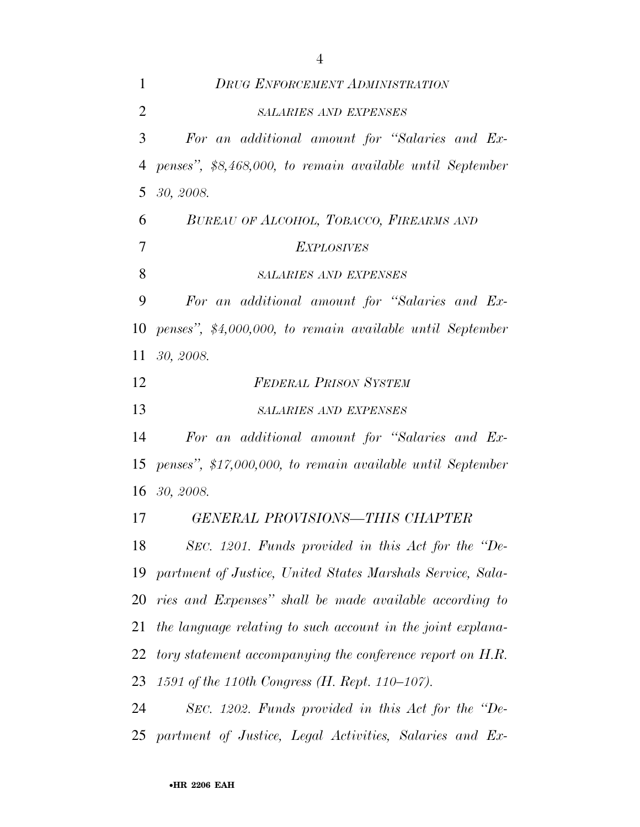*DRUG ENFORCEMENT ADMINISTRATION SALARIES AND EXPENSES For an additional amount for ''Salaries and Ex- penses'', \$8,468,000, to remain available until September 30, 2008. BUREAU OF ALCOHOL, TOBACCO, FIREARMS AND EXPLOSIVES SALARIES AND EXPENSES For an additional amount for ''Salaries and Ex- penses'', \$4,000,000, to remain available until September 30, 2008. FEDERAL PRISON SYSTEM SALARIES AND EXPENSES For an additional amount for ''Salaries and Ex- penses'', \$17,000,000, to remain available until September 30, 2008. GENERAL PROVISIONS—THIS CHAPTER SEC. 1201. Funds provided in this Act for the ''De- partment of Justice, United States Marshals Service, Sala- ries and Expenses'' shall be made available according to the language relating to such account in the joint explana- tory statement accompanying the conference report on H.R. 1591 of the 110th Congress (H. Rept. 110–107). SEC. 1202. Funds provided in this Act for the ''De-partment of Justice, Legal Activities, Salaries and Ex-*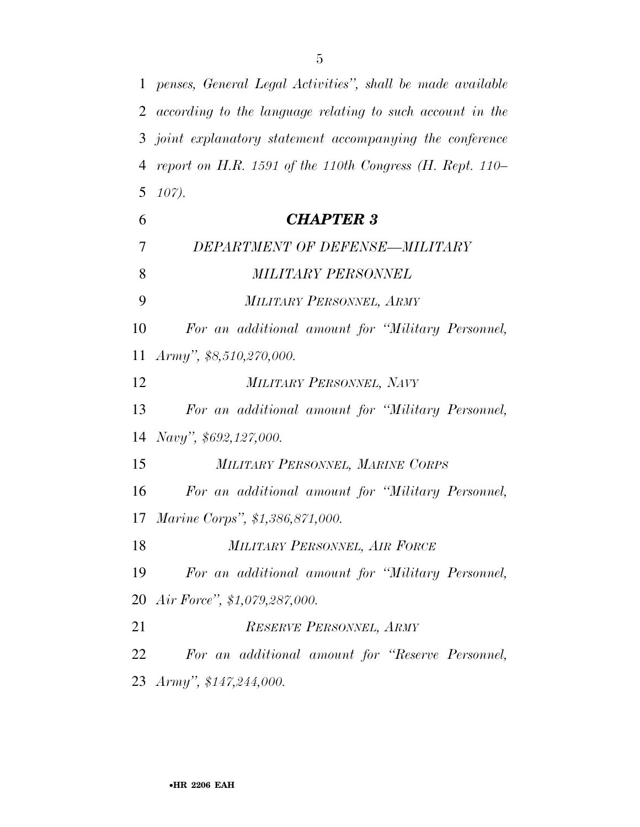*according to the language relating to such account in the joint explanatory statement accompanying the conference report on H.R. 1591 of the 110th Congress (H. Rept. 110– 107). CHAPTER 3 DEPARTMENT OF DEFENSE—MILITARY MILITARY PERSONNEL MILITARY PERSONNEL, ARMY For an additional amount for ''Military Personnel, Army'', \$8,510,270,000. MILITARY PERSONNEL, NAVY For an additional amount for ''Military Personnel, Navy'', \$692,127,000. MILITARY PERSONNEL, MARINE CORPS For an additional amount for ''Military Personnel, Marine Corps'', \$1,386,871,000. MILITARY PERSONNEL, AIR FORCE For an additional amount for ''Military Personnel, Air Force'', \$1,079,287,000. RESERVE PERSONNEL, ARMY For an additional amount for ''Reserve Personnel, Army'', \$147,244,000.* 

*penses, General Legal Activities'', shall be made available*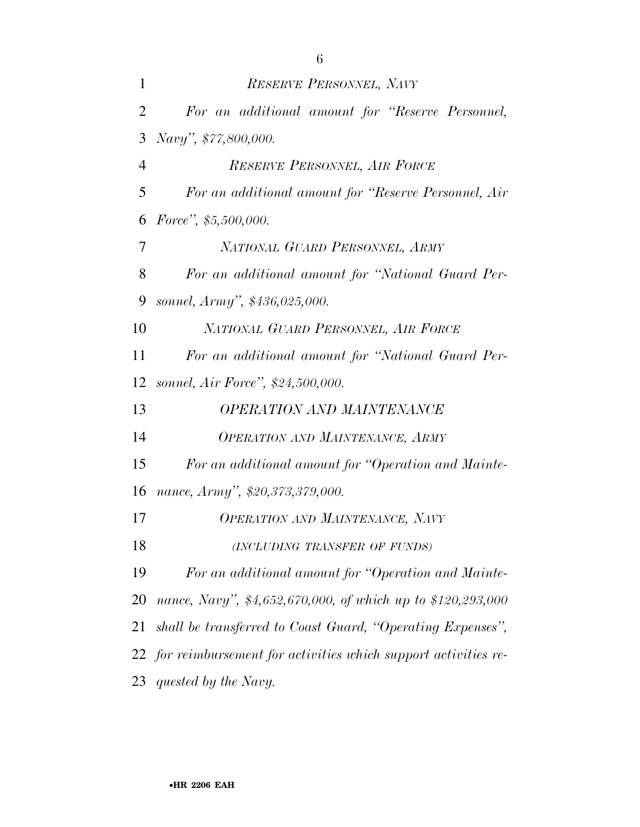| $\mathbf{1}$   | RESERVE PERSONNEL, NAVY                              |
|----------------|------------------------------------------------------|
| $\overline{2}$ | For an additional amount for "Reserve Personnel,     |
| 3              | Navy", \$77,800,000.                                 |
| $\overline{4}$ | RESERVE PERSONNEL, AIR FORCE                         |
| 5              | For an additional amount for "Reserve Personnel, Air |
| 6              | Force", $$5,500,000$ .                               |
| $\overline{7}$ | NATIONAL GUARD PERSONNEL, ARMY                       |
| 8              | For an additional amount for "National Guard Per-    |
| 9              | sonnel, Army", \$436,025,000.                        |
| 10             | NATIONAL GUARD PERSONNEL, AIR FORCE                  |
| 11             | For an additional amount for "National Guard Per-    |
| 12             | sonnel, Air Force", \$24,500,000.                    |
| 13             | <b>OPERATION AND MAINTENANCE</b>                     |
| 14             | <b>OPERATION AND MAINTENANCE, ARMY</b>               |
| 15             | For an additional amount for "Operation and Mainte-  |
| 16             | nance, Army", \$20,373,379,000.                      |
| 17             | <b>OPERATION AND MAINTENANCE, NAVY</b>               |
| 18             | (INCLUDING TRANSFER OF FUNDS)                        |

 *For an additional amount for ''Operation and Mainte- nance, Navy'', \$4,652,670,000, of which up to \$120,293,000 shall be transferred to Coast Guard, ''Operating Expenses'', for reimbursement for activities which support activities re-*

*quested by the Navy.*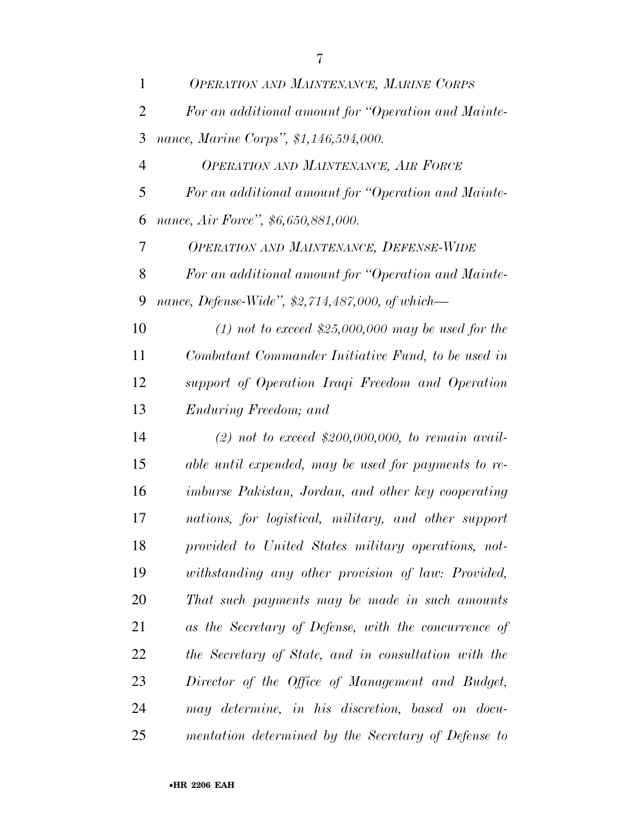| $\mathbf{1}$   | OPERATION AND MAINTENANCE, MARINE CORPS              |
|----------------|------------------------------------------------------|
| $\overline{2}$ | For an additional amount for "Operation and Mainte-  |
| 3              | nance, Marine Corps", \$1,146,594,000.               |
| $\overline{4}$ | OPERATION AND MAINTENANCE, AIR FORCE                 |
| 5              | For an additional amount for "Operation and Mainte-  |
| 6              | nance, Air Force", \$6,650,881,000.                  |
| 7              | <b>OPERATION AND MAINTENANCE, DEFENSE-WIDE</b>       |
| 8              | For an additional amount for "Operation and Mainte-  |
| 9              | nance, Defense-Wide", \$2,714,487,000, of which—     |
| 10             | $(1)$ not to exceed \$25,000,000 may be used for the |
| 11             | Combatant Commander Initiative Fund, to be used in   |
| 12             | support of Operation Iraqi Freedom and Operation     |
| 13             | Enduring Freedom; and                                |
| 14             | (2) not to exceed \$200,000,000, to remain avail-    |
| 15             | able until expended, may be used for payments to re- |
| 16             | imburse Pakistan, Jordan, and other key cooperating  |
| 17             | nations, for logistical, military, and other support |
| 18             | provided to United States military operations, not-  |
| 19             | withstanding any other provision of law: Provided,   |
| 20             | That such payments may be made in such amounts       |
| 21             | as the Secretary of Defense, with the concurrence of |
| 22             | the Secretary of State, and in consultation with the |
| 23             | Director of the Office of Management and Budget,     |
| 24             | may determine, in his discretion, based on docu-     |
| 25             | mentation determined by the Secretary of Defense to  |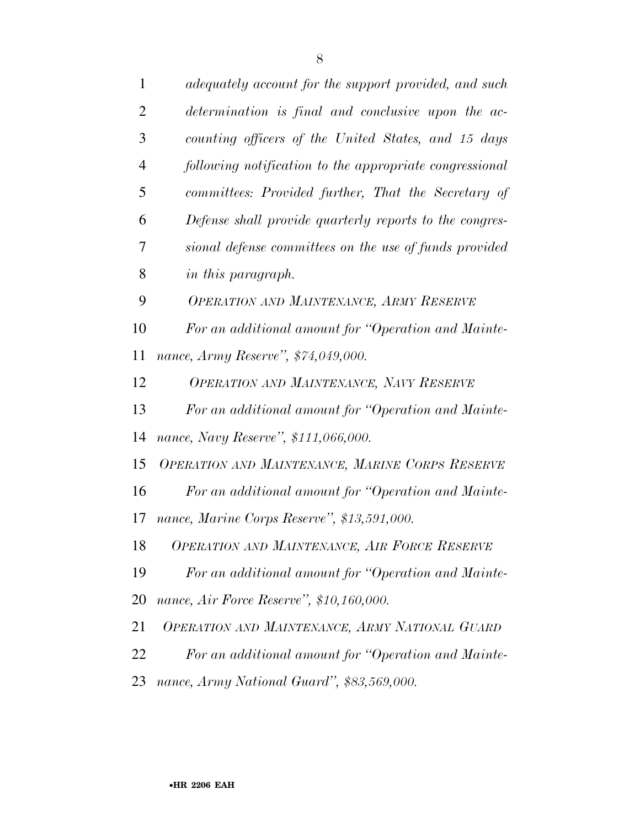| $\mathbf{1}$   | adequately account for the support provided, and such   |
|----------------|---------------------------------------------------------|
| $\overline{2}$ | determination is final and conclusive upon the ac-      |
| 3              | counting officers of the United States, and 15 days     |
| $\overline{4}$ | following notification to the appropriate congressional |
| 5              | committees: Provided further, That the Secretary of     |
| 6              | Defense shall provide quarterly reports to the congres- |
| 7              | sional defense committees on the use of funds provided  |
| 8              | in this paragraph.                                      |
| 9              | <b>OPERATION AND MAINTENANCE, ARMY RESERVE</b>          |
| 10             | For an additional amount for "Operation and Mainte-     |
| 11             | nance, Army Reserve", \$74,049,000.                     |
| 12             | OPERATION AND MAINTENANCE, NAVY RESERVE                 |
| 13             | For an additional amount for "Operation and Mainte-     |
| 14             | nance, Navy Reserve", \$111,066,000.                    |
| 15             | OPERATION AND MAINTENANCE, MARINE CORPS RESERVE         |
| 16             | For an additional amount for "Operation and Mainte-     |
| 17             | nance, Marine Corps Reserve", \$13,591,000.             |
| 18             | OPERATION AND MAINTENANCE, AIR FORCE RESERVE            |
| 19             | For an additional amount for "Operation and Mainte-     |
| 20             | nance, Air Force Reserve", \$10,160,000.                |
| 21             | OPERATION AND MAINTENANCE, ARMY NATIONAL GUARD          |
| 22             | For an additional amount for "Operation and Mainte-     |
| 23             | nance, Army National Guard", \$83,569,000.              |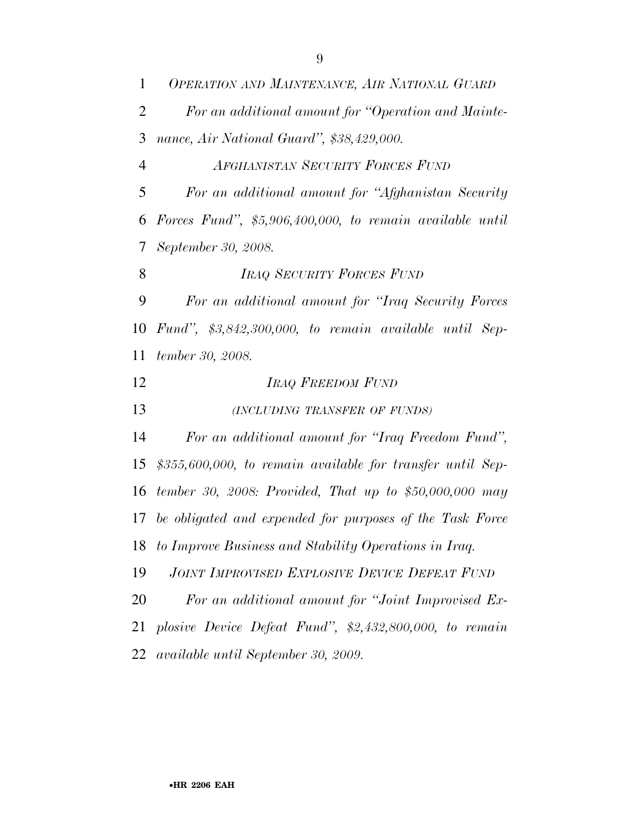| $\mathbf{1}$   | OPERATION AND MAINTENANCE, AIR NATIONAL GUARD               |
|----------------|-------------------------------------------------------------|
| $\overline{2}$ | For an additional amount for "Operation and Mainte-         |
| 3              | nance, Air National Guard", \$38,429,000.                   |
| $\overline{4}$ | AFGHANISTAN SECURITY FORCES FUND                            |
| 5              | For an additional amount for "Afghanistan Security          |
| 6              | Forces Fund", $$5,906,400,000,$ to remain available until   |
| 7              | September 30, 2008.                                         |
| 8              | <b>IRAQ SECURITY FORCES FUND</b>                            |
| 9              | For an additional amount for "Iraq Security Forces"         |
| 10             | Fund", $$3,842,300,000$ , to remain available until Sep-    |
| 11             | tember 30, 2008.                                            |
|                |                                                             |
| 12             | <b>IRAQ FREEDOM FUND</b>                                    |
| 13             | (INCLUDING TRANSFER OF FUNDS)                               |
| 14             | For an additional amount for "Iraq Freedom Fund",           |
| 15             | \$355,600,000, to remain available for transfer until Sep-  |
| 16             | tember 30, 2008: Provided, That up to $$50,000,000$ may     |
|                | 17 be obligated and expended for purposes of the Task Force |
| 18             | to Improve Business and Stability Operations in Iraq.       |
| 19             | <b>JOINT IMPROVISED EXPLOSIVE DEVICE DEFEAT FUND</b>        |
| 20             | For an additional amount for "Joint Improvised Ex-          |
| 21             | plosive Device Defeat Fund", $$2,432,800,000,$ to remain    |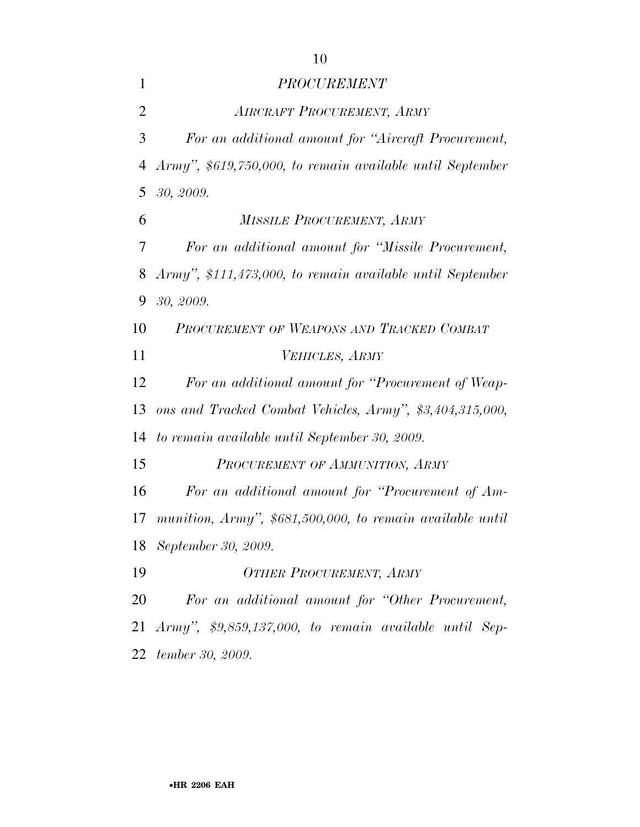| $\mathbf{1}$   | <b>PROCUREMENT</b>                                          |
|----------------|-------------------------------------------------------------|
| $\overline{2}$ | <b>AIRCRAFT PROCUREMENT, ARMY</b>                           |
| 3              | For an additional amount for "Aircraft Procurement,         |
| 4              | Army", \$619,750,000, to remain available until September   |
| 5              | 30, 2009.                                                   |
| 6              | <b>MISSILE PROCUREMENT, ARMY</b>                            |
| 7              | For an additional amount for "Missile Procurement,          |
| 8              | Army", \$111,473,000, to remain available until September   |
| 9              | 30, 2009.                                                   |
| 10             | PROCUREMENT OF WEAPONS AND TRACKED COMBAT                   |
| 11             | VEHICLES, ARMY                                              |
| 12             | For an additional amount for "Procurement of Weap-          |
| 13             | ons and Tracked Combat Vehicles, Army", \$3,404,315,000,    |
| 14             | to remain available until September 30, 2009.               |
| 15             | PROCUREMENT OF AMMUNITION, ARMY                             |
| 16             | For an additional amount for "Procurement of Am-            |
| 17             | munition, Army", $$681,500,000$ , to remain available until |
| 18             | September 30, 2009.                                         |
| 19             | <b>OTHER PROCUREMENT, ARMY</b>                              |
| 20             | For an additional amount for "Other Procurement,            |
|                | 21 Army", $$9,859,137,000$ , to remain available until Sep- |
| 22             | tember 30, 2009.                                            |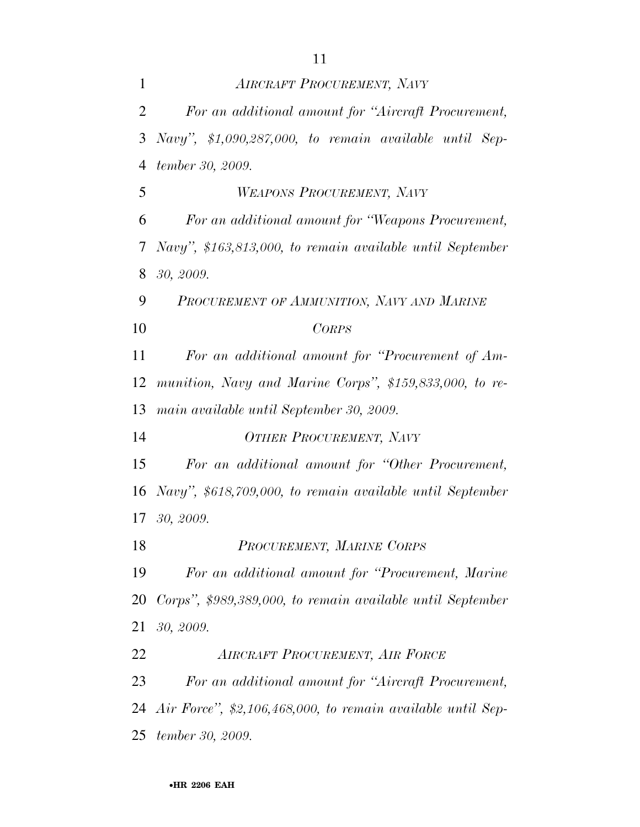| $\mathbf{1}$   | <b>AIRCRAFT PROCUREMENT, NAVY</b>                           |
|----------------|-------------------------------------------------------------|
| $\overline{2}$ | For an additional amount for "Aircraft Procurement,         |
| 3              | Navy", $$1,090,287,000$ , to remain available until Sep-    |
| $\overline{4}$ | tember 30, 2009.                                            |
| 5              | WEAPONS PROCUREMENT, NAVY                                   |
| 6              | For an additional amount for "Weapons Procurement,          |
| 7              | Navy", \$163,813,000, to remain available until September   |
| 8              | 30, 2009.                                                   |
| 9              | PROCUREMENT OF AMMUNITION, NAVY AND MARINE                  |
| 10             | <b>CORPS</b>                                                |
| 11             | For an additional amount for "Procurement of Am-            |
| 12             | munition, Navy and Marine Corps", \$159,833,000, to re-     |
| 13             | main available until September 30, 2009.                    |
| 14             | <b>OTHER PROCUREMENT, NAVY</b>                              |
| 15             | For an additional amount for "Other Procurement,            |
| 16             | Navy", \$618,709,000, to remain available until September   |
| 17             | 30, 2009.                                                   |
| 18             | PROCUREMENT, MARINE CORPS                                   |
| 19             | For an additional amount for "Procurement, Marine"          |
| 20             | Corps", \$989,389,000, to remain available until September  |
| 21             | 30, 2009.                                                   |
| 22             | AIRCRAFT PROCUREMENT, AIR FORCE                             |
| 23             | For an additional amount for "Aircraft Procurement,         |
| 24             | Air Force", \$2,106,468,000, to remain available until Sep- |
| 25             | tember 30, 2009.                                            |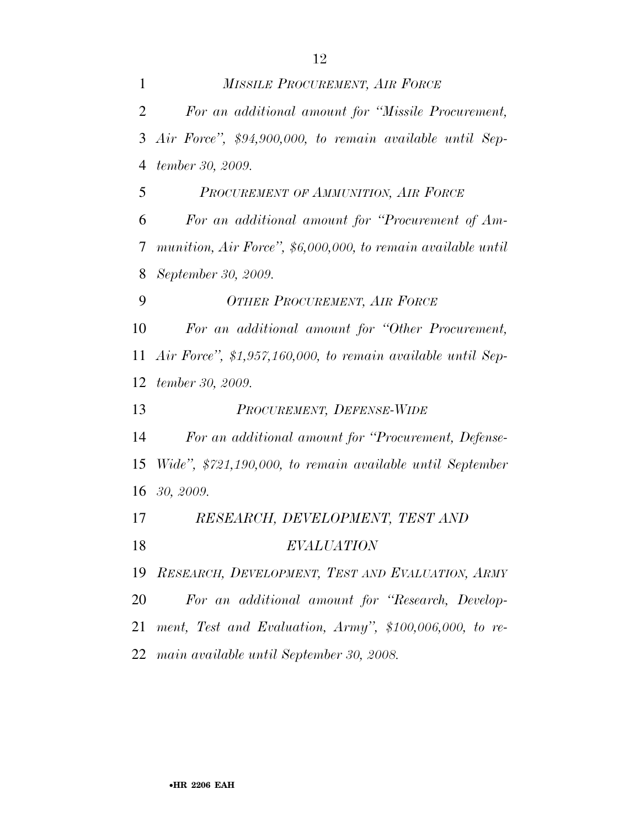*MISSILE PROCUREMENT, AIR FORCE For an additional amount for ''Missile Procurement, Air Force'', \$94,900,000, to remain available until Sep- tember 30, 2009. PROCUREMENT OF AMMUNITION, AIR FORCE For an additional amount for ''Procurement of Am- munition, Air Force'', \$6,000,000, to remain available until September 30, 2009. OTHER PROCUREMENT, AIR FORCE For an additional amount for ''Other Procurement, Air Force'', \$1,957,160,000, to remain available until Sep- tember 30, 2009. PROCUREMENT, DEFENSE-WIDE For an additional amount for ''Procurement, Defense- Wide'', \$721,190,000, to remain available until September 30, 2009. RESEARCH, DEVELOPMENT, TEST AND EVALUATION RESEARCH, DEVELOPMENT, TEST AND EVALUATION, ARMY For an additional amount for ''Research, Develop- ment, Test and Evaluation, Army'', \$100,006,000, to re-main available until September 30, 2008.*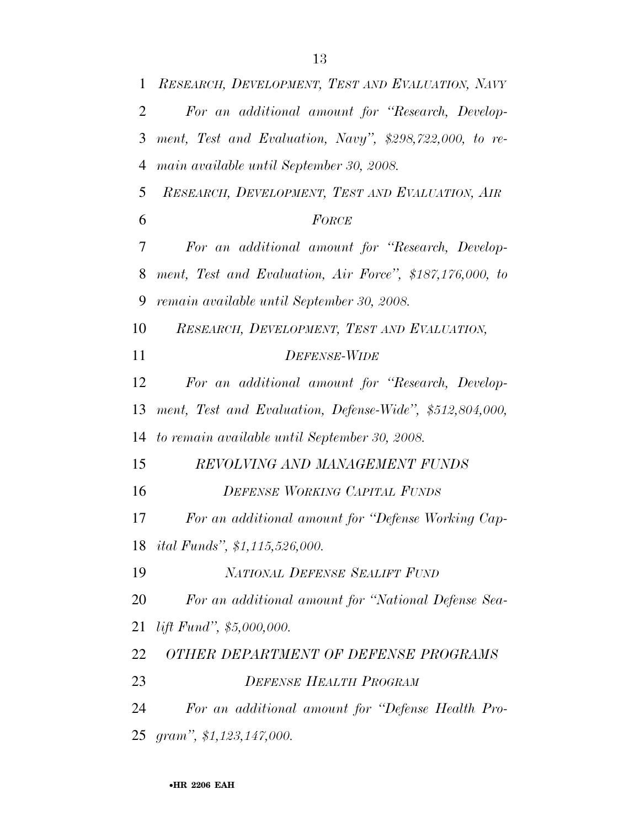| $\mathbf{1}$   | RESEARCH, DEVELOPMENT, TEST AND EVALUATION, NAVY         |
|----------------|----------------------------------------------------------|
| 2              | For an additional amount for "Research, Develop-         |
| 3              | ment, Test and Evaluation, Navy", \$298,722,000, to re-  |
| $\overline{4}$ | main available until September 30, 2008.                 |
| 5              | RESEARCH, DEVELOPMENT, TEST AND EVALUATION, AIR          |
| 6              | FORCE                                                    |
| 7              | For an additional amount for "Research, Develop-         |
| 8              | ment, Test and Evaluation, Air Force", \$187,176,000, to |
| 9              | remain available until September 30, 2008.               |
| 10             | RESEARCH, DEVELOPMENT, TEST AND EVALUATION,              |
| 11             | <b>DEFENSE-WIDE</b>                                      |
| 12             | For an additional amount for "Research, Develop-         |
| 13             | ment, Test and Evaluation, Defense-Wide", \$512,804,000, |
| 14             | to remain available until September 30, 2008.            |
| 15             | REVOLVING AND MANAGEMENT FUNDS                           |
| 16             | <b>DEFENSE WORKING CAPITAL FUNDS</b>                     |
| 17             | For an additional amount for "Defense Working Cap-       |
| 18             | <i>ital Funds", \$1,115,526,000.</i>                     |
| 19             | NATIONAL DEFENSE SEALIFT FUND                            |
| 20             | For an additional amount for "National Defense Sea-      |
| 21             | lift Fund", \$5,000,000.                                 |
| 22             | OTHER DEPARTMENT OF DEFENSE PROGRAMS                     |
| 23             | <b>DEFENSE HEALTH PROGRAM</b>                            |
| 24             | For an additional amount for "Defense Health Pro-        |
| 25             | gram", $$1,123,147,000$ .                                |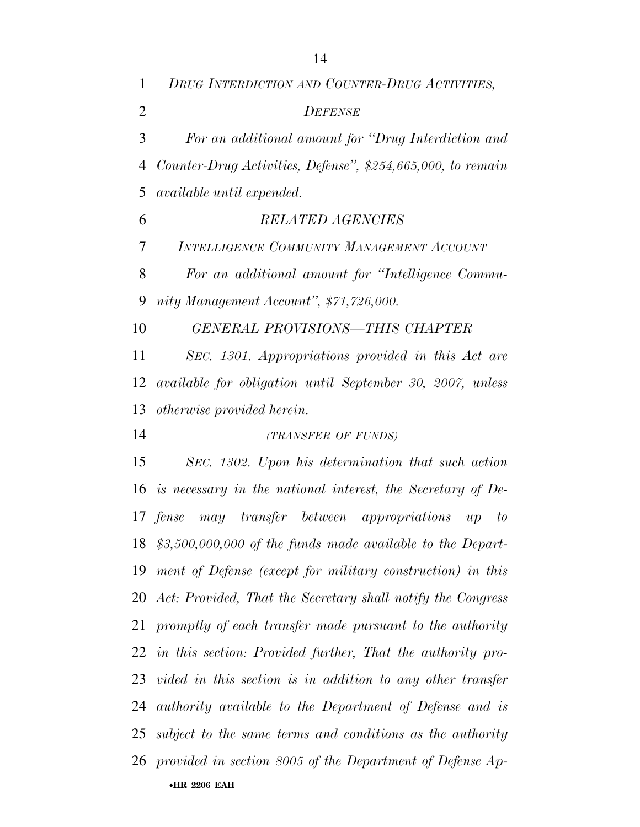•**HR 2206 EAH**  *DRUG INTERDICTION AND COUNTER-DRUG ACTIVITIES, DEFENSE For an additional amount for ''Drug Interdiction and Counter-Drug Activities, Defense'', \$254,665,000, to remain available until expended. RELATED AGENCIES INTELLIGENCE COMMUNITY MANAGEMENT ACCOUNT For an additional amount for ''Intelligence Commu- nity Management Account'', \$71,726,000. GENERAL PROVISIONS—THIS CHAPTER SEC. 1301. Appropriations provided in this Act are available for obligation until September 30, 2007, unless otherwise provided herein. (TRANSFER OF FUNDS) SEC. 1302. Upon his determination that such action is necessary in the national interest, the Secretary of De- fense may transfer between appropriations up to \$3,500,000,000 of the funds made available to the Depart- ment of Defense (except for military construction) in this Act: Provided, That the Secretary shall notify the Congress promptly of each transfer made pursuant to the authority in this section: Provided further, That the authority pro- vided in this section is in addition to any other transfer authority available to the Department of Defense and is subject to the same terms and conditions as the authority provided in section 8005 of the Department of Defense Ap-*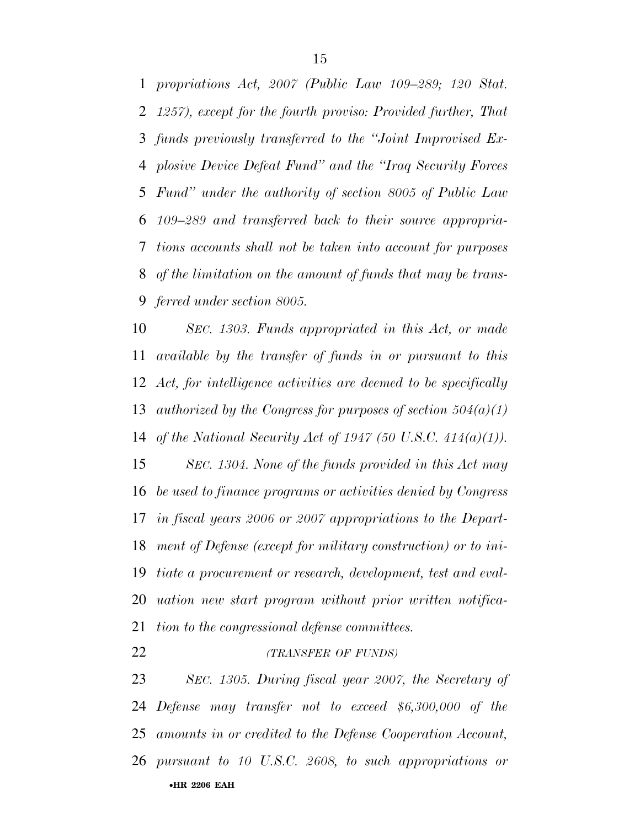*propriations Act, 2007 (Public Law 109–289; 120 Stat. 1257), except for the fourth proviso: Provided further, That funds previously transferred to the ''Joint Improvised Ex- plosive Device Defeat Fund'' and the ''Iraq Security Forces Fund'' under the authority of section 8005 of Public Law 109–289 and transferred back to their source appropria- tions accounts shall not be taken into account for purposes of the limitation on the amount of funds that may be trans-ferred under section 8005.* 

 *SEC. 1303. Funds appropriated in this Act, or made available by the transfer of funds in or pursuant to this Act, for intelligence activities are deemed to be specifically authorized by the Congress for purposes of section 504(a)(1) of the National Security Act of 1947 (50 U.S.C. 414(a)(1)).* 

 *SEC. 1304. None of the funds provided in this Act may be used to finance programs or activities denied by Congress in fiscal years 2006 or 2007 appropriations to the Depart- ment of Defense (except for military construction) or to ini- tiate a procurement or research, development, test and eval- uation new start program without prior written notifica-tion to the congressional defense committees.* 

*(TRANSFER OF FUNDS)*

•**HR 2206 EAH**  *SEC. 1305. During fiscal year 2007, the Secretary of Defense may transfer not to exceed \$6,300,000 of the amounts in or credited to the Defense Cooperation Account, pursuant to 10 U.S.C. 2608, to such appropriations or*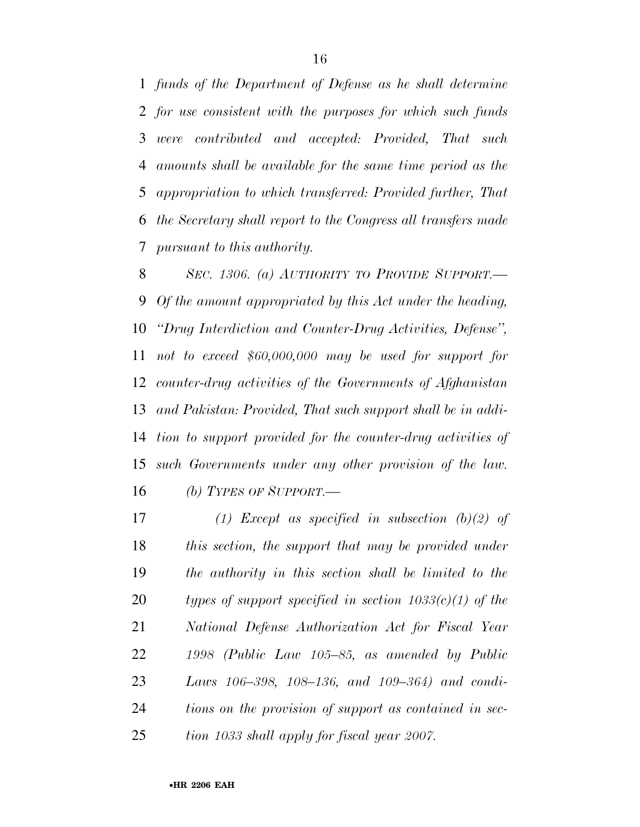*funds of the Department of Defense as he shall determine for use consistent with the purposes for which such funds were contributed and accepted: Provided, That such amounts shall be available for the same time period as the appropriation to which transferred: Provided further, That the Secretary shall report to the Congress all transfers made pursuant to this authority.* 

 *SEC. 1306. (a) AUTHORITY TO PROVIDE SUPPORT.— Of the amount appropriated by this Act under the heading, ''Drug Interdiction and Counter-Drug Activities, Defense'', not to exceed \$60,000,000 may be used for support for counter-drug activities of the Governments of Afghanistan and Pakistan: Provided, That such support shall be in addi- tion to support provided for the counter-drug activities of such Governments under any other provision of the law. (b) TYPES OF SUPPORT.—*

 *(1) Except as specified in subsection (b)(2) of this section, the support that may be provided under the authority in this section shall be limited to the types of support specified in section 1033(c)(1) of the National Defense Authorization Act for Fiscal Year 1998 (Public Law 105–85, as amended by Public Laws 106–398, 108–136, and 109–364) and condi- tions on the provision of support as contained in sec-tion 1033 shall apply for fiscal year 2007.*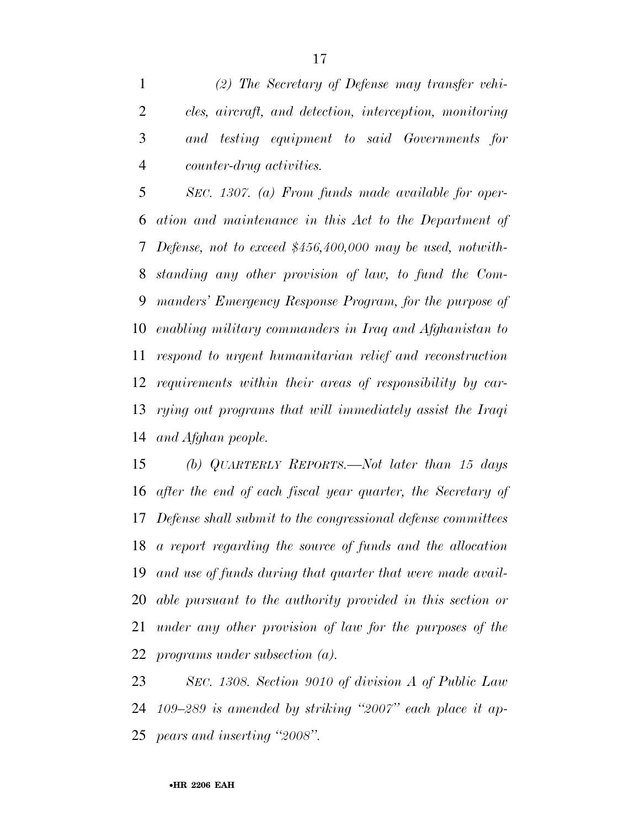*(2) The Secretary of Defense may transfer vehi- cles, aircraft, and detection, interception, monitoring and testing equipment to said Governments for counter-drug activities.* 

 *SEC. 1307. (a) From funds made available for oper- ation and maintenance in this Act to the Department of Defense, not to exceed \$456,400,000 may be used, notwith- standing any other provision of law, to fund the Com- manders' Emergency Response Program, for the purpose of enabling military commanders in Iraq and Afghanistan to respond to urgent humanitarian relief and reconstruction requirements within their areas of responsibility by car- rying out programs that will immediately assist the Iraqi and Afghan people.* 

 *(b) QUARTERLY REPORTS.—Not later than 15 days after the end of each fiscal year quarter, the Secretary of Defense shall submit to the congressional defense committees a report regarding the source of funds and the allocation and use of funds during that quarter that were made avail- able pursuant to the authority provided in this section or under any other provision of law for the purposes of the programs under subsection (a).* 

 *SEC. 1308. Section 9010 of division A of Public Law 109–289 is amended by striking ''2007'' each place it ap-pears and inserting ''2008''.*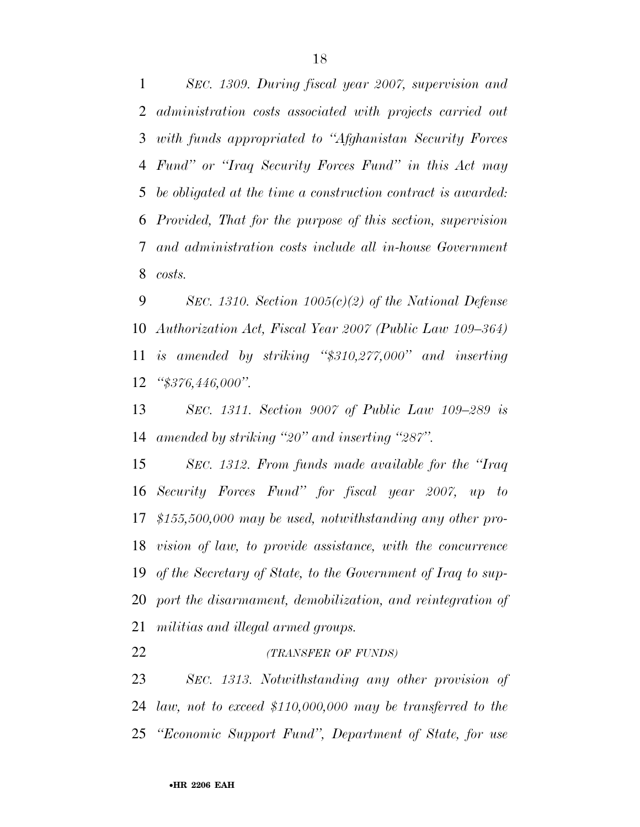*SEC. 1309. During fiscal year 2007, supervision and administration costs associated with projects carried out with funds appropriated to ''Afghanistan Security Forces Fund'' or ''Iraq Security Forces Fund'' in this Act may be obligated at the time a construction contract is awarded: Provided, That for the purpose of this section, supervision and administration costs include all in-house Government costs.* 

 *SEC. 1310. Section 1005(c)(2) of the National Defense Authorization Act, Fiscal Year 2007 (Public Law 109–364) is amended by striking ''\$310,277,000'' and inserting ''\$376,446,000''.* 

 *SEC. 1311. Section 9007 of Public Law 109–289 is amended by striking ''20'' and inserting ''287''.* 

 *SEC. 1312. From funds made available for the ''Iraq Security Forces Fund'' for fiscal year 2007, up to \$155,500,000 may be used, notwithstanding any other pro- vision of law, to provide assistance, with the concurrence of the Secretary of State, to the Government of Iraq to sup- port the disarmament, demobilization, and reintegration of militias and illegal armed groups.* 

*(TRANSFER OF FUNDS)*

 *SEC. 1313. Notwithstanding any other provision of law, not to exceed \$110,000,000 may be transferred to the ''Economic Support Fund'', Department of State, for use*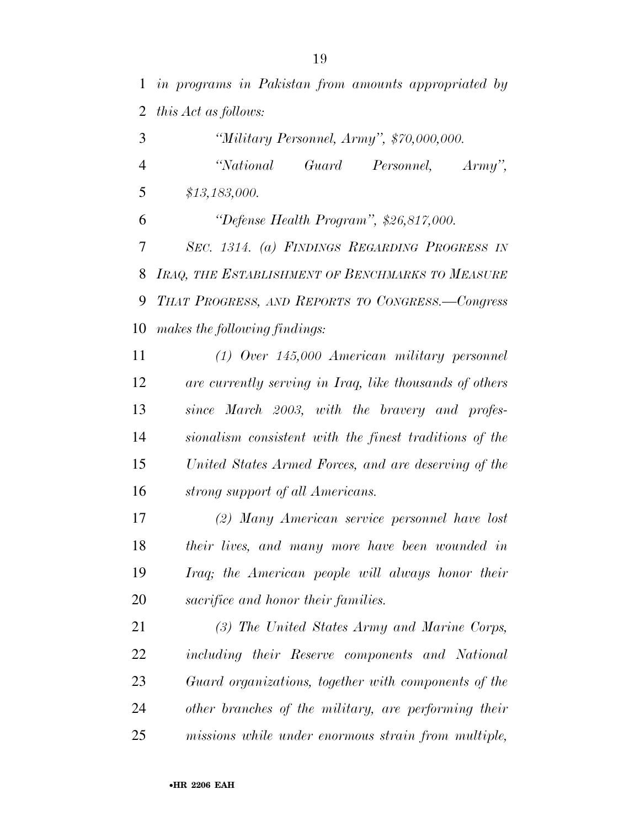| 3              | "Military Personnel, Army", \$70,000,000.               |
|----------------|---------------------------------------------------------|
| $\overline{4}$ | "National<br>Guard<br>Personnel,<br>$Army$ ",           |
| 5              | \$13,183,000.                                           |
| 6              | "Defense Health Program", \$26,817,000.                 |
| 7              | SEC. 1314. (a) FINDINGS REGARDING PROGRESS IN           |
| 8              | IRAQ, THE ESTABLISHMENT OF BENCHMARKS TO MEASURE        |
| 9              | THAT PROGRESS, AND REPORTS TO CONGRESS.-Congress        |
| 10             | makes the following findings:                           |
| 11             | $(1)$ Over 145,000 American military personnel          |
| 12             | are currently serving in Iraq, like thousands of others |
| 13             | since March 2003, with the bravery and profes-          |
| 14             | sionalism consistent with the finest traditions of the  |
| 15             | United States Armed Forces, and are deserving of the    |
| 16             | strong support of all Americans.                        |
| 17             | (2) Many American service personnel have lost           |
| 18             | their lives, and many more have been wounded in         |
| 19             | Iraq; the American people will always honor their       |
| 20             | sacrifice and honor their families.                     |
| 21             | (3) The United States Army and Marine Corps,            |
| 22             | including their Reserve components and National         |
| 23             | Guard organizations, together with components of the    |
| 24             | other branches of the military, are performing their    |

*missions while under enormous strain from multiple,*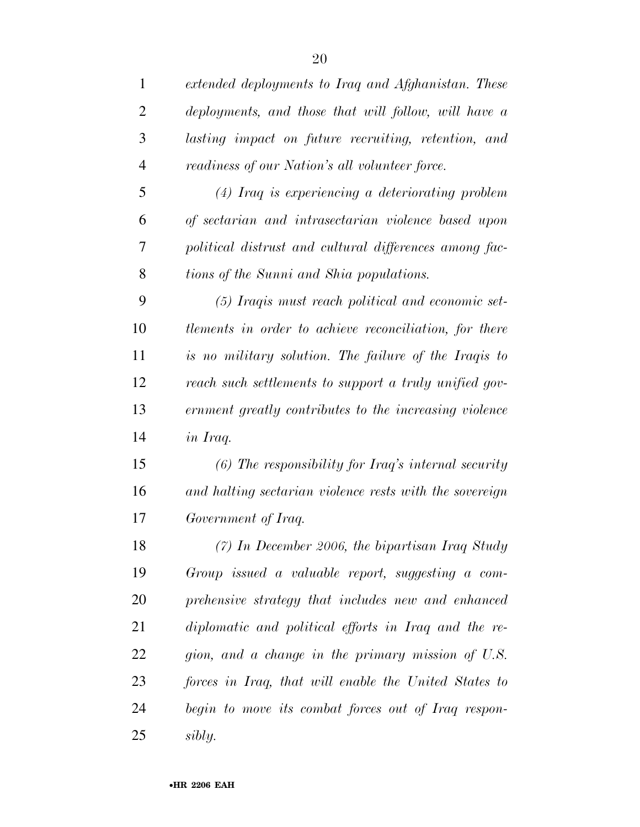| $\mathbf{1}$   | extended deployments to Iraq and Afghanistan. These     |
|----------------|---------------------------------------------------------|
| $\overline{2}$ | deployments, and those that will follow, will have a    |
| 3              | lasting impact on future recruiting, retention, and     |
| 4              | readiness of our Nation's all volunteer force.          |
| 5              | (4) Iraq is experiencing a deteriorating problem        |
| 6              | of sectarian and intrasectarian violence based upon     |
| 7              | political distrust and cultural differences among fac-  |
| 8              | tions of the Sunni and Shia populations.                |
| 9              | (5) Iraqis must reach political and economic set-       |
| 10             | tlements in order to achieve reconciliation, for there  |
| 11             | is no military solution. The failure of the Iraqis to   |
| 12             | reach such settlements to support a truly unified gov-  |
| 13             | ernment greatly contributes to the increasing violence  |
| 14             | in Iraq.                                                |
| 15             | $(6)$ The responsibility for Iraq's internal security   |
| 16             | and halting sectarian violence rests with the sovereign |
| 17             | Government of Iraq.                                     |
| 18             | $(7)$ In December 2006, the bipartisan Iraq Study       |
| 19             | Group issued a valuable report, suggesting a com-       |
| 20             | prehensive strategy that includes new and enhanced      |
| 21             | diplomatic and political efforts in Iraq and the re-    |
| 22             | gion, and a change in the primary mission of U.S.       |
| 23             | forces in Iraq, that will enable the United States to   |
| 24             | begin to move its combat forces out of Iraq respon-     |
| 25             | sibly.                                                  |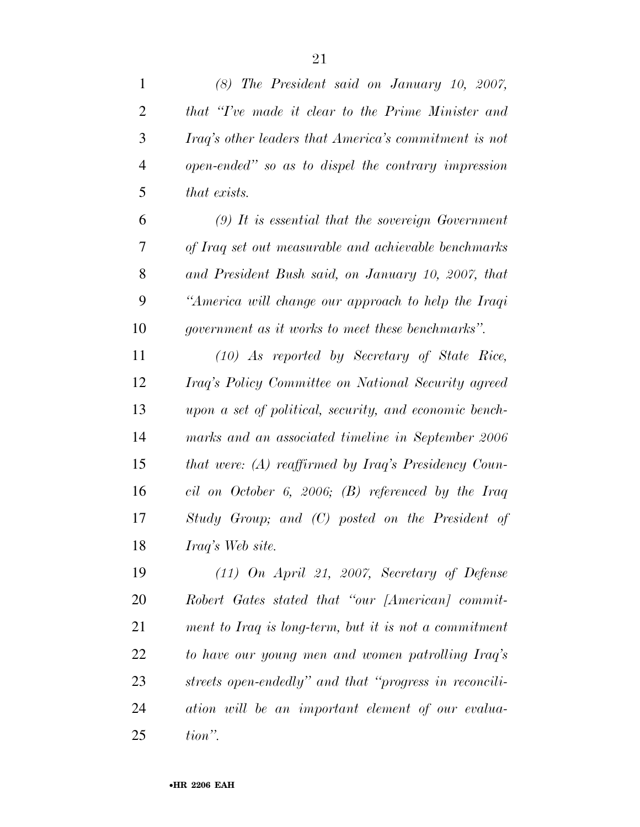| $\mathbf{1}$   | $(8)$ The President said on January 10, 2007,             |
|----------------|-----------------------------------------------------------|
| $\overline{2}$ | that "Tve made it clear to the Prime Minister and         |
| 3              | Iraq's other leaders that America's commitment is not     |
| $\overline{4}$ | open-ended" so as to dispel the contrary impression       |
| 5              | that exists.                                              |
| 6              | $(9)$ It is essential that the sovereign Government       |
| 7              | of Iraq set out measurable and achievable benchmarks      |
| 8              | and President Bush said, on January 10, 2007, that        |
| 9              | "America will change our approach to help the Iraqi       |
| 10             | <i>government as it works to meet these benchmarks</i> ". |
| 11             | $(10)$ As reported by Secretary of State Rice,            |
| 12             | Iraq's Policy Committee on National Security agreed       |
| 13             | upon a set of political, security, and economic bench-    |
| 14             | marks and an associated timeline in September 2006        |
| 15             | that were: (A) reaffirmed by Iraq's Presidency Coun-      |
| 16             | cil on October 6, 2006; (B) referenced by the Iraq        |
| 17             | Study Group; and (C) posted on the President of           |
| 18             | Iraq's Web site.                                          |
| 19             | $(11)$ On April 21, 2007, Secretary of Defense            |
| 20             | Robert Gates stated that "our [American] commit-          |
| 21             | ment to Iraq is long-term, but it is not a commitment     |
| 22             | to have our young men and women patrolling Iraq's         |
| 23             | streets open-endedly" and that "progress in reconcili-    |
| 24             | ation will be an important element of our evalua-         |
| 25             | tion".                                                    |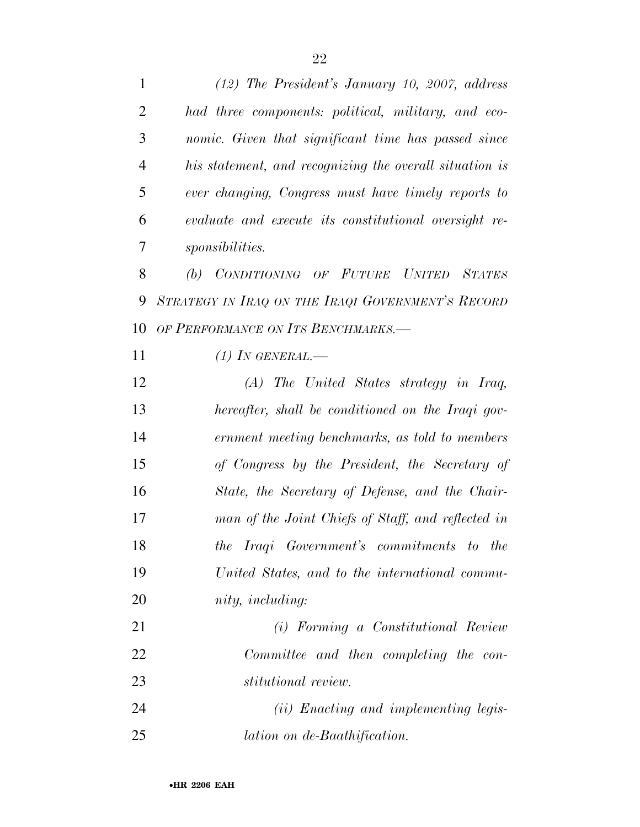| $\mathbf{1}$   | $(12)$ The President's January 10, 2007, address        |
|----------------|---------------------------------------------------------|
| $\overline{2}$ | had three components: political, military, and eco-     |
| 3              | nomic. Given that significant time has passed since     |
| $\overline{4}$ | his statement, and recognizing the overall situation is |
| 5              | ever changing, Congress must have timely reports to     |
| 6              | evaluate and execute its constitutional oversight re-   |
| 7              | <i>sponsibilities.</i>                                  |
| 8              | (b) CONDITIONING OF FUTURE UNITED STATES                |
| 9              | STRATEGY IN IRAQ ON THE IRAQI GOVERNMENT'S RECORD       |
| 10             | OF PERFORMANCE ON ITS BENCHMARKS.-                      |
| 11             | $(1)$ In GENERAL.—                                      |
| 12             | $(A)$ The United States strategy in Iraq,               |
| 13             | hereafter, shall be conditioned on the Iraqi gov-       |
| 14             | ernment meeting benchmarks, as told to members          |
| 15             | of Congress by the President, the Secretary of          |
| 16             | State, the Secretary of Defense, and the Chair-         |
| 17             | man of the Joint Chiefs of Staff, and reflected in      |
| 18             | the Iraqi Government's commitments to the               |
| 19             | United States, and to the international commu-          |
| 20             | nity, including:                                        |
| 21             | (i) Forming a Constitutional Review                     |
| 22             | Committee and then completing the con-                  |
| 23             | stitutional review.                                     |
| 24             | ( <i>ii</i> ) Enacting and implementing legis-          |
| 25             | lation on de-Baathification.                            |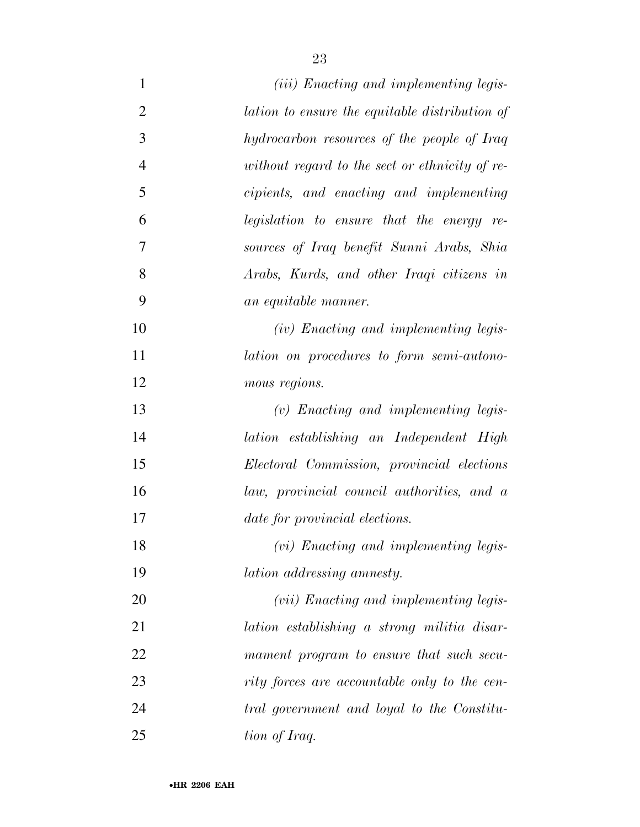| $\mathbf{1}$   | ( <i>iii</i> ) Enacting and implementing legis- |
|----------------|-------------------------------------------------|
| $\overline{2}$ | lation to ensure the equitable distribution of  |
| 3              | hydrocarbon resources of the people of Iraq     |
| $\overline{4}$ | without regard to the sect or ethnicity of re-  |
| 5              | cipients, and enacting and implementing         |
| 6              | legislation to ensure that the energy re-       |
| 7              | sources of Iraq benefit Sunni Arabs, Shia       |
| 8              | Arabs, Kurds, and other Iraqi citizens in       |
| 9              | an equitable manner.                            |
| 10             | (iv) Enacting and implementing legis-           |
| 11             | lation on procedures to form semi-autono-       |
| 12             | mous regions.                                   |
| 13             | $(v)$ Enacting and implementing legis-          |
| 14             | lation establishing an Independent High         |
| 15             | Electoral Commission, provincial elections      |
| 16             | law, provincial council authorities, and a      |
| 17             | date for provincial elections.                  |
| 18             | $(vi)$ Enacting and implementing legis-         |
| 19             | lation addressing amnesty.                      |
| 20             | ( <i>vii</i> ) Enacting and implementing legis- |
| 21             | lation establishing a strong militia disar-     |
| 22             | mament program to ensure that such secu-        |
| 23             | rity forces are accountable only to the cen-    |
| 24             | tral government and loyal to the Constitu-      |
| 25             | tion of Iraq.                                   |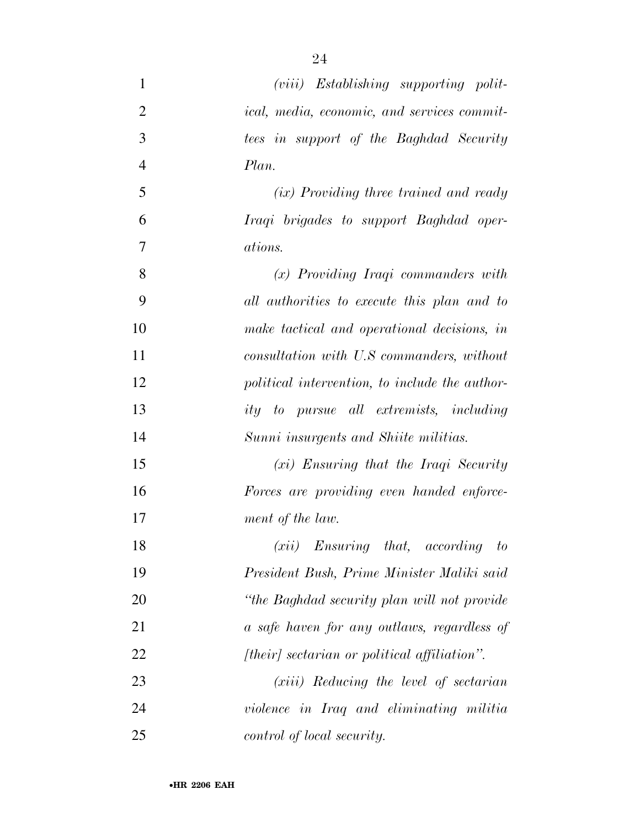| $\mathbf{1}$   | $(viii)$ Establishing supporting polit-            |
|----------------|----------------------------------------------------|
| $\overline{2}$ | <i>ical, media, economic, and services commit-</i> |
| 3              | tees in support of the Baghdad Security            |
| $\overline{4}$ | Plan.                                              |
| 5              | (ix) Providing three trained and ready             |
| 6              | Iraqi brigades to support Baghdad oper-            |
| $\overline{7}$ | ations.                                            |
| 8              | $(x)$ Providing Iraqi commanders with              |
| 9              | all authorities to execute this plan and to        |
| 10             | make tactical and operational decisions, in        |
| 11             | consultation with U.S commanders, without          |
| 12             | political intervention, to include the author-     |
| 13             | ity to pursue all extremists, including            |
| 14             | Sunni insurgents and Shiite militias.              |
| 15             | $(xi)$ Ensuring that the Iraqi Security            |
| 16             | Forces are providing even handed enforce-          |
| 17             | ment of the law.                                   |
| 18             | $(xii)$ Ensuring that, according to                |
| 19             | President Bush, Prime Minister Maliki said         |
| 20             | "the Baghdad security plan will not provide"       |
| 21             | a safe haven for any outlaws, regardless of        |
| 22             | [their] sectarian or political affiliation".       |
| 23             | $(xiii)$ Reducing the level of sectarian           |
| 24             | violence in Iraq and eliminating militia           |
| 25             | control of local security.                         |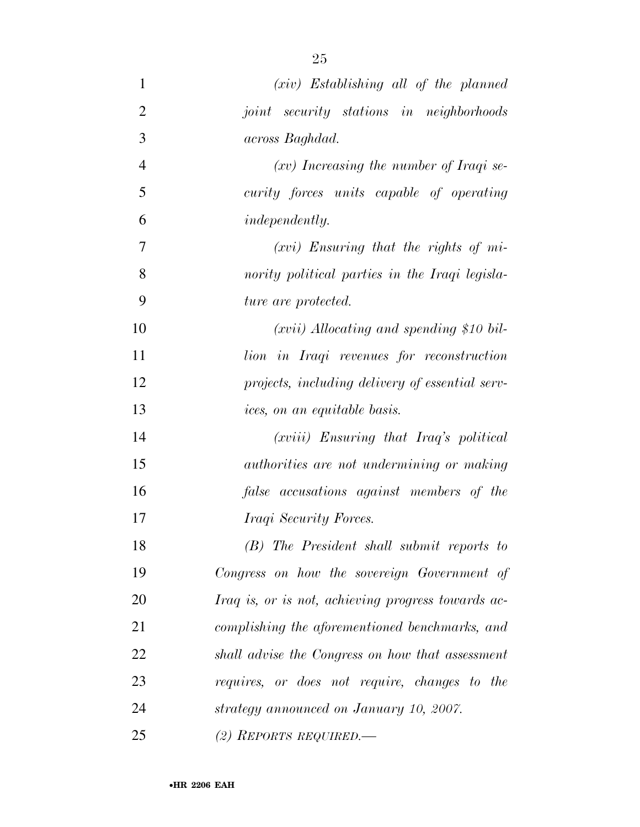| $\mathbf{1}$   | $(xiv)$ Establishing all of the planned            |
|----------------|----------------------------------------------------|
| $\overline{2}$ | joint security stations in neighborhoods           |
| 3              | across Baghdad.                                    |
| $\overline{4}$ | $(xv)$ Increasing the number of Iraqi se-          |
| 5              | curity forces units capable of operating           |
| 6              | <i>independently.</i>                              |
| 7              | $(xvi)$ Ensuring that the rights of mi-            |
| 8              | nority political parties in the Iraqi legisla-     |
| 9              | ture are protected.                                |
| 10             | $(xvii)$ Allocating and spending \$10 bil-         |
| 11             | lion in Iraqi revenues for reconstruction          |
| 12             | projects, including delivery of essential serv-    |
| 13             | ices, on an equitable basis.                       |
| 14             | (xviii) Ensuring that Iraq's political             |
| 15             | authorities are not undermining or making          |
| 16             | false accusations against members of the           |
| 17             | Iraqi Security Forces.                             |
| 18             | (B) The President shall submit reports to          |
| 19             | Congress on how the sovereign Government of        |
| 20             | Iraq is, or is not, achieving progress towards ac- |
| 21             | complishing the aforementioned benchmarks, and     |
| 22             | shall advise the Congress on how that assessment   |
| 23             | requires, or does not require, changes to the      |
| 24             | strategy announced on January 10, 2007.            |
| 25             | (2) REPORTS REQUIRED.—                             |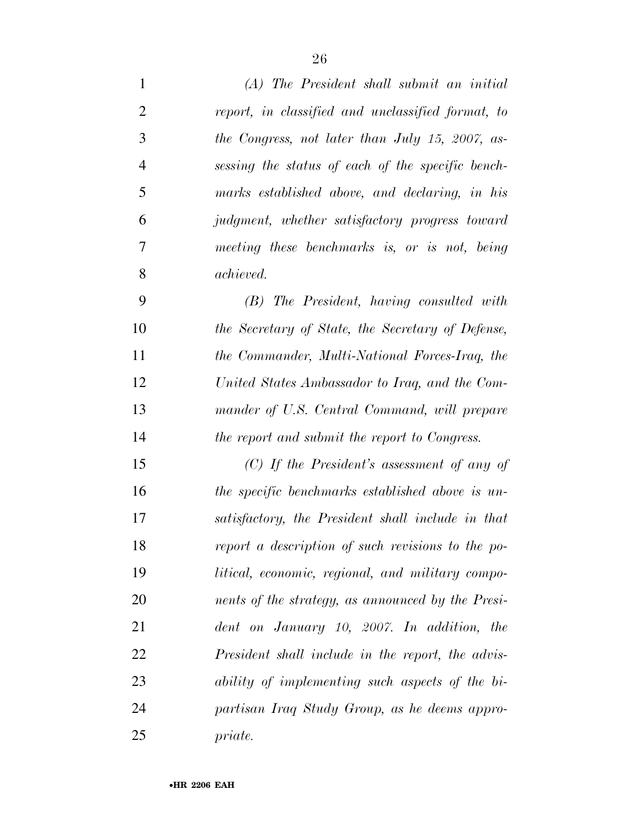| $\mathbf{1}$   | (A) The President shall submit an initial         |
|----------------|---------------------------------------------------|
| $\overline{2}$ | report, in classified and unclassified format, to |
| 3              | the Congress, not later than July 15, 2007, as-   |
| $\overline{4}$ | sessing the status of each of the specific bench- |
| $\mathfrak{S}$ | marks established above, and declaring, in his    |
| 6              | judgment, whether satisfactory progress toward    |
| 7              | meeting these benchmarks is, or is not, being     |
| 8              | achieved.                                         |
| 9              | (B) The President, having consulted with          |
| 10             | the Secretary of State, the Secretary of Defense, |
| 11             | the Commander, Multi-National Forces-Iraq, the    |
| 12             | United States Ambassador to Iraq, and the Com-    |
| 13             | mander of U.S. Central Command, will prepare      |
| 14             | the report and submit the report to Congress.     |
| 15             | $(C)$ If the President's assessment of any of     |
| 16             | the specific benchmarks established above is un-  |
| 17             | satisfactory, the President shall include in that |
| 18             | report a description of such revisions to the po- |
| 19             | litical, economic, regional, and military compo-  |
| 20             | nents of the strategy, as announced by the Presi- |
| 21             | dent on January 10, 2007. In addition, the        |
| 22             | President shall include in the report, the advis- |
| 23             | ability of implementing such aspects of the bi-   |
| 24             | partisan Iraq Study Group, as he deems appro-     |
| 25             | priate.                                           |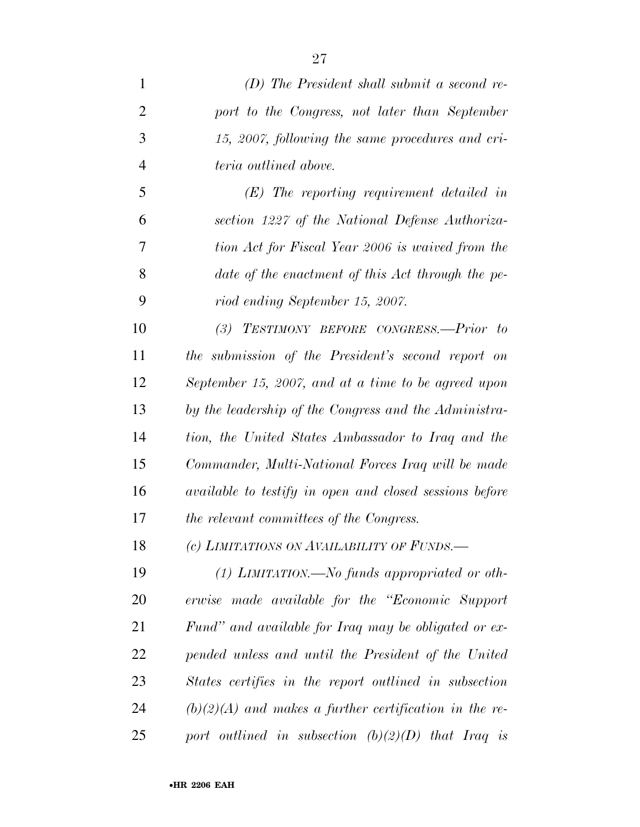*(D) The President shall submit a second re- port to the Congress, not later than September 15, 2007, following the same procedures and cri- teria outlined above. (E) The reporting requirement detailed in section 1227 of the National Defense Authoriza- tion Act for Fiscal Year 2006 is waived from the date of the enactment of this Act through the pe- riod ending September 15, 2007. (3) TESTIMONY BEFORE CONGRESS.—Prior to the submission of the President's second report on September 15, 2007, and at a time to be agreed upon by the leadership of the Congress and the Administra- tion, the United States Ambassador to Iraq and the Commander, Multi-National Forces Iraq will be made available to testify in open and closed sessions before the relevant committees of the Congress. (c) LIMITATIONS ON AVAILABILITY OF FUNDS.— (1) LIMITATION.—No funds appropriated or oth- erwise made available for the ''Economic Support Fund'' and available for Iraq may be obligated or ex- pended unless and until the President of the United States certifies in the report outlined in subsection* 

 *(b)(2)(A) and makes a further certification in the re-port outlined in subsection (b)(2)(D) that Iraq is*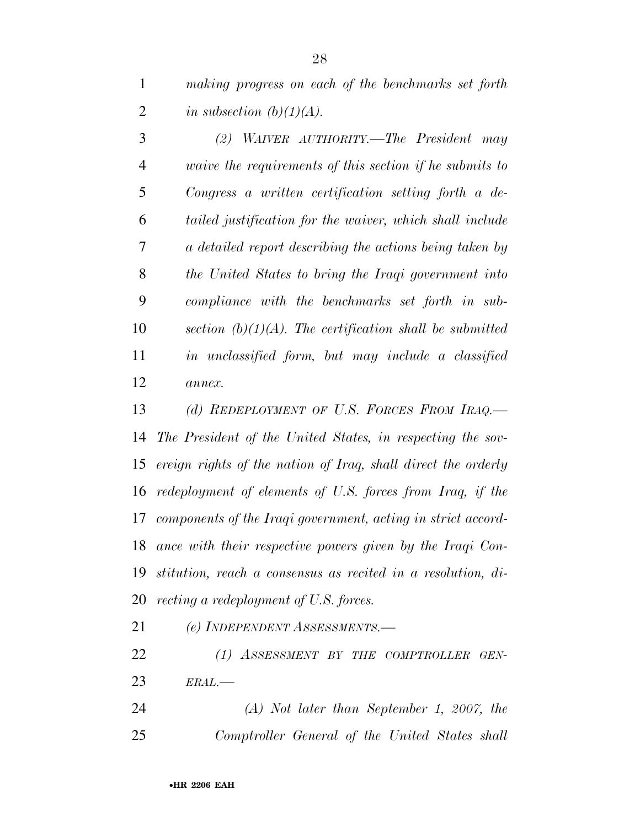*making progress on each of the benchmarks set forth in subsection (b)(1)(A).* 

 *(2) WAIVER AUTHORITY.—The President may waive the requirements of this section if he submits to Congress a written certification setting forth a de- tailed justification for the waiver, which shall include a detailed report describing the actions being taken by the United States to bring the Iraqi government into compliance with the benchmarks set forth in sub- section (b)(1)(A). The certification shall be submitted in unclassified form, but may include a classified annex.* 

 *(d) REDEPLOYMENT OF U.S. FORCES FROM IRAQ.— The President of the United States, in respecting the sov- ereign rights of the nation of Iraq, shall direct the orderly redeployment of elements of U.S. forces from Iraq, if the components of the Iraqi government, acting in strict accord- ance with their respective powers given by the Iraqi Con- stitution, reach a consensus as recited in a resolution, di-recting a redeployment of U.S. forces.* 

*(e) INDEPENDENT ASSESSMENTS.—*

 *(1) ASSESSMENT BY THE COMPTROLLER GEN-ERAL.—*

 *(A) Not later than September 1, 2007, the Comptroller General of the United States shall*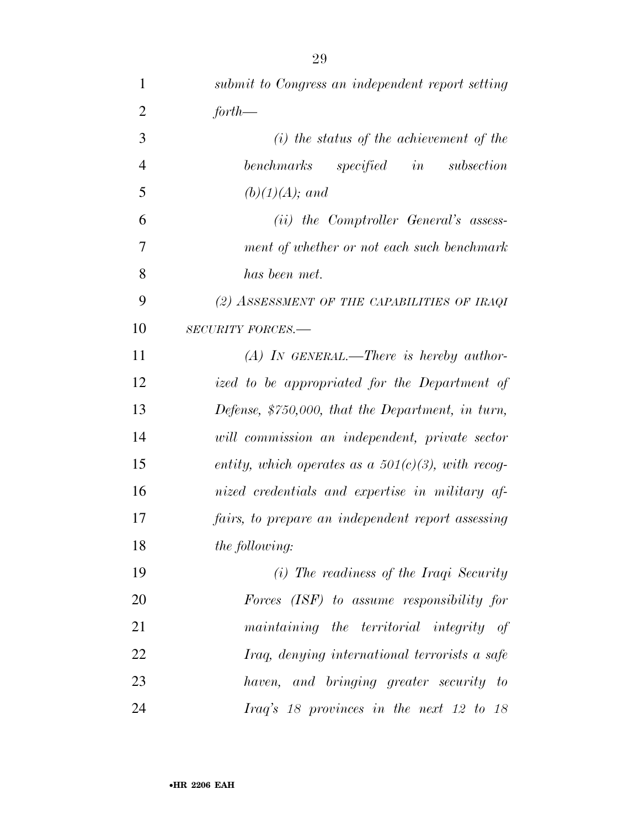| $\mathbf{1}$   | submit to Congress an independent report setting      |
|----------------|-------------------------------------------------------|
| $\overline{2}$ | $for th$ —                                            |
| 3              | $(i)$ the status of the achievement of the            |
| $\overline{4}$ | benchmarks specified in subsection                    |
| 5              | $(b)(1)(A);$ and                                      |
| 6              | (ii) the Comptroller General's assess-                |
| 7              | ment of whether or not each such benchmark            |
| 8              | has been met.                                         |
| 9              | (2) ASSESSMENT OF THE CAPABILITIES OF IRAQI           |
| 10             | <b>SECURITY FORCES.-</b>                              |
| 11             | $(A)$ In GENERAL.—There is hereby author-             |
| 12             | ized to be appropriated for the Department of         |
| 13             | Defense, \$750,000, that the Department, in turn,     |
| 14             | will commission an independent, private sector        |
| 15             | entity, which operates as a $501(c)(3)$ , with recog- |
| 16             | nized credentials and expertise in military af-       |
| 17             | fairs, to prepare an independent report assessing     |
| 18             | the following:                                        |
| 19             | (i) The readiness of the Iraqi Security               |
| 20             | Forces (ISF) to assume responsibility for             |
| 21             | maintaining the territorial integrity of              |
| 22             | Iraq, denying international terrorists a safe         |
| 23             | haven, and bringing greater security to               |
| 24             | Iraq's 18 provinces in the next 12 to 18              |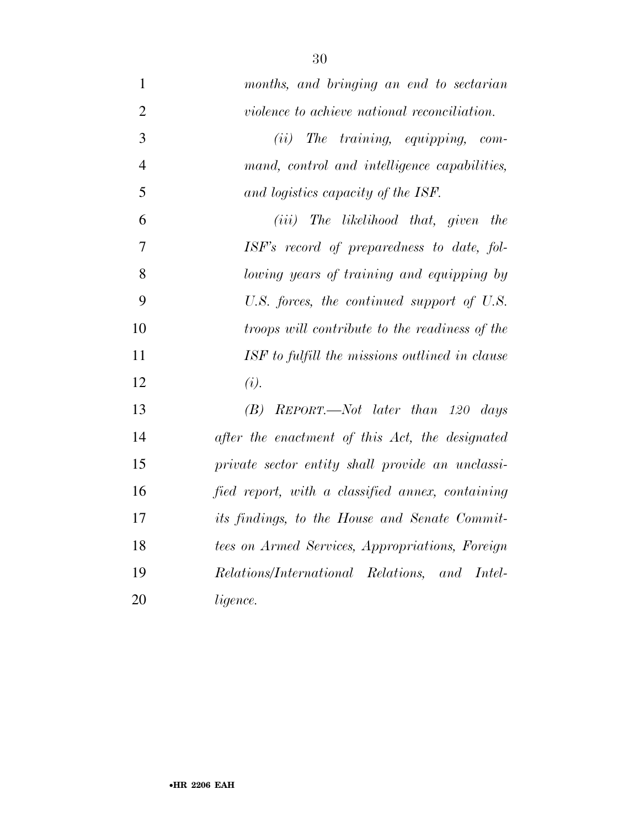| $\mathbf{1}$   | months, and bringing an end to sectarian             |
|----------------|------------------------------------------------------|
| $\overline{2}$ | violence to achieve national reconciliation.         |
| 3              | The training, equipping, com-<br>(ii)                |
| $\overline{4}$ | mand, control and intelligence capabilities,         |
| 5              | and logistics capacity of the ISF.                   |
| 6              | $(iii)$ The likelihood that, given<br>the            |
| $\overline{7}$ | ISF's record of preparedness to date, fol-           |
| 8              | lowing years of training and equipping by            |
| 9              | U.S. forces, the continued support of U.S.           |
| 10             | troops will contribute to the readiness of the       |
| 11             | ISF to fulfill the missions outlined in clause       |
| 12             | (i).                                                 |
| 13             | REPORT.—Not later than 120 days<br>(B)               |
| 14             | after the enactment of this Act, the designated      |
| 15             | private sector entity shall provide an unclassi-     |
| 16             | fied report, with a classified annex, containing     |
| 17             | <i>its findings, to the House and Senate Commit-</i> |
| 18             | tees on Armed Services, Appropriations, Foreign      |
| 19             | Relations/International Relations, and Intel-        |
| 20             | ligence.                                             |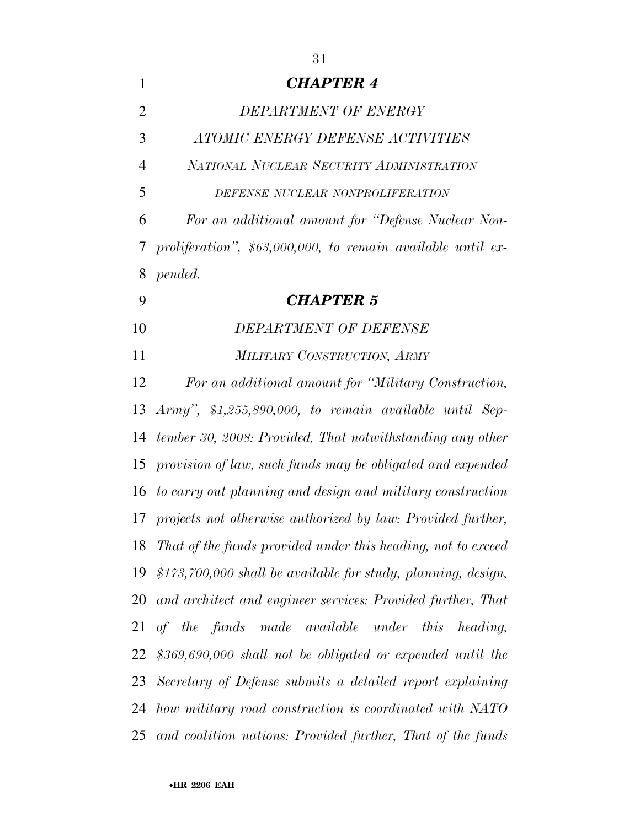| $\mathbf{1}$   | <b>CHAPTER 4</b>                                                |
|----------------|-----------------------------------------------------------------|
| $\overline{2}$ | DEPARTMENT OF ENERGY                                            |
| 3              | ATOMIC ENERGY DEFENSE ACTIVITIES                                |
| $\overline{4}$ | NATIONAL NUCLEAR SECURITY ADMINISTRATION                        |
| 5              | DEFENSE NUCLEAR NONPROLIFERATION                                |
| 6              | For an additional amount for "Defense Nuclear Non-              |
| 7              | proliferation", $$63,000,000$ , to remain available until ex-   |
| 8              | pended.                                                         |
| 9              | <b>CHAPTER 5</b>                                                |
| 10             | DEPARTMENT OF DEFENSE                                           |
| 11             | MILITARY CONSTRUCTION, ARMY                                     |
| 12             | For an additional amount for "Military Construction,            |
| 13             | Army", $$1,255,890,000$ , to remain available until Sep-        |
| 14             | tember 30, 2008: Provided, That notwithstanding any other       |
| 15             | provision of law, such funds may be obligated and expended      |
|                | 16 to carry out planning and design and military construction   |
|                | 17 projects not otherwise authorized by law: Provided further,  |
|                | 18 That of the funds provided under this heading, not to exceed |
| 19             | \$173,700,000 shall be available for study, planning, design,   |
|                | 20 and architect and engineer services: Provided further, That  |
|                | 21 of the funds made available under this<br>heading,           |
| 22             | $$369,690,000$ shall not be obligated or expended until the     |
|                | 23 Secretary of Defense submits a detailed report explaining    |
|                |                                                                 |

 *tember 30, 2008: Provided, That notwithstanding any other provision of law, such funds may be obligated and expended to carry out planning and design and military construction projects not otherwise authorized by law: Provided further, That of the funds provided under this heading, not to exceed \$173,700,000 shall be available for study, planning, design, and architect and engineer services: Provided further, That of the funds made available under this heading, \$369,690,000 shall not be obligated or expended until the Secretary of Defense submits a detailed report explaining how military road construction is coordinated with NATO and coalition nations: Provided further, That of the funds*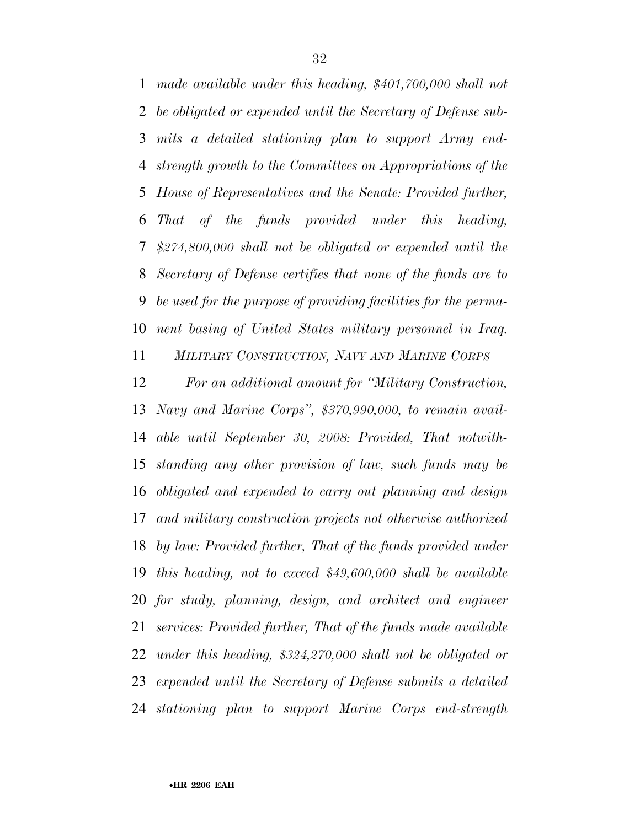*made available under this heading, \$401,700,000 shall not be obligated or expended until the Secretary of Defense sub- mits a detailed stationing plan to support Army end- strength growth to the Committees on Appropriations of the House of Representatives and the Senate: Provided further, That of the funds provided under this heading, \$274,800,000 shall not be obligated or expended until the Secretary of Defense certifies that none of the funds are to be used for the purpose of providing facilities for the perma-nent basing of United States military personnel in Iraq.* 

*MILITARY CONSTRUCTION, NAVY AND MARINE CORPS*

 *For an additional amount for ''Military Construction, Navy and Marine Corps'', \$370,990,000, to remain avail- able until September 30, 2008: Provided, That notwith- standing any other provision of law, such funds may be obligated and expended to carry out planning and design and military construction projects not otherwise authorized by law: Provided further, That of the funds provided under this heading, not to exceed \$49,600,000 shall be available for study, planning, design, and architect and engineer services: Provided further, That of the funds made available under this heading, \$324,270,000 shall not be obligated or expended until the Secretary of Defense submits a detailed stationing plan to support Marine Corps end-strength*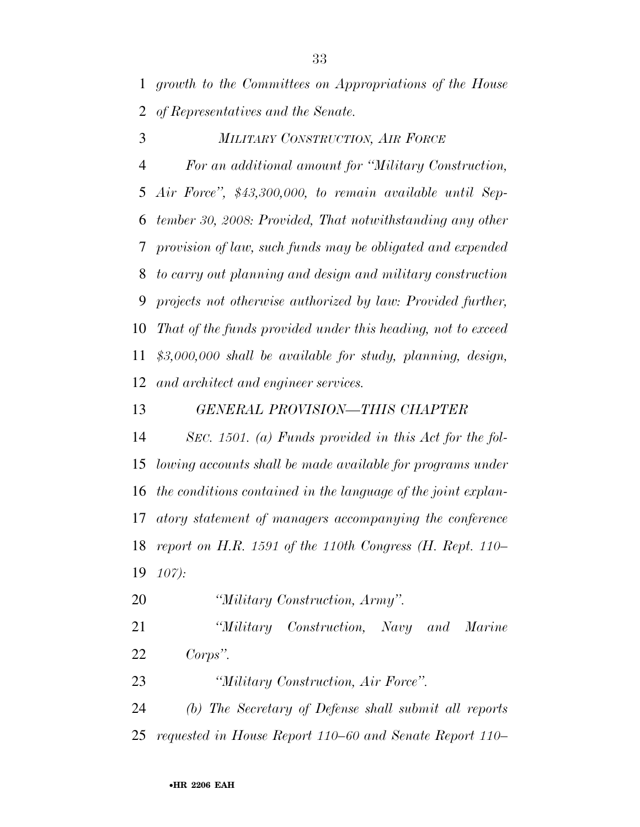*growth to the Committees on Appropriations of the House of Representatives and the Senate.* 

*MILITARY CONSTRUCTION, AIR FORCE*

 *For an additional amount for ''Military Construction, Air Force'', \$43,300,000, to remain available until Sep- tember 30, 2008: Provided, That notwithstanding any other provision of law, such funds may be obligated and expended to carry out planning and design and military construction projects not otherwise authorized by law: Provided further, That of the funds provided under this heading, not to exceed \$3,000,000 shall be available for study, planning, design, and architect and engineer services.* 

*GENERAL PROVISION—THIS CHAPTER* 

 *SEC. 1501. (a) Funds provided in this Act for the fol- lowing accounts shall be made available for programs under the conditions contained in the language of the joint explan- atory statement of managers accompanying the conference report on H.R. 1591 of the 110th Congress (H. Rept. 110– 107):* 

*''Military Construction, Army''.* 

 *''Military Construction, Navy and Marine Corps''.* 

*''Military Construction, Air Force''.* 

 *(b) The Secretary of Defense shall submit all reports requested in House Report 110–60 and Senate Report 110–*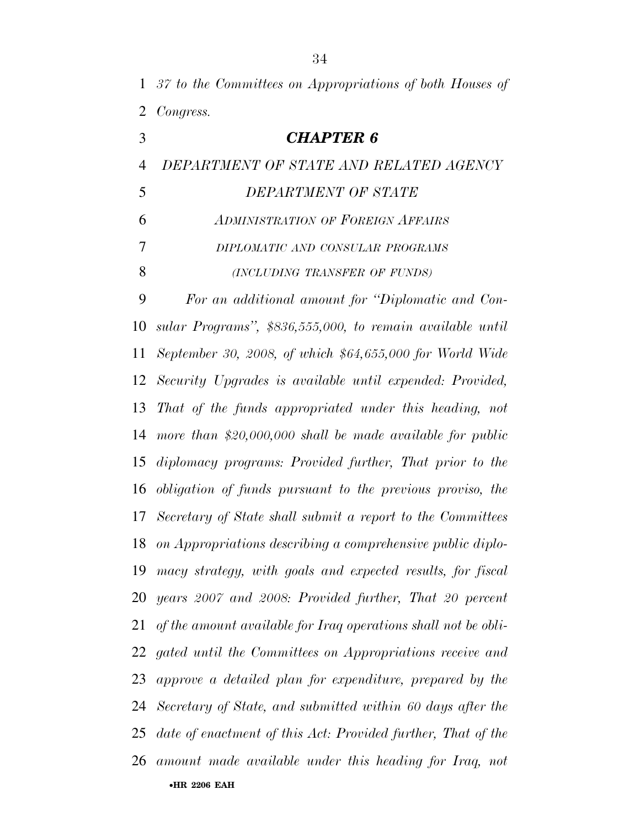- *37 to the Committees on Appropriations of both Houses of Congress.*
- *CHAPTER 6 DEPARTMENT OF STATE AND RELATED AGENCY DEPARTMENT OF STATE ADMINISTRATION OF FOREIGN AFFAIRS DIPLOMATIC AND CONSULAR PROGRAMS (INCLUDING TRANSFER OF FUNDS) For an additional amount for ''Diplomatic and Con- sular Programs'', \$836,555,000, to remain available until September 30, 2008, of which \$64,655,000 for World Wide Security Upgrades is available until expended: Provided, That of the funds appropriated under this heading, not more than \$20,000,000 shall be made available for public diplomacy programs: Provided further, That prior to the obligation of funds pursuant to the previous proviso, the Secretary of State shall submit a report to the Committees on Appropriations describing a comprehensive public diplo- macy strategy, with goals and expected results, for fiscal years 2007 and 2008: Provided further, That 20 percent of the amount available for Iraq operations shall not be obli- gated until the Committees on Appropriations receive and approve a detailed plan for expenditure, prepared by the Secretary of State, and submitted within 60 days after the date of enactment of this Act: Provided further, That of the amount made available under this heading for Iraq, not*

•**HR 2206 EAH**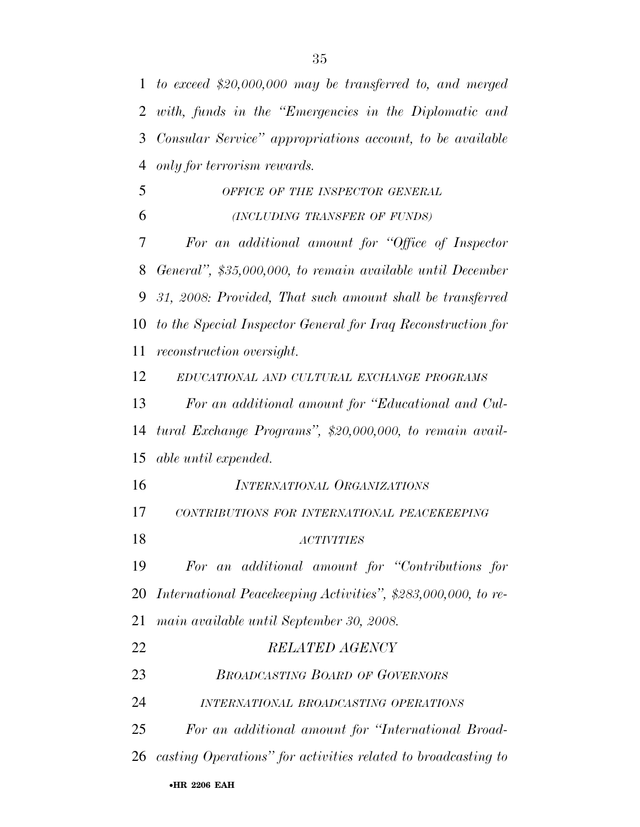*to exceed \$20,000,000 may be transferred to, and merged with, funds in the ''Emergencies in the Diplomatic and Consular Service'' appropriations account, to be available only for terrorism rewards. OFFICE OF THE INSPECTOR GENERAL (INCLUDING TRANSFER OF FUNDS) For an additional amount for ''Office of Inspector* 

 *General'', \$35,000,000, to remain available until December 31, 2008: Provided, That such amount shall be transferred to the Special Inspector General for Iraq Reconstruction for reconstruction oversight.* 

*EDUCATIONAL AND CULTURAL EXCHANGE PROGRAMS*

 *For an additional amount for ''Educational and Cul- tural Exchange Programs'', \$20,000,000, to remain avail-able until expended.* 

- *CONTRIBUTIONS FOR INTERNATIONAL PEACEKEEPING*
- *ACTIVITIES*
- *For an additional amount for ''Contributions for International Peacekeeping Activities'', \$283,000,000, to re-*

*main available until September 30, 2008.* 

| 22  | <b>RELATED AGENCY</b>                                            |
|-----|------------------------------------------------------------------|
| 23  | <b>BROADCASTING BOARD OF GOVERNORS</b>                           |
| 24  | INTERNATIONAL BROADCASTING OPERATIONS                            |
| 25. | For an additional amount for "International Broad-               |
|     | 26 casting Operations" for activities related to broadcasting to |
|     | •HR 2206 EAH                                                     |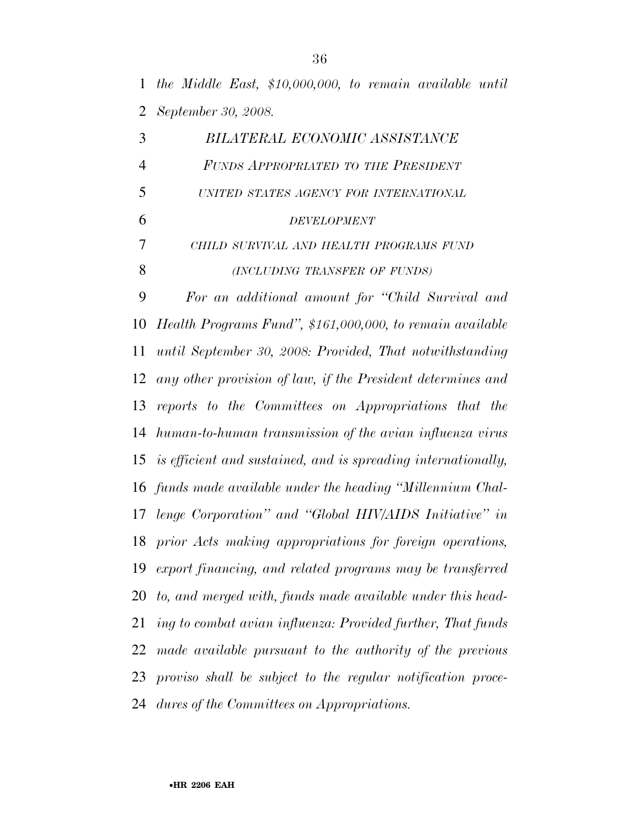*the Middle East, \$10,000,000, to remain available until September 30, 2008.* 

| 3              | BILATERAL ECONOMIC ASSISTANCE                                    |
|----------------|------------------------------------------------------------------|
| $\overline{4}$ | FUNDS APPROPRIATED TO THE PRESIDENT                              |
| 5              | UNITED STATES AGENCY FOR INTERNATIONAL                           |
| 6              | <b>DEVELOPMENT</b>                                               |
| 7              | CHILD SURVIVAL AND HEALTH PROGRAMS FUND                          |
| 8              | (INCLUDING TRANSFER OF FUNDS)                                    |
| 9              | For an additional amount for "Child Survival and                 |
| 10             | Health Programs Fund", \$161,000,000, to remain available        |
| 11             | until September 30, 2008: Provided, That notwithstanding         |
| 12             | any other provision of law, if the President determines and      |
|                | 13 reports to the Committees on Appropriations that the          |
|                | 14 human-to-human transmission of the avian influenza virus      |
|                | 15 is efficient and sustained, and is spreading internationally, |
| 16             | funds made available under the heading "Millennium Chal-         |
| 17             | lenge Corporation" and "Global HIV/AIDS Initiative" in           |
| 18             | prior Acts making appropriations for foreign operations,         |
|                | 19 export financing, and related programs may be transferred     |
|                | 20 to, and merged with, funds made available under this head-    |
| 21             | ing to combat avian influenza: Provided further, That funds      |
| 22             | made available pursuant to the authority of the previous         |
| 23             | proviso shall be subject to the regular notification proce-      |
| 24             | dures of the Committees on Appropriations.                       |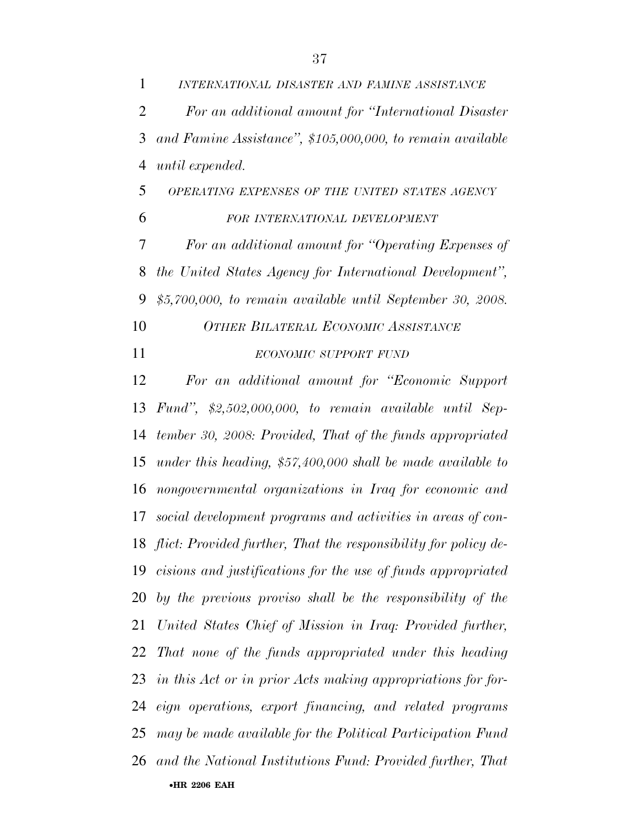*INTERNATIONAL DISASTER AND FAMINE ASSISTANCE For an additional amount for ''International Disaster and Famine Assistance'', \$105,000,000, to remain available until expended.* 

 *OPERATING EXPENSES OF THE UNITED STATES AGENCY FOR INTERNATIONAL DEVELOPMENT*

 *For an additional amount for ''Operating Expenses of the United States Agency for International Development'', \$5,700,000, to remain available until September 30, 2008.* 

*OTHER BILATERAL ECONOMIC ASSISTANCE*

# *ECONOMIC SUPPORT FUND*

•**HR 2206 EAH**  *For an additional amount for ''Economic Support Fund'', \$2,502,000,000, to remain available until Sep- tember 30, 2008: Provided, That of the funds appropriated under this heading, \$57,400,000 shall be made available to nongovernmental organizations in Iraq for economic and social development programs and activities in areas of con- flict: Provided further, That the responsibility for policy de- cisions and justifications for the use of funds appropriated by the previous proviso shall be the responsibility of the United States Chief of Mission in Iraq: Provided further, That none of the funds appropriated under this heading in this Act or in prior Acts making appropriations for for- eign operations, export financing, and related programs may be made available for the Political Participation Fund and the National Institutions Fund: Provided further, That*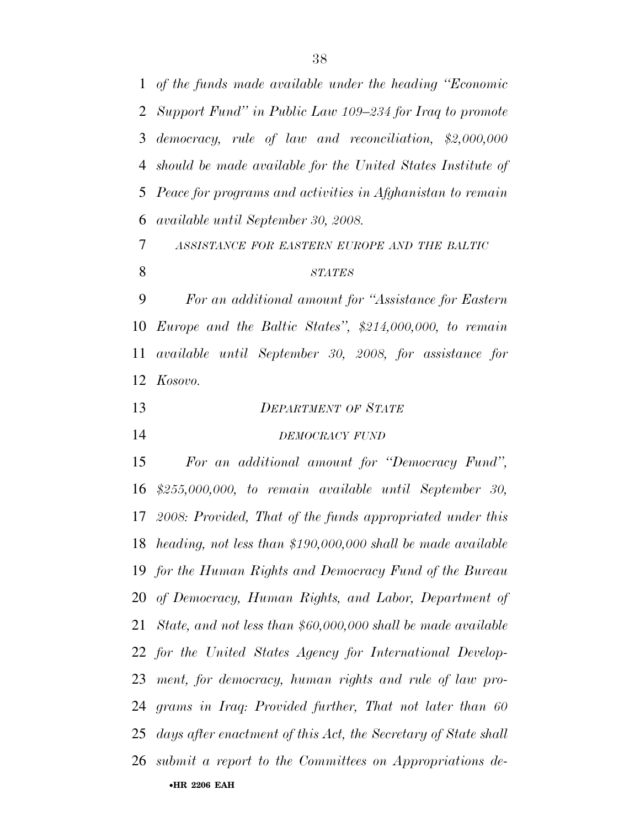*of the funds made available under the heading ''Economic Support Fund'' in Public Law 109–234 for Iraq to promote democracy, rule of law and reconciliation, \$2,000,000 should be made available for the United States Institute of Peace for programs and activities in Afghanistan to remain available until September 30, 2008.* 

*ASSISTANCE FOR EASTERN EUROPE AND THE BALTIC*

#### *STATES*

 *For an additional amount for ''Assistance for Eastern Europe and the Baltic States'', \$214,000,000, to remain available until September 30, 2008, for assistance for Kosovo.* 

 *DEPARTMENT OF STATE DEMOCRACY FUND*

•**HR 2206 EAH**  *For an additional amount for ''Democracy Fund'', \$255,000,000, to remain available until September 30, 2008: Provided, That of the funds appropriated under this heading, not less than \$190,000,000 shall be made available for the Human Rights and Democracy Fund of the Bureau of Democracy, Human Rights, and Labor, Department of State, and not less than \$60,000,000 shall be made available for the United States Agency for International Develop- ment, for democracy, human rights and rule of law pro- grams in Iraq: Provided further, That not later than 60 days after enactment of this Act, the Secretary of State shall submit a report to the Committees on Appropriations de-*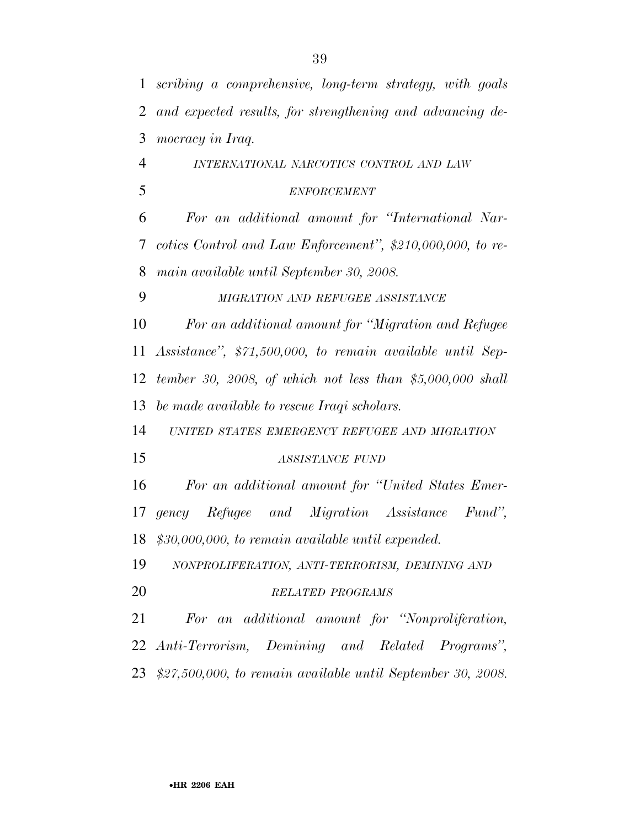| $\mathbf{1}$             | scribing a comprehensive, long-term strategy, with goals       |
|--------------------------|----------------------------------------------------------------|
| $\overline{2}$           | and expected results, for strengthening and advancing de-      |
| 3                        | mocracy in Iraq.                                               |
| $\overline{4}$           | INTERNATIONAL NARCOTICS CONTROL AND LAW                        |
| 5                        | <b>ENFORCEMENT</b>                                             |
| 6                        | For an additional amount for "International Nar-               |
| $\overline{\mathcal{L}}$ | cotics Control and Law Enforcement", \$210,000,000, to re-     |
| 8                        | main available until September 30, 2008.                       |
| 9                        | MIGRATION AND REFUGEE ASSISTANCE                               |
| 10                       | For an additional amount for "Migration and Refugee            |
| 11                       | Assistance", \$71,500,000, to remain available until Sep-      |
| 12                       | tember 30, 2008, of which not less than \$5,000,000 shall      |
| 13                       | be made available to rescue Iraqi scholars.                    |
| 14                       | UNITED STATES EMERGENCY REFUGEE AND MIGRATION                  |
| 15                       | <b>ASSISTANCE FUND</b>                                         |
| 16                       | For an additional amount for "United States Emer-              |
| 17                       | gency Refugee and Migration Assistance<br>$Fund$ ".            |
|                          | 18 \$30,000,000, to remain available until expended.           |
| 19                       | NONPROLIFERATION, ANTI-TERRORISM, DEMINING AND                 |
| 20                       | RELATED PROGRAMS                                               |
| 21                       | For an additional amount for "Nonproliferation,                |
| 22                       | Anti-Terrorism, Demining and Related Programs",                |
|                          | 23 \$27,500,000, to remain available until September 30, 2008. |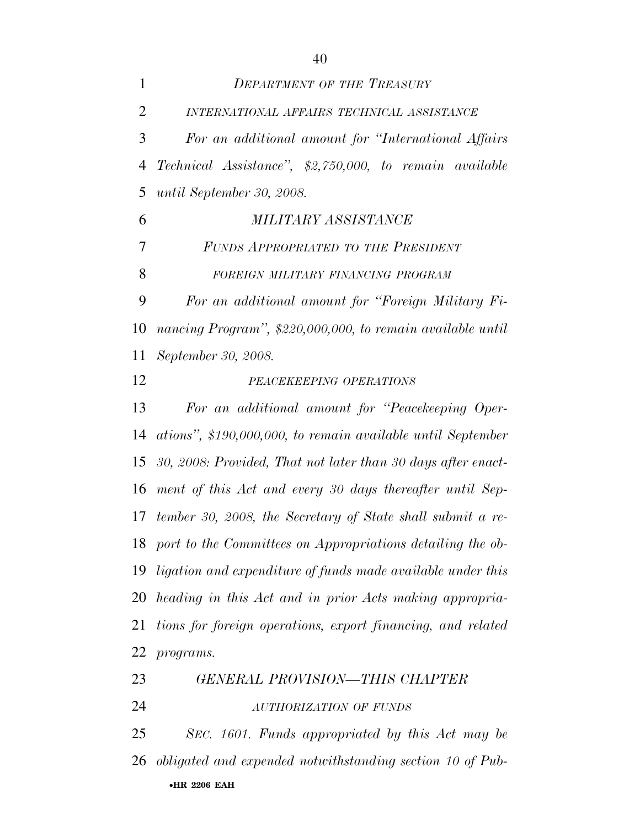| $\mathbf{1}$   | <b>DEPARTMENT OF THE TREASURY</b>                             |
|----------------|---------------------------------------------------------------|
| $\overline{2}$ | INTERNATIONAL AFFAIRS TECHNICAL ASSISTANCE                    |
| 3              | For an additional amount for "International Affairs"          |
| $\overline{4}$ | Technical Assistance", \$2,750,000, to remain available       |
| 5              | until September 30, 2008.                                     |
| 6              | <i>MILITARY ASSISTANCE</i>                                    |
| 7              | FUNDS APPROPRIATED TO THE PRESIDENT                           |
| 8              | FOREIGN MILITARY FINANCING PROGRAM                            |
| 9              | For an additional amount for "Foreign Military Fi-            |
| 10             | nancing Program", \$220,000,000, to remain available until    |
| 11             | September 30, 2008.                                           |
| 12             | PEACEKEEPING OPERATIONS                                       |
| 13             | For an additional amount for "Peacekeeping Oper-              |
| 14             | ations", \$190,000,000, to remain available until September   |
| 15             | 30, 2008: Provided, That not later than 30 days after enact-  |
| 16             | ment of this Act and every 30 days thereafter until Sep-      |
| 17             | tember 30, 2008, the Secretary of State shall submit a re-    |
|                | 18 port to the Committees on Appropriations detailing the ob- |
| 19             | ligation and expenditure of funds made available under this   |
| 20             | heading in this Act and in prior Acts making appropria-       |
| 21             | tions for foreign operations, export financing, and related   |
| 22             | programs.                                                     |
| 23             | <b>GENERAL PROVISION-THIS CHAPTER</b>                         |
| 24             | AUTHORIZATION OF FUNDS                                        |
| 25             | SEC. 1601. Funds appropriated by this Act may be              |
| 26             | obligated and expended notwithstanding section 10 of Pub-     |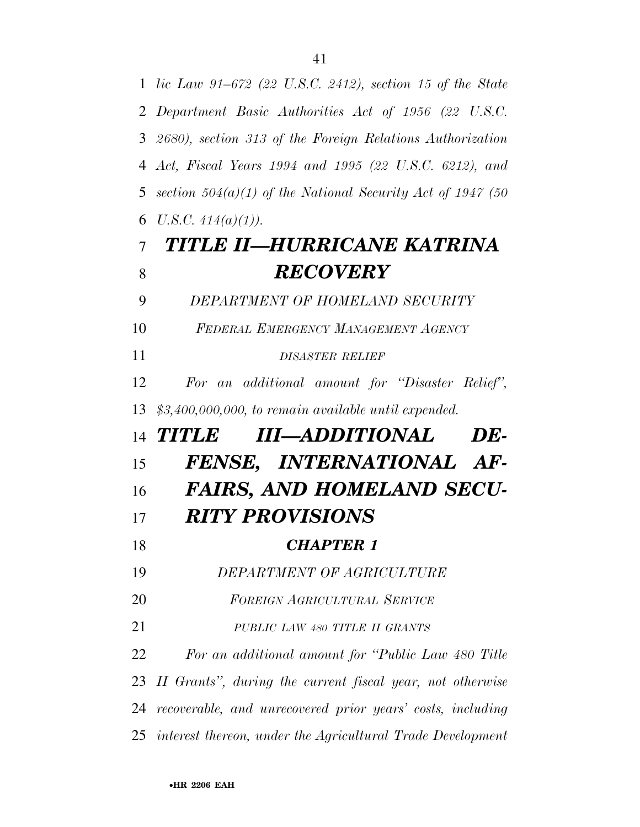*lic Law 91–672 (22 U.S.C. 2412), section 15 of the State Department Basic Authorities Act of 1956 (22 U.S.C. 2680), section 313 of the Foreign Relations Authorization Act, Fiscal Years 1994 and 1995 (22 U.S.C. 6212), and section 504(a)(1) of the National Security Act of 1947 (50 U.S.C.*  $414(a)(1)$ . *TITLE II—HURRICANE KATRINA*  **RECOVERY**  *DEPARTMENT OF HOMELAND SECURITY FEDERAL EMERGENCY MANAGEMENT AGENCY DISASTER RELIEF For an additional amount for ''Disaster Relief'', \$3,400,000,000, to remain available until expended. TITLE III—ADDITIONAL DE- FENSE, INTERNATIONAL AF- FAIRS, AND HOMELAND SECU- RITY PROVISIONS CHAPTER 1 DEPARTMENT OF AGRICULTURE FOREIGN AGRICULTURAL SERVICE PUBLIC LAW 480 TITLE II GRANTS For an additional amount for ''Public Law 480 Title II Grants'', during the current fiscal year, not otherwise recoverable, and unrecovered prior years' costs, including interest thereon, under the Agricultural Trade Development*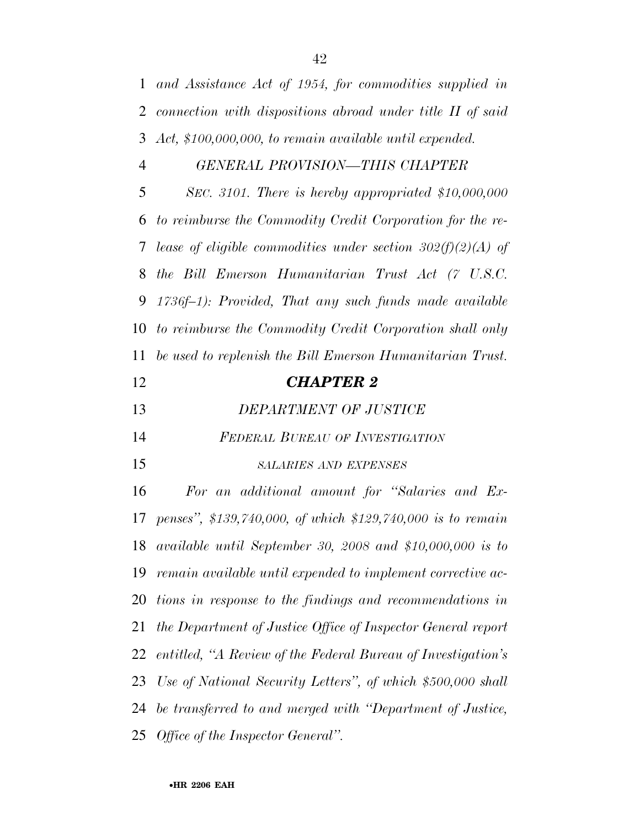*and Assistance Act of 1954, for commodities supplied in* 

 *connection with dispositions abroad under title II of said Act, \$100,000,000, to remain available until expended. GENERAL PROVISION—THIS CHAPTER SEC. 3101. There is hereby appropriated \$10,000,000 to reimburse the Commodity Credit Corporation for the re- lease of eligible commodities under section 302(f)(2)(A) of the Bill Emerson Humanitarian Trust Act (7 U.S.C. 1736f–1): Provided, That any such funds made available to reimburse the Commodity Credit Corporation shall only be used to replenish the Bill Emerson Humanitarian Trust. CHAPTER 2 DEPARTMENT OF JUSTICE FEDERAL BUREAU OF INVESTIGATION SALARIES AND EXPENSES For an additional amount for ''Salaries and Ex- penses'', \$139,740,000, of which \$129,740,000 is to remain available until September 30, 2008 and \$10,000,000 is to remain available until expended to implement corrective ac- tions in response to the findings and recommendations in the Department of Justice Office of Inspector General report entitled, ''A Review of the Federal Bureau of Investigation's Use of National Security Letters'', of which \$500,000 shall be transferred to and merged with ''Department of Justice, Office of the Inspector General''.*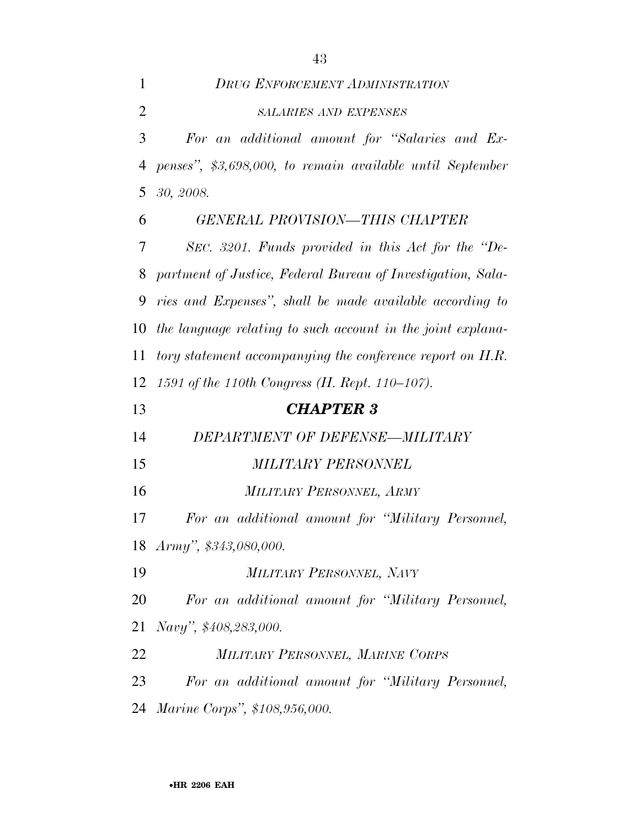| 1              | <b>DRUG ENFORCEMENT ADMINISTRATION</b>                      |
|----------------|-------------------------------------------------------------|
| $\overline{2}$ | <b>SALARIES AND EXPENSES</b>                                |
| 3              | For an additional amount for "Salaries and Ex-              |
| $\overline{4}$ | penses", \$3,698,000, to remain available until September   |
| 5              | 30, 2008.                                                   |
| 6              | <b>GENERAL PROVISION-THIS CHAPTER</b>                       |
| 7              | SEC. 3201. Funds provided in this Act for the "De-          |
| 8              | partment of Justice, Federal Bureau of Investigation, Sala- |
| 9              | ries and Expenses", shall be made available according to    |
| 10             | the language relating to such account in the joint explana- |
| 11             | tory statement accompanying the conference report on H.R.   |
| 12             | 1591 of the 110th Congress (H. Rept. 110–107).              |
| 13             | <b>CHAPTER 3</b>                                            |
| 14             | DEPARTMENT OF DEFENSE-MILITARY                              |
| 15             | <b>MILITARY PERSONNEL</b>                                   |
| 16             | MILITARY PERSONNEL, ARMY                                    |
| 17             | For an additional amount for "Military Personnel,           |
|                | 18 Army", \$343,080,000.                                    |
| 19             | MILITARY PERSONNEL, NAVY                                    |
| 20             | For an additional amount for "Military Personnel,           |
| 21             |                                                             |
| 22             | Navy", \$408,283,000.                                       |
|                | MILITARY PERSONNEL, MARINE CORPS                            |
| 23             | For an additional amount for "Military Personnel,           |
|                | 24 Marine Corps", \$108,956,000.                            |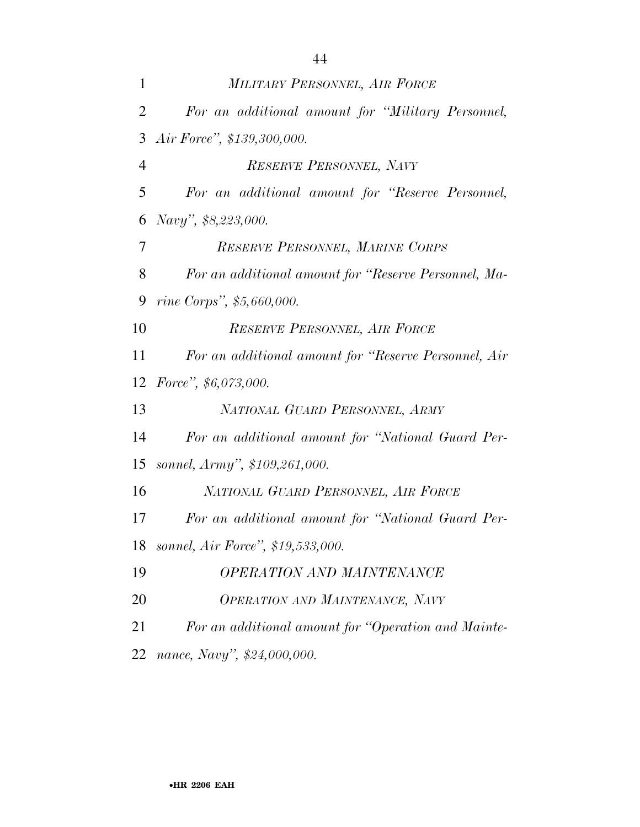| 1              | MILITARY PERSONNEL, AIR FORCE                        |
|----------------|------------------------------------------------------|
| 2              | For an additional amount for "Military Personnel,    |
| 3              | Air Force", \$139,300,000.                           |
| $\overline{4}$ | RESERVE PERSONNEL, NAVY                              |
| 5              | For an additional amount for "Reserve Personnel,     |
| 6              | Navy", \$8,223,000.                                  |
| 7              | RESERVE PERSONNEL, MARINE CORPS                      |
| 8              | For an additional amount for "Reserve Personnel, Ma- |
| 9              | rine Corps", \$5,660,000.                            |
| 10             | RESERVE PERSONNEL, AIR FORCE                         |
| 11             | For an additional amount for "Reserve Personnel, Air |
| 12             | Force", $$6,073,000$ .                               |
| 13             | NATIONAL GUARD PERSONNEL, ARMY                       |
| 14             | For an additional amount for "National Guard Per-    |
| 15             | sonnel, Army", \$109,261,000.                        |
| 16             | NATIONAL GUARD PERSONNEL, AIR FORCE                  |
| 17             | For an additional amount for "National Guard Per-    |
| 18             | sonnel, Air Force", \$19,533,000.                    |
| 19             | <b>OPERATION AND MAINTENANCE</b>                     |
| 20             | OPERATION AND MAINTENANCE, NAVY                      |
| 21             | For an additional amount for "Operation and Mainte-  |
| 22             | nance, Navy", \$24,000,000.                          |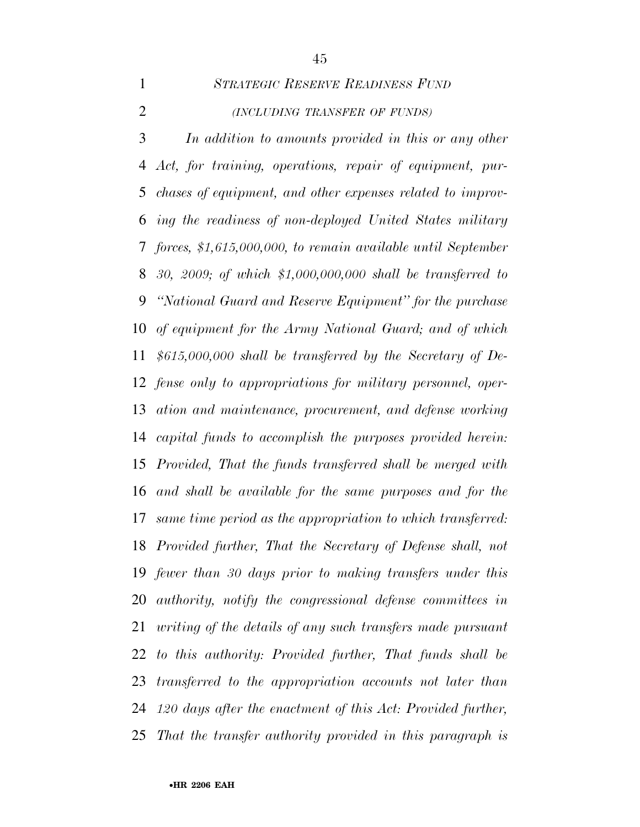*STRATEGIC RESERVE READINESS FUND (INCLUDING TRANSFER OF FUNDS)*

 *In addition to amounts provided in this or any other Act, for training, operations, repair of equipment, pur- chases of equipment, and other expenses related to improv- ing the readiness of non-deployed United States military forces, \$1,615,000,000, to remain available until September 30, 2009; of which \$1,000,000,000 shall be transferred to ''National Guard and Reserve Equipment'' for the purchase of equipment for the Army National Guard; and of which \$615,000,000 shall be transferred by the Secretary of De- fense only to appropriations for military personnel, oper- ation and maintenance, procurement, and defense working capital funds to accomplish the purposes provided herein: Provided, That the funds transferred shall be merged with and shall be available for the same purposes and for the same time period as the appropriation to which transferred: Provided further, That the Secretary of Defense shall, not fewer than 30 days prior to making transfers under this authority, notify the congressional defense committees in writing of the details of any such transfers made pursuant to this authority: Provided further, That funds shall be transferred to the appropriation accounts not later than 120 days after the enactment of this Act: Provided further, That the transfer authority provided in this paragraph is*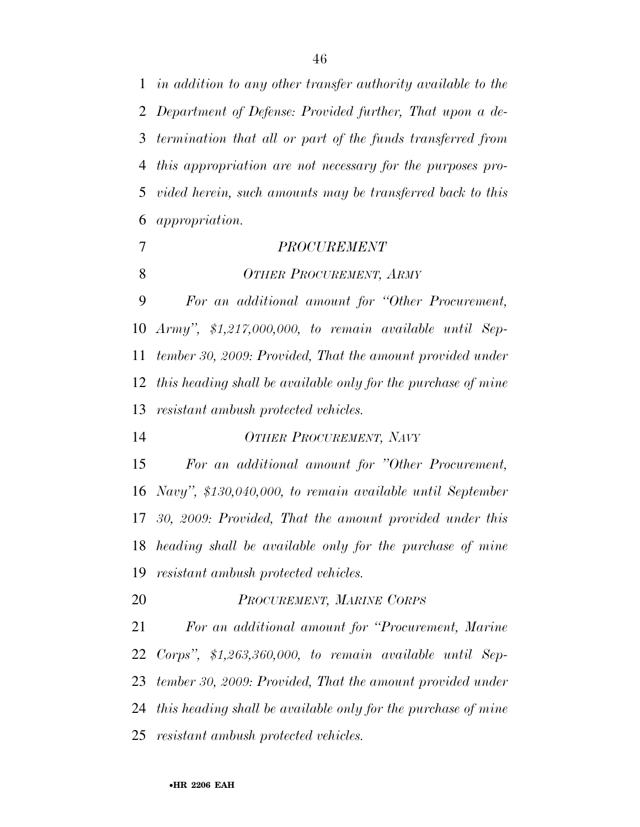*in addition to any other transfer authority available to the Department of Defense: Provided further, That upon a de- termination that all or part of the funds transferred from this appropriation are not necessary for the purposes pro- vided herein, such amounts may be transferred back to this appropriation.* 

- *PROCUREMENT*
- *OTHER PROCUREMENT, ARMY*

 *For an additional amount for ''Other Procurement, Army'', \$1,217,000,000, to remain available until Sep- tember 30, 2009: Provided, That the amount provided under this heading shall be available only for the purchase of mine resistant ambush protected vehicles.* 

*OTHER PROCUREMENT, NAVY*

 *For an additional amount for ''Other Procurement, Navy'', \$130,040,000, to remain available until September 30, 2009: Provided, That the amount provided under this heading shall be available only for the purchase of mine resistant ambush protected vehicles.* 

*PROCUREMENT, MARINE CORPS*

 *For an additional amount for ''Procurement, Marine Corps'', \$1,263,360,000, to remain available until Sep- tember 30, 2009: Provided, That the amount provided under this heading shall be available only for the purchase of mine resistant ambush protected vehicles.*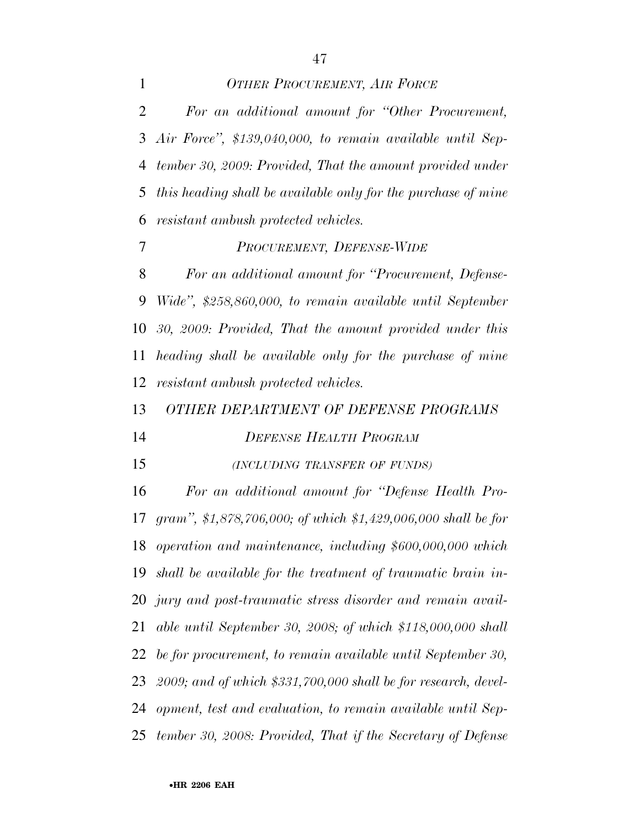*OTHER PROCUREMENT, AIR FORCE For an additional amount for ''Other Procurement, Air Force'', \$139,040,000, to remain available until Sep- tember 30, 2009: Provided, That the amount provided under this heading shall be available only for the purchase of mine resistant ambush protected vehicles. PROCUREMENT, DEFENSE-WIDE For an additional amount for ''Procurement, Defense- Wide'', \$258,860,000, to remain available until September 30, 2009: Provided, That the amount provided under this heading shall be available only for the purchase of mine resistant ambush protected vehicles. OTHER DEPARTMENT OF DEFENSE PROGRAMS DEFENSE HEALTH PROGRAM*

*(INCLUDING TRANSFER OF FUNDS)*

 *For an additional amount for ''Defense Health Pro- gram'', \$1,878,706,000; of which \$1,429,006,000 shall be for operation and maintenance, including \$600,000,000 which shall be available for the treatment of traumatic brain in- jury and post-traumatic stress disorder and remain avail- able until September 30, 2008; of which \$118,000,000 shall be for procurement, to remain available until September 30, 2009; and of which \$331,700,000 shall be for research, devel- opment, test and evaluation, to remain available until Sep-tember 30, 2008: Provided, That if the Secretary of Defense*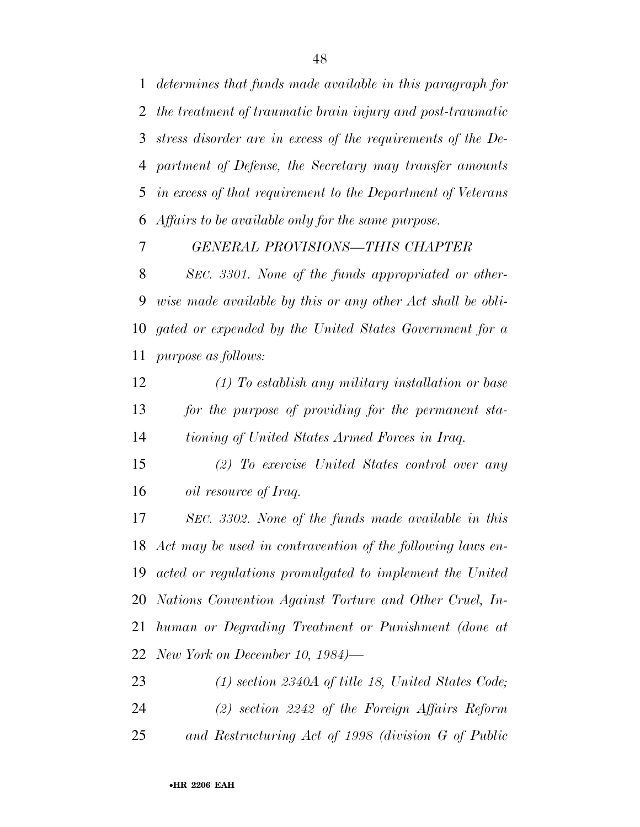*determines that funds made available in this paragraph for the treatment of traumatic brain injury and post-traumatic stress disorder are in excess of the requirements of the De- partment of Defense, the Secretary may transfer amounts in excess of that requirement to the Department of Veterans Affairs to be available only for the same purpose.* 

*GENERAL PROVISIONS—THIS CHAPTER* 

 *SEC. 3301. None of the funds appropriated or other- wise made available by this or any other Act shall be obli- gated or expended by the United States Government for a purpose as follows:* 

 *(1) To establish any military installation or base for the purpose of providing for the permanent sta-tioning of United States Armed Forces in Iraq.* 

 *(2) To exercise United States control over any oil resource of Iraq.* 

 *SEC. 3302. None of the funds made available in this Act may be used in contravention of the following laws en- acted or regulations promulgated to implement the United Nations Convention Against Torture and Other Cruel, In- human or Degrading Treatment or Punishment (done at New York on December 10, 1984)—*

 *(1) section 2340A of title 18, United States Code; (2) section 2242 of the Foreign Affairs Reform and Restructuring Act of 1998 (division G of Public*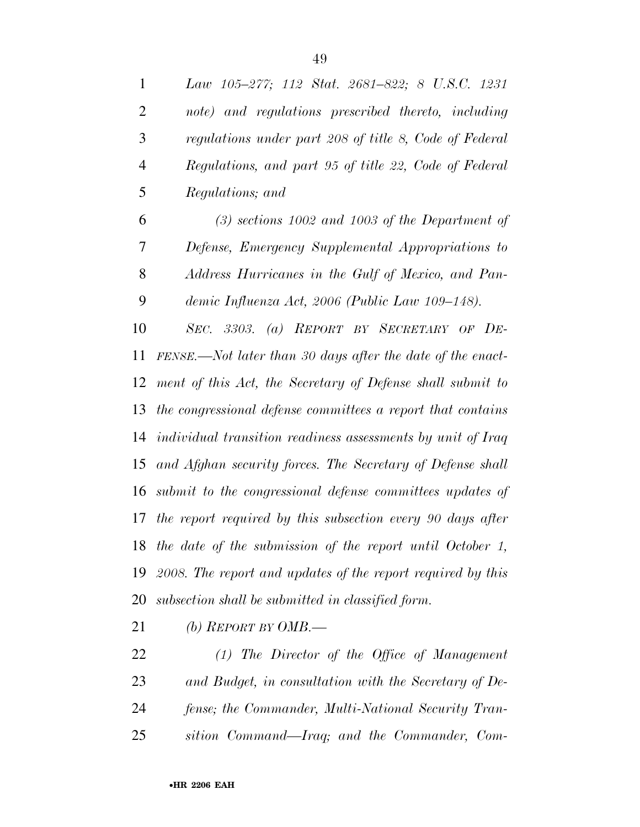| $\mathbf{1}$   | Law 105–277; 112 Stat. 2681–822; 8 U.S.C. 1231                        |
|----------------|-----------------------------------------------------------------------|
| $\overline{2}$ | note) and regulations prescribed thereto, including                   |
| 3              | regulations under part 208 of title 8, Code of Federal                |
| $\overline{4}$ | Regulations, and part 95 of title 22, Code of Federal                 |
| 5              | Regulations; and                                                      |
| 6              | $(3)$ sections 1002 and 1003 of the Department of                     |
| 7              | Defense, Emergency Supplemental Appropriations to                     |
| 8              | Address Hurricanes in the Gulf of Mexico, and Pan-                    |
| 9              | demic Influenza Act, 2006 (Public Law 109–148).                       |
| 10             | SEC. 3303. (a) REPORT BY SECRETARY OF DE-                             |
| 11             | FENSE.—Not later than 30 days after the date of the enact-            |
| 12             | ment of this Act, the Secretary of Defense shall submit to            |
| 13             | the congressional defense committees a report that contains           |
|                | 14 <i>individual transition readiness assessments by unit of Iraq</i> |
| 15             | and Afghan security forces. The Secretary of Defense shall            |
| 16             | submit to the congressional defense committees updates of             |
|                | 17 the report required by this subsection every 90 days after         |

 *the date of the submission of the report until October 1, 2008. The report and updates of the report required by this* 

*subsection shall be submitted in classified form.* 

*(b) REPORT BY OMB.—*

 *(1) The Director of the Office of Management and Budget, in consultation with the Secretary of De- fense; the Commander, Multi-National Security Tran-sition Command—Iraq; and the Commander, Com-*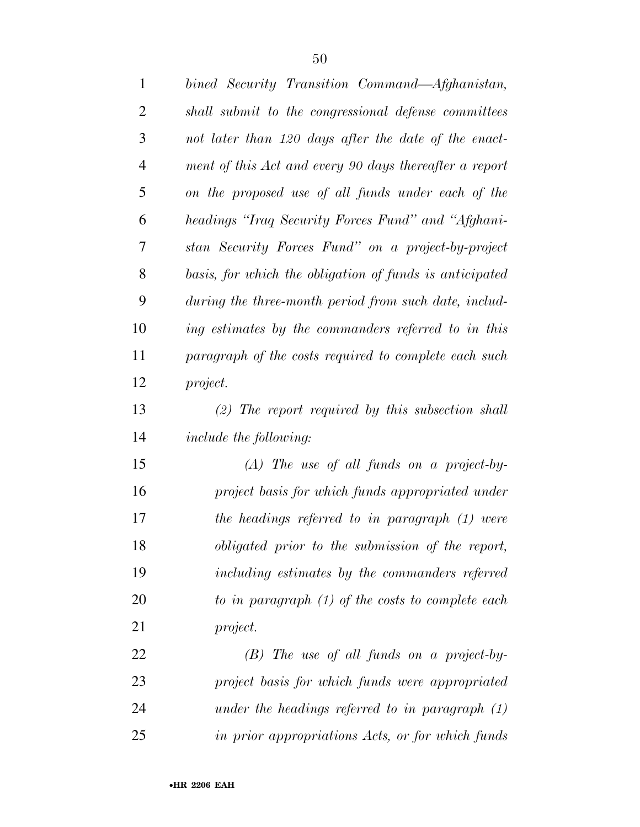| $\mathbf{1}$   | bined Security Transition Command—Afghanistan,          |
|----------------|---------------------------------------------------------|
| $\overline{2}$ | shall submit to the congressional defense committees    |
| 3              | not later than 120 days after the date of the enact-    |
| $\overline{4}$ | ment of this Act and every 90 days thereafter a report  |
| 5              | on the proposed use of all funds under each of the      |
| 6              | headings "Iraq Security Forces Fund" and "Afghani-      |
| 7              | stan Security Forces Fund" on a project-by-project      |
| 8              | basis, for which the obligation of funds is anticipated |
| 9              | during the three-month period from such date, includ-   |
| 10             | ing estimates by the commanders referred to in this     |
| 11             | paragraph of the costs required to complete each such   |
| 12             | project.                                                |
| 13             | $(2)$ The report required by this subsection shall      |
| 14             | <i>include the following:</i>                           |
| 15             | $(A)$ The use of all funds on a project-by-             |
| 16             | project basis for which funds appropriated under        |
| 17             | the headings referred to in paragraph (1) were          |
| 18             | obligated prior to the submission of the report,        |
| 19             | including estimates by the commanders referred          |
| 20             | to in paragraph $(1)$ of the costs to complete each     |
| 21             | project.                                                |
| 22             | $(B)$ The use of all funds on a project-by-             |
| 23             | project basis for which funds were appropriated         |
| 24             | under the headings referred to in paragraph $(1)$       |
| 25             | in prior appropriations Acts, or for which funds        |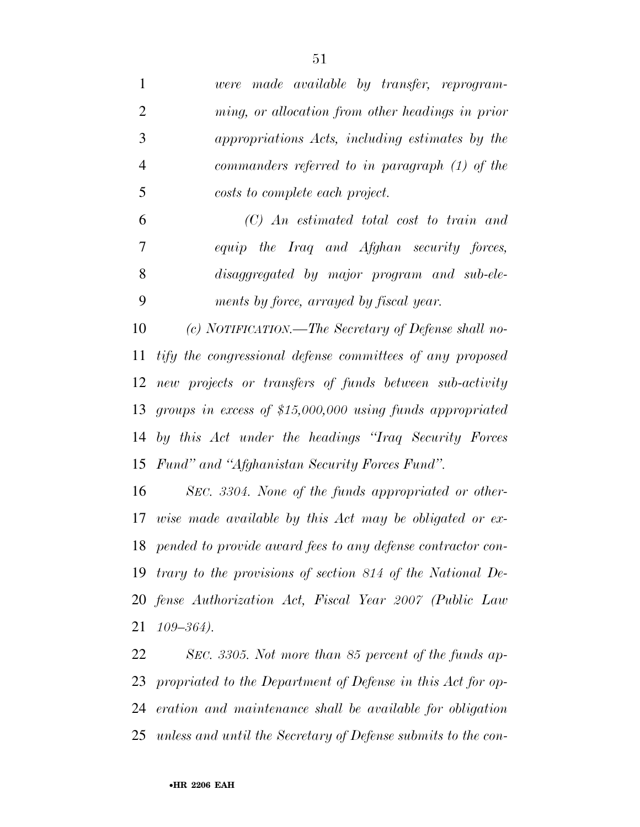| 1              | were made available by transfer, reprogram-                    |
|----------------|----------------------------------------------------------------|
| $\overline{2}$ | ming, or allocation from other headings in prior               |
| 3              | appropriations Acts, including estimates by the                |
| $\overline{4}$ | commanders referred to in paragraph $(1)$ of the               |
| 5              | costs to complete each project.                                |
| 6              | $(C)$ An estimated total cost to train and                     |
| 7              | equip the Iraq and Afghan security forces,                     |
| 8              | disaggregated by major program and sub-ele-                    |
| 9              | ments by force, arrayed by fiscal year.                        |
| 10             | (c) NOTIFICATION.—The Secretary of Defense shall no-           |
| 11             | tify the congressional defense committees of any proposed      |
| 12             | new projects or transfers of funds between sub-activity        |
|                | 13 groups in excess of \$15,000,000 using funds appropriated   |
| 14             | by this Act under the headings "Iraq Security Forces"          |
|                | 15 Fund" and "Afghanistan Security Forces Fund".               |
| 16             | SEC. 3304. None of the funds appropriated or other-            |
| 17             | wise made available by this Act may be obligated or ex-        |
|                | 18 pended to provide award fees to any defense contractor con- |
|                | 19 trary to the provisions of section 814 of the National De-  |
|                | 20 fense Authorization Act, Fiscal Year 2007 (Public Law       |
| 21             | $109 - 364$ ).                                                 |
| 22             | SEC. 3305. Not more than 85 percent of the funds ap-           |
|                | 23 propriated to the Department of Defense in this Act for op- |
|                |                                                                |

*eration and maintenance shall be available for obligation* 

*unless and until the Secretary of Defense submits to the con-*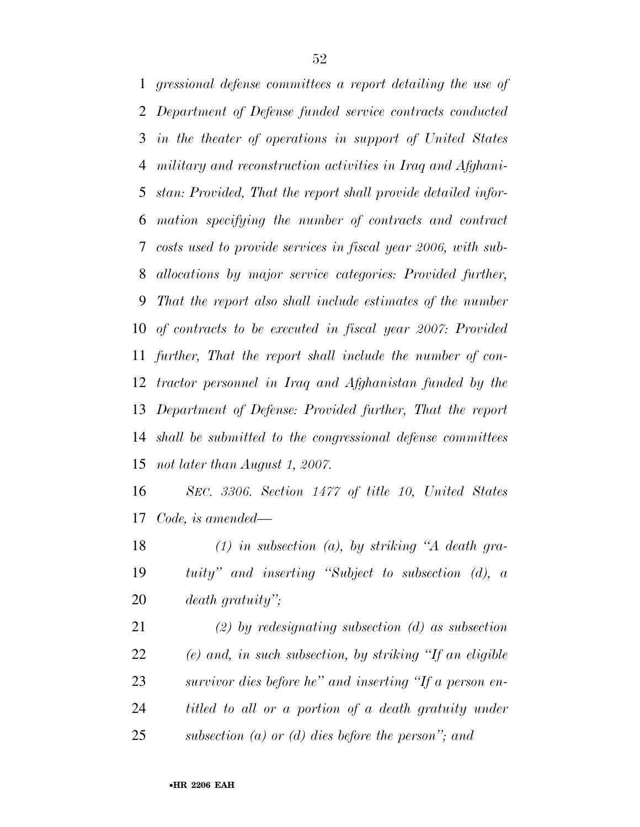*gressional defense committees a report detailing the use of Department of Defense funded service contracts conducted in the theater of operations in support of United States military and reconstruction activities in Iraq and Afghani- stan: Provided, That the report shall provide detailed infor- mation specifying the number of contracts and contract costs used to provide services in fiscal year 2006, with sub- allocations by major service categories: Provided further, That the report also shall include estimates of the number of contracts to be executed in fiscal year 2007: Provided further, That the report shall include the number of con- tractor personnel in Iraq and Afghanistan funded by the Department of Defense: Provided further, That the report shall be submitted to the congressional defense committees not later than August 1, 2007.* 

 *SEC. 3306. Section 1477 of title 10, United States Code, is amended—*

 *(1) in subsection (a), by striking ''A death gra- tuity'' and inserting ''Subject to subsection (d), a death gratuity'';* 

 *(2) by redesignating subsection (d) as subsection (e) and, in such subsection, by striking ''If an eligible survivor dies before he'' and inserting ''If a person en- titled to all or a portion of a death gratuity under subsection (a) or (d) dies before the person''; and*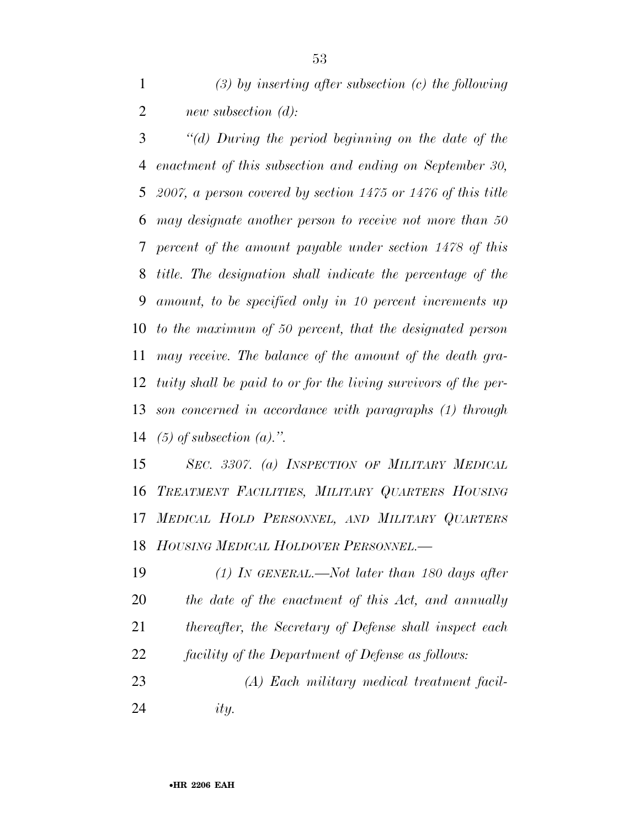*(3) by inserting after subsection (c) the following new subsection (d):* 

 *''(d) During the period beginning on the date of the enactment of this subsection and ending on September 30, 2007, a person covered by section 1475 or 1476 of this title may designate another person to receive not more than 50 percent of the amount payable under section 1478 of this title. The designation shall indicate the percentage of the amount, to be specified only in 10 percent increments up to the maximum of 50 percent, that the designated person may receive. The balance of the amount of the death gra- tuity shall be paid to or for the living survivors of the per- son concerned in accordance with paragraphs (1) through (5) of subsection (a).''.* 

 *SEC. 3307. (a) INSPECTION OF MILITARY MEDICAL TREATMENT FACILITIES, MILITARY QUARTERS HOUSING MEDICAL HOLD PERSONNEL, AND MILITARY QUARTERS HOUSING MEDICAL HOLDOVER PERSONNEL.—*

 *(1) IN GENERAL.—Not later than 180 days after the date of the enactment of this Act, and annually thereafter, the Secretary of Defense shall inspect each facility of the Department of Defense as follows: (A) Each military medical treatment facil-ity.*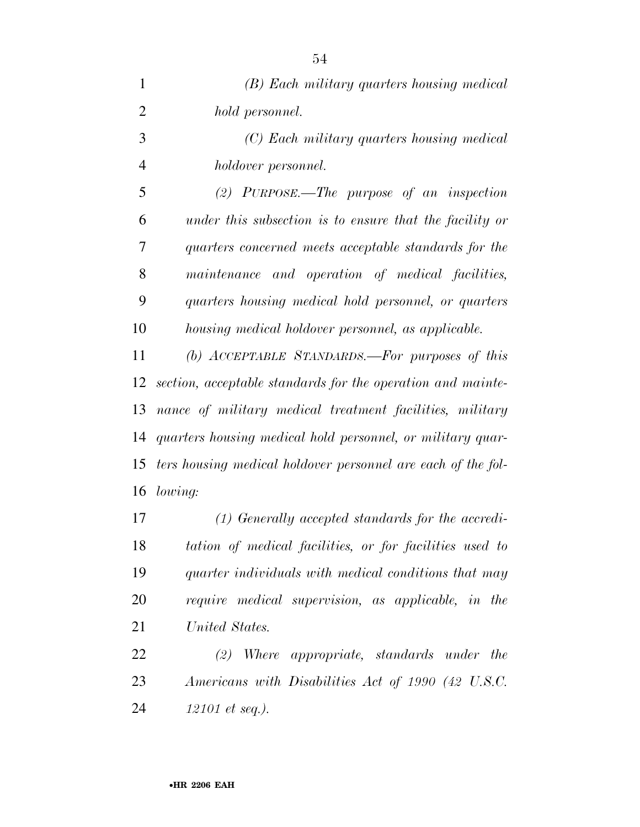| $\mathbf{1}$   | (B) Each military quarters housing medical                   |
|----------------|--------------------------------------------------------------|
| $\overline{2}$ | hold personnel.                                              |
| 3              | (C) Each military quarters housing medical                   |
| $\overline{4}$ | holdover personnel.                                          |
| 5              | $(2)$ PURPOSE.—The purpose of an inspection                  |
| 6              | under this subsection is to ensure that the facility or      |
| 7              | quarters concerned meets acceptable standards for the        |
| 8              | maintenance and operation of medical facilities,             |
| 9              | quarters housing medical hold personnel, or quarters         |
| 10             | housing medical holdover personnel, as applicable.           |
| 11             | (b) ACCEPTABLE STANDARDS.-For purposes of this               |
| 12             | section, acceptable standards for the operation and mainte-  |
| 13             | nance of military medical treatment facilities, military     |
| 14             | quarters housing medical hold personnel, or military quar-   |
| 15             | ters housing medical holdover personnel are each of the fol- |
|                | 16 <i>lowing:</i>                                            |

 *(1) Generally accepted standards for the accredi- tation of medical facilities, or for facilities used to quarter individuals with medical conditions that may require medical supervision, as applicable, in the United States.* 

 *(2) Where appropriate, standards under the Americans with Disabilities Act of 1990 (42 U.S.C. 12101 et seq.).*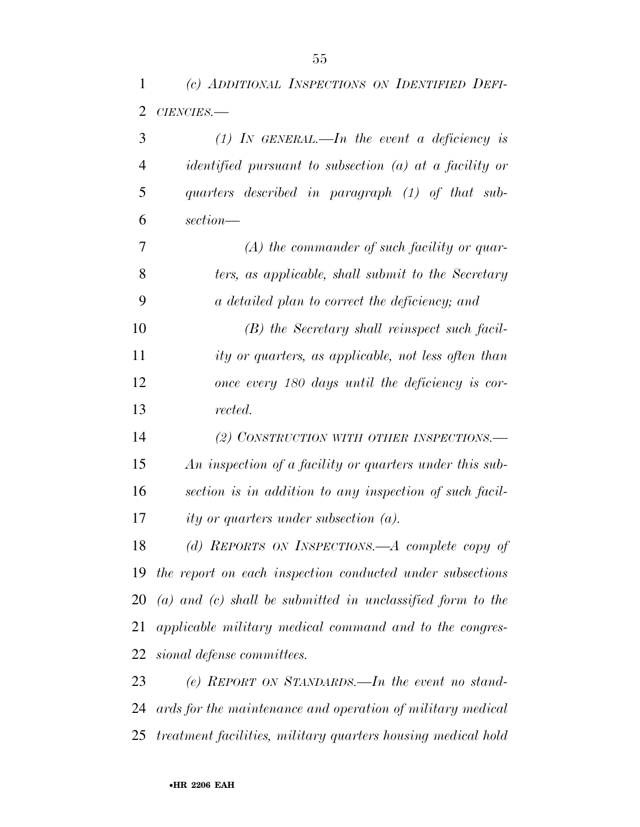*(c) ADDITIONAL INSPECTIONS ON IDENTIFIED DEFI-*

| 2  | $CIENCIES$ .                                                   |
|----|----------------------------------------------------------------|
| 3  | (1) IN GENERAL.—In the event a deficiency is                   |
| 4  | <i>identified pursuant to subsection (a) at a facility or</i>  |
| 5  | quarters described in paragraph (1) of that sub-               |
| 6  | section—                                                       |
| 7  | $(A)$ the commander of such facility or quar-                  |
| 8  | ters, as applicable, shall submit to the Secretary             |
| 9  | a detailed plan to correct the deficiency; and                 |
| 10 | (B) the Secretary shall reinspect such facil-                  |
| 11 | ity or quarters, as applicable, not less often than            |
| 12 | once every 180 days until the deficiency is cor-               |
| 13 | rected.                                                        |
| 14 | (2) CONSTRUCTION WITH OTHER INSPECTIONS.—                      |
| 15 | An inspection of a facility or quarters under this sub-        |
| 16 | section is in addition to any inspection of such facil-        |
| 17 | ity or quarters under subsection $(a)$ .                       |
| 18 | (d) REPORTS ON INSPECTIONS.—A complete copy of                 |
|    | 19 the report on each inspection conducted under subsections   |
| 20 | $(a)$ and $(c)$ shall be submitted in unclassified form to the |
| 21 | applicable military medical command and to the congres-        |
| 22 | sional defense committees.                                     |

 *(e) REPORT ON STANDARDS.—In the event no stand- ards for the maintenance and operation of military medical treatment facilities, military quarters housing medical hold*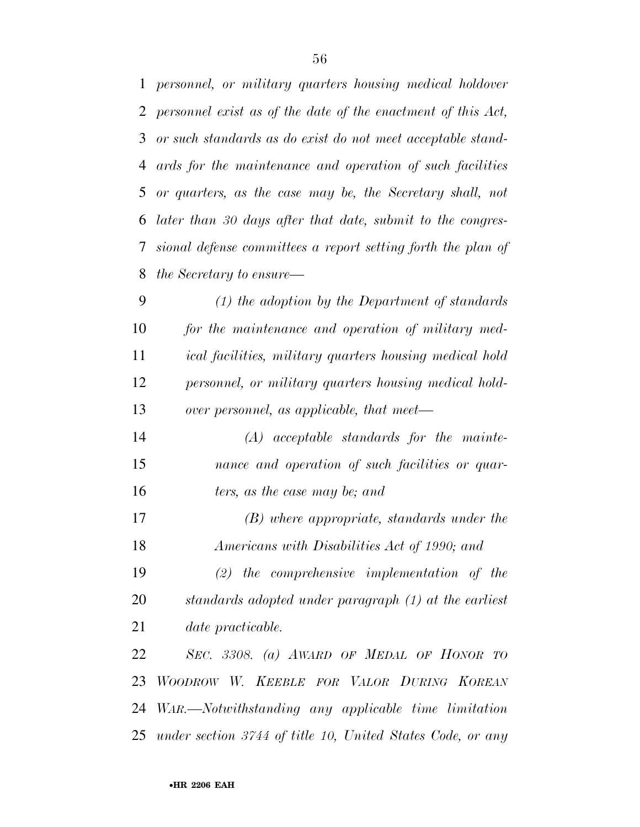*personnel, or military quarters housing medical holdover personnel exist as of the date of the enactment of this Act, or such standards as do exist do not meet acceptable stand- ards for the maintenance and operation of such facilities or quarters, as the case may be, the Secretary shall, not later than 30 days after that date, submit to the congres- sional defense committees a report setting forth the plan of the Secretary to ensure— (1) the adoption by the Department of standards for the maintenance and operation of military med-*

 *ical facilities, military quarters housing medical hold personnel, or military quarters housing medical hold-over personnel, as applicable, that meet—*

 *(A) acceptable standards for the mainte- nance and operation of such facilities or quar-ters, as the case may be; and* 

 *(B) where appropriate, standards under the Americans with Disabilities Act of 1990; and* 

 *(2) the comprehensive implementation of the standards adopted under paragraph (1) at the earliest date practicable.* 

 *SEC. 3308. (a) AWARD OF MEDAL OF HONOR TO WOODROW W. KEEBLE FOR VALOR DURING KOREAN WAR.—Notwithstanding any applicable time limitation under section 3744 of title 10, United States Code, or any*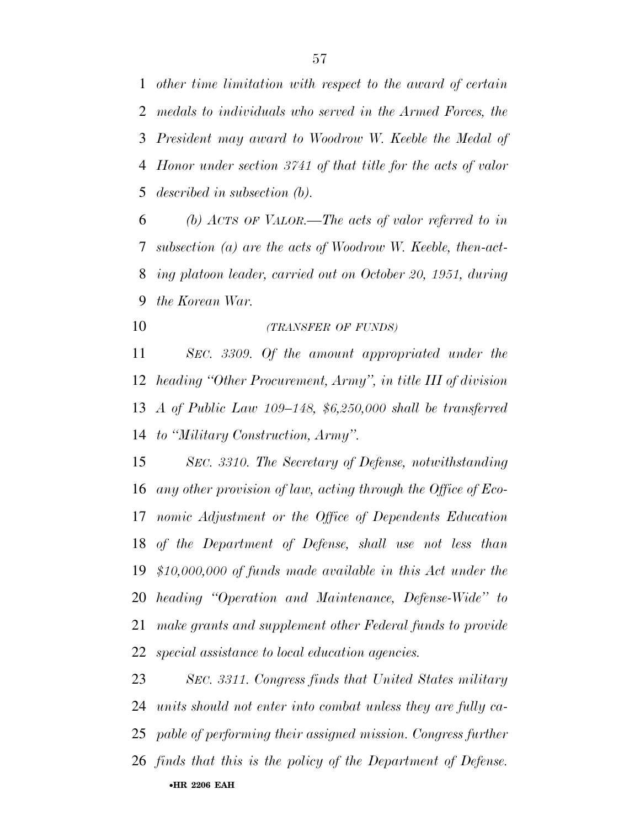*other time limitation with respect to the award of certain medals to individuals who served in the Armed Forces, the President may award to Woodrow W. Keeble the Medal of Honor under section 3741 of that title for the acts of valor described in subsection (b).* 

 *(b) ACTS OF VALOR.—The acts of valor referred to in subsection (a) are the acts of Woodrow W. Keeble, then-act- ing platoon leader, carried out on October 20, 1951, during the Korean War.* 

*(TRANSFER OF FUNDS)*

 *SEC. 3309. Of the amount appropriated under the heading ''Other Procurement, Army'', in title III of division A of Public Law 109–148, \$6,250,000 shall be transferred to ''Military Construction, Army''.* 

 *SEC. 3310. The Secretary of Defense, notwithstanding any other provision of law, acting through the Office of Eco- nomic Adjustment or the Office of Dependents Education of the Department of Defense, shall use not less than \$10,000,000 of funds made available in this Act under the heading ''Operation and Maintenance, Defense-Wide'' to make grants and supplement other Federal funds to provide special assistance to local education agencies.* 

•**HR 2206 EAH**  *SEC. 3311. Congress finds that United States military units should not enter into combat unless they are fully ca- pable of performing their assigned mission. Congress further finds that this is the policy of the Department of Defense.*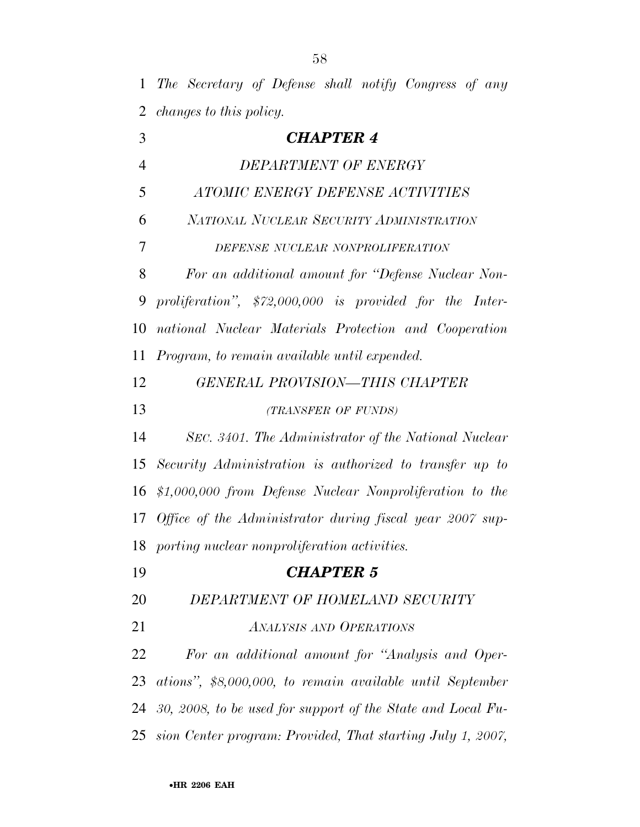*The Secretary of Defense shall notify Congress of any changes to this policy.* 

| 3              | <b>CHAPTER 4</b>                                              |
|----------------|---------------------------------------------------------------|
| $\overline{4}$ | DEPARTMENT OF ENERGY                                          |
| 5              | ATOMIC ENERGY DEFENSE ACTIVITIES                              |
| 6              | NATIONAL NUCLEAR SECURITY ADMINISTRATION                      |
| 7              | DEFENSE NUCLEAR NONPROLIFERATION                              |
| 8              | For an additional amount for "Defense Nuclear Non-            |
| 9              | proliferation", $$72,000,000$ is provided for the Inter-      |
| 10             | national Nuclear Materials Protection and Cooperation         |
| 11             | Program, to remain available until expended.                  |
| 12             | <b>GENERAL PROVISION-THIS CHAPTER</b>                         |
| 13             | (TRANSFER OF FUNDS)                                           |
| 14             | SEC. 3401. The Administrator of the National Nuclear          |
| 15             | Security Administration is authorized to transfer up to       |
| 16             | \$1,000,000 from Defense Nuclear Nonproliferation to the      |
| 17             | Office of the Administrator during fiscal year 2007 sup-      |
| 18             | porting nuclear nonproliferation activities.                  |
| 19             | <b>CHAPTER 5</b>                                              |
| 20             | DEPARTMENT OF HOMELAND SECURITY                               |
| 21             | <b>ANALYSIS AND OPERATIONS</b>                                |
| 22             | For an additional amount for "Analysis and Oper-              |
| 23             | ations", \$8,000,000, to remain available until September     |
| 24             | 30, 2008, to be used for support of the State and Local Fu-   |
|                | 25 sion Center program: Provided, That starting July 1, 2007, |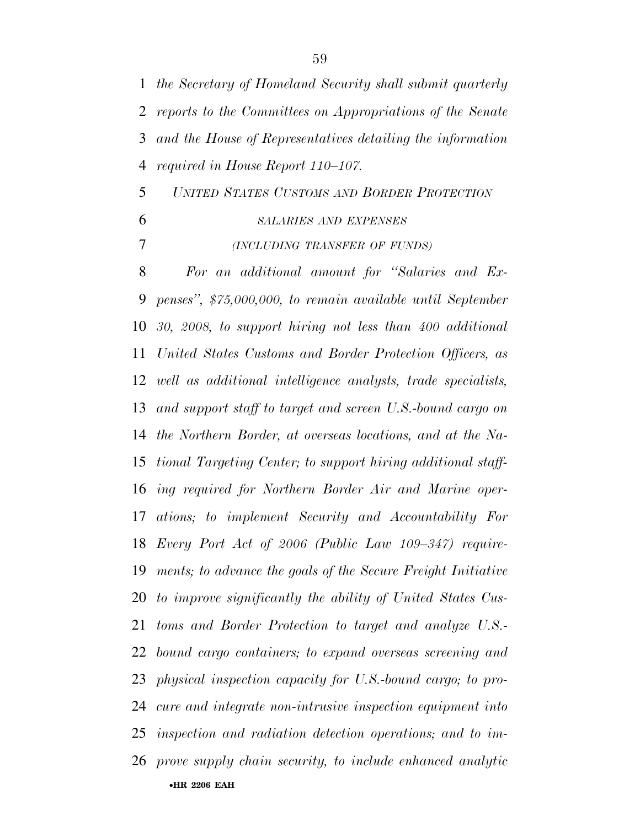•**HR 2206 EAH**  *reports to the Committees on Appropriations of the Senate and the House of Representatives detailing the information required in House Report 110–107. UNITED STATES CUSTOMS AND BORDER PROTECTION SALARIES AND EXPENSES (INCLUDING TRANSFER OF FUNDS) For an additional amount for ''Salaries and Ex- penses'', \$75,000,000, to remain available until September 30, 2008, to support hiring not less than 400 additional United States Customs and Border Protection Officers, as well as additional intelligence analysts, trade specialists, and support staff to target and screen U.S.-bound cargo on the Northern Border, at overseas locations, and at the Na- tional Targeting Center; to support hiring additional staff- ing required for Northern Border Air and Marine oper- ations; to implement Security and Accountability For Every Port Act of 2006 (Public Law 109–347) require- ments; to advance the goals of the Secure Freight Initiative to improve significantly the ability of United States Cus- toms and Border Protection to target and analyze U.S.- bound cargo containers; to expand overseas screening and physical inspection capacity for U.S.-bound cargo; to pro- cure and integrate non-intrusive inspection equipment into inspection and radiation detection operations; and to im-prove supply chain security, to include enhanced analytic* 

*the Secretary of Homeland Security shall submit quarterly*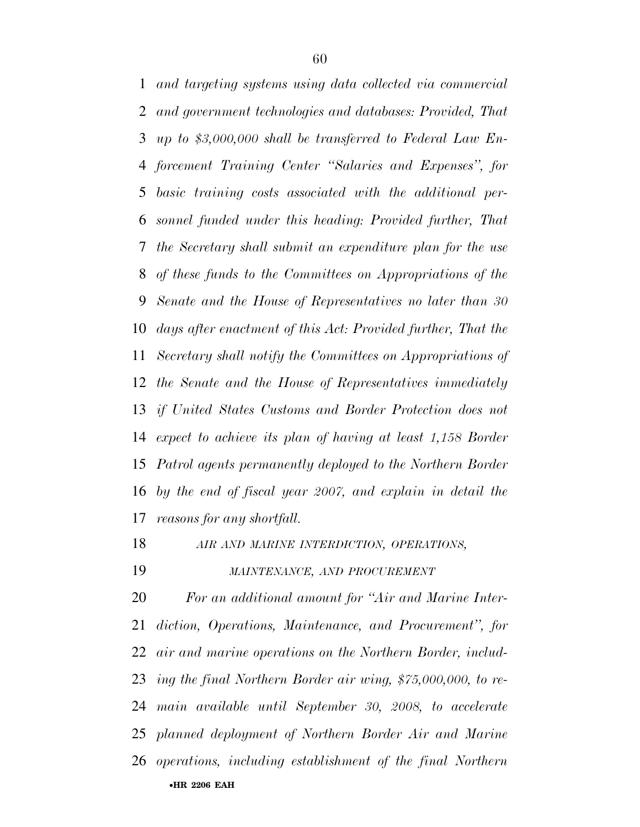*and targeting systems using data collected via commercial and government technologies and databases: Provided, That up to \$3,000,000 shall be transferred to Federal Law En- forcement Training Center ''Salaries and Expenses'', for basic training costs associated with the additional per- sonnel funded under this heading: Provided further, That the Secretary shall submit an expenditure plan for the use of these funds to the Committees on Appropriations of the Senate and the House of Representatives no later than 30 days after enactment of this Act: Provided further, That the Secretary shall notify the Committees on Appropriations of the Senate and the House of Representatives immediately if United States Customs and Border Protection does not expect to achieve its plan of having at least 1,158 Border Patrol agents permanently deployed to the Northern Border by the end of fiscal year 2007, and explain in detail the reasons for any shortfall.* 

*AIR AND MARINE INTERDICTION, OPERATIONS,* 

*MAINTENANCE, AND PROCUREMENT*

•**HR 2206 EAH**  *For an additional amount for ''Air and Marine Inter- diction, Operations, Maintenance, and Procurement'', for air and marine operations on the Northern Border, includ- ing the final Northern Border air wing, \$75,000,000, to re- main available until September 30, 2008, to accelerate planned deployment of Northern Border Air and Marine operations, including establishment of the final Northern*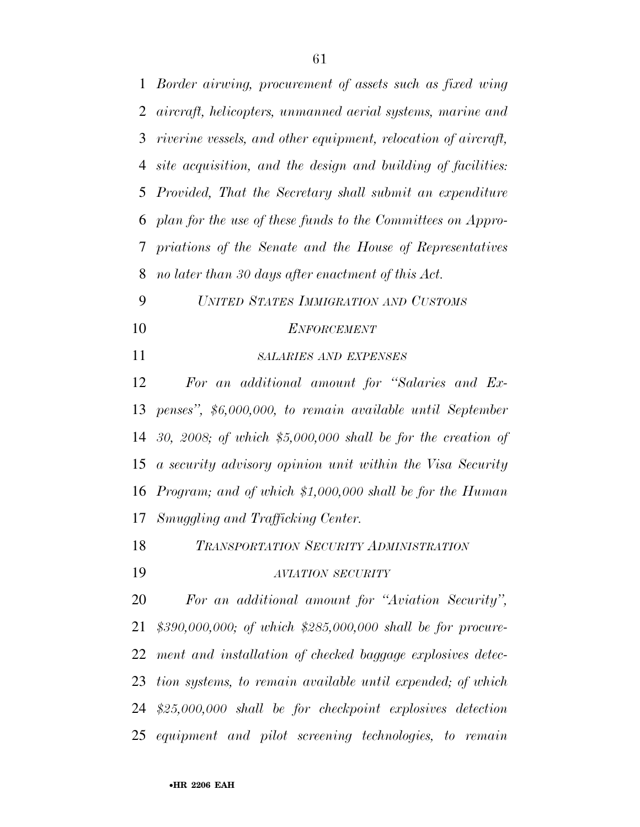| $\mathbf{1}$   | Border airwing, procurement of assets such as fixed wing        |
|----------------|-----------------------------------------------------------------|
| $\overline{2}$ | aircraft, helicopters, unmanned aerial systems, marine and      |
| 3              | riverine vessels, and other equipment, relocation of aircraft,  |
| 4              | site acquisition, and the design and building of facilities:    |
| 5              | Provided, That the Secretary shall submit an expenditure        |
| 6              | plan for the use of these funds to the Committees on Appro-     |
| 7              | priations of the Senate and the House of Representatives        |
| 8              | no later than 30 days after enactment of this Act.              |
| 9              | UNITED STATES IMMIGRATION AND CUSTOMS                           |
| 10             | <b>ENFORCEMENT</b>                                              |
| 11             | <b>SALARIES AND EXPENSES</b>                                    |
| 12             | For an additional amount for "Salaries and Ex-                  |
| 13             | penses", \$6,000,000, to remain available until September       |
|                | 14 30, 2008; of which $$5,000,000$ shall be for the creation of |
| 15             | a security advisory opinion unit within the Visa Security       |
| 16             | Program; and of which \$1,000,000 shall be for the Human        |
| 17             | Smuggling and Trafficking Center.                               |
| 18             | TRANSPORTATION SECURITY ADMINISTRATION                          |
| 19             | <b>AVIATION SECURITY</b>                                        |
| 20             | For an additional amount for "Aviation Security",               |
| 21             | $$390,000,000;$ of which $$285,000,000$ shall be for procure-   |
| 22             | ment and installation of checked baggage explosives detec-      |
| 23             | tion systems, to remain available until expended; of which      |
|                | 24 \$25,000,000 shall be for checkpoint explosives detection    |
|                | 25 equipment and pilot screening technologies, to remain        |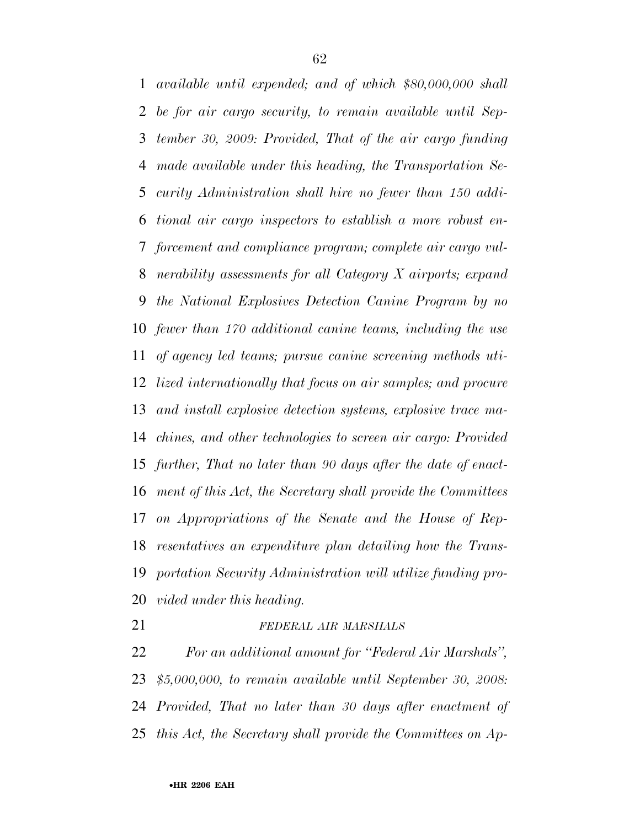*available until expended; and of which \$80,000,000 shall be for air cargo security, to remain available until Sep- tember 30, 2009: Provided, That of the air cargo funding made available under this heading, the Transportation Se- curity Administration shall hire no fewer than 150 addi- tional air cargo inspectors to establish a more robust en- forcement and compliance program; complete air cargo vul- nerability assessments for all Category X airports; expand the National Explosives Detection Canine Program by no fewer than 170 additional canine teams, including the use of agency led teams; pursue canine screening methods uti- lized internationally that focus on air samples; and procure and install explosive detection systems, explosive trace ma- chines, and other technologies to screen air cargo: Provided further, That no later than 90 days after the date of enact- ment of this Act, the Secretary shall provide the Committees on Appropriations of the Senate and the House of Rep- resentatives an expenditure plan detailing how the Trans- portation Security Administration will utilize funding pro-vided under this heading.* 

*FEDERAL AIR MARSHALS*

 *For an additional amount for ''Federal Air Marshals'', \$5,000,000, to remain available until September 30, 2008: Provided, That no later than 30 days after enactment of this Act, the Secretary shall provide the Committees on Ap-*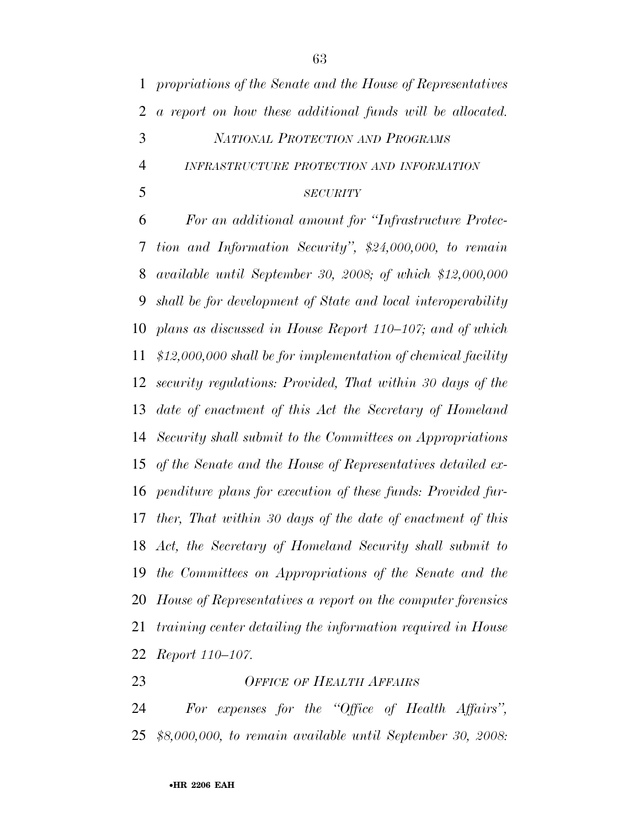*propriations of the Senate and the House of Representatives a report on how these additional funds will be allocated. NATIONAL PROTECTION AND PROGRAMS INFRASTRUCTURE PROTECTION AND INFORMATION SECURITY*

 *For an additional amount for ''Infrastructure Protec- tion and Information Security'', \$24,000,000, to remain available until September 30, 2008; of which \$12,000,000 shall be for development of State and local interoperability plans as discussed in House Report 110–107; and of which \$12,000,000 shall be for implementation of chemical facility security regulations: Provided, That within 30 days of the date of enactment of this Act the Secretary of Homeland Security shall submit to the Committees on Appropriations of the Senate and the House of Representatives detailed ex- penditure plans for execution of these funds: Provided fur- ther, That within 30 days of the date of enactment of this Act, the Secretary of Homeland Security shall submit to the Committees on Appropriations of the Senate and the House of Representatives a report on the computer forensics training center detailing the information required in House Report 110–107.* 

#### *OFFICE OF HEALTH AFFAIRS*

 *For expenses for the ''Office of Health Affairs'', \$8,000,000, to remain available until September 30, 2008:*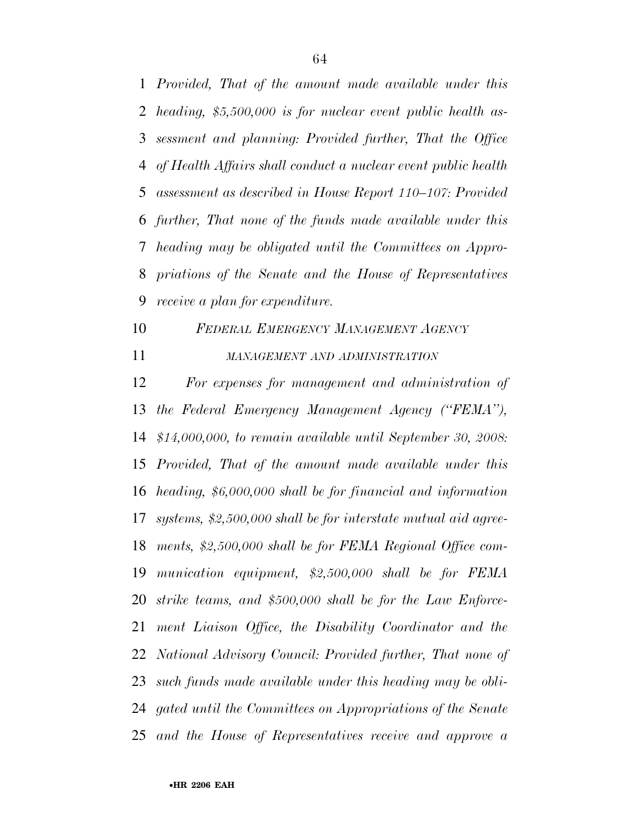*Provided, That of the amount made available under this heading, \$5,500,000 is for nuclear event public health as- sessment and planning: Provided further, That the Office of Health Affairs shall conduct a nuclear event public health assessment as described in House Report 110–107: Provided further, That none of the funds made available under this heading may be obligated until the Committees on Appro- priations of the Senate and the House of Representatives receive a plan for expenditure.* 

- *FEDERAL EMERGENCY MANAGEMENT AGENCY*
- *MANAGEMENT AND ADMINISTRATION*

 *For expenses for management and administration of the Federal Emergency Management Agency (''FEMA''), \$14,000,000, to remain available until September 30, 2008: Provided, That of the amount made available under this heading, \$6,000,000 shall be for financial and information systems, \$2,500,000 shall be for interstate mutual aid agree- ments, \$2,500,000 shall be for FEMA Regional Office com- munication equipment, \$2,500,000 shall be for FEMA strike teams, and \$500,000 shall be for the Law Enforce- ment Liaison Office, the Disability Coordinator and the National Advisory Council: Provided further, That none of such funds made available under this heading may be obli- gated until the Committees on Appropriations of the Senate and the House of Representatives receive and approve a*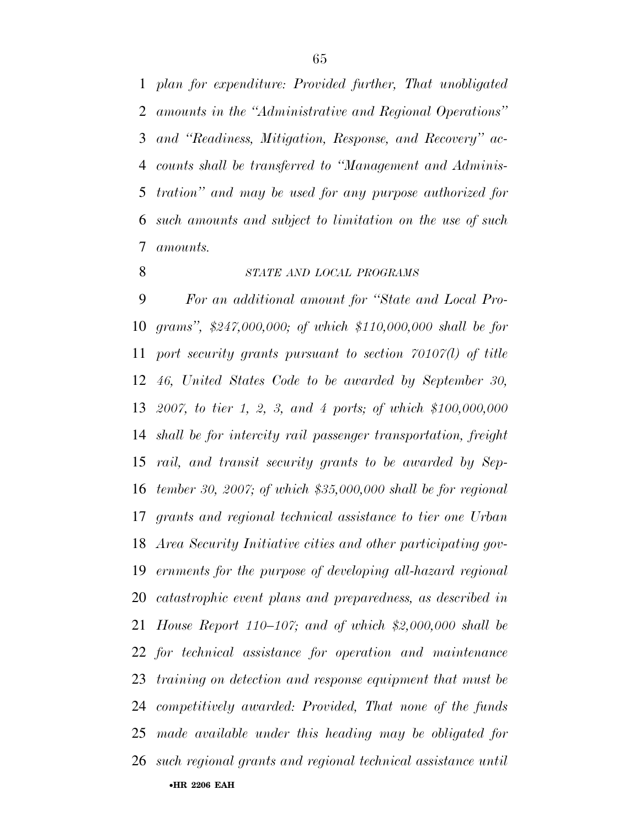*plan for expenditure: Provided further, That unobligated amounts in the ''Administrative and Regional Operations'' and ''Readiness, Mitigation, Response, and Recovery'' ac- counts shall be transferred to ''Management and Adminis- tration'' and may be used for any purpose authorized for such amounts and subject to limitation on the use of such amounts.* 

#### *STATE AND LOCAL PROGRAMS*

•**HR 2206 EAH**  *For an additional amount for ''State and Local Pro- grams'', \$247,000,000; of which \$110,000,000 shall be for port security grants pursuant to section 70107(l) of title 46, United States Code to be awarded by September 30, 2007, to tier 1, 2, 3, and 4 ports; of which \$100,000,000 shall be for intercity rail passenger transportation, freight rail, and transit security grants to be awarded by Sep- tember 30, 2007; of which \$35,000,000 shall be for regional grants and regional technical assistance to tier one Urban Area Security Initiative cities and other participating gov- ernments for the purpose of developing all-hazard regional catastrophic event plans and preparedness, as described in House Report 110–107; and of which \$2,000,000 shall be for technical assistance for operation and maintenance training on detection and response equipment that must be competitively awarded: Provided, That none of the funds made available under this heading may be obligated for such regional grants and regional technical assistance until*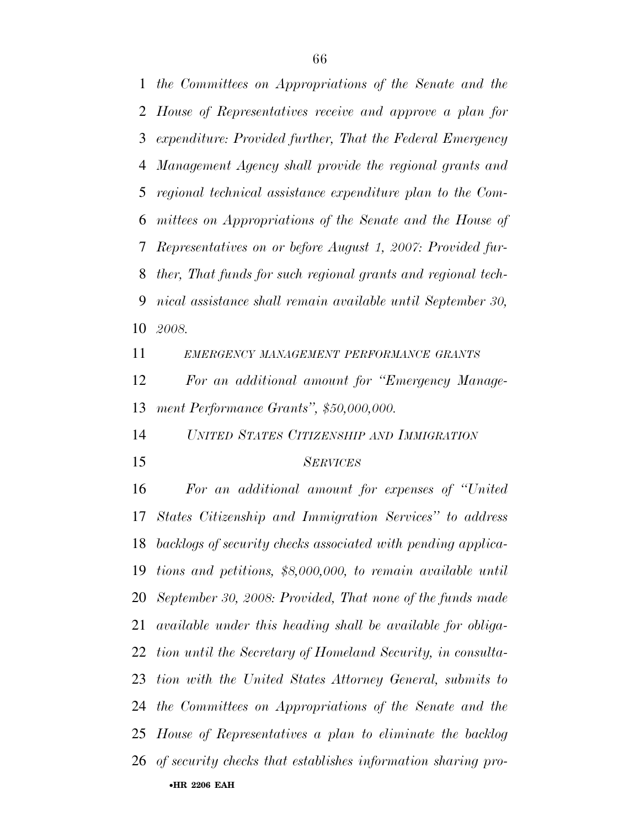*the Committees on Appropriations of the Senate and the House of Representatives receive and approve a plan for expenditure: Provided further, That the Federal Emergency Management Agency shall provide the regional grants and regional technical assistance expenditure plan to the Com- mittees on Appropriations of the Senate and the House of Representatives on or before August 1, 2007: Provided fur- ther, That funds for such regional grants and regional tech- nical assistance shall remain available until September 30, 2008.* 

*EMERGENCY MANAGEMENT PERFORMANCE GRANTS*

 *For an additional amount for ''Emergency Manage-ment Performance Grants'', \$50,000,000.* 

*UNITED STATES CITIZENSHIP AND IMMIGRATION*

#### *SERVICES*

•**HR 2206 EAH**  *For an additional amount for expenses of ''United States Citizenship and Immigration Services'' to address backlogs of security checks associated with pending applica- tions and petitions, \$8,000,000, to remain available until September 30, 2008: Provided, That none of the funds made available under this heading shall be available for obliga- tion until the Secretary of Homeland Security, in consulta- tion with the United States Attorney General, submits to the Committees on Appropriations of the Senate and the House of Representatives a plan to eliminate the backlog of security checks that establishes information sharing pro-*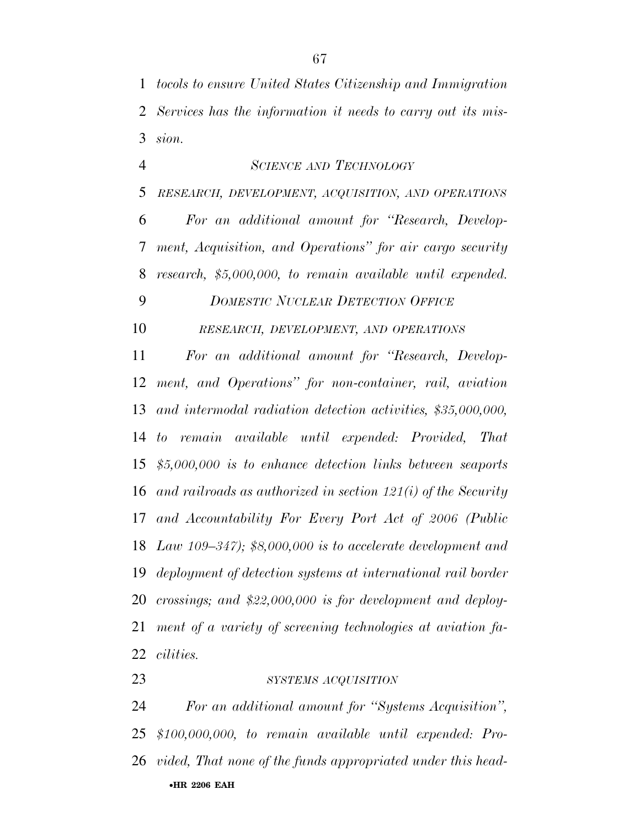*tocols to ensure United States Citizenship and Immigration Services has the information it needs to carry out its mis-sion.* 

 *SCIENCE AND TECHNOLOGY RESEARCH, DEVELOPMENT, ACQUISITION, AND OPERATIONS For an additional amount for ''Research, Develop- ment, Acquisition, and Operations'' for air cargo security research, \$5,000,000, to remain available until expended. DOMESTIC NUCLEAR DETECTION OFFICE RESEARCH, DEVELOPMENT, AND OPERATIONS For an additional amount for ''Research, Develop- ment, and Operations'' for non-container, rail, aviation and intermodal radiation detection activities, \$35,000,000, to remain available until expended: Provided, That \$5,000,000 is to enhance detection links between seaports and railroads as authorized in section 121(i) of the Security and Accountability For Every Port Act of 2006 (Public Law 109–347); \$8,000,000 is to accelerate development and deployment of detection systems at international rail border crossings; and \$22,000,000 is for development and deploy- ment of a variety of screening technologies at aviation fa-cilities.* 

### *SYSTEMS ACQUISITION*

•**HR 2206 EAH**  *For an additional amount for ''Systems Acquisition'', \$100,000,000, to remain available until expended: Pro-vided, That none of the funds appropriated under this head-*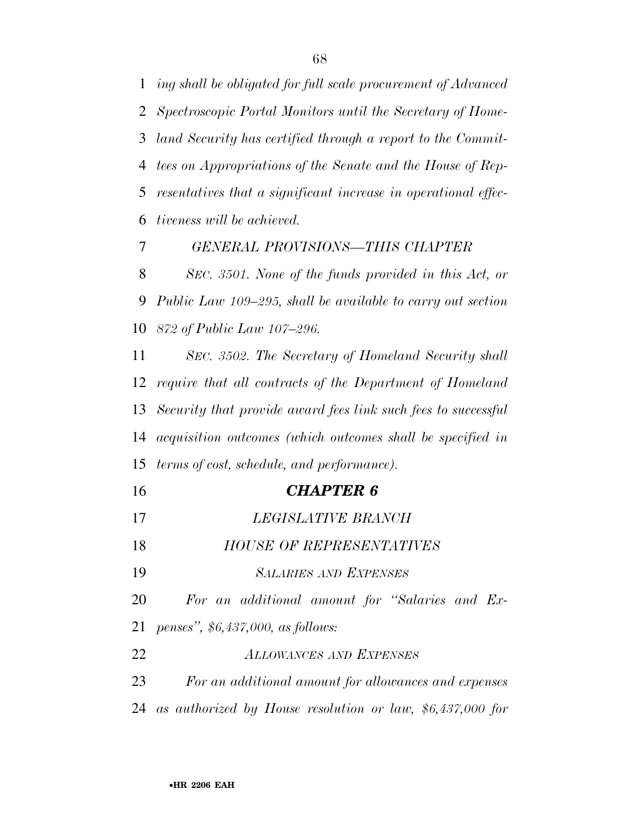*ing shall be obligated for full scale procurement of Advanced Spectroscopic Portal Monitors until the Secretary of Home- land Security has certified through a report to the Commit- tees on Appropriations of the Senate and the House of Rep- resentatives that a significant increase in operational effec-tiveness will be achieved.* 

*GENERAL PROVISIONS—THIS CHAPTER* 

 *SEC. 3501. None of the funds provided in this Act, or Public Law 109–295, shall be available to carry out section 872 of Public Law 107–296.* 

 *SEC. 3502. The Secretary of Homeland Security shall require that all contracts of the Department of Homeland Security that provide award fees link such fees to successful acquisition outcomes (which outcomes shall be specified in terms of cost, schedule, and performance).* 

- *CHAPTER 6*
- *LEGISLATIVE BRANCH HOUSE OF REPRESENTATIVES SALARIES AND EXPENSES For an additional amount for ''Salaries and Ex- penses'', \$6,437,000, as follows: ALLOWANCES AND EXPENSES For an additional amount for allowances and expenses as authorized by House resolution or law, \$6,437,000 for*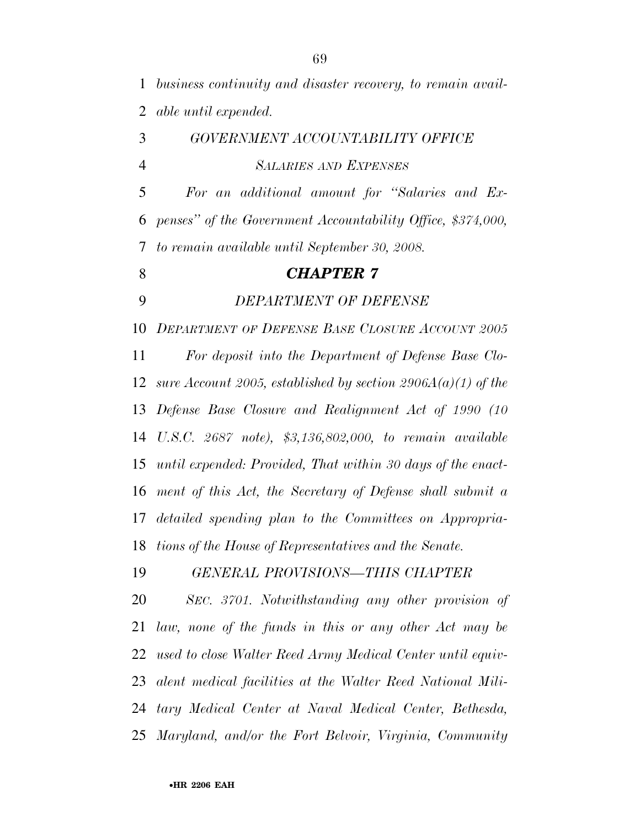*business continuity and disaster recovery, to remain avail-able until expended.* 

 *GOVERNMENT ACCOUNTABILITY OFFICE SALARIES AND EXPENSES For an additional amount for ''Salaries and Ex-penses'' of the Government Accountability Office, \$374,000,* 

*to remain available until September 30, 2008.* 

#### *CHAPTER 7*

*DEPARTMENT OF DEFENSE* 

 *DEPARTMENT OF DEFENSE BASE CLOSURE ACCOUNT 2005 For deposit into the Department of Defense Base Clo- sure Account 2005, established by section 2906A(a)(1) of the Defense Base Closure and Realignment Act of 1990 (10 U.S.C. 2687 note), \$3,136,802,000, to remain available until expended: Provided, That within 30 days of the enact- ment of this Act, the Secretary of Defense shall submit a detailed spending plan to the Committees on Appropria-tions of the House of Representatives and the Senate.* 

*GENERAL PROVISIONS—THIS CHAPTER* 

 *SEC. 3701. Notwithstanding any other provision of law, none of the funds in this or any other Act may be used to close Walter Reed Army Medical Center until equiv- alent medical facilities at the Walter Reed National Mili- tary Medical Center at Naval Medical Center, Bethesda, Maryland, and/or the Fort Belvoir, Virginia, Community*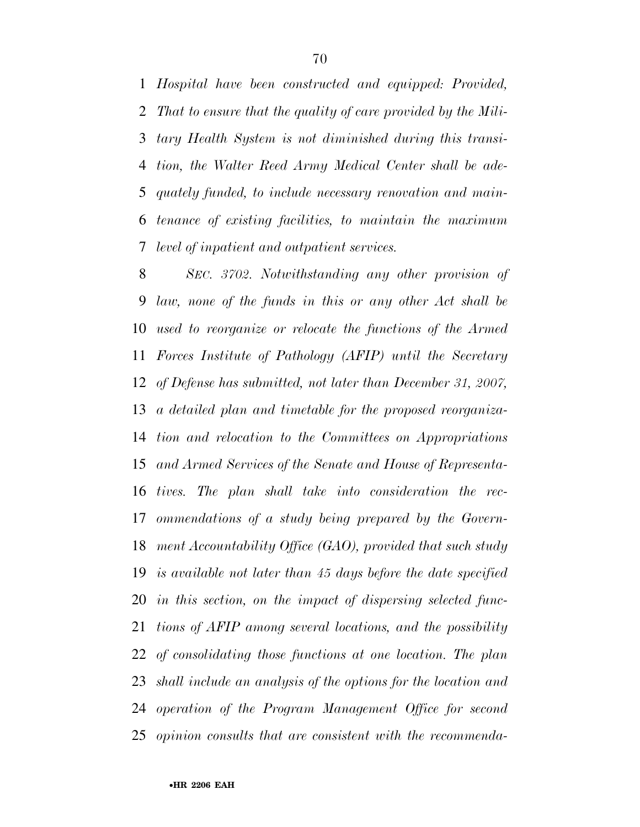*Hospital have been constructed and equipped: Provided, That to ensure that the quality of care provided by the Mili- tary Health System is not diminished during this transi- tion, the Walter Reed Army Medical Center shall be ade- quately funded, to include necessary renovation and main- tenance of existing facilities, to maintain the maximum level of inpatient and outpatient services.* 

 *SEC. 3702. Notwithstanding any other provision of law, none of the funds in this or any other Act shall be used to reorganize or relocate the functions of the Armed Forces Institute of Pathology (AFIP) until the Secretary of Defense has submitted, not later than December 31, 2007, a detailed plan and timetable for the proposed reorganiza- tion and relocation to the Committees on Appropriations and Armed Services of the Senate and House of Representa- tives. The plan shall take into consideration the rec- ommendations of a study being prepared by the Govern- ment Accountability Office (GAO), provided that such study is available not later than 45 days before the date specified in this section, on the impact of dispersing selected func- tions of AFIP among several locations, and the possibility of consolidating those functions at one location. The plan shall include an analysis of the options for the location and operation of the Program Management Office for second opinion consults that are consistent with the recommenda-*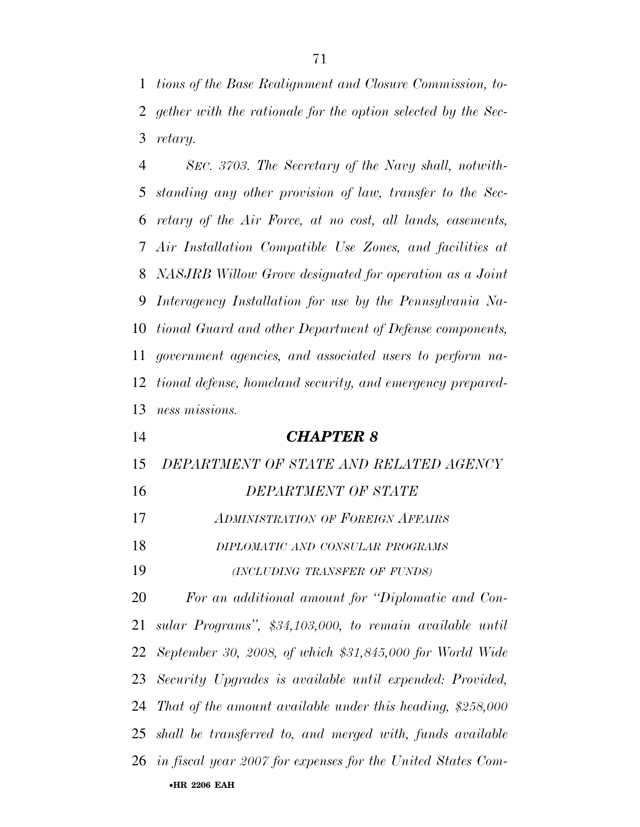*tions of the Base Realignment and Closure Commission, to- gether with the rationale for the option selected by the Sec-retary.* 

 *SEC. 3703. The Secretary of the Navy shall, notwith- standing any other provision of law, transfer to the Sec- retary of the Air Force, at no cost, all lands, easements, Air Installation Compatible Use Zones, and facilities at NASJRB Willow Grove designated for operation as a Joint Interagency Installation for use by the Pennsylvania Na- tional Guard and other Department of Defense components, government agencies, and associated users to perform na- tional defense, homeland security, and emergency prepared-ness missions.* 

#### *CHAPTER 8*

*DEPARTMENT OF STATE AND RELATED AGENCY* 

## *DEPARTMENT OF STATE*

*ADMINISTRATION OF FOREIGN AFFAIRS*

*DIPLOMATIC AND CONSULAR PROGRAMS*

*(INCLUDING TRANSFER OF FUNDS)*

•**HR 2206 EAH**  *For an additional amount for ''Diplomatic and Con- sular Programs'', \$34,103,000, to remain available until September 30, 2008, of which \$31,845,000 for World Wide Security Upgrades is available until expended: Provided, That of the amount available under this heading, \$258,000 shall be transferred to, and merged with, funds available in fiscal year 2007 for expenses for the United States Com-*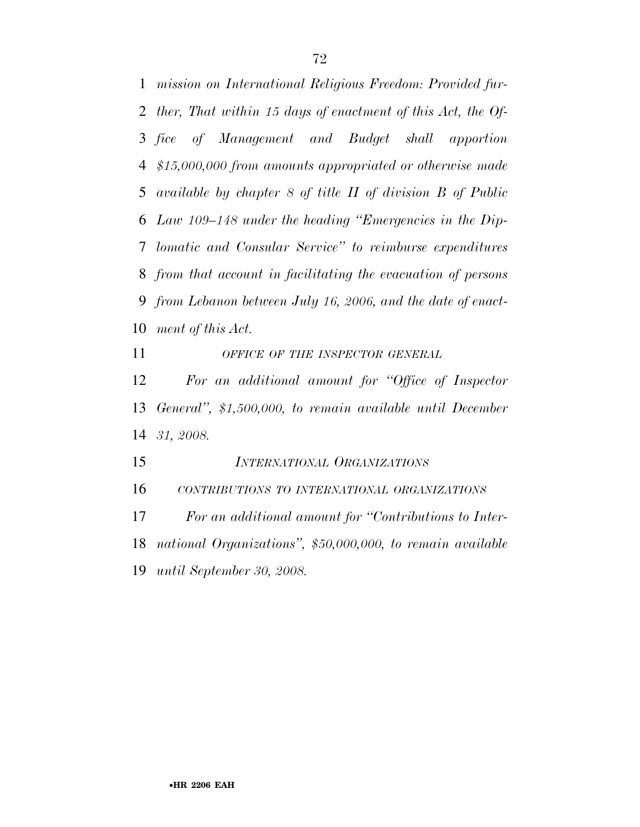*mission on International Religious Freedom: Provided fur- ther, That within 15 days of enactment of this Act, the Of- fice of Management and Budget shall apportion \$15,000,000 from amounts appropriated or otherwise made available by chapter 8 of title II of division B of Public Law 109–148 under the heading ''Emergencies in the Dip- lomatic and Consular Service'' to reimburse expenditures from that account in facilitating the evacuation of persons from Lebanon between July 16, 2006, and the date of enact-ment of this Act.* 

*OFFICE OF THE INSPECTOR GENERAL*

 *For an additional amount for ''Office of Inspector General'', \$1,500,000, to remain available until December 31, 2008.* 

*INTERNATIONAL ORGANIZATIONS*

*CONTRIBUTIONS TO INTERNATIONAL ORGANIZATIONS*

 *For an additional amount for ''Contributions to Inter-national Organizations'', \$50,000,000, to remain available* 

*until September 30, 2008.*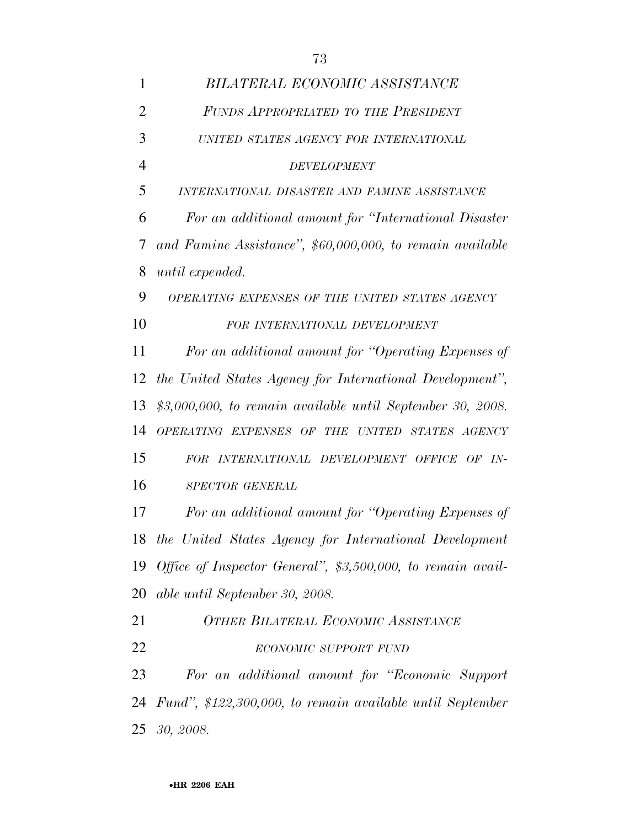| $\mathbf{1}$   | BILATERAL ECONOMIC ASSISTANCE                               |  |
|----------------|-------------------------------------------------------------|--|
| $\overline{2}$ | FUNDS APPROPRIATED TO THE PRESIDENT                         |  |
| 3              | UNITED STATES AGENCY FOR INTERNATIONAL                      |  |
| $\overline{4}$ | <b>DEVELOPMENT</b>                                          |  |
| 5              | INTERNATIONAL DISASTER AND FAMINE ASSISTANCE                |  |
| 6              | For an additional amount for "International Disaster"       |  |
| 7              | and Famine Assistance", \$60,000,000, to remain available   |  |
| 8              | until expended.                                             |  |
| 9              | OPERATING EXPENSES OF THE UNITED STATES AGENCY              |  |
| 10             | FOR INTERNATIONAL DEVELOPMENT                               |  |
| 11             | For an additional amount for "Operating Expenses of         |  |
| 12             | the United States Agency for International Development",    |  |
| 13             | $$3,000,000,$ to remain available until September 30, 2008. |  |
| 14             | OPERATING EXPENSES OF THE UNITED STATES AGENCY              |  |
| 15             | FOR INTERNATIONAL DEVELOPMENT OFFICE OF IN-                 |  |
| 16             | SPECTOR GENERAL                                             |  |
| 17             | For an additional amount for "Operating Expenses of         |  |
|                | 18 the United States Agency for International Development   |  |
| 19             | Office of Inspector General", \$3,500,000, to remain avail- |  |
| 20             | able until September 30, 2008.                              |  |
| 21             | <b>OTHER BILATERAL ECONOMIC ASSISTANCE</b>                  |  |
| 22             | ECONOMIC SUPPORT FUND                                       |  |
| 23             | For an additional amount for "Economic Support              |  |
| 24             | Fund", \$122,300,000, to remain available until September   |  |
| 25             | 30, 2008.                                                   |  |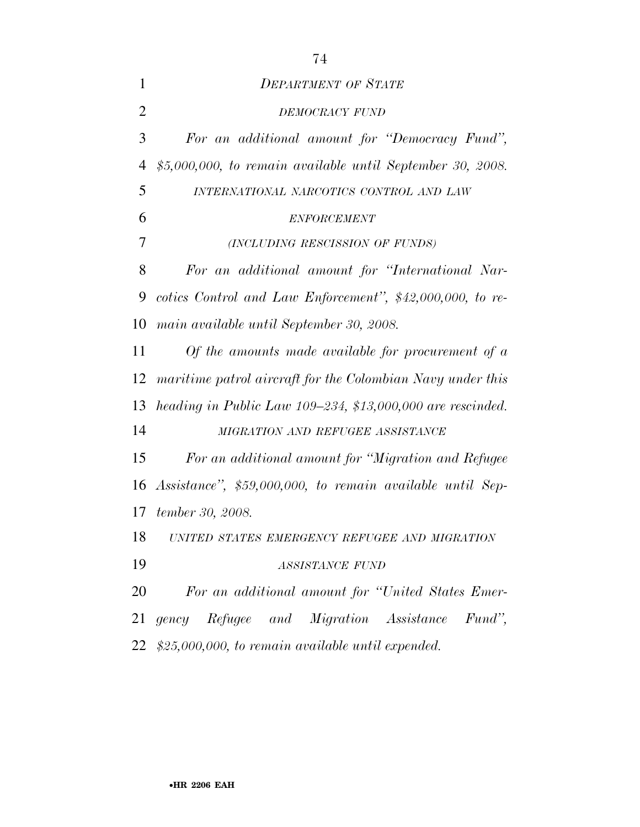| $\mathbf{1}$   | <b>DEPARTMENT OF STATE</b>                                  |  |  |
|----------------|-------------------------------------------------------------|--|--|
| $\overline{2}$ | DEMOCRACY FUND                                              |  |  |
| 3              | For an additional amount for "Democracy Fund",              |  |  |
| $\overline{4}$ | $$5,000,000,$ to remain available until September 30, 2008. |  |  |
| 5              | INTERNATIONAL NARCOTICS CONTROL AND LAW                     |  |  |
| 6              | <b>ENFORCEMENT</b>                                          |  |  |
| 7              | (INCLUDING RESCISSION OF FUNDS)                             |  |  |
| 8              | For an additional amount for "International Nar-            |  |  |
| 9              | cotics Control and Law Enforcement", $$42,000,000$ , to re- |  |  |
| 10             | main available until September 30, 2008.                    |  |  |
| 11             | Of the amounts made available for procurement of $\alpha$   |  |  |
| 12             | maritime patrol aircraft for the Colombian Navy under this  |  |  |
| 13             | heading in Public Law 109–234, \$13,000,000 are rescinded.  |  |  |
| 14             | MIGRATION AND REFUGEE ASSISTANCE                            |  |  |
| 15             | For an additional amount for "Migration and Refugee         |  |  |
| 16             | Assistance", \$59,000,000, to remain available until Sep-   |  |  |
| 17             | tember 30, 2008.                                            |  |  |
| 18             | UNITED STATES EMERGENCY REFUGEE AND MIGRATION               |  |  |
| 19             | <b>ASSISTANCE FUND</b>                                      |  |  |
| 20             | For an additional amount for "United States Emer-           |  |  |
| 21             | gency Refugee and Migration Assistance<br>Fund",            |  |  |
| 22             | $$25,000,000,$ to remain available until expended.          |  |  |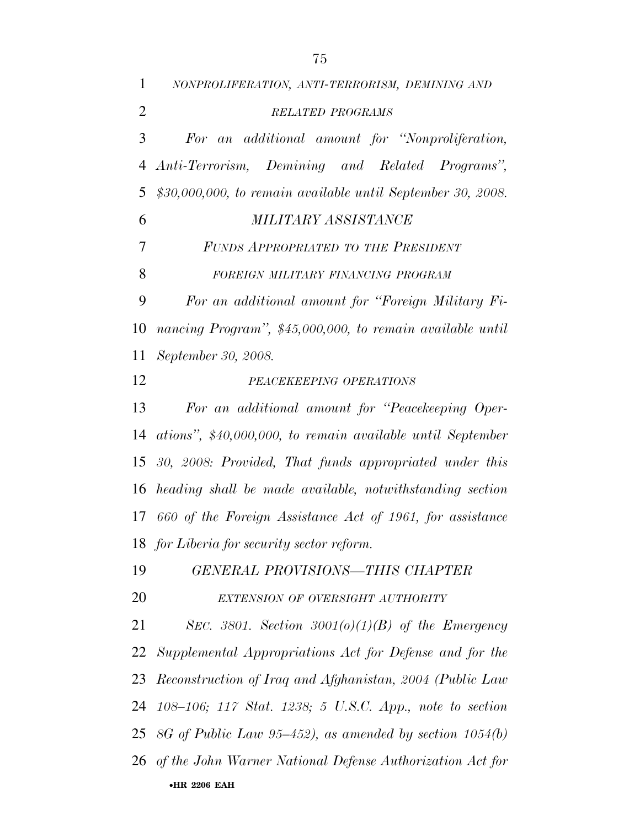•**HR 2206 EAH**  *NONPROLIFERATION, ANTI-TERRORISM, DEMINING AND RELATED PROGRAMS For an additional amount for ''Nonproliferation, Anti-Terrorism, Demining and Related Programs'', \$30,000,000, to remain available until September 30, 2008. MILITARY ASSISTANCE FUNDS APPROPRIATED TO THE PRESIDENT FOREIGN MILITARY FINANCING PROGRAM For an additional amount for ''Foreign Military Fi- nancing Program'', \$45,000,000, to remain available until September 30, 2008. PEACEKEEPING OPERATIONS For an additional amount for ''Peacekeeping Oper- ations'', \$40,000,000, to remain available until September 30, 2008: Provided, That funds appropriated under this heading shall be made available, notwithstanding section 660 of the Foreign Assistance Act of 1961, for assistance for Liberia for security sector reform. GENERAL PROVISIONS—THIS CHAPTER EXTENSION OF OVERSIGHT AUTHORITY SEC. 3801. Section 3001(o)(1)(B) of the Emergency Supplemental Appropriations Act for Defense and for the Reconstruction of Iraq and Afghanistan, 2004 (Public Law 108–106; 117 Stat. 1238; 5 U.S.C. App., note to section 8G of Public Law 95–452), as amended by section 1054(b) of the John Warner National Defense Authorization Act for*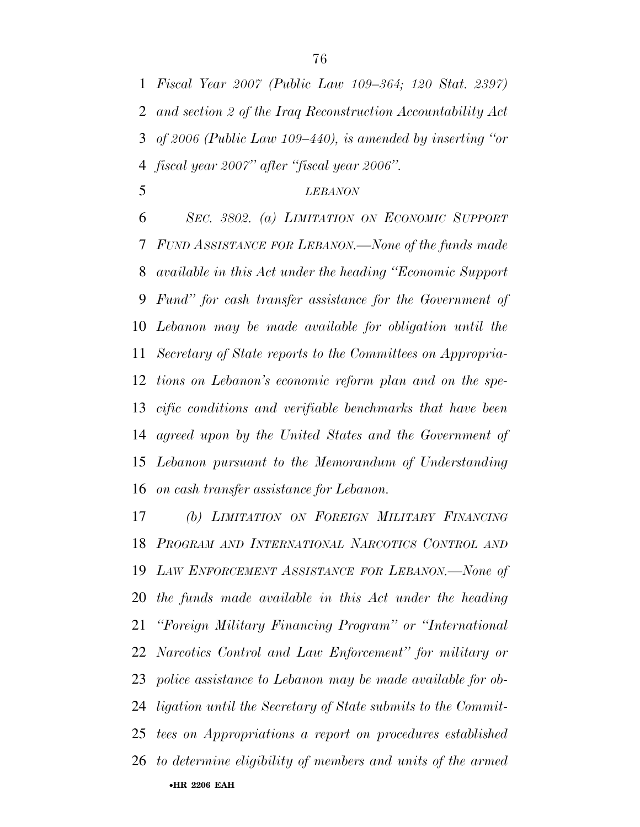*Fiscal Year 2007 (Public Law 109–364; 120 Stat. 2397) and section 2 of the Iraq Reconstruction Accountability Act of 2006 (Public Law 109–440), is amended by inserting ''or fiscal year 2007'' after ''fiscal year 2006''.* 

### *LEBANON*

 *SEC. 3802. (a) LIMITATION ON ECONOMIC SUPPORT FUND ASSISTANCE FOR LEBANON.—None of the funds made available in this Act under the heading ''Economic Support Fund'' for cash transfer assistance for the Government of Lebanon may be made available for obligation until the Secretary of State reports to the Committees on Appropria- tions on Lebanon's economic reform plan and on the spe- cific conditions and verifiable benchmarks that have been agreed upon by the United States and the Government of Lebanon pursuant to the Memorandum of Understanding on cash transfer assistance for Lebanon.* 

•**HR 2206 EAH**  *(b) LIMITATION ON FOREIGN MILITARY FINANCING PROGRAM AND INTERNATIONAL NARCOTICS CONTROL AND LAW ENFORCEMENT ASSISTANCE FOR LEBANON.—None of the funds made available in this Act under the heading ''Foreign Military Financing Program'' or ''International Narcotics Control and Law Enforcement'' for military or police assistance to Lebanon may be made available for ob- ligation until the Secretary of State submits to the Commit- tees on Appropriations a report on procedures established to determine eligibility of members and units of the armed*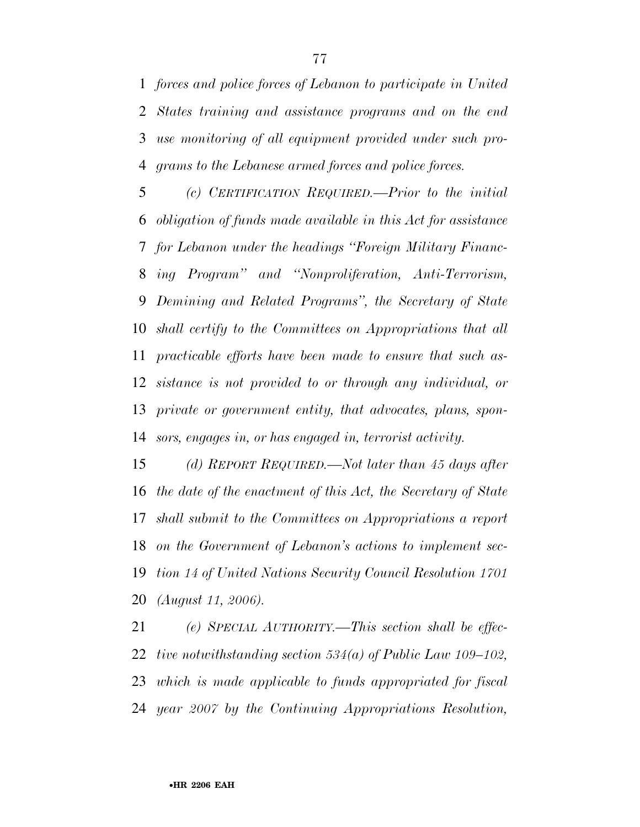*forces and police forces of Lebanon to participate in United States training and assistance programs and on the end use monitoring of all equipment provided under such pro-grams to the Lebanese armed forces and police forces.* 

 *(c) CERTIFICATION REQUIRED.—Prior to the initial obligation of funds made available in this Act for assistance for Lebanon under the headings ''Foreign Military Financ- ing Program'' and ''Nonproliferation, Anti-Terrorism, Demining and Related Programs'', the Secretary of State shall certify to the Committees on Appropriations that all practicable efforts have been made to ensure that such as- sistance is not provided to or through any individual, or private or government entity, that advocates, plans, spon-sors, engages in, or has engaged in, terrorist activity.* 

 *(d) REPORT REQUIRED.—Not later than 45 days after the date of the enactment of this Act, the Secretary of State shall submit to the Committees on Appropriations a report on the Government of Lebanon's actions to implement sec- tion 14 of United Nations Security Council Resolution 1701 (August 11, 2006).* 

 *(e) SPECIAL AUTHORITY.—This section shall be effec- tive notwithstanding section 534(a) of Public Law 109–102, which is made applicable to funds appropriated for fiscal year 2007 by the Continuing Appropriations Resolution,*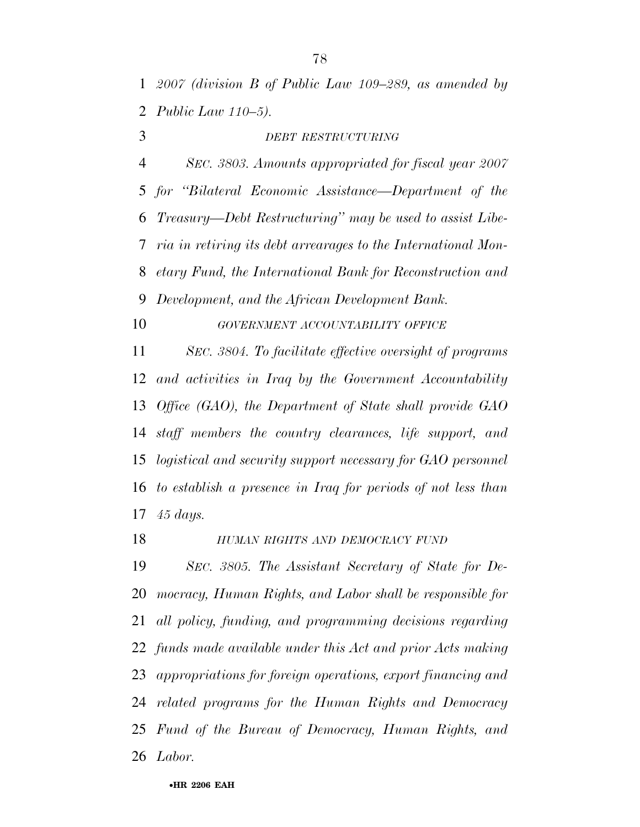*2007 (division B of Public Law 109–289, as amended by Public Law 110–5).* 

*DEBT RESTRUCTURING*

 *SEC. 3803. Amounts appropriated for fiscal year 2007 for ''Bilateral Economic Assistance—Department of the Treasury—Debt Restructuring'' may be used to assist Libe- ria in retiring its debt arrearages to the International Mon- etary Fund, the International Bank for Reconstruction and Development, and the African Development Bank.* 

*GOVERNMENT ACCOUNTABILITY OFFICE*

 *SEC. 3804. To facilitate effective oversight of programs and activities in Iraq by the Government Accountability Office (GAO), the Department of State shall provide GAO staff members the country clearances, life support, and logistical and security support necessary for GAO personnel to establish a presence in Iraq for periods of not less than 45 days.* 

*HUMAN RIGHTS AND DEMOCRACY FUND*

 *SEC. 3805. The Assistant Secretary of State for De- mocracy, Human Rights, and Labor shall be responsible for all policy, funding, and programming decisions regarding funds made available under this Act and prior Acts making appropriations for foreign operations, export financing and related programs for the Human Rights and Democracy Fund of the Bureau of Democracy, Human Rights, and Labor.*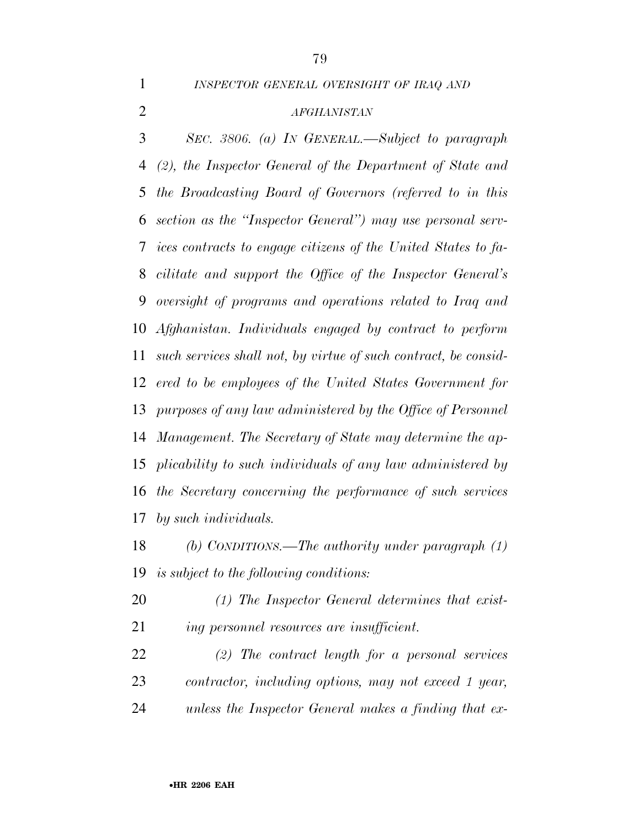*INSPECTOR GENERAL OVERSIGHT OF IRAQ AND*

#### *AFGHANISTAN*

 *SEC. 3806. (a) IN GENERAL.—Subject to paragraph (2), the Inspector General of the Department of State and the Broadcasting Board of Governors (referred to in this section as the ''Inspector General'') may use personal serv- ices contracts to engage citizens of the United States to fa- cilitate and support the Office of the Inspector General's oversight of programs and operations related to Iraq and Afghanistan. Individuals engaged by contract to perform such services shall not, by virtue of such contract, be consid- ered to be employees of the United States Government for purposes of any law administered by the Office of Personnel Management. The Secretary of State may determine the ap- plicability to such individuals of any law administered by the Secretary concerning the performance of such services by such individuals.* 

 *(b) CONDITIONS.—The authority under paragraph (1) is subject to the following conditions:* 

 *(1) The Inspector General determines that exist-ing personnel resources are insufficient.* 

 *(2) The contract length for a personal services contractor, including options, may not exceed 1 year, unless the Inspector General makes a finding that ex-*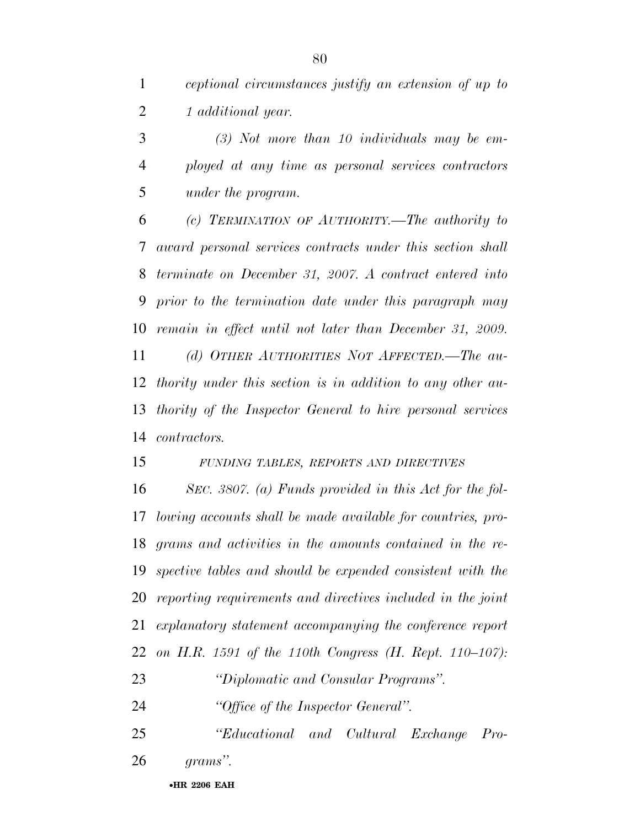*ceptional circumstances justify an extension of up to 1 additional year.* 

 *(3) Not more than 10 individuals may be em- ployed at any time as personal services contractors under the program.* 

 *(c) TERMINATION OF AUTHORITY.—The authority to award personal services contracts under this section shall terminate on December 31, 2007. A contract entered into prior to the termination date under this paragraph may remain in effect until not later than December 31, 2009. (d) OTHER AUTHORITIES NOT AFFECTED.—The au- thority under this section is in addition to any other au- thority of the Inspector General to hire personal services contractors.* 

*FUNDING TABLES, REPORTS AND DIRECTIVES*

 *SEC. 3807. (a) Funds provided in this Act for the fol- lowing accounts shall be made available for countries, pro- grams and activities in the amounts contained in the re- spective tables and should be expended consistent with the reporting requirements and directives included in the joint explanatory statement accompanying the conference report on H.R. 1591 of the 110th Congress (H. Rept. 110–107): ''Diplomatic and Consular Programs''.* 

*''Office of the Inspector General''.* 

 *''Educational and Cultural Exchange Pro-grams''.* 

•**HR 2206 EAH**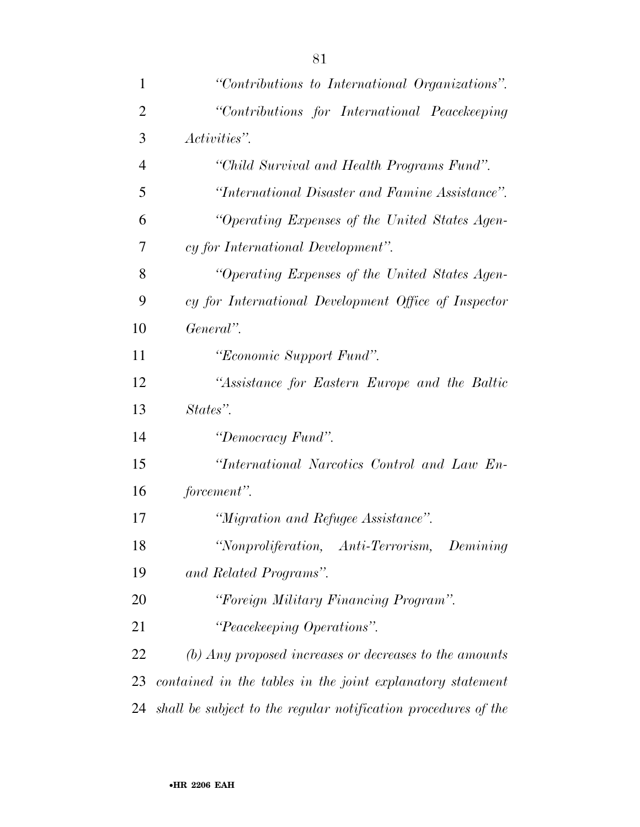| 1              | "Contributions to International Organizations".                        |
|----------------|------------------------------------------------------------------------|
| $\overline{2}$ | "Contributions for International Peacekeeping                          |
| 3              | Activities".                                                           |
| $\overline{4}$ | "Child Survival and Health Programs Fund".                             |
| 5              | "International Disaster and Famine Assistance".                        |
| 6              | "Operating Expenses of the United States Agen-                         |
| 7              | cy for International Development".                                     |
| 8              | "Operating Expenses of the United States Agen-                         |
| 9              | cy for International Development Office of Inspector                   |
| 10             | General".                                                              |
| 11             | "Economic Support Fund".                                               |
| 12             | "Assistance for Eastern Europe and the Baltic                          |
| 13             | States".                                                               |
| 14             | "Democracy Fund".                                                      |
| 15             | "International Narcotics Control and Law En-                           |
| 16             | forcement".                                                            |
| 17             | "Migration and Refugee Assistance".                                    |
| 18             | "Nonproliferation, Anti-Terrorism, Demining                            |
| 19             | and Related Programs".                                                 |
| 20             | "Foreign Military Financing Program".                                  |
| 21             | "Peacekeeping Operations".                                             |
| 22             | $\langle b \rangle$ Any proposed increases or decreases to the amounts |
| 23             | contained in the tables in the joint explanatory statement             |
| 24             | shall be subject to the regular notification procedures of the         |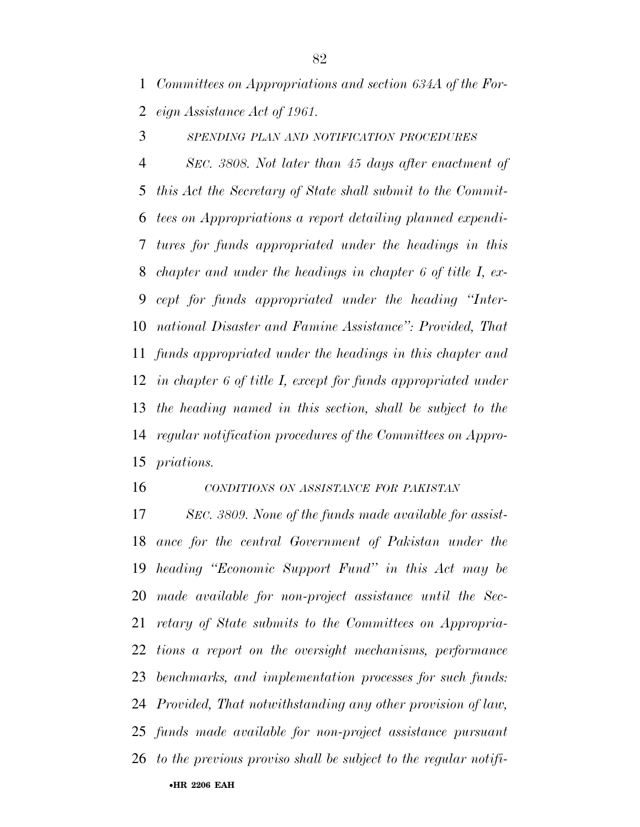*Committees on Appropriations and section 634A of the For-eign Assistance Act of 1961.* 

*SPENDING PLAN AND NOTIFICATION PROCEDURES*

 *SEC. 3808. Not later than 45 days after enactment of this Act the Secretary of State shall submit to the Commit- tees on Appropriations a report detailing planned expendi- tures for funds appropriated under the headings in this chapter and under the headings in chapter 6 of title I, ex- cept for funds appropriated under the heading ''Inter- national Disaster and Famine Assistance'': Provided, That funds appropriated under the headings in this chapter and in chapter 6 of title I, except for funds appropriated under the heading named in this section, shall be subject to the regular notification procedures of the Committees on Appro-priations.* 

*CONDITIONS ON ASSISTANCE FOR PAKISTAN*

•**HR 2206 EAH**  *SEC. 3809. None of the funds made available for assist- ance for the central Government of Pakistan under the heading ''Economic Support Fund'' in this Act may be made available for non-project assistance until the Sec- retary of State submits to the Committees on Appropria- tions a report on the oversight mechanisms, performance benchmarks, and implementation processes for such funds: Provided, That notwithstanding any other provision of law, funds made available for non-project assistance pursuant to the previous proviso shall be subject to the regular notifi-*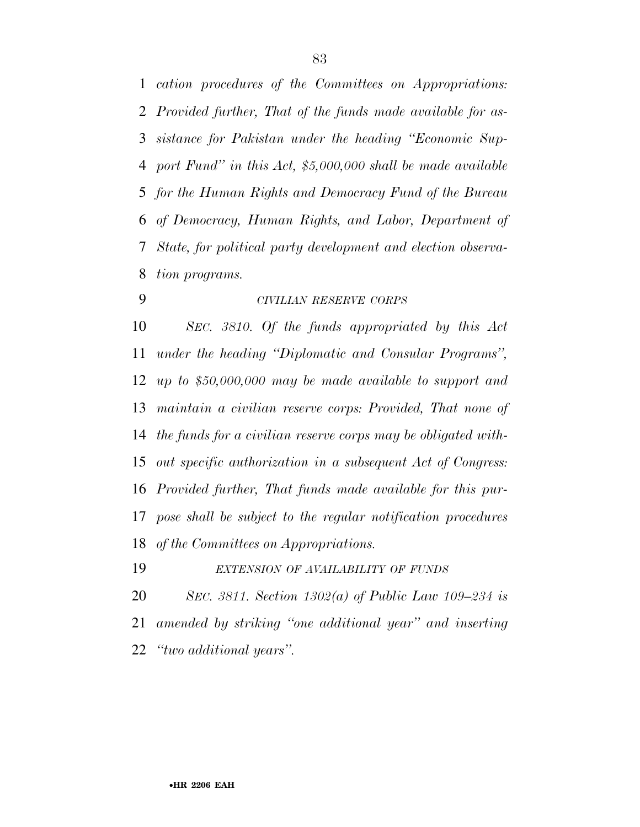*cation procedures of the Committees on Appropriations: Provided further, That of the funds made available for as- sistance for Pakistan under the heading ''Economic Sup- port Fund'' in this Act, \$5,000,000 shall be made available for the Human Rights and Democracy Fund of the Bureau of Democracy, Human Rights, and Labor, Department of State, for political party development and election observa-tion programs.* 

*CIVILIAN RESERVE CORPS*

 *SEC. 3810. Of the funds appropriated by this Act under the heading ''Diplomatic and Consular Programs'', up to \$50,000,000 may be made available to support and maintain a civilian reserve corps: Provided, That none of the funds for a civilian reserve corps may be obligated with- out specific authorization in a subsequent Act of Congress: Provided further, That funds made available for this pur- pose shall be subject to the regular notification procedures of the Committees on Appropriations.* 

*EXTENSION OF AVAILABILITY OF FUNDS*

 *SEC. 3811. Section 1302(a) of Public Law 109–234 is amended by striking ''one additional year'' and inserting ''two additional years''.*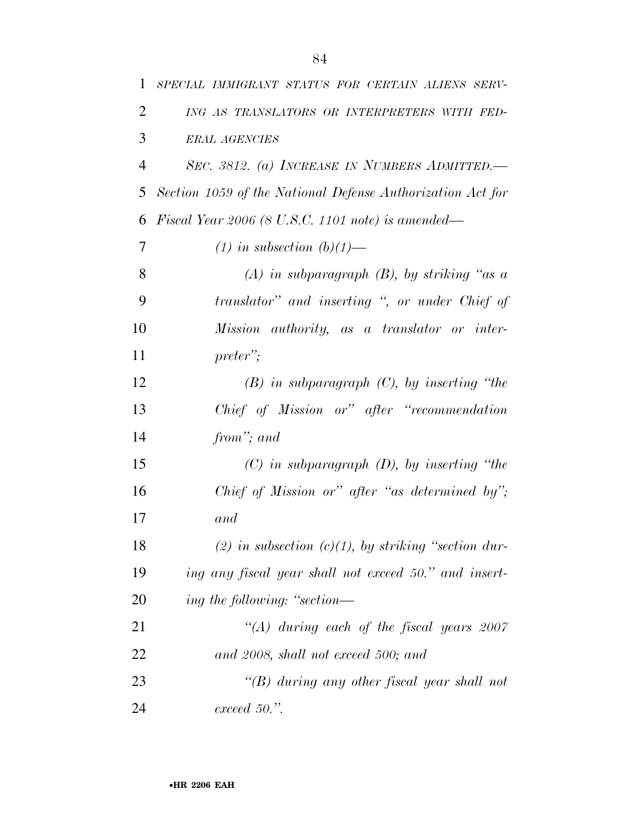| 1              | SPECIAL IMMIGRANT STATUS FOR CERTAIN ALIENS SERV-          |  |
|----------------|------------------------------------------------------------|--|
| $\overline{2}$ | ING AS TRANSLATORS OR INTERPRETERS WITH FED-               |  |
| 3              | <b>ERAL AGENCIES</b>                                       |  |
| $\overline{4}$ | SEC. 3812. (a) INCREASE IN NUMBERS ADMITTED.               |  |
| 5              | Section 1059 of the National Defense Authorization Act for |  |
| 6              | Fiscal Year 2006 (8 U.S.C. 1101 note) is amended—          |  |
| 7              | $(1)$ in subsection $(b)(1)$ —                             |  |
| 8              | $(A)$ in subparagraph $(B)$ , by striking "as a            |  |
| 9              | translator" and inserting ", or under Chief of             |  |
| 10             | Mission authority, as a translator or inter-               |  |
| 11             | preter";                                                   |  |
| 12             | $(B)$ in subparagraph $(C)$ , by inserting "the            |  |
| 13             | Chief of Mission or" after "recommendation                 |  |
| 14             | from"; and                                                 |  |
| 15             | $(C)$ in subparagraph $(D)$ , by inserting "the            |  |
| 16             | Chief of Mission or" after "as determined by";             |  |
| 17             | and                                                        |  |
| 18             | (2) in subsection $(c)(1)$ , by striking "section dur-     |  |
| 19             | ing any fiscal year shall not exceed 50." and insert-      |  |
| 20             | ing the following: "section—                               |  |
| 21             | $\lq (A)$ during each of the fiscal years 2007             |  |
| 22             | and 2008, shall not exceed 500; and                        |  |
| 23             | "(B) during any other fiscal year shall not                |  |
| 24             | $exceed~50."$ .                                            |  |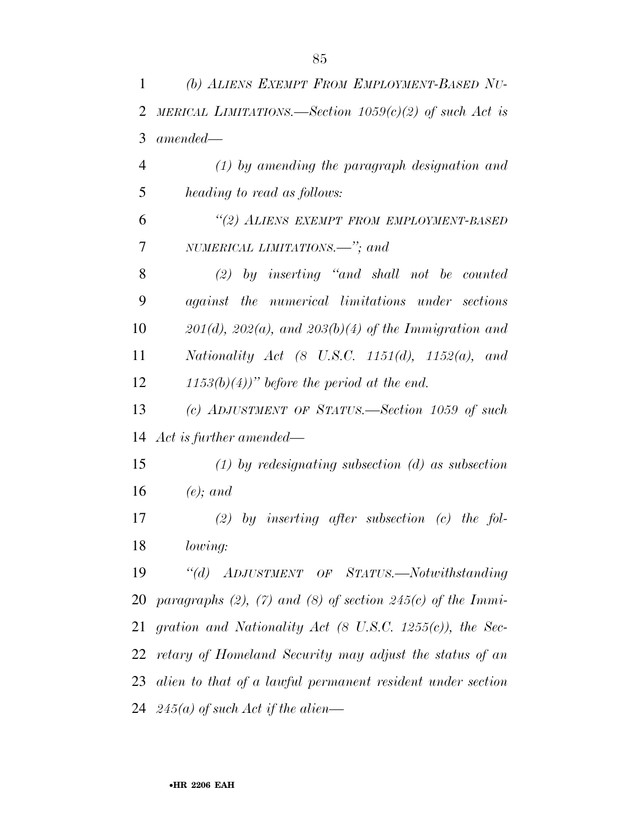| 1              | (b) ALIENS EXEMPT FROM EMPLOYMENT-BASED NU-                          |
|----------------|----------------------------------------------------------------------|
| $\overline{2}$ | MERICAL LIMITATIONS.—Section $1059(c)(2)$ of such Act is             |
| 3              | $amended -$                                                          |
| $\overline{4}$ | $(1)$ by amending the paragraph designation and                      |
| 5              | heading to read as follows:                                          |
| 6              | "(2) ALIENS EXEMPT FROM EMPLOYMENT-BASED                             |
| 7              | NUMERICAL LIMITATIONS.—"; and                                        |
| 8              | $(2)$ by inserting "and shall not be counted                         |
| 9              | against the numerical limitations under sections                     |
| 10             | $201(d)$ , $202(a)$ , and $203(b)(4)$ of the Immigration and         |
| 11             | Nationality Act $(8$ U.S.C. 1151 $(d)$ , 1152 $(a)$ , and            |
| 12             | $(1153(b)(4))$ " before the period at the end.                       |
| 13             | (c) ADJUSTMENT OF STATUS.—Section 1059 of such                       |
| 14             | Act is further amended—                                              |
| 15             | $(1)$ by redesignating subsection $(d)$ as subsection                |
| 16             | $(e)$ ; and                                                          |
| 17             | $(2)$ by inserting after subsection (c) the fol-                     |
| 18             | lowing:                                                              |
| 19             | "(d) ADJUSTMENT OF STATUS.—Notwithstanding                           |
| 20             | paragraphs $(2)$ , $(7)$ and $(8)$ of section 245 $(c)$ of the Immi- |
| 21             | gration and Nationality Act $(8 \text{ U.S.C. } 1255(c))$ , the Sec- |
| 22             | retary of Homeland Security may adjust the status of an              |
| 23             | alien to that of a lawful permanent resident under section           |
|                | 24 $245(a)$ of such Act if the alien—                                |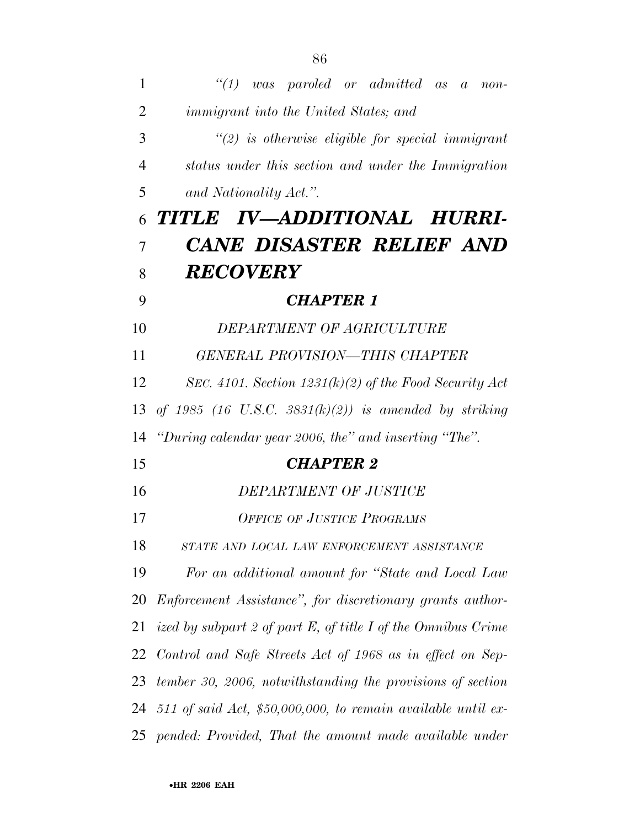| $\mathbf{1}$   | $\lq(1)$<br>was paroled or admitted as a non-                |  |
|----------------|--------------------------------------------------------------|--|
| 2              | <i>immigrant into the United States; and</i>                 |  |
| 3              | $\lq(2)$ is otherwise eligible for special immigrant         |  |
| 4              | status under this section and under the Immigration          |  |
| 5              | and Nationality Act.".                                       |  |
| 6              | TITLE IV-ADDITIONAL HURRI-                                   |  |
| $\overline{7}$ | CANE DISASTER RELIEF AND                                     |  |
| 8              | <b>RECOVERY</b>                                              |  |
| 9              | <b>CHAPTER 1</b>                                             |  |
| 10             | DEPARTMENT OF AGRICULTURE                                    |  |
| 11             | GENERAL PROVISION—THIS CHAPTER                               |  |
| 12             | SEC. 4101. Section $1231(k)(2)$ of the Food Security Act     |  |
| 13             | of 1985 (16 U.S.C. 3831 $(k)(2)$ ) is amended by striking    |  |
| 14             | "During calendar year 2006, the" and inserting "The".        |  |
| 15             | <b>CHAPTER 2</b>                                             |  |
| 16             | DEPARTMENT OF JUSTICE                                        |  |
| 17             | <b>OFFICE OF JUSTICE PROGRAMS</b>                            |  |
| 18             | STATE AND LOCAL LAW ENFORCEMENT ASSISTANCE                   |  |
| 19             | For an additional amount for "State and Local Law            |  |
| 20             | Enforcement Assistance", for discretionary grants author-    |  |
| 21             | ized by subpart 2 of part E, of title I of the Omnibus Crime |  |
| 22             | Control and Safe Streets Act of 1968 as in effect on Sep-    |  |
| 23             | tember 30, 2006, notwithstanding the provisions of section   |  |
| 24             | 511 of said Act, \$50,000,000, to remain available until ex- |  |
|                | 25 pended: Provided, That the amount made available under    |  |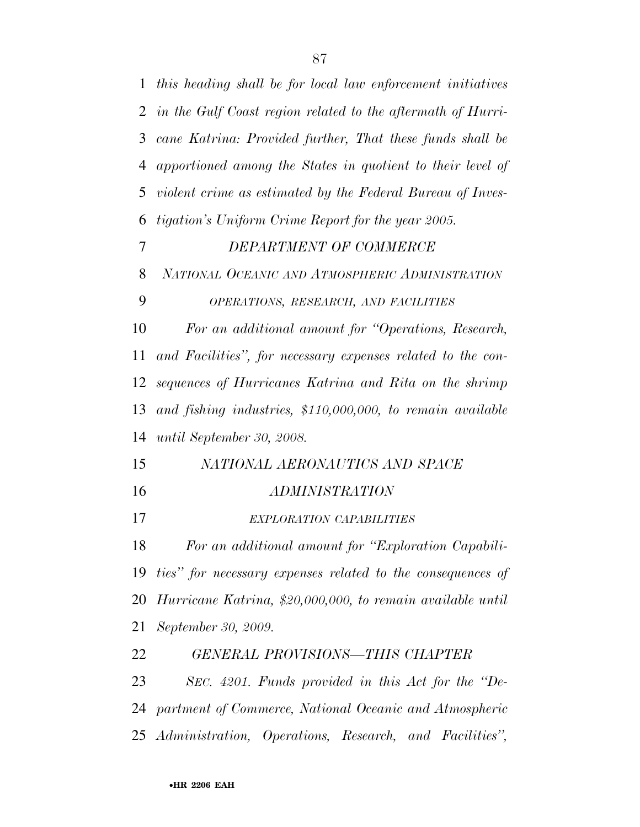*this heading shall be for local law enforcement initiatives in the Gulf Coast region related to the aftermath of Hurri- cane Katrina: Provided further, That these funds shall be apportioned among the States in quotient to their level of violent crime as estimated by the Federal Bureau of Inves- tigation's Uniform Crime Report for the year 2005. DEPARTMENT OF COMMERCE NATIONAL OCEANIC AND ATMOSPHERIC ADMINISTRATION OPERATIONS, RESEARCH, AND FACILITIES For an additional amount for ''Operations, Research, and Facilities'', for necessary expenses related to the con- sequences of Hurricanes Katrina and Rita on the shrimp and fishing industries, \$110,000,000, to remain available until September 30, 2008. NATIONAL AERONAUTICS AND SPACE ADMINISTRATION EXPLORATION CAPABILITIES For an additional amount for ''Exploration Capabili- ties'' for necessary expenses related to the consequences of Hurricane Katrina, \$20,000,000, to remain available until September 30, 2009. GENERAL PROVISIONS—THIS CHAPTER SEC. 4201. Funds provided in this Act for the ''De- partment of Commerce, National Oceanic and Atmospheric Administration, Operations, Research, and Facilities'',*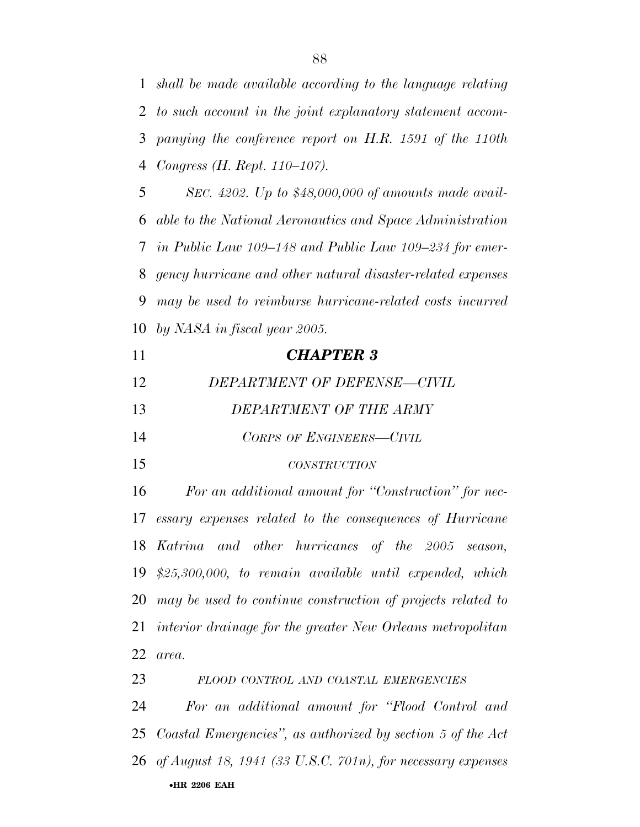*shall be made available according to the language relating to such account in the joint explanatory statement accom- panying the conference report on H.R. 1591 of the 110th Congress (H. Rept. 110–107).* 

 *SEC. 4202. Up to \$48,000,000 of amounts made avail- able to the National Aeronautics and Space Administration in Public Law 109–148 and Public Law 109–234 for emer- gency hurricane and other natural disaster-related expenses may be used to reimburse hurricane-related costs incurred by NASA in fiscal year 2005.* 

| 11 | <b>CHAPTER 3</b>                                               |  |
|----|----------------------------------------------------------------|--|
| 12 | DEPARTMENT OF DEFENSE-CIVIL                                    |  |
| 13 | DEPARTMENT OF THE ARMY                                         |  |
| 14 | CORPS OF ENGINEERS-CIVIL                                       |  |
| 15 | <b>CONSTRUCTION</b>                                            |  |
|    | 16<br>For an additional amount for "Construction" for nec-     |  |
|    | 17 essary expenses related to the consequences of Hurricane    |  |
|    | 18 Katrina and other hurricanes of the 2005 season,            |  |
|    | $19$ \$25,300,000, to remain available until expended, which   |  |
|    | 20 may be used to continue construction of projects related to |  |

 *interior drainage for the greater New Orleans metropolitan area.* 

•**HR 2206 EAH**  *FLOOD CONTROL AND COASTAL EMERGENCIES For an additional amount for ''Flood Control and Coastal Emergencies'', as authorized by section 5 of the Act of August 18, 1941 (33 U.S.C. 701n), for necessary expenses*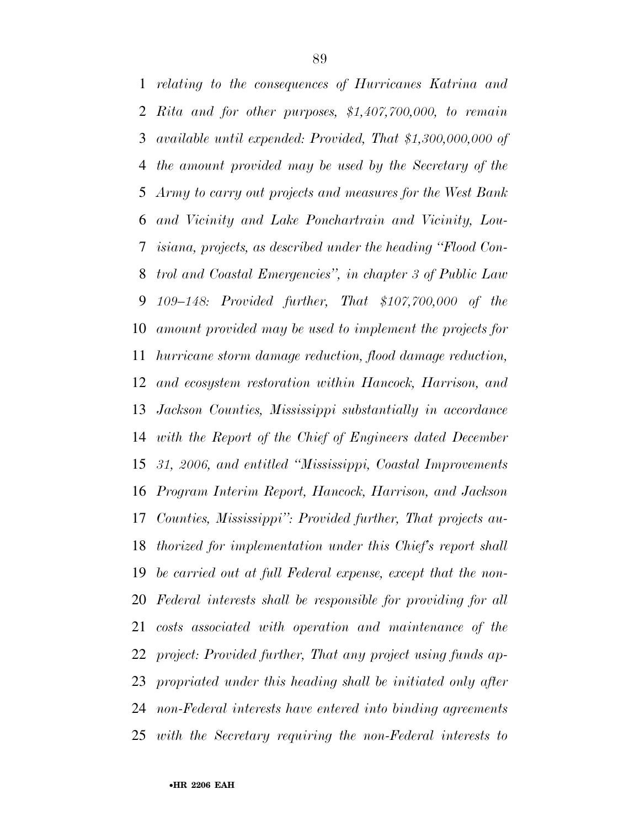*relating to the consequences of Hurricanes Katrina and Rita and for other purposes, \$1,407,700,000, to remain available until expended: Provided, That \$1,300,000,000 of the amount provided may be used by the Secretary of the Army to carry out projects and measures for the West Bank and Vicinity and Lake Ponchartrain and Vicinity, Lou- isiana, projects, as described under the heading ''Flood Con- trol and Coastal Emergencies'', in chapter 3 of Public Law 109–148: Provided further, That \$107,700,000 of the amount provided may be used to implement the projects for hurricane storm damage reduction, flood damage reduction, and ecosystem restoration within Hancock, Harrison, and Jackson Counties, Mississippi substantially in accordance with the Report of the Chief of Engineers dated December 31, 2006, and entitled ''Mississippi, Coastal Improvements Program Interim Report, Hancock, Harrison, and Jackson Counties, Mississippi'': Provided further, That projects au- thorized for implementation under this Chief's report shall be carried out at full Federal expense, except that the non- Federal interests shall be responsible for providing for all costs associated with operation and maintenance of the project: Provided further, That any project using funds ap- propriated under this heading shall be initiated only after non-Federal interests have entered into binding agreements with the Secretary requiring the non-Federal interests to*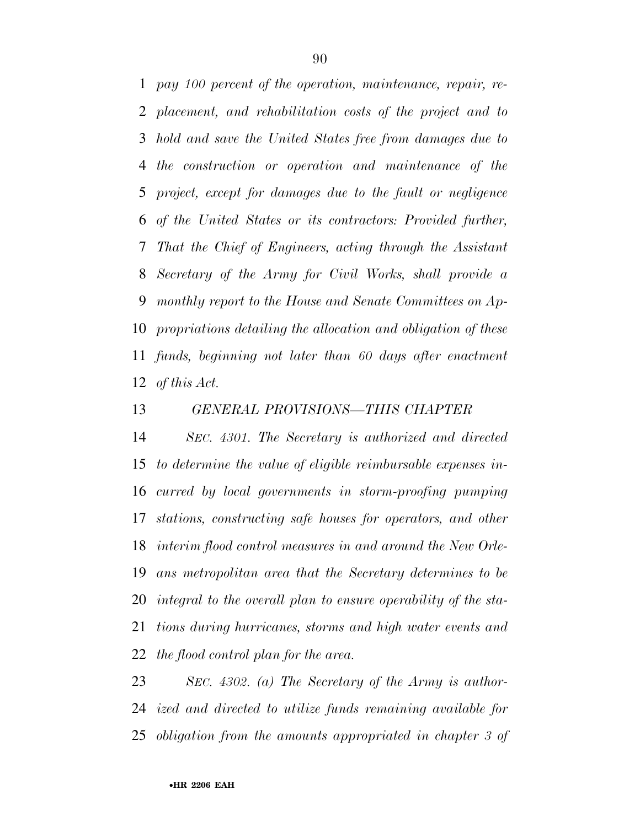*pay 100 percent of the operation, maintenance, repair, re- placement, and rehabilitation costs of the project and to hold and save the United States free from damages due to the construction or operation and maintenance of the project, except for damages due to the fault or negligence of the United States or its contractors: Provided further, That the Chief of Engineers, acting through the Assistant Secretary of the Army for Civil Works, shall provide a monthly report to the House and Senate Committees on Ap- propriations detailing the allocation and obligation of these funds, beginning not later than 60 days after enactment of this Act.* 

### *GENERAL PROVISIONS—THIS CHAPTER*

 *SEC. 4301. The Secretary is authorized and directed to determine the value of eligible reimbursable expenses in- curred by local governments in storm-proofing pumping stations, constructing safe houses for operators, and other interim flood control measures in and around the New Orle- ans metropolitan area that the Secretary determines to be integral to the overall plan to ensure operability of the sta- tions during hurricanes, storms and high water events and the flood control plan for the area.* 

 *SEC. 4302. (a) The Secretary of the Army is author- ized and directed to utilize funds remaining available for obligation from the amounts appropriated in chapter 3 of*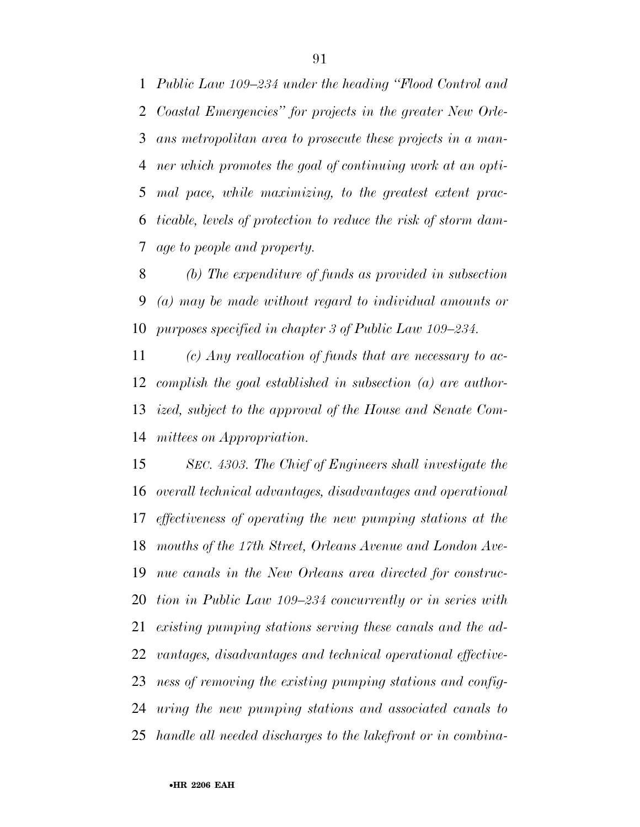*Public Law 109–234 under the heading ''Flood Control and Coastal Emergencies'' for projects in the greater New Orle- ans metropolitan area to prosecute these projects in a man- ner which promotes the goal of continuing work at an opti- mal pace, while maximizing, to the greatest extent prac- ticable, levels of protection to reduce the risk of storm dam-age to people and property.* 

 *(b) The expenditure of funds as provided in subsection (a) may be made without regard to individual amounts or purposes specified in chapter 3 of Public Law 109–234.* 

 *(c) Any reallocation of funds that are necessary to ac- complish the goal established in subsection (a) are author- ized, subject to the approval of the House and Senate Com-mittees on Appropriation.* 

 *SEC. 4303. The Chief of Engineers shall investigate the overall technical advantages, disadvantages and operational effectiveness of operating the new pumping stations at the mouths of the 17th Street, Orleans Avenue and London Ave- nue canals in the New Orleans area directed for construc- tion in Public Law 109–234 concurrently or in series with existing pumping stations serving these canals and the ad- vantages, disadvantages and technical operational effective- ness of removing the existing pumping stations and config- uring the new pumping stations and associated canals to handle all needed discharges to the lakefront or in combina-*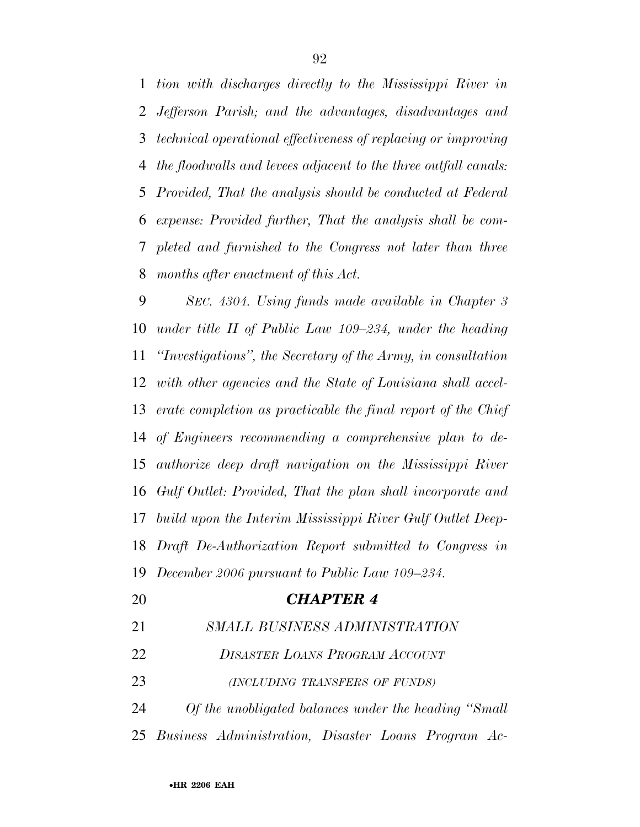*tion with discharges directly to the Mississippi River in Jefferson Parish; and the advantages, disadvantages and technical operational effectiveness of replacing or improving the floodwalls and levees adjacent to the three outfall canals: Provided, That the analysis should be conducted at Federal expense: Provided further, That the analysis shall be com- pleted and furnished to the Congress not later than three months after enactment of this Act.* 

 *SEC. 4304. Using funds made available in Chapter 3 under title II of Public Law 109–234, under the heading ''Investigations'', the Secretary of the Army, in consultation with other agencies and the State of Louisiana shall accel- erate completion as practicable the final report of the Chief of Engineers recommending a comprehensive plan to de- authorize deep draft navigation on the Mississippi River Gulf Outlet: Provided, That the plan shall incorporate and build upon the Interim Mississippi River Gulf Outlet Deep- Draft De-Authorization Report submitted to Congress in December 2006 pursuant to Public Law 109–234.* 

 *CHAPTER 4 SMALL BUSINESS ADMINISTRATION DISASTER LOANS PROGRAM ACCOUNT (INCLUDING TRANSFERS OF FUNDS) Of the unobligated balances under the heading ''Small Business Administration, Disaster Loans Program Ac-*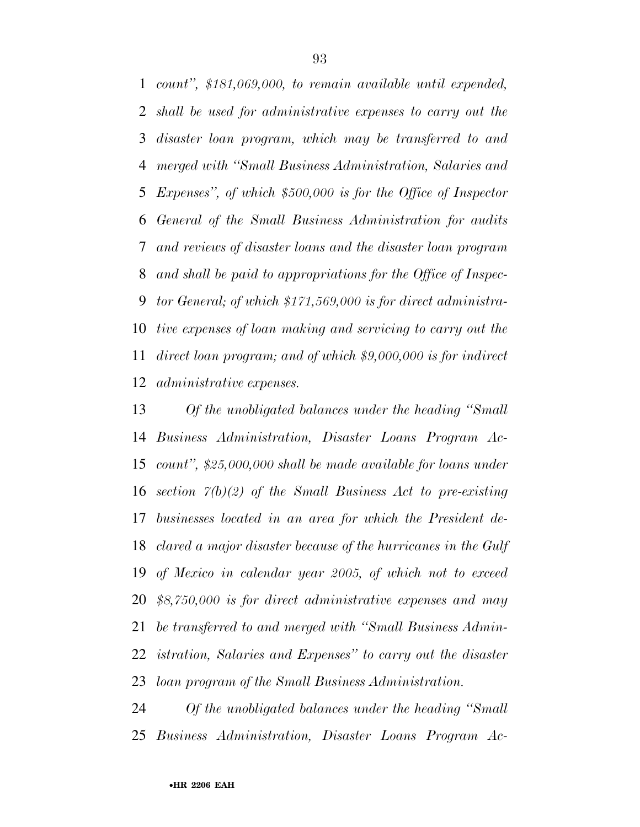*count'', \$181,069,000, to remain available until expended, shall be used for administrative expenses to carry out the disaster loan program, which may be transferred to and merged with ''Small Business Administration, Salaries and Expenses'', of which \$500,000 is for the Office of Inspector General of the Small Business Administration for audits and reviews of disaster loans and the disaster loan program and shall be paid to appropriations for the Office of Inspec- tor General; of which \$171,569,000 is for direct administra- tive expenses of loan making and servicing to carry out the direct loan program; and of which \$9,000,000 is for indirect administrative expenses.* 

 *Of the unobligated balances under the heading ''Small Business Administration, Disaster Loans Program Ac- count'', \$25,000,000 shall be made available for loans under section 7(b)(2) of the Small Business Act to pre-existing businesses located in an area for which the President de- clared a major disaster because of the hurricanes in the Gulf of Mexico in calendar year 2005, of which not to exceed \$8,750,000 is for direct administrative expenses and may be transferred to and merged with ''Small Business Admin- istration, Salaries and Expenses'' to carry out the disaster loan program of the Small Business Administration.* 

 *Of the unobligated balances under the heading ''Small Business Administration, Disaster Loans Program Ac-*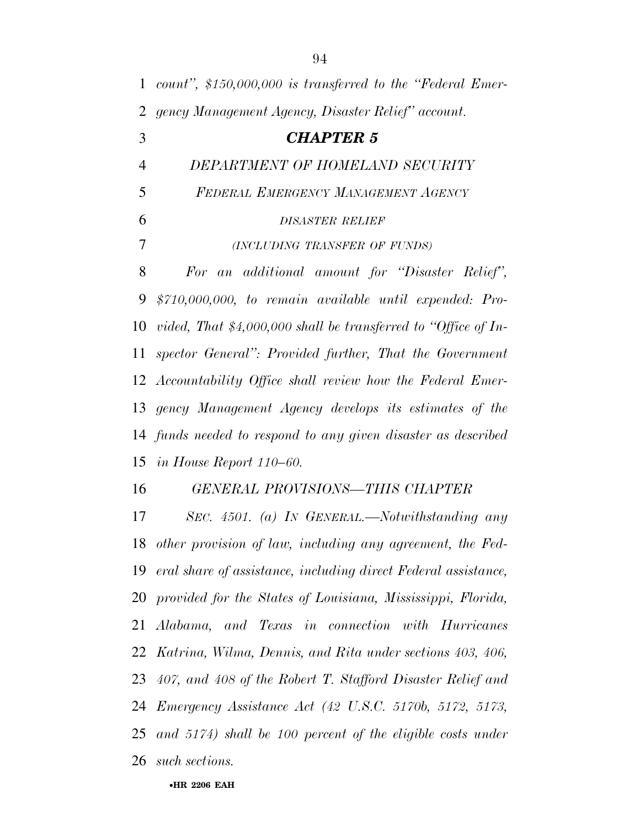| $\mathbf{1}$   | count", $$150,000,000$ is transferred to the "Federal Emer-       |
|----------------|-------------------------------------------------------------------|
| 2              | gency Management Agency, Disaster Relief" account.                |
| 3              | <b>CHAPTER 5</b>                                                  |
| $\overline{4}$ | DEPARTMENT OF HOMELAND SECURITY                                   |
| 5              | FEDERAL EMERGENCY MANAGEMENT AGENCY                               |
| 6              | <b>DISASTER RELIEF</b>                                            |
| 7              | (INCLUDING TRANSFER OF FUNDS)                                     |
| 8              | For an additional amount for "Disaster Relief",                   |
| 9              | $$710,000,000, to remain available until expanded: Pro-$          |
| 10             | vided, That $$4,000,000$ shall be transferred to "Office of In-   |
| 11             | spector General": Provided further, That the Government           |
|                | 12 Accountability Office shall review how the Federal Emer-       |
|                | 13 gency Management Agency develops its estimates of the          |
|                | 14 funds needed to respond to any given disaster as described     |
|                | 15 in House Report $110-60$ .                                     |
| 16             | <b>GENERAL PROVISIONS-THIS CHAPTER</b>                            |
| 17             | SEC. 4501. (a) IN GENERAL.—Notwithstanding any                    |
|                | 18 other provision of law, including any agreement, the Fed-      |
|                | 19 eral share of assistance, including direct Federal assistance, |
|                | 20 provided for the States of Louisiana, Mississippi, Florida,    |
| 21             | Alabama, and Texas in connection with Hurricanes                  |
| 22             | Katrina, Wilma, Dennis, and Rita under sections 403, 406,         |
| 23             | 407, and 408 of the Robert T. Stafford Disaster Relief and        |
| 24             | <i>Emergency Assistance Act (42 U.S.C. 5170b, 5172, 5173,</i>     |
| 25             | and $5174$ ) shall be 100 percent of the eligible costs under     |
| 26             | such sections.                                                    |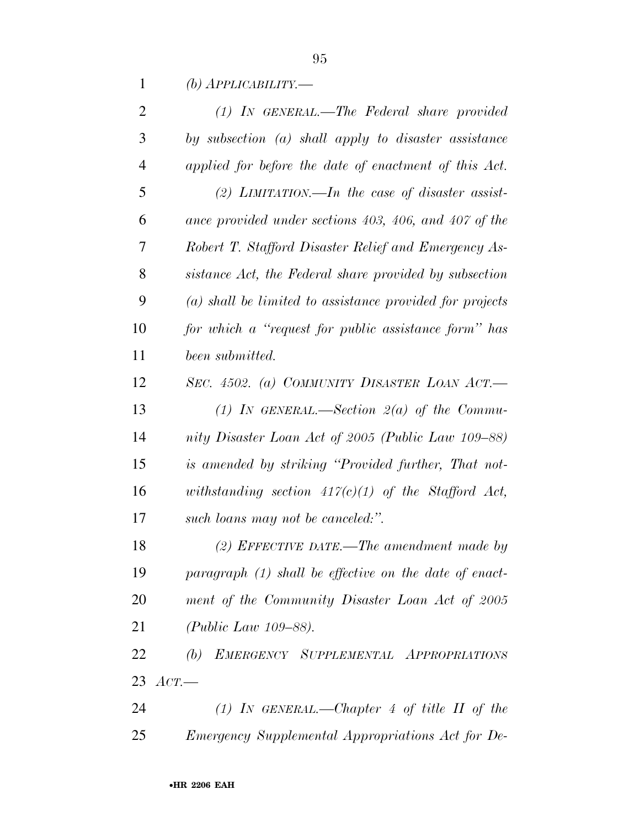*(b) APPLICABILITY.—*

| $\overline{2}$ | $(1)$ IN GENERAL.—The Federal share provided               |
|----------------|------------------------------------------------------------|
| 3              | by subsection $(a)$ shall apply to disaster assistance     |
| $\overline{4}$ | applied for before the date of enactment of this Act.      |
| 5              | (2) LIMITATION.—In the case of disaster assist-            |
| 6              | ance provided under sections 403, 406, and 407 of the      |
| 7              | Robert T. Stafford Disaster Relief and Emergency As-       |
| 8              | sistance Act, the Federal share provided by subsection     |
| 9              | $(a)$ shall be limited to assistance provided for projects |
| 10             | for which a "request for public assistance form" has       |
| 11             | been submitted.                                            |
| 12             | SEC. 4502. (a) COMMUNITY DISASTER LOAN ACT.—               |
| 13             | (1) In GENERAL.—Section $2(a)$ of the Commu-               |
| 14             | nity Disaster Loan Act of 2005 (Public Law 109–88)         |
| 15             | is amended by striking "Provided further, That not-        |
| 16             | withstanding section $417(c)(1)$ of the Stafford Act,      |
| 17             | such loans may not be canceled.".                          |
| 18             | $(2)$ EFFECTIVE DATE.—The amendment made by                |
| 19             | paragraph $(1)$ shall be effective on the date of enact-   |
| 20             | ment of the Community Disaster Loan Act of 2005            |
| 21             | ( <i>Public Law 109–88</i> ).                              |
| 22             | (b) EMERGENCY SUPPLEMENTAL APPROPRIATIONS                  |
|                | 23 $ACT$ .                                                 |
| 24             | (1) In GENERAL.—Chapter 4 of title II of the               |
|                |                                                            |

*Emergency Supplemental Appropriations Act for De-*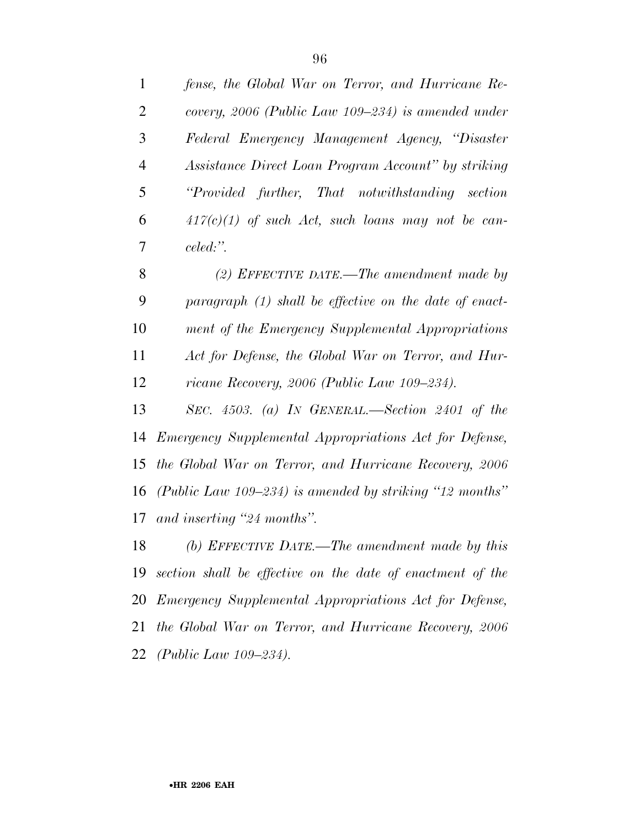| $\mathbf{1}$   | fense, the Global War on Terror, and Hurricane Re-            |
|----------------|---------------------------------------------------------------|
| $\overline{2}$ | covery, 2006 (Public Law 109–234) is amended under            |
| 3              | Federal Emergency Management Agency, "Disaster                |
| $\overline{4}$ | Assistance Direct Loan Program Account" by striking           |
| 5              | "Provided further, That notwithstanding section               |
| 6              | $417(c)(1)$ of such Act, such loans may not be can-           |
| 7              | celed:".                                                      |
| 8              | (2) EFFECTIVE DATE.—The amendment made by                     |
| 9              | paragraph (1) shall be effective on the date of enact-        |
| 10             | ment of the Emergency Supplemental Appropriations             |
| 11             | Act for Defense, the Global War on Terror, and Hur-           |
| 12             | ricane Recovery, 2006 (Public Law 109–234).                   |
| 13             | SEC. $4503.$ (a) In GENERAL.—Section 2401 of the              |
| 14             | <i>Emergency Supplemental Appropriations Act for Defense,</i> |
| 15             | the Global War on Terror, and Hurricane Recovery, 2006        |
| 16             | (Public Law 109–234) is amended by striking "12 months"       |
| 17             | and inserting "24 months".                                    |
| 18             | (b) EFFECTIVE DATE.—The amendment made by this                |
| 19             | section shall be effective on the date of enactment of the    |
|                | 20 Emergency Supplemental Appropriations Act for Defense,     |
| 21             | the Global War on Terror, and Hurricane Recovery, 2006        |
| 22             | (Public Law $109 - 234$ ).                                    |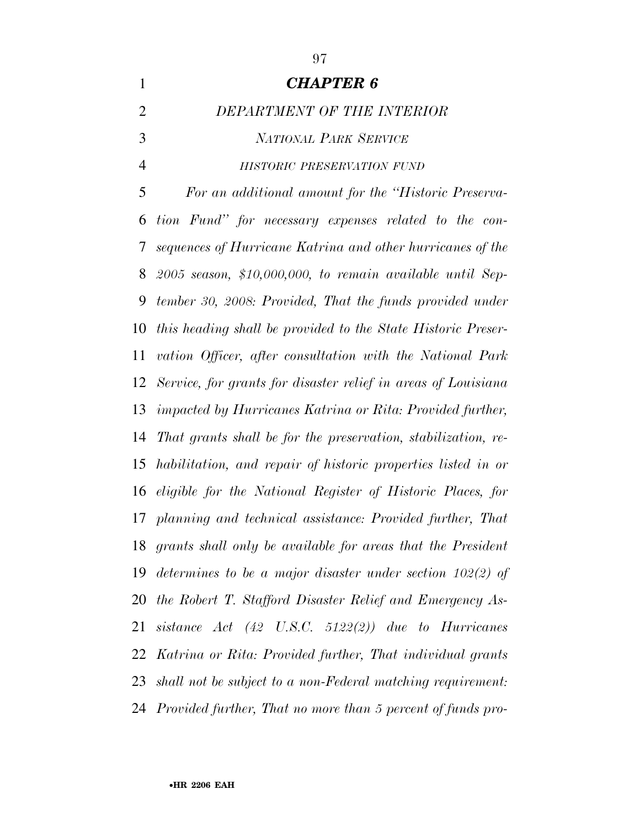*CHAPTER 6 DEPARTMENT OF THE INTERIOR NATIONAL PARK SERVICE HISTORIC PRESERVATION FUND For an additional amount for the ''Historic Preserva- tion Fund'' for necessary expenses related to the con- sequences of Hurricane Katrina and other hurricanes of the 2005 season, \$10,000,000, to remain available until Sep- tember 30, 2008: Provided, That the funds provided under this heading shall be provided to the State Historic Preser- vation Officer, after consultation with the National Park Service, for grants for disaster relief in areas of Louisiana impacted by Hurricanes Katrina or Rita: Provided further, That grants shall be for the preservation, stabilization, re- habilitation, and repair of historic properties listed in or eligible for the National Register of Historic Places, for planning and technical assistance: Provided further, That grants shall only be available for areas that the President determines to be a major disaster under section 102(2) of the Robert T. Stafford Disaster Relief and Emergency As- sistance Act (42 U.S.C. 5122(2)) due to Hurricanes Katrina or Rita: Provided further, That individual grants shall not be subject to a non-Federal matching requirement: Provided further, That no more than 5 percent of funds pro-*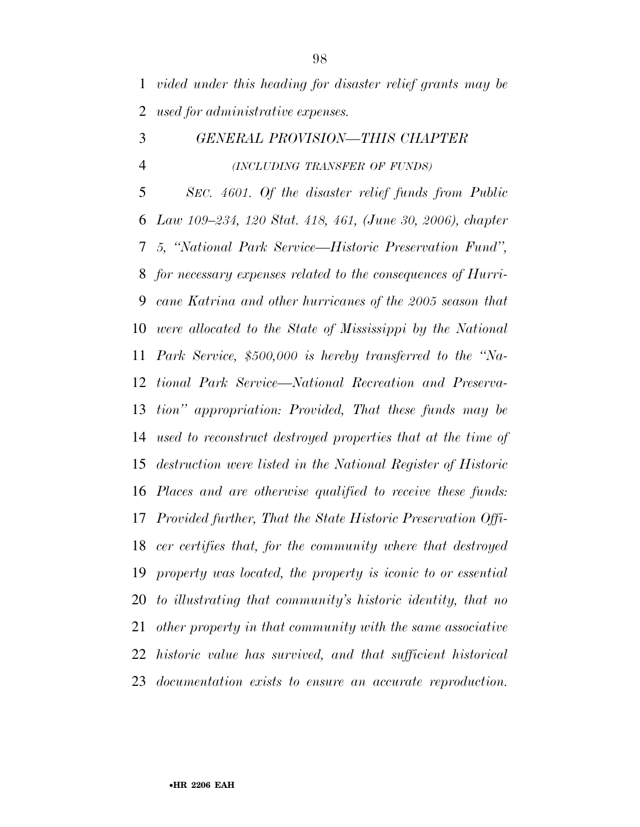*vided under this heading for disaster relief grants may be used for administrative expenses.* 

## *GENERAL PROVISION—THIS CHAPTER (INCLUDING TRANSFER OF FUNDS)*

 *SEC. 4601. Of the disaster relief funds from Public Law 109–234, 120 Stat. 418, 461, (June 30, 2006), chapter 5, ''National Park Service—Historic Preservation Fund'', for necessary expenses related to the consequences of Hurri- cane Katrina and other hurricanes of the 2005 season that were allocated to the State of Mississippi by the National Park Service, \$500,000 is hereby transferred to the ''Na- tional Park Service—National Recreation and Preserva- tion'' appropriation: Provided, That these funds may be used to reconstruct destroyed properties that at the time of destruction were listed in the National Register of Historic Places and are otherwise qualified to receive these funds: Provided further, That the State Historic Preservation Offi- cer certifies that, for the community where that destroyed property was located, the property is iconic to or essential to illustrating that community's historic identity, that no other property in that community with the same associative historic value has survived, and that sufficient historical documentation exists to ensure an accurate reproduction.*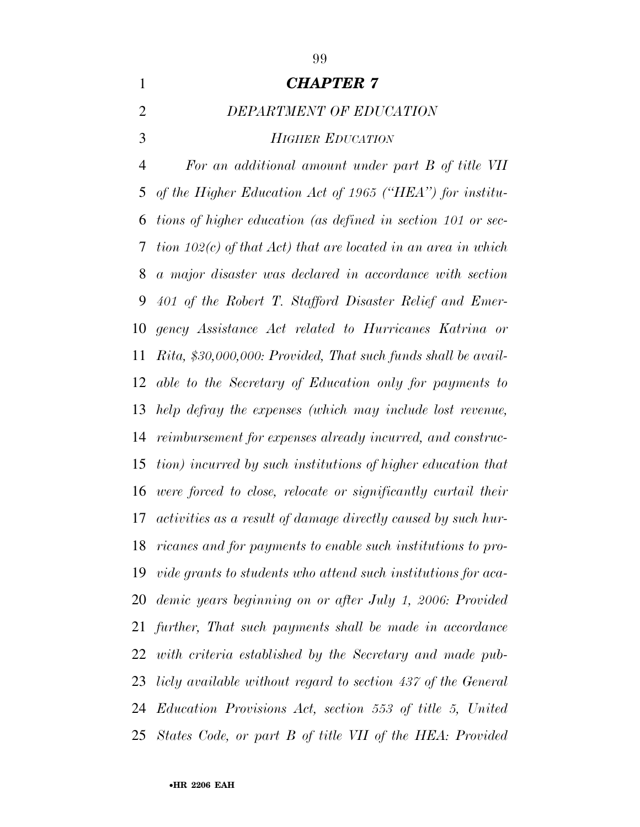# *CHAPTER 7 DEPARTMENT OF EDUCATION HIGHER EDUCATION*

 *For an additional amount under part B of title VII of the Higher Education Act of 1965 (''HEA'') for institu- tions of higher education (as defined in section 101 or sec- tion 102(c) of that Act) that are located in an area in which a major disaster was declared in accordance with section 401 of the Robert T. Stafford Disaster Relief and Emer- gency Assistance Act related to Hurricanes Katrina or Rita, \$30,000,000: Provided, That such funds shall be avail- able to the Secretary of Education only for payments to help defray the expenses (which may include lost revenue, reimbursement for expenses already incurred, and construc- tion) incurred by such institutions of higher education that were forced to close, relocate or significantly curtail their activities as a result of damage directly caused by such hur- ricanes and for payments to enable such institutions to pro- vide grants to students who attend such institutions for aca- demic years beginning on or after July 1, 2006: Provided further, That such payments shall be made in accordance with criteria established by the Secretary and made pub- licly available without regard to section 437 of the General Education Provisions Act, section 553 of title 5, United States Code, or part B of title VII of the HEA: Provided*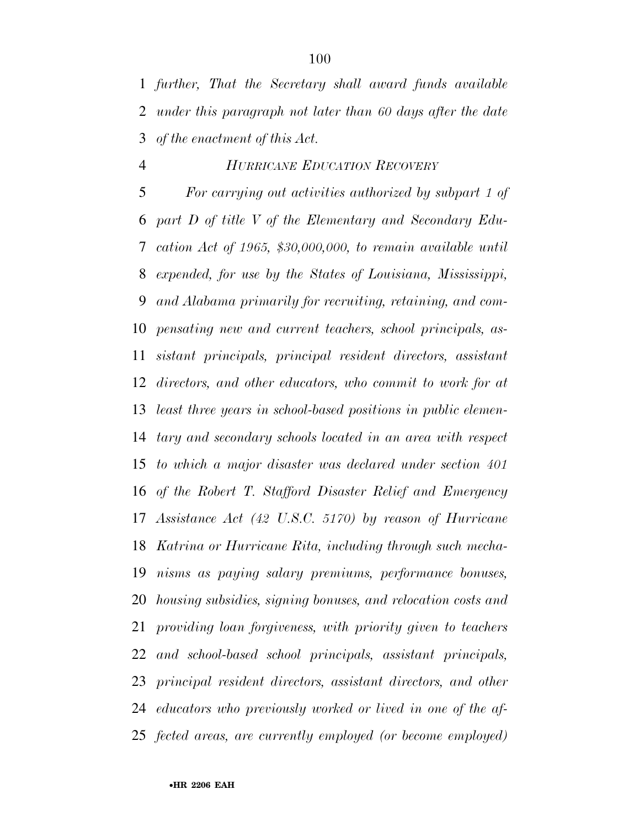*further, That the Secretary shall award funds available under this paragraph not later than 60 days after the date of the enactment of this Act.* 

### *HURRICANE EDUCATION RECOVERY*

 *For carrying out activities authorized by subpart 1 of part D of title V of the Elementary and Secondary Edu- cation Act of 1965, \$30,000,000, to remain available until expended, for use by the States of Louisiana, Mississippi, and Alabama primarily for recruiting, retaining, and com- pensating new and current teachers, school principals, as- sistant principals, principal resident directors, assistant directors, and other educators, who commit to work for at least three years in school-based positions in public elemen- tary and secondary schools located in an area with respect to which a major disaster was declared under section 401 of the Robert T. Stafford Disaster Relief and Emergency Assistance Act (42 U.S.C. 5170) by reason of Hurricane Katrina or Hurricane Rita, including through such mecha- nisms as paying salary premiums, performance bonuses, housing subsidies, signing bonuses, and relocation costs and providing loan forgiveness, with priority given to teachers and school-based school principals, assistant principals, principal resident directors, assistant directors, and other educators who previously worked or lived in one of the af-fected areas, are currently employed (or become employed)*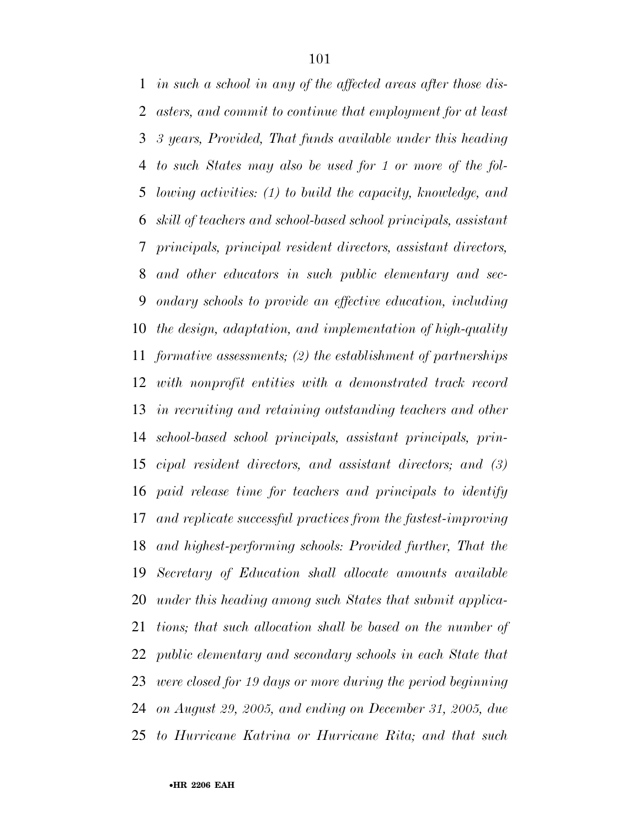*in such a school in any of the affected areas after those dis- asters, and commit to continue that employment for at least 3 years, Provided, That funds available under this heading to such States may also be used for 1 or more of the fol- lowing activities: (1) to build the capacity, knowledge, and skill of teachers and school-based school principals, assistant principals, principal resident directors, assistant directors, and other educators in such public elementary and sec- ondary schools to provide an effective education, including the design, adaptation, and implementation of high-quality formative assessments; (2) the establishment of partnerships with nonprofit entities with a demonstrated track record in recruiting and retaining outstanding teachers and other school-based school principals, assistant principals, prin- cipal resident directors, and assistant directors; and (3) paid release time for teachers and principals to identify and replicate successful practices from the fastest-improving and highest-performing schools: Provided further, That the Secretary of Education shall allocate amounts available under this heading among such States that submit applica- tions; that such allocation shall be based on the number of public elementary and secondary schools in each State that were closed for 19 days or more during the period beginning on August 29, 2005, and ending on December 31, 2005, due to Hurricane Katrina or Hurricane Rita; and that such*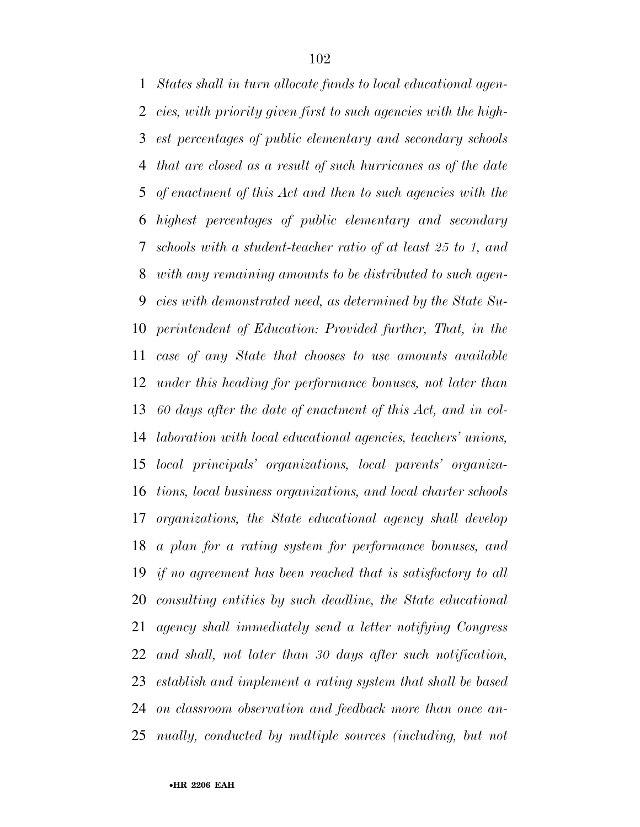*States shall in turn allocate funds to local educational agen- cies, with priority given first to such agencies with the high- est percentages of public elementary and secondary schools that are closed as a result of such hurricanes as of the date of enactment of this Act and then to such agencies with the highest percentages of public elementary and secondary schools with a student-teacher ratio of at least 25 to 1, and with any remaining amounts to be distributed to such agen- cies with demonstrated need, as determined by the State Su- perintendent of Education: Provided further, That, in the case of any State that chooses to use amounts available under this heading for performance bonuses, not later than 60 days after the date of enactment of this Act, and in col- laboration with local educational agencies, teachers' unions, local principals' organizations, local parents' organiza- tions, local business organizations, and local charter schools organizations, the State educational agency shall develop a plan for a rating system for performance bonuses, and if no agreement has been reached that is satisfactory to all consulting entities by such deadline, the State educational agency shall immediately send a letter notifying Congress and shall, not later than 30 days after such notification, establish and implement a rating system that shall be based on classroom observation and feedback more than once an-nually, conducted by multiple sources (including, but not*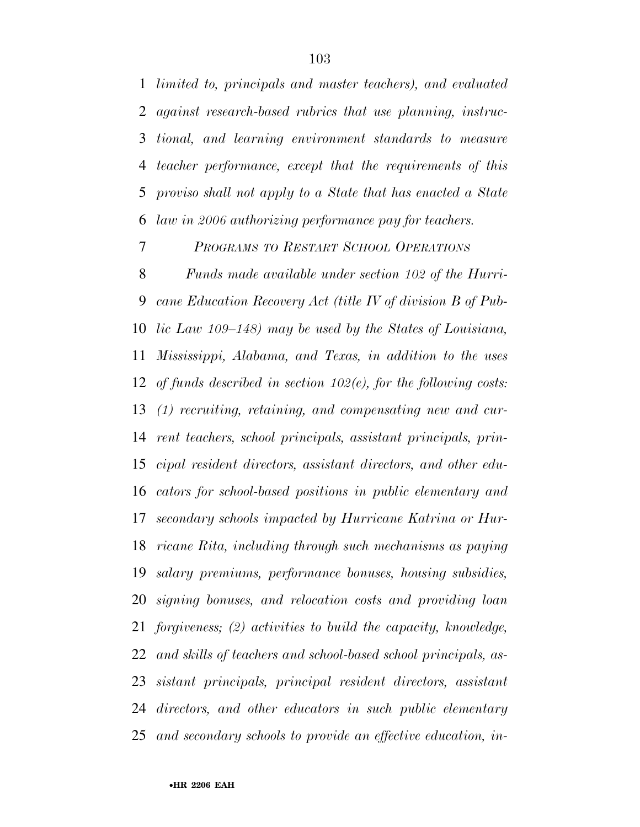*limited to, principals and master teachers), and evaluated against research-based rubrics that use planning, instruc- tional, and learning environment standards to measure teacher performance, except that the requirements of this proviso shall not apply to a State that has enacted a State law in 2006 authorizing performance pay for teachers.* 

*PROGRAMS TO RESTART SCHOOL OPERATIONS*

 *Funds made available under section 102 of the Hurri- cane Education Recovery Act (title IV of division B of Pub- lic Law 109–148) may be used by the States of Louisiana, Mississippi, Alabama, and Texas, in addition to the uses of funds described in section 102(e), for the following costs: (1) recruiting, retaining, and compensating new and cur- rent teachers, school principals, assistant principals, prin- cipal resident directors, assistant directors, and other edu- cators for school-based positions in public elementary and secondary schools impacted by Hurricane Katrina or Hur- ricane Rita, including through such mechanisms as paying salary premiums, performance bonuses, housing subsidies, signing bonuses, and relocation costs and providing loan forgiveness; (2) activities to build the capacity, knowledge, and skills of teachers and school-based school principals, as- sistant principals, principal resident directors, assistant directors, and other educators in such public elementary and secondary schools to provide an effective education, in-*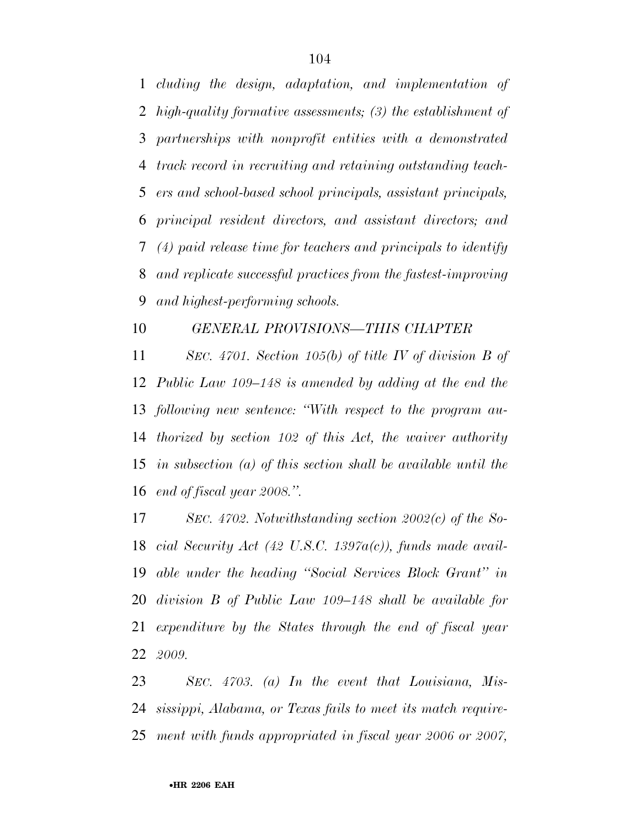*cluding the design, adaptation, and implementation of high-quality formative assessments; (3) the establishment of partnerships with nonprofit entities with a demonstrated track record in recruiting and retaining outstanding teach- ers and school-based school principals, assistant principals, principal resident directors, and assistant directors; and (4) paid release time for teachers and principals to identify and replicate successful practices from the fastest-improving and highest-performing schools.* 

### *GENERAL PROVISIONS—THIS CHAPTER*

 *SEC. 4701. Section 105(b) of title IV of division B of Public Law 109–148 is amended by adding at the end the following new sentence: ''With respect to the program au- thorized by section 102 of this Act, the waiver authority in subsection (a) of this section shall be available until the end of fiscal year 2008.''.* 

 *SEC. 4702. Notwithstanding section 2002(c) of the So- cial Security Act (42 U.S.C. 1397a(c)), funds made avail- able under the heading ''Social Services Block Grant'' in division B of Public Law 109–148 shall be available for expenditure by the States through the end of fiscal year 2009.* 

 *SEC. 4703. (a) In the event that Louisiana, Mis- sissippi, Alabama, or Texas fails to meet its match require-ment with funds appropriated in fiscal year 2006 or 2007,*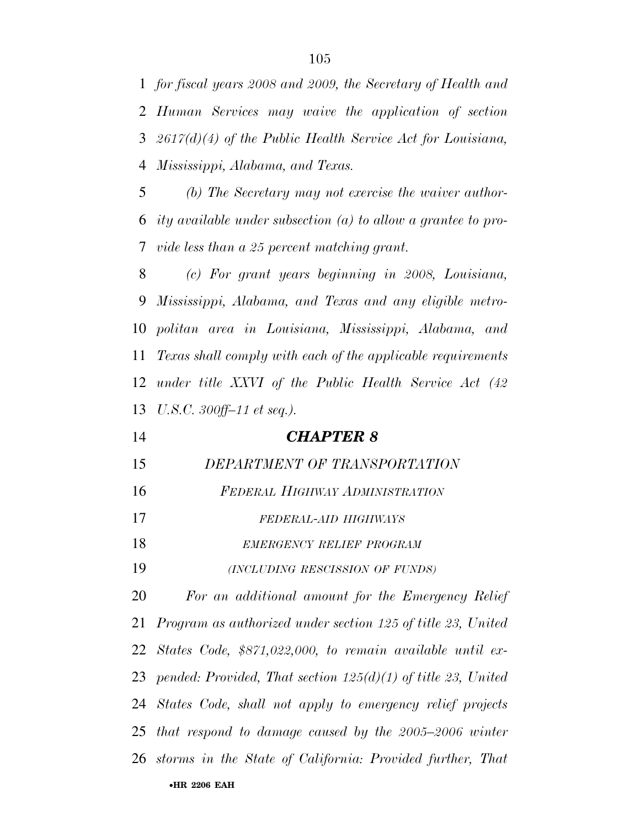*for fiscal years 2008 and 2009, the Secretary of Health and Human Services may waive the application of section 2617(d)(4) of the Public Health Service Act for Louisiana, Mississippi, Alabama, and Texas.* 

 *(b) The Secretary may not exercise the waiver author- ity available under subsection (a) to allow a grantee to pro-vide less than a 25 percent matching grant.* 

 *(c) For grant years beginning in 2008, Louisiana, Mississippi, Alabama, and Texas and any eligible metro- politan area in Louisiana, Mississippi, Alabama, and Texas shall comply with each of the applicable requirements under title XXVI of the Public Health Service Act (42 U.S.C. 300ff–11 et seq.).* 

| 14 | <b>CHAPTER 8</b> |
|----|------------------|
|    |                  |

- *DEPARTMENT OF TRANSPORTATION*
- *FEDERAL HIGHWAY ADMINISTRATION*
- *FEDERAL-AID HIGHWAYS*
- *EMERGENCY RELIEF PROGRAM*
- *(INCLUDING RESCISSION OF FUNDS)*

•**HR 2206 EAH**  *For an additional amount for the Emergency Relief Program as authorized under section 125 of title 23, United States Code, \$871,022,000, to remain available until ex- pended: Provided, That section 125(d)(1) of title 23, United States Code, shall not apply to emergency relief projects that respond to damage caused by the 2005–2006 winter storms in the State of California: Provided further, That*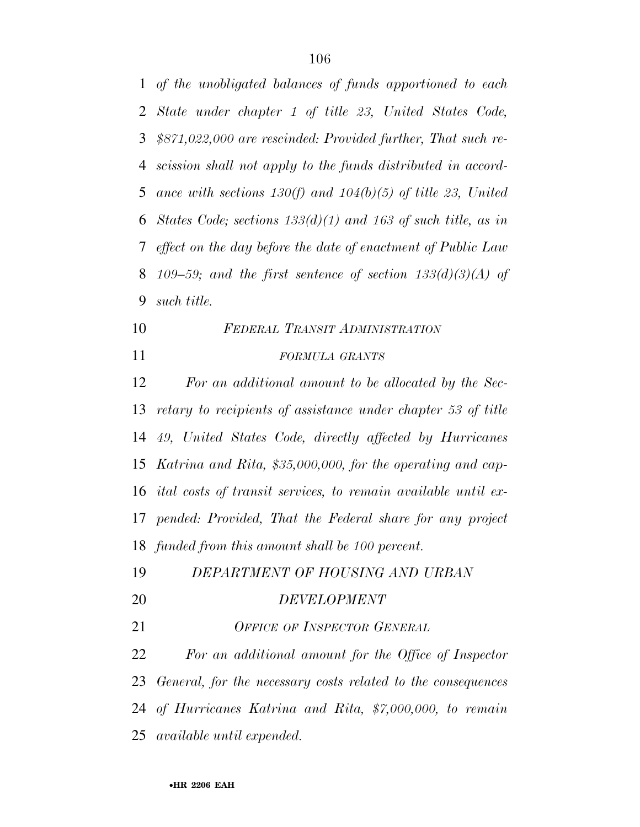*of the unobligated balances of funds apportioned to each State under chapter 1 of title 23, United States Code, \$871,022,000 are rescinded: Provided further, That such re- scission shall not apply to the funds distributed in accord- ance with sections 130(f) and 104(b)(5) of title 23, United States Code; sections 133(d)(1) and 163 of such title, as in effect on the day before the date of enactment of Public Law 109–59; and the first sentence of section 133(d)(3)(A) of such title.* 

 *FEDERAL TRANSIT ADMINISTRATION FORMULA GRANTS*

 *For an additional amount to be allocated by the Sec- retary to recipients of assistance under chapter 53 of title 49, United States Code, directly affected by Hurricanes Katrina and Rita, \$35,000,000, for the operating and cap- ital costs of transit services, to remain available until ex- pended: Provided, That the Federal share for any project funded from this amount shall be 100 percent.* 

*DEPARTMENT OF HOUSING AND URBAN* 

### *DEVELOPMENT*

*OFFICE OF INSPECTOR GENERAL*

 *For an additional amount for the Office of Inspector General, for the necessary costs related to the consequences of Hurricanes Katrina and Rita, \$7,000,000, to remain available until expended.*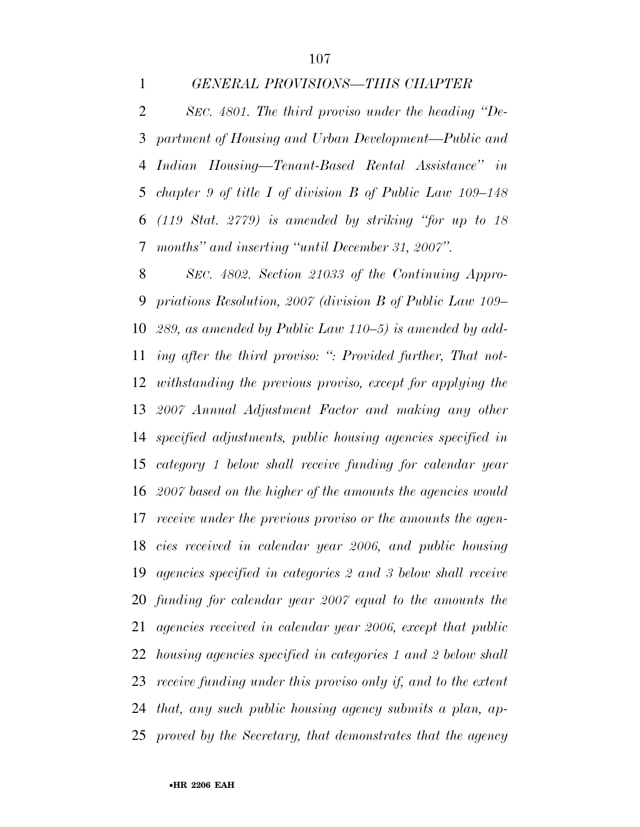### *GENERAL PROVISIONS—THIS CHAPTER*

 *SEC. 4801. The third proviso under the heading ''De- partment of Housing and Urban Development—Public and Indian Housing—Tenant-Based Rental Assistance'' in chapter 9 of title I of division B of Public Law 109–148 (119 Stat. 2779) is amended by striking ''for up to 18 months'' and inserting ''until December 31, 2007''.* 

 *SEC. 4802. Section 21033 of the Continuing Appro- priations Resolution, 2007 (division B of Public Law 109– 289, as amended by Public Law 110–5) is amended by add- ing after the third proviso: '': Provided further, That not- withstanding the previous proviso, except for applying the 2007 Annual Adjustment Factor and making any other specified adjustments, public housing agencies specified in category 1 below shall receive funding for calendar year 2007 based on the higher of the amounts the agencies would receive under the previous proviso or the amounts the agen- cies received in calendar year 2006, and public housing agencies specified in categories 2 and 3 below shall receive funding for calendar year 2007 equal to the amounts the agencies received in calendar year 2006, except that public housing agencies specified in categories 1 and 2 below shall receive funding under this proviso only if, and to the extent that, any such public housing agency submits a plan, ap-proved by the Secretary, that demonstrates that the agency*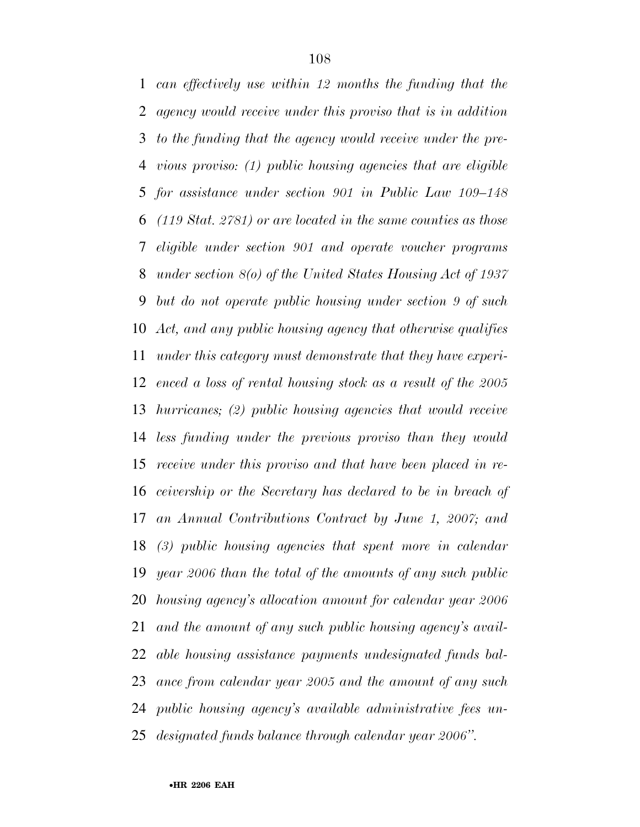*can effectively use within 12 months the funding that the agency would receive under this proviso that is in addition to the funding that the agency would receive under the pre- vious proviso: (1) public housing agencies that are eligible for assistance under section 901 in Public Law 109–148 (119 Stat. 2781) or are located in the same counties as those eligible under section 901 and operate voucher programs under section 8(o) of the United States Housing Act of 1937 but do not operate public housing under section 9 of such Act, and any public housing agency that otherwise qualifies under this category must demonstrate that they have experi- enced a loss of rental housing stock as a result of the 2005 hurricanes; (2) public housing agencies that would receive less funding under the previous proviso than they would receive under this proviso and that have been placed in re- ceivership or the Secretary has declared to be in breach of an Annual Contributions Contract by June 1, 2007; and (3) public housing agencies that spent more in calendar year 2006 than the total of the amounts of any such public housing agency's allocation amount for calendar year 2006 and the amount of any such public housing agency's avail- able housing assistance payments undesignated funds bal- ance from calendar year 2005 and the amount of any such public housing agency's available administrative fees un-designated funds balance through calendar year 2006''.*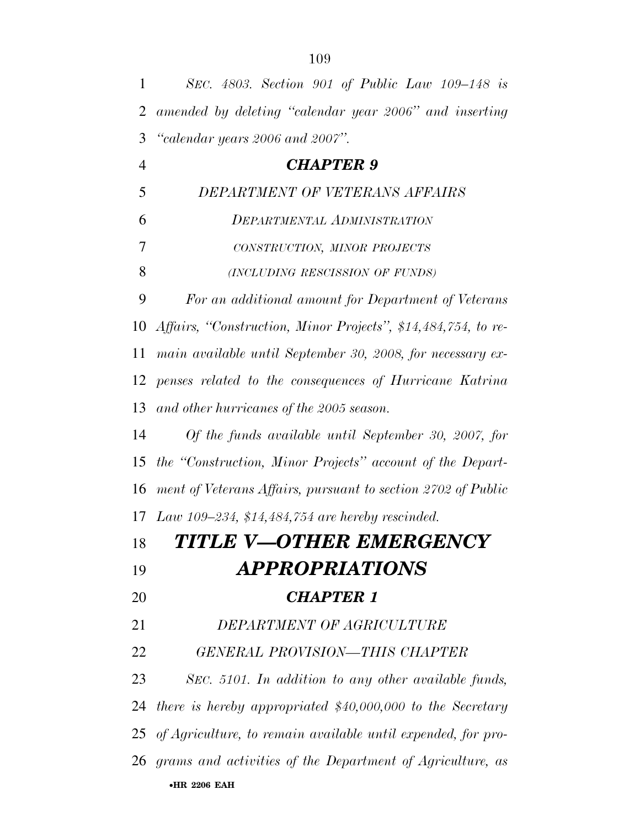| $\mathbf{1}$   | SEC. 4803. Section 901 of Public Law 109–148 is                 |
|----------------|-----------------------------------------------------------------|
| $\overline{2}$ | amended by deleting "calendar year 2006" and inserting          |
| 3              | "calendar years 2006 and 2007".                                 |
| $\overline{4}$ | <b>CHAPTER 9</b>                                                |
| 5              | DEPARTMENT OF VETERANS AFFAIRS                                  |
| 6              | DEPARTMENTAL ADMINISTRATION                                     |
| 7              | CONSTRUCTION, MINOR PROJECTS                                    |
| 8              | (INCLUDING RESCISSION OF FUNDS)                                 |
| 9              | For an additional amount for Department of Veterans             |
| 10             | Affairs, "Construction, Minor Projects", \$14,484,754, to re-   |
| 11             | main available until September 30, 2008, for necessary ex-      |
| 12             | penses related to the consequences of Hurricane Katrina         |
| 13             | and other hurricanes of the 2005 season.                        |
| 14             | Of the funds available until September 30, 2007, for            |
| 15             | the "Construction, Minor Projects" account of the Depart-       |
| 16             | ment of Veterans Affairs, pursuant to section 2702 of Public    |
|                | 17 Law 109-234, \$14,484,754 are hereby rescinded.              |
| 18             | TITLE V-OTHER EMERGENCY                                         |
| 19             | <i><b>APPROPRIATIONS</b></i>                                    |
| 20             | <b>CHAPTER 1</b>                                                |
| 21             | DEPARTMENT OF AGRICULTURE                                       |
| 22             | <b>GENERAL PROVISION-THIS CHAPTER</b>                           |
| 23             | SEC. 5101. In addition to any other available funds,            |
| 24             | there is hereby appropriated $$40,000,000$ to the Secretary     |
|                | 25 of Agriculture, to remain available until expended, for pro- |
|                | 26 grams and activities of the Department of Agriculture, as    |
|                | <b>•HR 2206 EAH</b>                                             |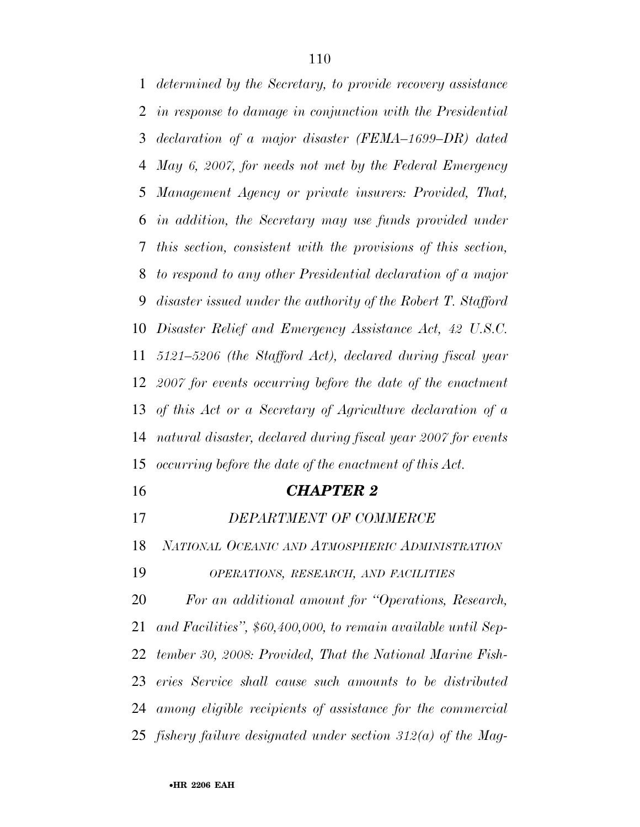*determined by the Secretary, to provide recovery assistance in response to damage in conjunction with the Presidential declaration of a major disaster (FEMA–1699–DR) dated May 6, 2007, for needs not met by the Federal Emergency Management Agency or private insurers: Provided, That, in addition, the Secretary may use funds provided under this section, consistent with the provisions of this section, to respond to any other Presidential declaration of a major disaster issued under the authority of the Robert T. Stafford Disaster Relief and Emergency Assistance Act, 42 U.S.C. 5121–5206 (the Stafford Act), declared during fiscal year 2007 for events occurring before the date of the enactment of this Act or a Secretary of Agriculture declaration of a natural disaster, declared during fiscal year 2007 for events occurring before the date of the enactment of this Act.* 

## *CHAPTER 2*

*DEPARTMENT OF COMMERCE* 

*NATIONAL OCEANIC AND ATMOSPHERIC ADMINISTRATION*

*OPERATIONS, RESEARCH, AND FACILITIES*

 *For an additional amount for ''Operations, Research, and Facilities'', \$60,400,000, to remain available until Sep- tember 30, 2008: Provided, That the National Marine Fish- eries Service shall cause such amounts to be distributed among eligible recipients of assistance for the commercial fishery failure designated under section 312(a) of the Mag-*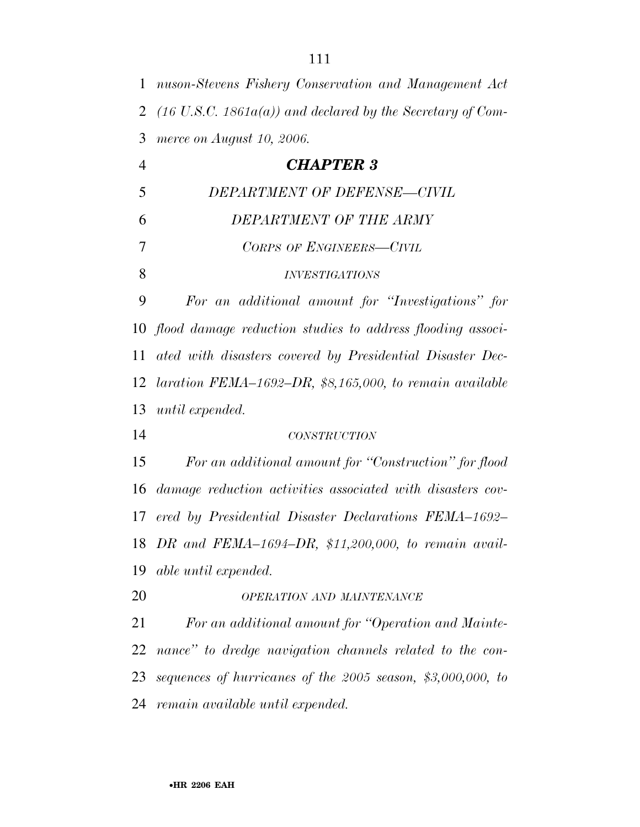| $\mathbf{1}$   | nuson-Stevens Fishery Conservation and Management Act                 |
|----------------|-----------------------------------------------------------------------|
| $\overline{2}$ | $(16 \text{ U.S.C. } 1861a(a))$ and declared by the Secretary of Com- |
| 3              | merce on August 10, 2006.                                             |
| $\overline{4}$ | <b>CHAPTER 3</b>                                                      |
| 5              | DEPARTMENT OF DEFENSE-CIVIL                                           |
| 6              | DEPARTMENT OF THE ARMY                                                |
| 7              | CORPS OF ENGINEERS-CIVIL                                              |
| 8              | <i><b>INVESTIGATIONS</b></i>                                          |
| 9              | For an additional amount for "Investigations" for                     |
| 10             | flood damage reduction studies to address flooding associ-            |
| 11             | ated with disasters covered by Presidential Disaster Dec-             |
| 12             | laration FEMA $-1692-DR$ , \$8,165,000, to remain available           |
| 13             | until expended.                                                       |
| 14             | <b>CONSTRUCTION</b>                                                   |
| 15             | For an additional amount for "Construction" for flood                 |
| 16             | damage reduction activities associated with disasters cov-            |
| 17             | ered by Presidential Disaster Declarations FEMA-1692-                 |
|                | 18 DR and FEMA-1694-DR, $$11,200,000$ , to remain avail-              |
| 19             | able until expended.                                                  |
| 20             | OPERATION AND MAINTENANCE                                             |
| 21             | For an additional amount for "Operation and Mainte-                   |
| 22             | nance" to dredge navigation channels related to the con-              |
| 23             | sequences of hurricanes of the $2005$ season, \$3,000,000, to         |
| 24             | remain available until expended.                                      |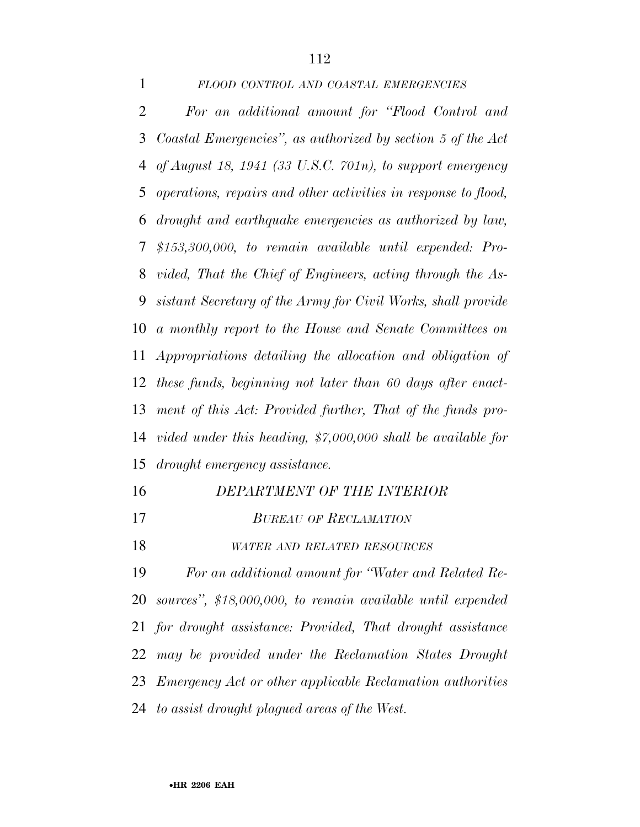## *FLOOD CONTROL AND COASTAL EMERGENCIES*

 *For an additional amount for ''Flood Control and Coastal Emergencies'', as authorized by section 5 of the Act of August 18, 1941 (33 U.S.C. 701n), to support emergency operations, repairs and other activities in response to flood, drought and earthquake emergencies as authorized by law, \$153,300,000, to remain available until expended: Pro- vided, That the Chief of Engineers, acting through the As- sistant Secretary of the Army for Civil Works, shall provide a monthly report to the House and Senate Committees on Appropriations detailing the allocation and obligation of these funds, beginning not later than 60 days after enact- ment of this Act: Provided further, That of the funds pro- vided under this heading, \$7,000,000 shall be available for drought emergency assistance.* 

 *DEPARTMENT OF THE INTERIOR BUREAU OF RECLAMATION WATER AND RELATED RESOURCES*

 *For an additional amount for ''Water and Related Re- sources'', \$18,000,000, to remain available until expended for drought assistance: Provided, That drought assistance may be provided under the Reclamation States Drought Emergency Act or other applicable Reclamation authorities to assist drought plagued areas of the West.*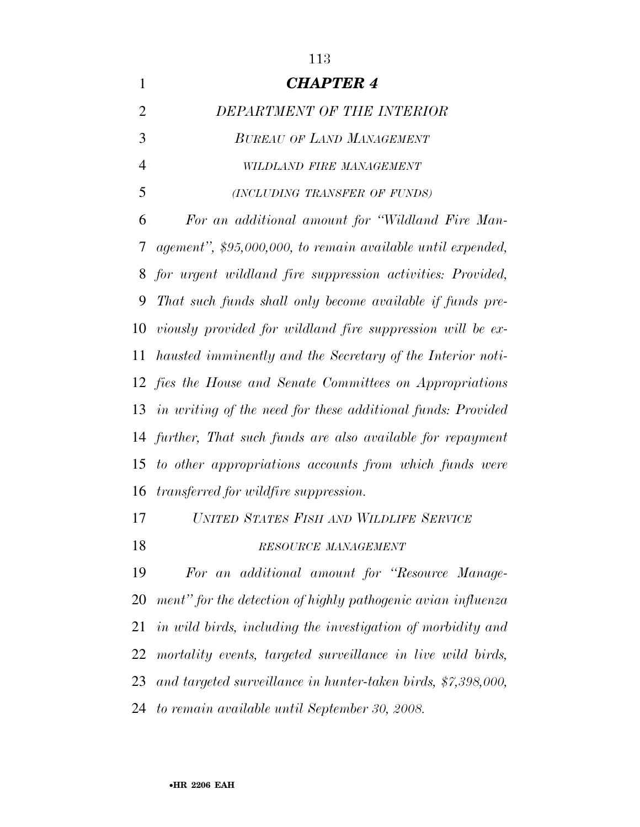*CHAPTER 4 DEPARTMENT OF THE INTERIOR BUREAU OF LAND MANAGEMENT WILDLAND FIRE MANAGEMENT (INCLUDING TRANSFER OF FUNDS) For an additional amount for ''Wildland Fire Man- agement'', \$95,000,000, to remain available until expended, for urgent wildland fire suppression activities: Provided, That such funds shall only become available if funds pre- viously provided for wildland fire suppression will be ex- hausted imminently and the Secretary of the Interior noti- fies the House and Senate Committees on Appropriations in writing of the need for these additional funds: Provided further, That such funds are also available for repayment to other appropriations accounts from which funds were transferred for wildfire suppression. UNITED STATES FISH AND WILDLIFE SERVICE*

# *RESOURCE MANAGEMENT*

 *For an additional amount for ''Resource Manage- ment'' for the detection of highly pathogenic avian influenza in wild birds, including the investigation of morbidity and mortality events, targeted surveillance in live wild birds, and targeted surveillance in hunter-taken birds, \$7,398,000, to remain available until September 30, 2008.*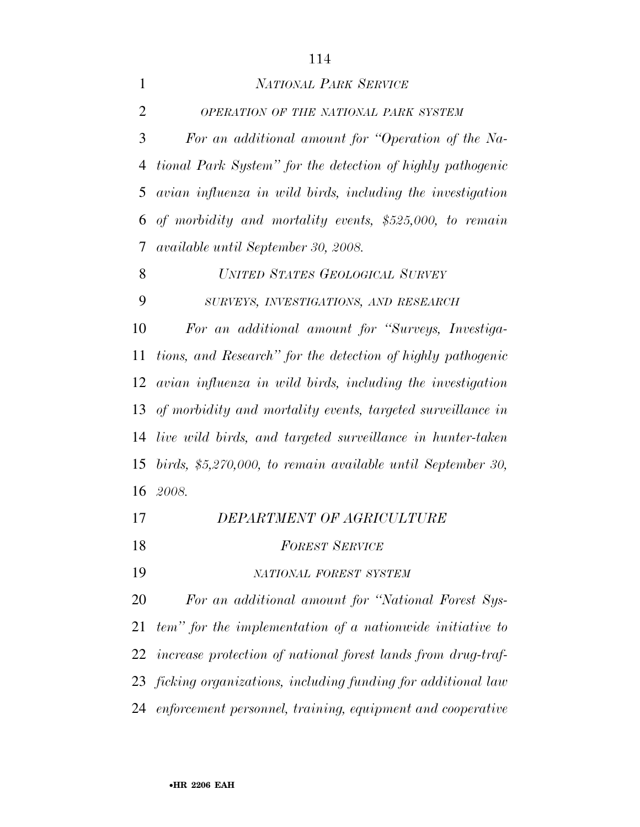| $\mathbf{1}$   | <b>NATIONAL PARK SERVICE</b>                                 |
|----------------|--------------------------------------------------------------|
| $\overline{2}$ | OPERATION OF THE NATIONAL PARK SYSTEM                        |
| 3              | For an additional amount for "Operation of the Na-           |
| $\overline{4}$ | tional Park System" for the detection of highly pathogenic   |
| 5              | avian influenza in wild birds, including the investigation   |
| 6              | of morbidity and mortality events, \$525,000, to remain      |
| 7              | available until September 30, 2008.                          |
| 8              | UNITED STATES GEOLOGICAL SURVEY                              |
| 9              | SURVEYS, INVESTIGATIONS, AND RESEARCH                        |
| 10             | For an additional amount for "Surveys, Investiga-            |
| 11             | tions, and Research" for the detection of highly pathogenic  |
| 12             | avian influenza in wild birds, including the investigation   |
| 13             | of morbidity and mortality events, targeted surveillance in  |
| 14             | live wild birds, and targeted surveillance in hunter-taken   |
| 15             | birds, \$5,270,000, to remain available until September 30,  |
|                | 16 2008.                                                     |
| 17             | DEPARTMENT OF AGRICULTURE                                    |
| 18             | <b>FOREST SERVICE</b>                                        |
| 19             | NATIONAL FOREST SYSTEM                                       |
| 20             | For an additional amount for "National Forest Sys-           |
| 21             | tem" for the implementation of a nationwide initiative to    |
| 22             | increase protection of national forest lands from drug-traf- |
| 23             | ficking organizations, including funding for additional law  |

*enforcement personnel, training, equipment and cooperative*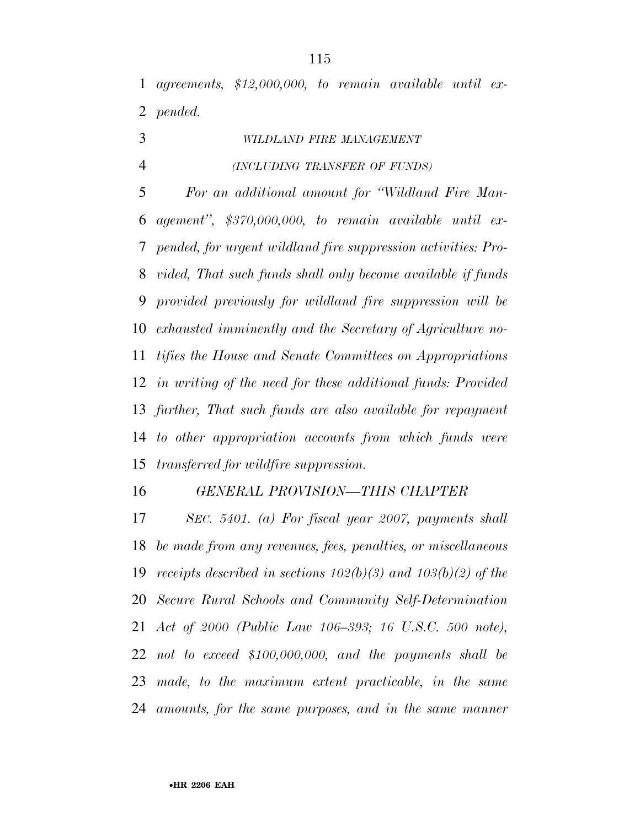*agreements, \$12,000,000, to remain available until ex-pended.* 

- *WILDLAND FIRE MANAGEMENT*
- *(INCLUDING TRANSFER OF FUNDS)*

 *For an additional amount for ''Wildland Fire Man- agement'', \$370,000,000, to remain available until ex- pended, for urgent wildland fire suppression activities: Pro- vided, That such funds shall only become available if funds provided previously for wildland fire suppression will be exhausted imminently and the Secretary of Agriculture no- tifies the House and Senate Committees on Appropriations in writing of the need for these additional funds: Provided further, That such funds are also available for repayment to other appropriation accounts from which funds were transferred for wildfire suppression.* 

#### *GENERAL PROVISION—THIS CHAPTER*

 *SEC. 5401. (a) For fiscal year 2007, payments shall be made from any revenues, fees, penalties, or miscellaneous receipts described in sections 102(b)(3) and 103(b)(2) of the Secure Rural Schools and Community Self-Determination Act of 2000 (Public Law 106–393; 16 U.S.C. 500 note), not to exceed \$100,000,000, and the payments shall be made, to the maximum extent practicable, in the same amounts, for the same purposes, and in the same manner*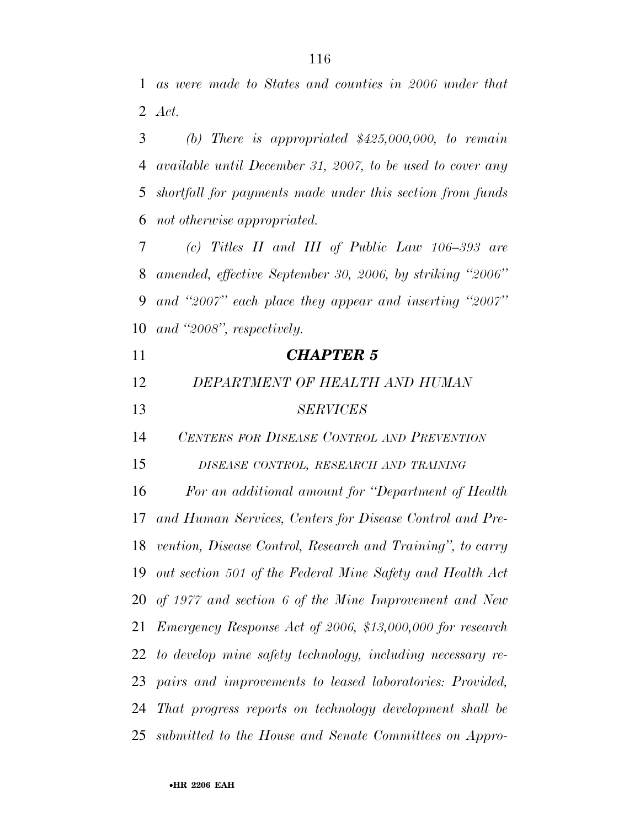*as were made to States and counties in 2006 under that Act.* 

 *(b) There is appropriated \$425,000,000, to remain available until December 31, 2007, to be used to cover any shortfall for payments made under this section from funds not otherwise appropriated.* 

 *(c) Titles II and III of Public Law 106–393 are amended, effective September 30, 2006, by striking ''2006'' and ''2007'' each place they appear and inserting ''2007'' and ''2008'', respectively.* 

| 11 | <b>CHAPTER 5</b>                                              |
|----|---------------------------------------------------------------|
| 12 | DEPARTMENT OF HEALTH AND HUMAN                                |
| 13 | <b>SERVICES</b>                                               |
| 14 | CENTERS FOR DISEASE CONTROL AND PREVENTION                    |
| 15 | DISEASE CONTROL, RESEARCH AND TRAINING                        |
| 16 | For an additional amount for "Department of Health"           |
| 17 | and Human Services, Centers for Disease Control and Pre-      |
| 18 | vention, Disease Control, Research and Training", to carry    |
| 19 | out section 501 of the Federal Mine Safety and Health Act     |
|    | 20 of 1977 and section 6 of the Mine Improvement and New      |
|    | 21 Emergency Response Act of 2006, \$13,000,000 for research  |
|    | 22 to develop mine safety technology, including necessary re- |
| 23 | pairs and improvements to leased laboratories: Provided,      |
|    | 24 That progress reports on technology development shall be   |
|    | 25 submitted to the House and Senate Committees on Appro-     |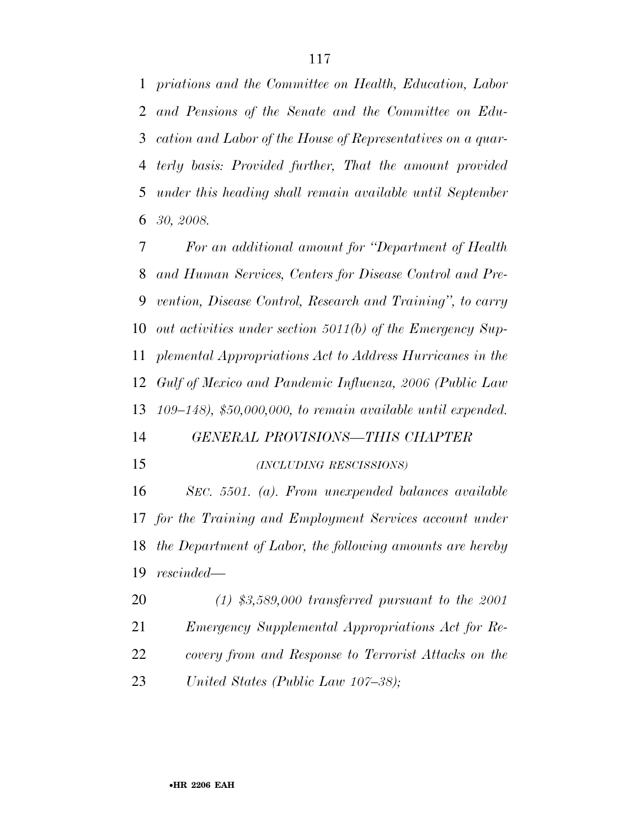*priations and the Committee on Health, Education, Labor and Pensions of the Senate and the Committee on Edu- cation and Labor of the House of Representatives on a quar- terly basis: Provided further, That the amount provided under this heading shall remain available until September 30, 2008.* 

 *For an additional amount for ''Department of Health and Human Services, Centers for Disease Control and Pre- vention, Disease Control, Research and Training'', to carry out activities under section 5011(b) of the Emergency Sup- plemental Appropriations Act to Address Hurricanes in the Gulf of Mexico and Pandemic Influenza, 2006 (Public Law 109–148), \$50,000,000, to remain available until expended.* 

# *GENERAL PROVISIONS—THIS CHAPTER*

#### *(INCLUDING RESCISSIONS)*

 *SEC. 5501. (a). From unexpended balances available for the Training and Employment Services account under the Department of Labor, the following amounts are hereby rescinded—*

 *(1) \$3,589,000 transferred pursuant to the 2001 Emergency Supplemental Appropriations Act for Re- covery from and Response to Terrorist Attacks on the United States (Public Law 107–38);*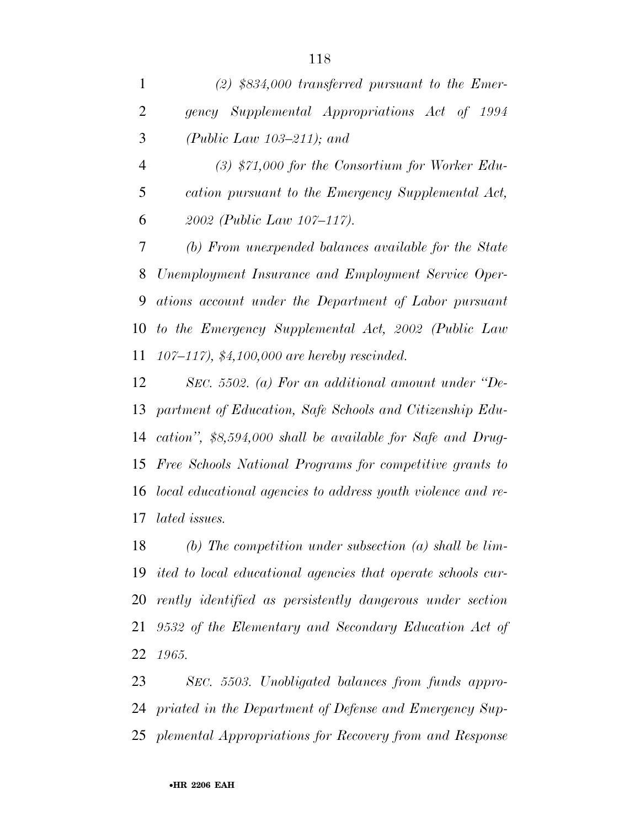|   | $(2)$ \$834,000 transferred pursuant to the Emer- |
|---|---------------------------------------------------|
|   | gency Supplemental Appropriations Act of 1994     |
| 3 | (Public Law $103-211$ ); and                      |

 *(3) \$71,000 for the Consortium for Worker Edu- cation pursuant to the Emergency Supplemental Act, 2002 (Public Law 107–117).* 

 *(b) From unexpended balances available for the State Unemployment Insurance and Employment Service Oper- ations account under the Department of Labor pursuant to the Emergency Supplemental Act, 2002 (Public Law 107–117), \$4,100,000 are hereby rescinded.* 

 *SEC. 5502. (a) For an additional amount under ''De- partment of Education, Safe Schools and Citizenship Edu- cation'', \$8,594,000 shall be available for Safe and Drug- Free Schools National Programs for competitive grants to local educational agencies to address youth violence and re-lated issues.* 

 *(b) The competition under subsection (a) shall be lim- ited to local educational agencies that operate schools cur- rently identified as persistently dangerous under section 9532 of the Elementary and Secondary Education Act of 1965.* 

 *SEC. 5503. Unobligated balances from funds appro- priated in the Department of Defense and Emergency Sup-plemental Appropriations for Recovery from and Response*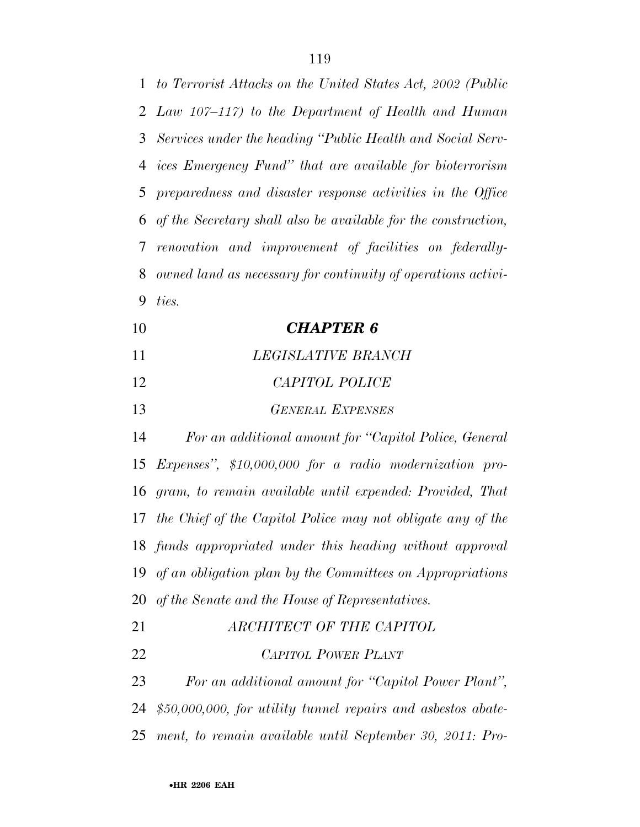*to Terrorist Attacks on the United States Act, 2002 (Public Law 107–117) to the Department of Health and Human Services under the heading ''Public Health and Social Serv- ices Emergency Fund'' that are available for bioterrorism preparedness and disaster response activities in the Office of the Secretary shall also be available for the construction, renovation and improvement of facilities on federally- owned land as necessary for continuity of operations activi- ties. CHAPTER 6 LEGISLATIVE BRANCH CAPITOL POLICE GENERAL EXPENSES For an additional amount for ''Capitol Police, General Expenses'', \$10,000,000 for a radio modernization pro- gram, to remain available until expended: Provided, That the Chief of the Capitol Police may not obligate any of the funds appropriated under this heading without approval of an obligation plan by the Committees on Appropriations* 

- *of the Senate and the House of Representatives.*
- *ARCHITECT OF THE CAPITOL CAPITOL POWER PLANT For an additional amount for ''Capitol Power Plant'', \$50,000,000, for utility tunnel repairs and asbestos abate-*
- *ment, to remain available until September 30, 2011: Pro-*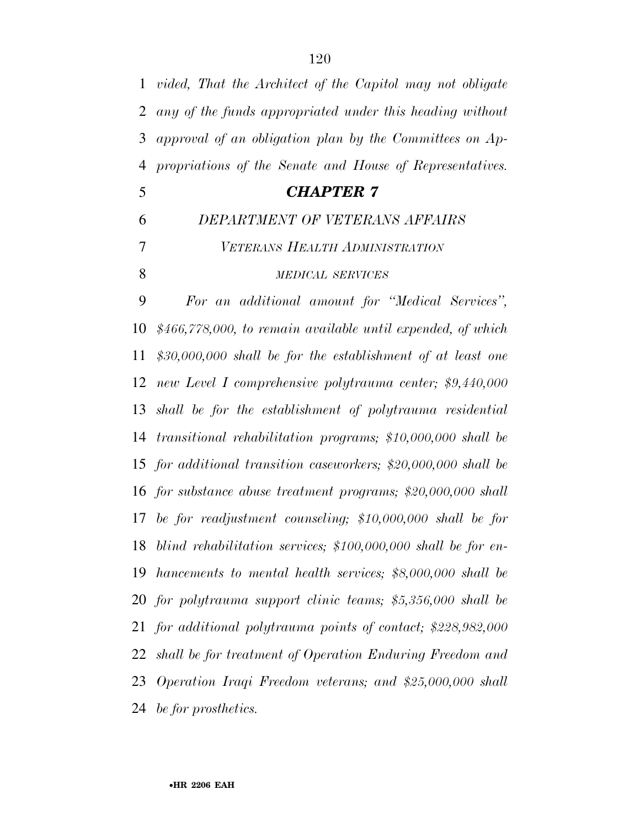| $\mathbf{1}$   | vided, That the Architect of the Capitol may not obligate      |
|----------------|----------------------------------------------------------------|
| $\overline{2}$ | any of the funds appropriated under this heading without       |
| 3              | approval of an obligation plan by the Committees on Ap-        |
| $\overline{4}$ | propriations of the Senate and House of Representatives.       |
| 5              | <b>CHAPTER 7</b>                                               |
| 6              | DEPARTMENT OF VETERANS AFFAIRS                                 |
| $\overline{7}$ | VETERANS HEALTH ADMINISTRATION                                 |
| 8              | <b>MEDICAL SERVICES</b>                                        |
| 9              | For an additional amount for "Medical Services",               |
| 10             | \$466,778,000, to remain available until expended, of which    |
| 11             | $$30,000,000$ shall be for the establishment of at least one   |
| 12             | new Level I comprehensive polytrauma center; \$9,440,000       |
| 13             | shall be for the establishment of polytrauma residential       |
| 14             | transitional rehabilitation programs; \$10,000,000 shall be    |
| 15             | for additional transition caseworkers; $$20,000,000$ shall be  |
| 16             | for substance abuse treatment programs; $$20,000,000$ shall    |
| 17             | be for readjustment counseling; $$10,000,000$ shall be for     |
| 18             | blind rehabilitation services; $$100,000,000$ shall be for en- |
| 19             | hancements to mental health services; \$8,000,000 shall be     |
| 20             | for polytrauma support clinic teams; \$5,356,000 shall be      |

 *for additional polytrauma points of contact; \$228,982,000 shall be for treatment of Operation Enduring Freedom and Operation Iraqi Freedom veterans; and \$25,000,000 shall be for prosthetics.*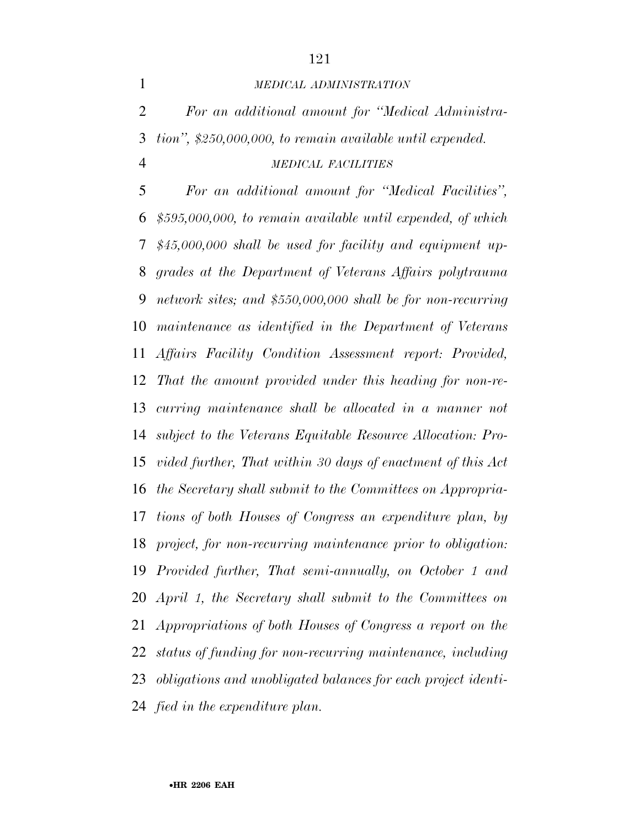#### *MEDICAL ADMINISTRATION*

 *For an additional amount for ''Medical Administra- tion'', \$250,000,000, to remain available until expended. MEDICAL FACILITIES*

 *For an additional amount for ''Medical Facilities'', \$595,000,000, to remain available until expended, of which \$45,000,000 shall be used for facility and equipment up- grades at the Department of Veterans Affairs polytrauma network sites; and \$550,000,000 shall be for non-recurring maintenance as identified in the Department of Veterans Affairs Facility Condition Assessment report: Provided, That the amount provided under this heading for non-re- curring maintenance shall be allocated in a manner not subject to the Veterans Equitable Resource Allocation: Pro- vided further, That within 30 days of enactment of this Act the Secretary shall submit to the Committees on Appropria- tions of both Houses of Congress an expenditure plan, by project, for non-recurring maintenance prior to obligation: Provided further, That semi-annually, on October 1 and April 1, the Secretary shall submit to the Committees on Appropriations of both Houses of Congress a report on the status of funding for non-recurring maintenance, including obligations and unobligated balances for each project identi-fied in the expenditure plan.*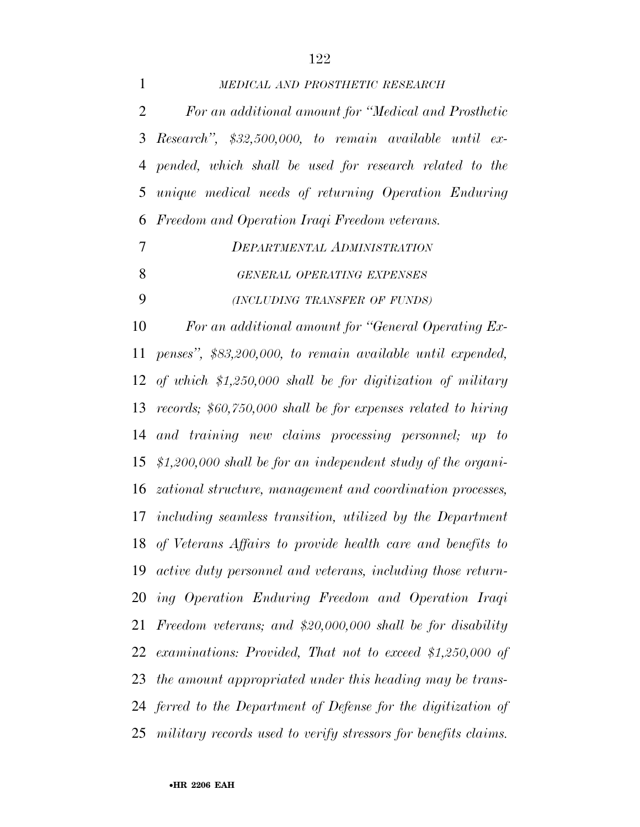| 1              | MEDICAL AND PROSTHETIC RESEARCH                                      |
|----------------|----------------------------------------------------------------------|
| 2              | For an additional amount for "Medical and Prosthetic                 |
| 3              | Research", $$32,500,000$ , to remain available until ex-             |
| 4              | pended, which shall be used for research related to the              |
| 5              | unique medical needs of returning Operation Enduring                 |
| 6              | Freedom and Operation Iraqi Freedom veterans.                        |
| $\overline{7}$ | DEPARTMENTAL ADMINISTRATION                                          |
| 8              | GENERAL OPERATING EXPENSES                                           |
| 9              | (INCLUDING TRANSFER OF FUNDS)                                        |
| 10             | For an additional amount for "General Operating Ex-                  |
| 11             | penses", \$83,200,000, to remain available until expended,           |
|                | 12 of which $$1,250,000$ shall be for digitization of military       |
| 13             | records; $$60,750,000$ shall be for expenses related to hiring       |
| 14             | and training new claims processing personnel; up to                  |
|                | 15 $$1,200,000$ shall be for an independent study of the organi-     |
|                | 16 <i>zational structure, management and coordination processes,</i> |
|                | 17 including seamless transition, utilized by the Department         |
|                | 18 of Veterans Affairs to provide health care and benefits to        |
|                | 19 active duty personnel and veterans, including those return-       |
|                | 20 ing Operation Enduring Freedom and Operation Iraqi                |
| 21             | Freedom veterans; and $$20,000,000$ shall be for disability          |
|                | 22 examinations: Provided, That not to exceed \$1,250,000 of         |
| 23             | the amount appropriated under this heading may be trans-             |
|                | 24 ferred to the Department of Defense for the digitization of       |
|                | 25 military records used to verify stressors for benefits claims.    |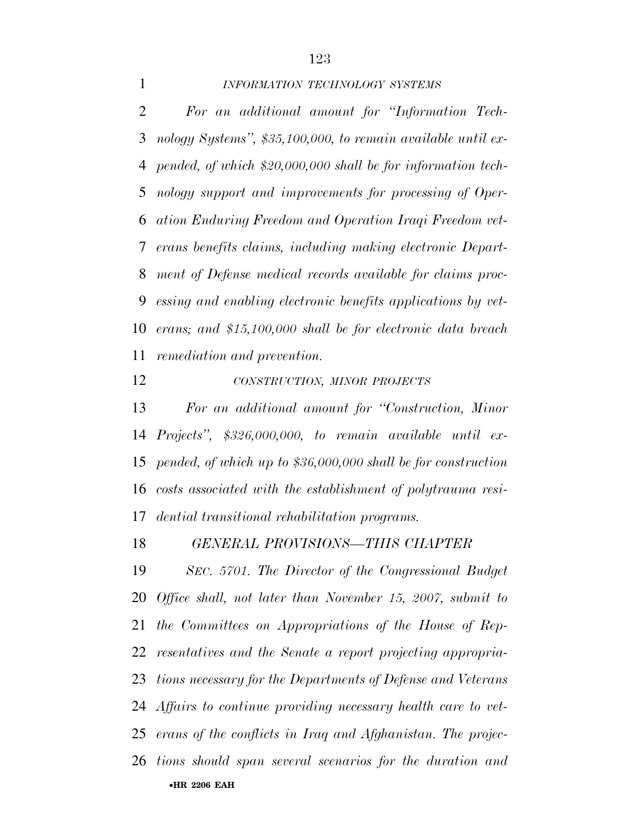## *INFORMATION TECHNOLOGY SYSTEMS*

 *For an additional amount for ''Information Tech- nology Systems'', \$35,100,000, to remain available until ex- pended, of which \$20,000,000 shall be for information tech- nology support and improvements for processing of Oper- ation Enduring Freedom and Operation Iraqi Freedom vet- erans benefits claims, including making electronic Depart- ment of Defense medical records available for claims proc- essing and enabling electronic benefits applications by vet- erans; and \$15,100,000 shall be for electronic data breach remediation and prevention.* 

*CONSTRUCTION, MINOR PROJECTS*

 *For an additional amount for ''Construction, Minor Projects'', \$326,000,000, to remain available until ex- pended, of which up to \$36,000,000 shall be for construction costs associated with the establishment of polytrauma resi-dential transitional rehabilitation programs.* 

*GENERAL PROVISIONS—THIS CHAPTER* 

•**HR 2206 EAH**  *SEC. 5701. The Director of the Congressional Budget Office shall, not later than November 15, 2007, submit to the Committees on Appropriations of the House of Rep- resentatives and the Senate a report projecting appropria- tions necessary for the Departments of Defense and Veterans Affairs to continue providing necessary health care to vet- erans of the conflicts in Iraq and Afghanistan. The projec-tions should span several scenarios for the duration and*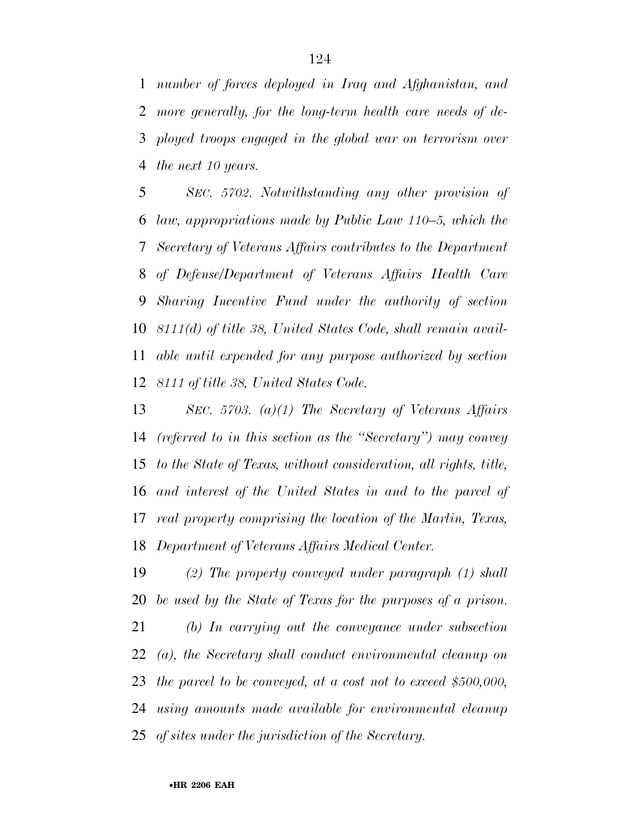*number of forces deployed in Iraq and Afghanistan, and more generally, for the long-term health care needs of de- ployed troops engaged in the global war on terrorism over the next 10 years.* 

 *SEC. 5702. Notwithstanding any other provision of law, appropriations made by Public Law 110–5, which the Secretary of Veterans Affairs contributes to the Department of Defense/Department of Veterans Affairs Health Care Sharing Incentive Fund under the authority of section 8111(d) of title 38, United States Code, shall remain avail- able until expended for any purpose authorized by section 8111 of title 38, United States Code.* 

 *SEC. 5703. (a)(1) The Secretary of Veterans Affairs (referred to in this section as the ''Secretary'') may convey to the State of Texas, without consideration, all rights, title, and interest of the United States in and to the parcel of real property comprising the location of the Marlin, Texas, Department of Veterans Affairs Medical Center.* 

 *(2) The property conveyed under paragraph (1) shall be used by the State of Texas for the purposes of a prison.* 

 *(b) In carrying out the conveyance under subsection (a), the Secretary shall conduct environmental cleanup on the parcel to be conveyed, at a cost not to exceed \$500,000, using amounts made available for environmental cleanup of sites under the jurisdiction of the Secretary.*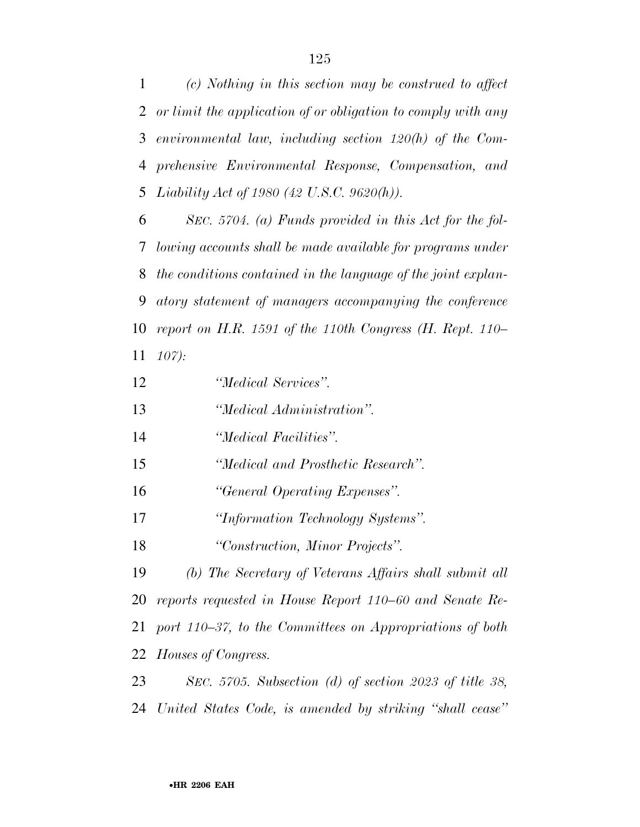*(c) Nothing in this section may be construed to affect or limit the application of or obligation to comply with any environmental law, including section 120(h) of the Com- prehensive Environmental Response, Compensation, and Liability Act of 1980 (42 U.S.C. 9620(h)).* 

 *SEC. 5704. (a) Funds provided in this Act for the fol- lowing accounts shall be made available for programs under the conditions contained in the language of the joint explan- atory statement of managers accompanying the conference report on H.R. 1591 of the 110th Congress (H. Rept. 110– 107):* 

- *''Medical Services''.*
- *''Medical Administration''.*
- *''Medical Facilities''.*
- *''Medical and Prosthetic Research''.*
- *''General Operating Expenses''.*
- *''Information Technology Systems''.*
- *''Construction, Minor Projects''.*

 *(b) The Secretary of Veterans Affairs shall submit all reports requested in House Report 110–60 and Senate Re- port 110–37, to the Committees on Appropriations of both Houses of Congress.* 

 *SEC. 5705. Subsection (d) of section 2023 of title 38, United States Code, is amended by striking ''shall cease''*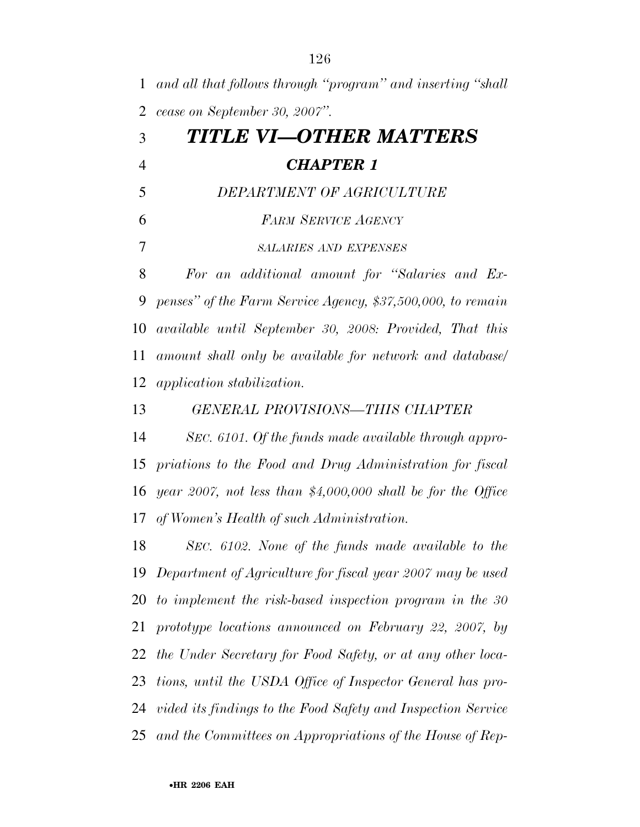*and all that follows through ''program'' and inserting ''shall cease on September 30, 2007''. TITLE VI—OTHER MATTERS CHAPTER 1 DEPARTMENT OF AGRICULTURE FARM SERVICE AGENCY SALARIES AND EXPENSES For an additional amount for ''Salaries and Ex- penses'' of the Farm Service Agency, \$37,500,000, to remain available until September 30, 2008: Provided, That this amount shall only be available for network and database/ application stabilization. GENERAL PROVISIONS—THIS CHAPTER SEC. 6101. Of the funds made available through appro- priations to the Food and Drug Administration for fiscal year 2007, not less than \$4,000,000 shall be for the Office of Women's Health of such Administration. SEC. 6102. None of the funds made available to the Department of Agriculture for fiscal year 2007 may be used to implement the risk-based inspection program in the 30 prototype locations announced on February 22, 2007, by the Under Secretary for Food Safety, or at any other loca- tions, until the USDA Office of Inspector General has pro- vided its findings to the Food Safety and Inspection Service and the Committees on Appropriations of the House of Rep-*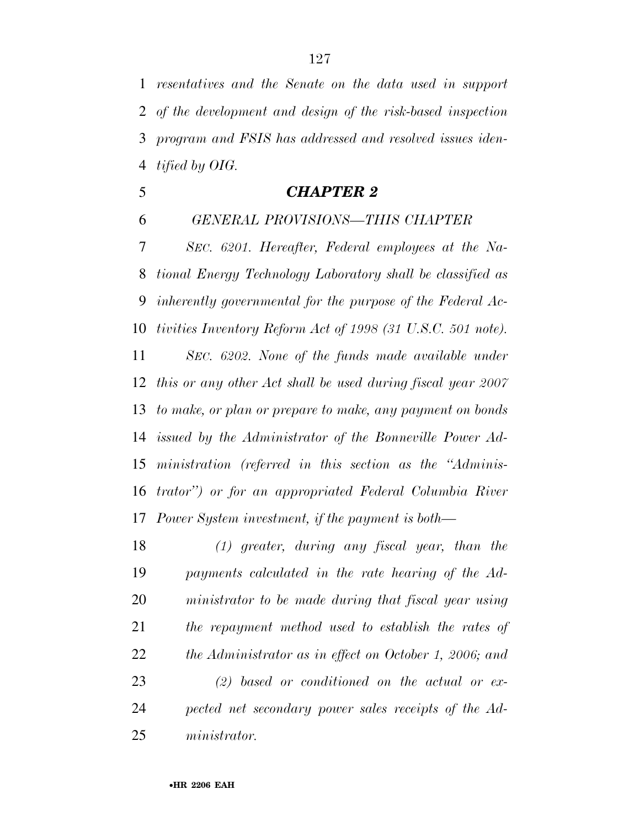*resentatives and the Senate on the data used in support of the development and design of the risk-based inspection program and FSIS has addressed and resolved issues iden-tified by OIG.* 

- *CHAPTER 2*
- *GENERAL PROVISIONS—THIS CHAPTER*

 *SEC. 6201. Hereafter, Federal employees at the Na- tional Energy Technology Laboratory shall be classified as inherently governmental for the purpose of the Federal Ac- tivities Inventory Reform Act of 1998 (31 U.S.C. 501 note). SEC. 6202. None of the funds made available under this or any other Act shall be used during fiscal year 2007 to make, or plan or prepare to make, any payment on bonds issued by the Administrator of the Bonneville Power Ad- ministration (referred in this section as the ''Adminis- trator'') or for an appropriated Federal Columbia River Power System investment, if the payment is both—*

 *(1) greater, during any fiscal year, than the payments calculated in the rate hearing of the Ad- ministrator to be made during that fiscal year using the repayment method used to establish the rates of the Administrator as in effect on October 1, 2006; and (2) based or conditioned on the actual or ex- pected net secondary power sales receipts of the Ad-ministrator.*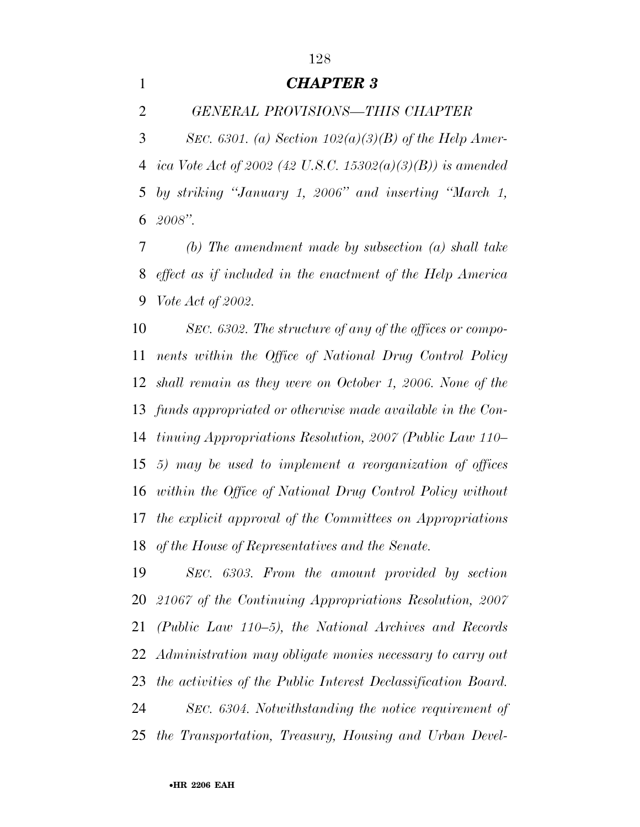## *CHAPTER 3*

*GENERAL PROVISIONS—THIS CHAPTER* 

 *SEC. 6301. (a) Section 102(a)(3)(B) of the Help Amer- ica Vote Act of 2002 (42 U.S.C. 15302(a)(3)(B)) is amended by striking ''January 1, 2006'' and inserting ''March 1, 2008''.* 

 *(b) The amendment made by subsection (a) shall take effect as if included in the enactment of the Help America Vote Act of 2002.* 

 *SEC. 6302. The structure of any of the offices or compo- nents within the Office of National Drug Control Policy shall remain as they were on October 1, 2006. None of the funds appropriated or otherwise made available in the Con- tinuing Appropriations Resolution, 2007 (Public Law 110– 5) may be used to implement a reorganization of offices within the Office of National Drug Control Policy without the explicit approval of the Committees on Appropriations of the House of Representatives and the Senate.* 

 *SEC. 6303. From the amount provided by section 21067 of the Continuing Appropriations Resolution, 2007 (Public Law 110–5), the National Archives and Records Administration may obligate monies necessary to carry out the activities of the Public Interest Declassification Board. SEC. 6304. Notwithstanding the notice requirement of the Transportation, Treasury, Housing and Urban Devel-*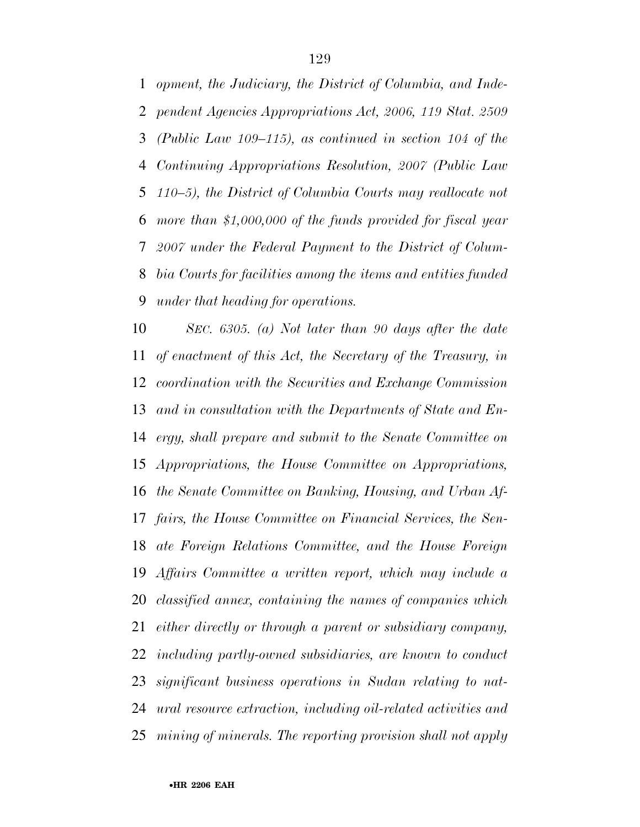*opment, the Judiciary, the District of Columbia, and Inde- pendent Agencies Appropriations Act, 2006, 119 Stat. 2509 (Public Law 109–115), as continued in section 104 of the Continuing Appropriations Resolution, 2007 (Public Law 110–5), the District of Columbia Courts may reallocate not more than \$1,000,000 of the funds provided for fiscal year 2007 under the Federal Payment to the District of Colum- bia Courts for facilities among the items and entities funded under that heading for operations.* 

 *SEC. 6305. (a) Not later than 90 days after the date of enactment of this Act, the Secretary of the Treasury, in coordination with the Securities and Exchange Commission and in consultation with the Departments of State and En- ergy, shall prepare and submit to the Senate Committee on Appropriations, the House Committee on Appropriations, the Senate Committee on Banking, Housing, and Urban Af- fairs, the House Committee on Financial Services, the Sen- ate Foreign Relations Committee, and the House Foreign Affairs Committee a written report, which may include a classified annex, containing the names of companies which either directly or through a parent or subsidiary company, including partly-owned subsidiaries, are known to conduct significant business operations in Sudan relating to nat- ural resource extraction, including oil-related activities and mining of minerals. The reporting provision shall not apply*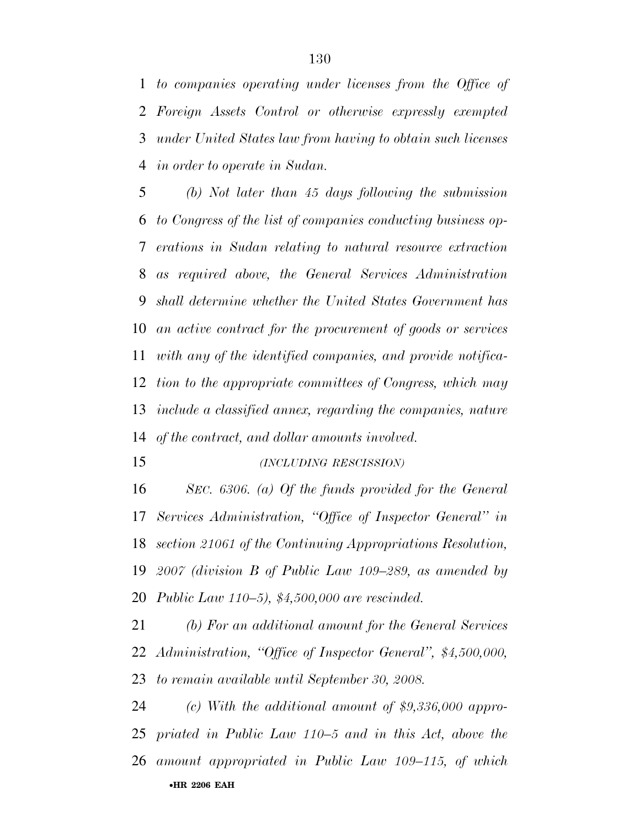*to companies operating under licenses from the Office of Foreign Assets Control or otherwise expressly exempted under United States law from having to obtain such licenses in order to operate in Sudan.* 

 *(b) Not later than 45 days following the submission to Congress of the list of companies conducting business op- erations in Sudan relating to natural resource extraction as required above, the General Services Administration shall determine whether the United States Government has an active contract for the procurement of goods or services with any of the identified companies, and provide notifica- tion to the appropriate committees of Congress, which may include a classified annex, regarding the companies, nature of the contract, and dollar amounts involved.* 

*(INCLUDING RESCISSION)*

 *SEC. 6306. (a) Of the funds provided for the General Services Administration, ''Office of Inspector General'' in section 21061 of the Continuing Appropriations Resolution, 2007 (division B of Public Law 109–289, as amended by Public Law 110–5), \$4,500,000 are rescinded.* 

 *(b) For an additional amount for the General Services Administration, ''Office of Inspector General'', \$4,500,000, to remain available until September 30, 2008.* 

•**HR 2206 EAH**  *(c) With the additional amount of \$9,336,000 appro- priated in Public Law 110–5 and in this Act, above the amount appropriated in Public Law 109–115, of which*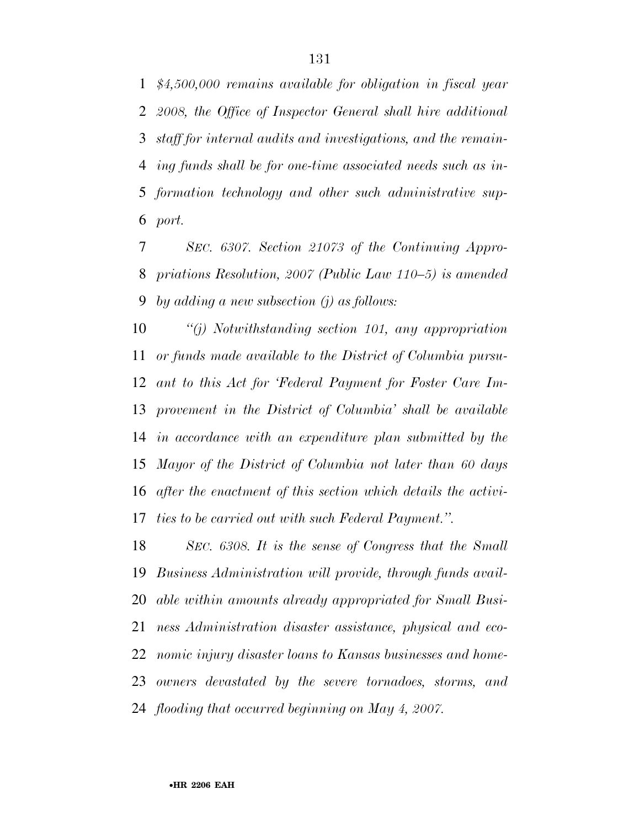*\$4,500,000 remains available for obligation in fiscal year 2008, the Office of Inspector General shall hire additional staff for internal audits and investigations, and the remain- ing funds shall be for one-time associated needs such as in- formation technology and other such administrative sup-port.* 

 *SEC. 6307. Section 21073 of the Continuing Appro- priations Resolution, 2007 (Public Law 110–5) is amended by adding a new subsection (j) as follows:* 

 *''(j) Notwithstanding section 101, any appropriation or funds made available to the District of Columbia pursu- ant to this Act for 'Federal Payment for Foster Care Im- provement in the District of Columbia' shall be available in accordance with an expenditure plan submitted by the Mayor of the District of Columbia not later than 60 days after the enactment of this section which details the activi-ties to be carried out with such Federal Payment.''.* 

 *SEC. 6308. It is the sense of Congress that the Small Business Administration will provide, through funds avail- able within amounts already appropriated for Small Busi- ness Administration disaster assistance, physical and eco- nomic injury disaster loans to Kansas businesses and home- owners devastated by the severe tornadoes, storms, and flooding that occurred beginning on May 4, 2007.*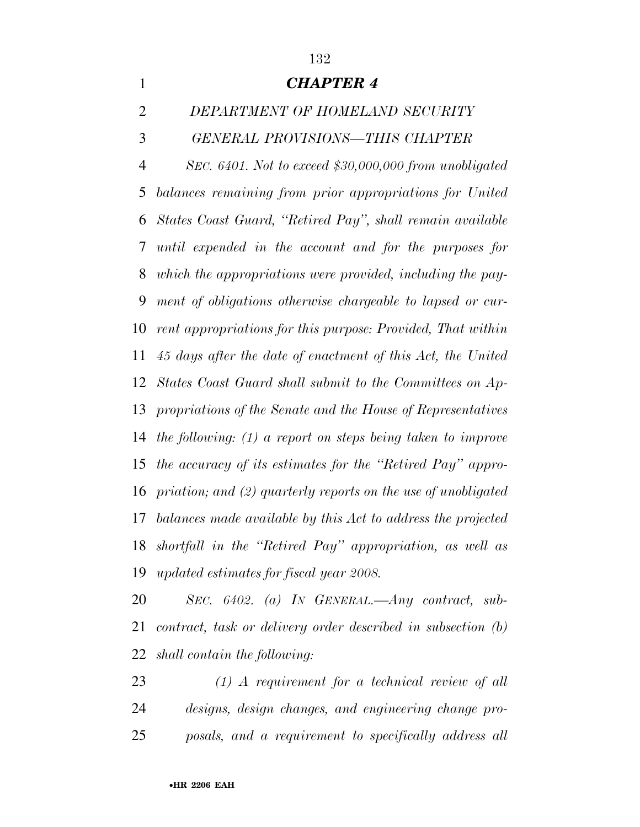

 *SEC. 6402. (a) IN GENERAL.—Any contract, sub- contract, task or delivery order described in subsection (b) shall contain the following:* 

 *(1) A requirement for a technical review of all designs, design changes, and engineering change pro-posals, and a requirement to specifically address all*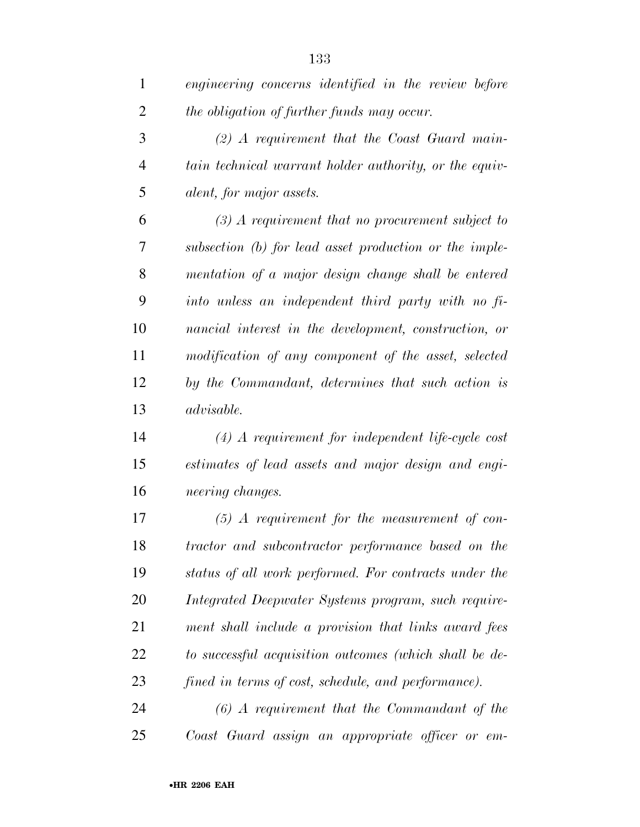| $\mathbf{1}$   | engineering concerns identified in the review before   |
|----------------|--------------------------------------------------------|
| $\overline{2}$ | the obligation of further funds may occur.             |
| 3              | $(2)$ A requirement that the Coast Guard main-         |
| $\overline{4}$ | tain technical warrant holder authority, or the equiv- |
| 5              | alent, for major assets.                               |
| 6              | $(3)$ A requirement that no procurement subject to     |
| 7              | subsection (b) for lead asset production or the imple- |
| 8              | mentation of a major design change shall be entered    |
| 9              | into unless an independent third party with no fi-     |
| 10             | nancial interest in the development, construction, or  |
| 11             | modification of any component of the asset, selected   |
| 12             | by the Commandant, determines that such action is      |
| 13             | advisable.                                             |
| 14             | $(4)$ A requirement for independent life-cycle cost    |
| 15             | estimates of lead assets and major design and engi-    |
| 16             | neering changes.                                       |
| 17             | $(5)$ A requirement for the measurement of con-        |
| 18             | tractor and subcontractor performance based on the     |
| 19             | status of all work performed. For contracts under the  |
| 20             | Integrated Deepwater Systems program, such require-    |
| 21             | ment shall include a provision that links award fees   |
| 22             | to successful acquisition outcomes (which shall be de- |
| 23             | fined in terms of cost, schedule, and performance).    |
| 24             | $(6)$ A requirement that the Commandant of the         |
| 25             | Coast Guard assign an appropriate officer or em-       |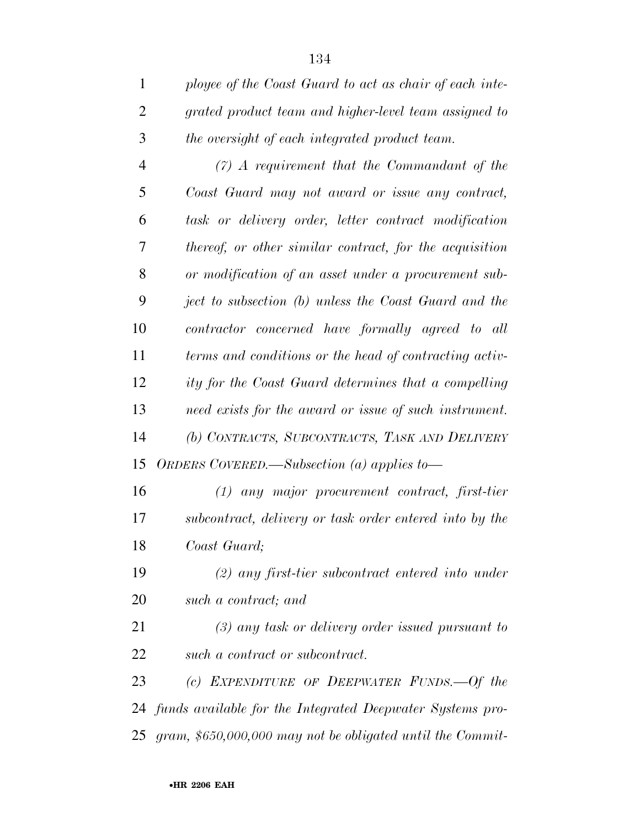| $\mathbf{1}$   | ployee of the Coast Guard to act as chair of each inte-   |
|----------------|-----------------------------------------------------------|
| $\overline{2}$ | grated product team and higher-level team assigned to     |
| 3              | the oversight of each integrated product team.            |
| $\overline{4}$ | $(7)$ A requirement that the Commandant of the            |
| 5              | Coast Guard may not award or issue any contract,          |
| 6              | task or delivery order, letter contract modification      |
| 7              | thereof, or other similar contract, for the acquisition   |
| 8              | or modification of an asset under a procurement sub-      |
| 9              | ject to subsection (b) unless the Coast Guard and the     |
| 10             | contractor concerned have formally agreed to all          |
| 11             | terms and conditions or the head of contracting activ-    |
| 12             | ity for the Coast Guard determines that a compelling      |
| 13             | need exists for the award or issue of such instrument.    |
| 14             | (b) CONTRACTS, SUBCONTRACTS, TASK AND DELIVERY            |
| 15             | ORDERS COVERED.—Subsection (a) applies to—                |
| 16             | $(1)$ any major procurement contract, first-tier          |
| 17             | subcontract, delivery or task order entered into by the   |
| 18             | Coast Guard;                                              |
| 19             | $(2)$ any first-tier subcontract entered into under       |
| <b>20</b>      | such a contract; and                                      |
| 21             | $(3)$ any task or delivery order issued pursuant to       |
| 22             | such a contract or subcontract.                           |
| 23             | (c) EXPENDITURE OF DEEPWATER FUNDS.—Of the                |
| 24             | funds available for the Integrated Deepwater Systems pro- |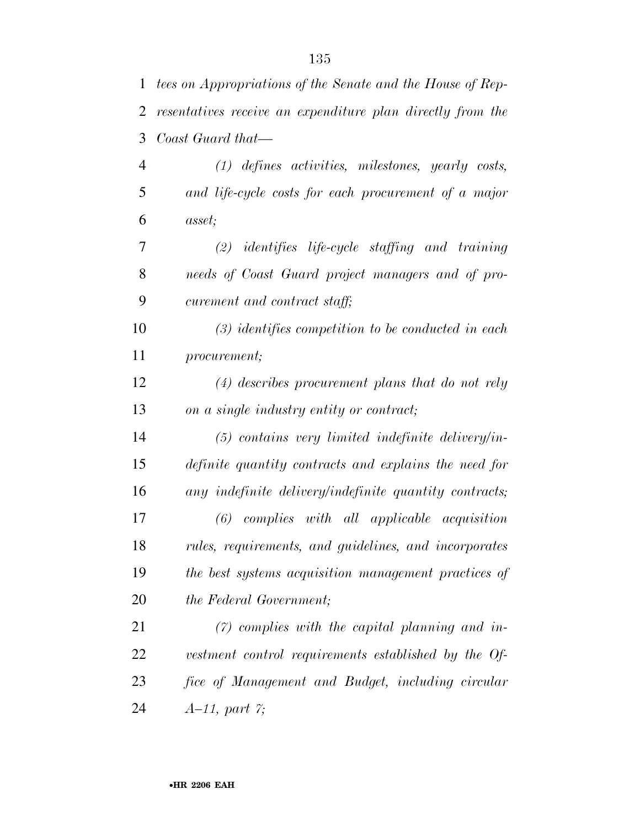| 1              | tees on Appropriations of the Senate and the House of Rep- |
|----------------|------------------------------------------------------------|
| 2              | resentatives receive an expenditure plan directly from the |
| 3              | Coast Guard that—                                          |
| $\overline{4}$ | $(1)$ defines activities, milestones, yearly costs,        |
| 5              | and life-cycle costs for each procurement of a major       |
| 6              | <i>asset</i> ;                                             |
| 7              | $(2)$ identifies life-cycle staffing and training          |
| 8              | needs of Coast Guard project managers and of pro-          |
| 9              | curement and contract staff;                               |
| 10             | $(3)$ identifies competition to be conducted in each       |
| 11             | procurement;                                               |
| 12             | $(4)$ describes procurement plans that do not rely         |
| 13             | on a single industry entity or contract;                   |
| 14             | $(5)$ contains very limited indefinite delivery/in-        |
| 15             | definite quantity contracts and explains the need for      |
| 16             | any indefinite delivery/indefinite quantity contracts;     |
| 17             | $(6)$ complies with all applicable acquisition             |
| 18             | rules, requirements, and guidelines, and incorporates      |
| 19             | the best systems acquisition management practices of       |
| 20             | the Federal Government;                                    |
| 21             | $(7)$ complies with the capital planning and in-           |
| 22             | vestment control requirements established by the Of-       |
| 23             | fice of Management and Budget, including circular          |
| 24             | $A-11$ , part $\gamma$ ;                                   |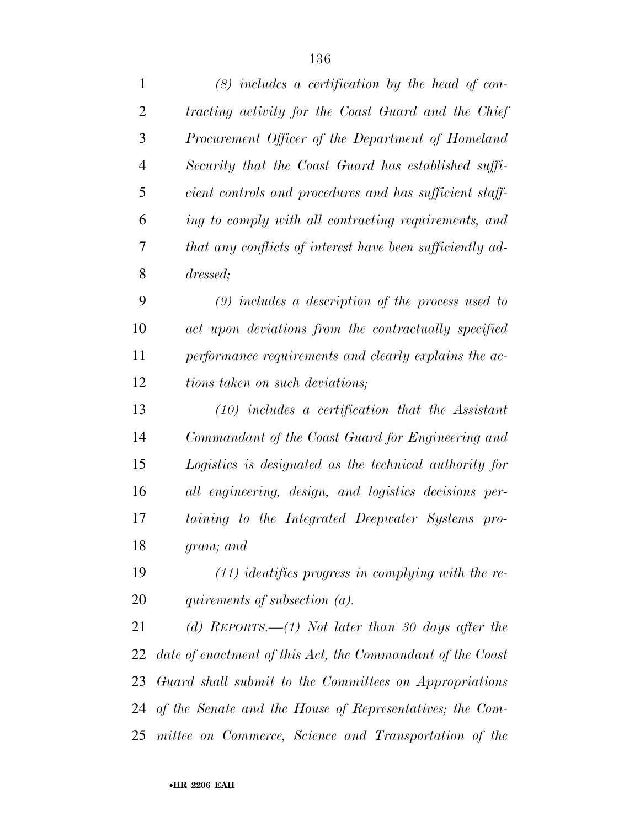| $\mathbf{1}$   | $(8)$ includes a certification by the head of con-          |
|----------------|-------------------------------------------------------------|
| $\overline{2}$ | tracting activity for the Coast Guard and the Chief         |
| 3              | Procurement Officer of the Department of Homeland           |
| $\overline{4}$ | Security that the Coast Guard has established suffi-        |
| 5              | cient controls and procedures and has sufficient staff-     |
| 6              | ing to comply with all contracting requirements, and        |
| 7              | that any conflicts of interest have been sufficiently ad-   |
| 8              | dressed;                                                    |
| 9              | $(9)$ includes a description of the process used to         |
| 10             | act upon deviations from the contractually specified        |
| 11             | performance requirements and clearly explains the ac-       |
| 12             | tions taken on such deviations;                             |
| 13             | $(10)$ includes a certification that the Assistant          |
| 14             | Commandant of the Coast Guard for Engineering and           |
| 15             | Logistics is designated as the technical authority for      |
| 16             | all engineering, design, and logistics decisions per-       |
| 17             | taining to the Integrated Deepwater Systems pro-            |
| 18             | gram; and                                                   |
| 19             | $(11)$ identifies progress in complying with the re-        |
| 20             | quirements of subsection $(a)$ .                            |
| 21             | (d) REPORTS.—(1) Not later than 30 days after the           |
| 22             | date of enactment of this Act, the Commandant of the Coast  |
| 23             | Guard shall submit to the Committees on Appropriations      |
|                | 24 of the Senate and the House of Representatives; the Com- |
| 25             | mittee on Commerce, Science and Transportation of the       |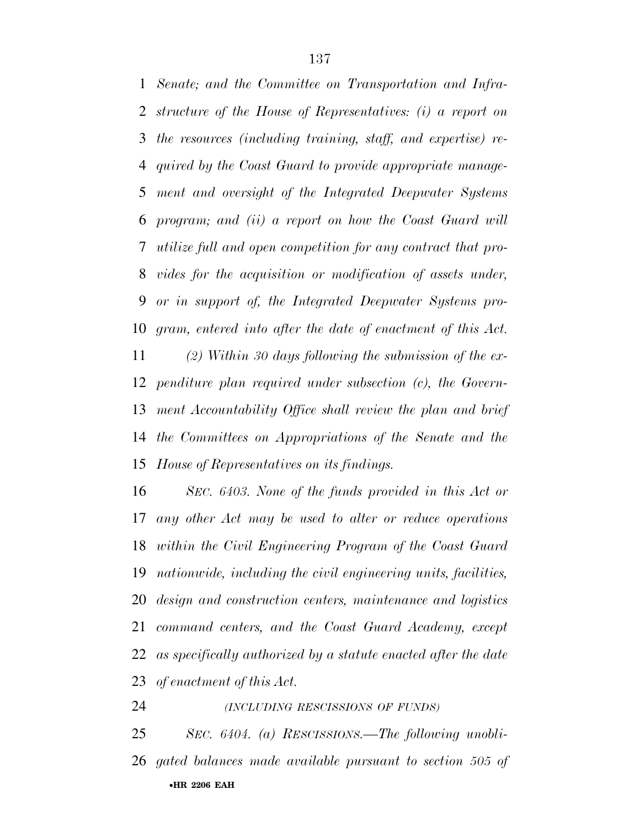*Senate; and the Committee on Transportation and Infra- structure of the House of Representatives: (i) a report on the resources (including training, staff, and expertise) re- quired by the Coast Guard to provide appropriate manage- ment and oversight of the Integrated Deepwater Systems program; and (ii) a report on how the Coast Guard will utilize full and open competition for any contract that pro- vides for the acquisition or modification of assets under, or in support of, the Integrated Deepwater Systems pro- gram, entered into after the date of enactment of this Act. (2) Within 30 days following the submission of the ex-*

 *penditure plan required under subsection (c), the Govern- ment Accountability Office shall review the plan and brief the Committees on Appropriations of the Senate and the House of Representatives on its findings.* 

 *SEC. 6403. None of the funds provided in this Act or any other Act may be used to alter or reduce operations within the Civil Engineering Program of the Coast Guard nationwide, including the civil engineering units, facilities, design and construction centers, maintenance and logistics command centers, and the Coast Guard Academy, except as specifically authorized by a statute enacted after the date of enactment of this Act.* 

*(INCLUDING RESCISSIONS OF FUNDS)*

•**HR 2206 EAH**  *SEC. 6404. (a) RESCISSIONS.—The following unobli-gated balances made available pursuant to section 505 of*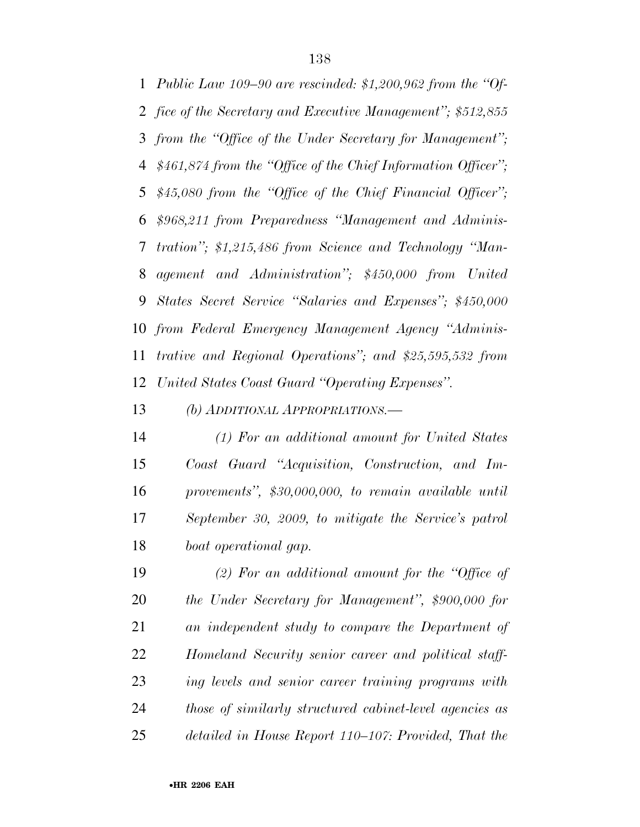*Public Law 109–90 are rescinded: \$1,200,962 from the ''Of- fice of the Secretary and Executive Management''; \$512,855 from the ''Office of the Under Secretary for Management''; \$461,874 from the ''Office of the Chief Information Officer''; \$45,080 from the ''Office of the Chief Financial Officer''; \$968,211 from Preparedness ''Management and Adminis- tration''; \$1,215,486 from Science and Technology ''Man- agement and Administration''; \$450,000 from United States Secret Service ''Salaries and Expenses''; \$450,000 from Federal Emergency Management Agency ''Adminis- trative and Regional Operations''; and \$25,595,532 from United States Coast Guard ''Operating Expenses''.* 

*(b) ADDITIONAL APPROPRIATIONS.—*

 *(1) For an additional amount for United States Coast Guard ''Acquisition, Construction, and Im- provements'', \$30,000,000, to remain available until September 30, 2009, to mitigate the Service's patrol boat operational gap.* 

 *(2) For an additional amount for the ''Office of the Under Secretary for Management'', \$900,000 for an independent study to compare the Department of Homeland Security senior career and political staff- ing levels and senior career training programs with those of similarly structured cabinet-level agencies as detailed in House Report 110–107: Provided, That the*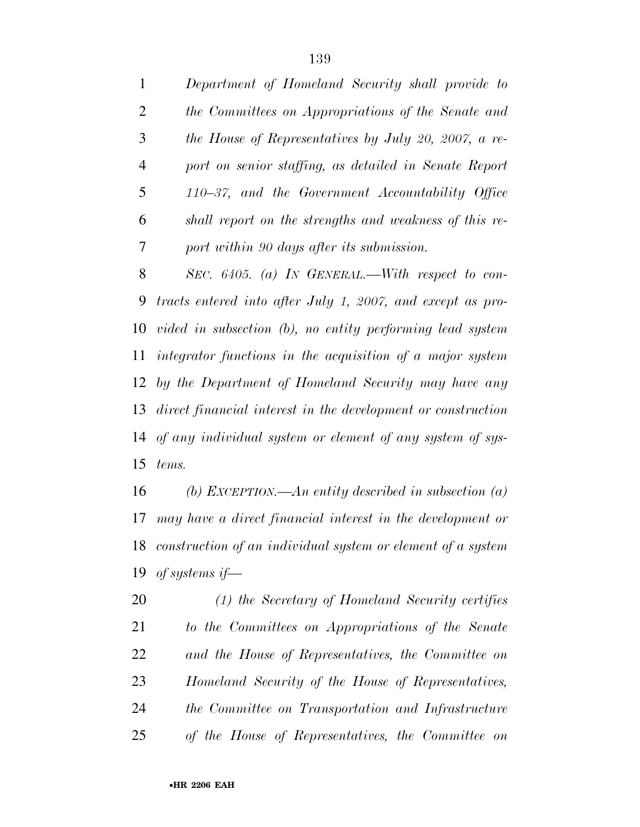*Department of Homeland Security shall provide to the Committees on Appropriations of the Senate and the House of Representatives by July 20, 2007, a re- port on senior staffing, as detailed in Senate Report 110–37, and the Government Accountability Office shall report on the strengths and weakness of this re-port within 90 days after its submission.* 

 *SEC. 6405. (a) IN GENERAL.—With respect to con- tracts entered into after July 1, 2007, and except as pro- vided in subsection (b), no entity performing lead system integrator functions in the acquisition of a major system by the Department of Homeland Security may have any direct financial interest in the development or construction of any individual system or element of any system of sys-tems.* 

 *(b) EXCEPTION.—An entity described in subsection (a) may have a direct financial interest in the development or construction of an individual system or element of a system of systems if—*

 *(1) the Secretary of Homeland Security certifies to the Committees on Appropriations of the Senate and the House of Representatives, the Committee on Homeland Security of the House of Representatives, the Committee on Transportation and Infrastructure of the House of Representatives, the Committee on*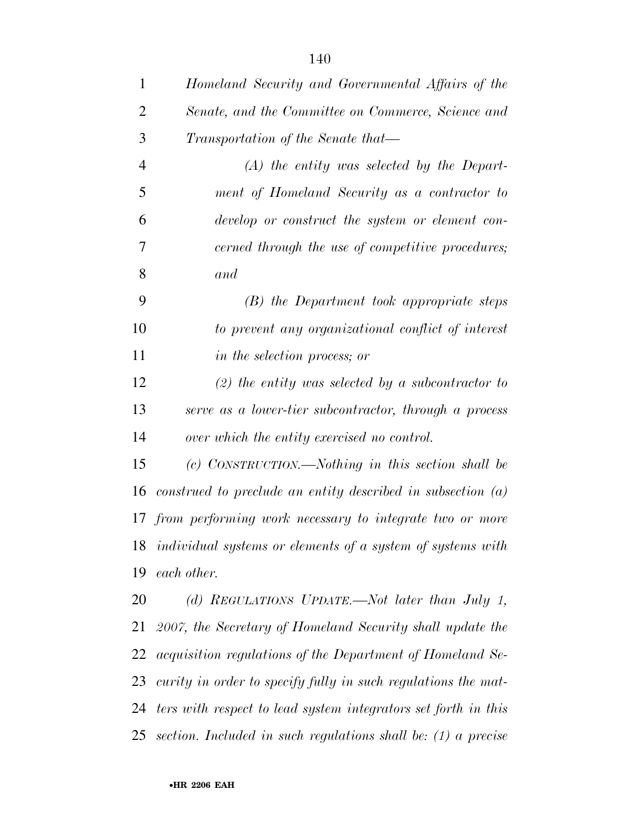*Homeland Security and Governmental Affairs of the Senate, and the Committee on Commerce, Science and Transportation of the Senate that— (A) the entity was selected by the Depart-*

 *ment of Homeland Security as a contractor to develop or construct the system or element con- cerned through the use of competitive procedures; and* 

 *(B) the Department took appropriate steps to prevent any organizational conflict of interest in the selection process; or* 

 *(2) the entity was selected by a subcontractor to serve as a lower-tier subcontractor, through a process over which the entity exercised no control.* 

 *(c) CONSTRUCTION.—Nothing in this section shall be construed to preclude an entity described in subsection (a) from performing work necessary to integrate two or more individual systems or elements of a system of systems with each other.* 

 *(d) REGULATIONS UPDATE.—Not later than July 1, 2007, the Secretary of Homeland Security shall update the acquisition regulations of the Department of Homeland Se- curity in order to specify fully in such regulations the mat- ters with respect to lead system integrators set forth in this section. Included in such regulations shall be: (1) a precise*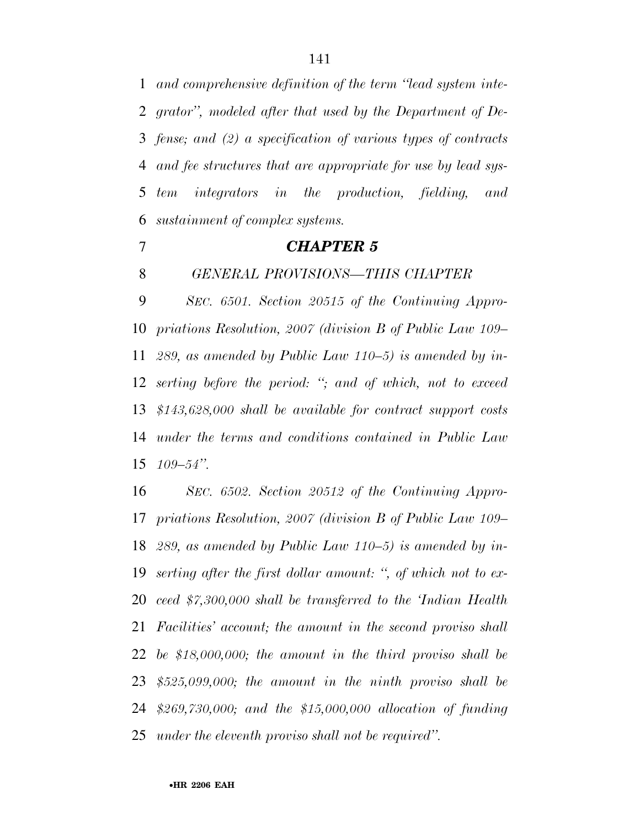*and comprehensive definition of the term ''lead system inte- grator'', modeled after that used by the Department of De- fense; and (2) a specification of various types of contracts and fee structures that are appropriate for use by lead sys- tem integrators in the production, fielding, and sustainment of complex systems.* 

## *CHAPTER 5*

*GENERAL PROVISIONS—THIS CHAPTER* 

 *SEC. 6501. Section 20515 of the Continuing Appro- priations Resolution, 2007 (division B of Public Law 109– 289, as amended by Public Law 110–5) is amended by in- serting before the period: ''; and of which, not to exceed \$143,628,000 shall be available for contract support costs under the terms and conditions contained in Public Law 109–54''.* 

 *SEC. 6502. Section 20512 of the Continuing Appro- priations Resolution, 2007 (division B of Public Law 109– 289, as amended by Public Law 110–5) is amended by in- serting after the first dollar amount: '', of which not to ex- ceed \$7,300,000 shall be transferred to the 'Indian Health Facilities' account; the amount in the second proviso shall be \$18,000,000; the amount in the third proviso shall be \$525,099,000; the amount in the ninth proviso shall be \$269,730,000; and the \$15,000,000 allocation of funding under the eleventh proviso shall not be required''.*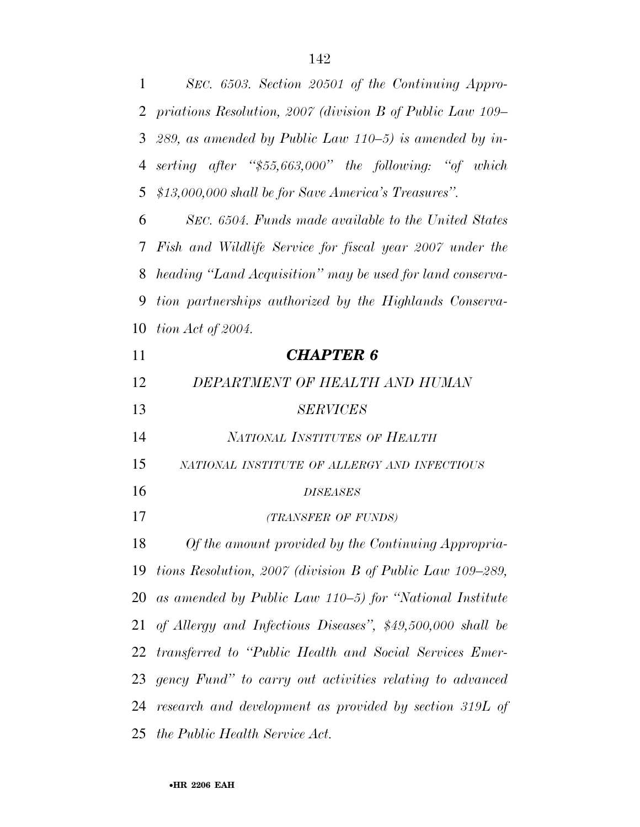| 1  | SEC. 6503. Section 20501 of the Continuing Appro-           |
|----|-------------------------------------------------------------|
|    | 2 priations Resolution, 2007 (division B of Public Law 109– |
| 3  | 289, as amended by Public Law $110-5$ ) is amended by in-   |
| 4  | serting after "\$55,663,000" the following: "of which       |
| 5  | \$13,000,000 shall be for Save America's Treasures".        |
| 6  | SEC. 6504. Funds made available to the United States        |
| 7  | Fish and Wildlife Service for fiscal year 2007 under the    |
| 8  | heading "Land Acquisition" may be used for land conserva-   |
| 9  | tion partnerships authorized by the Highlands Conserva-     |
| 10 | tion Act of 2004.                                           |
| 11 | <b>CHAPTER 6</b>                                            |
| 12 | DEPARTMENT OF HEALTH AND HUMAN                              |
| 13 | <b>SERVICES</b>                                             |
| 14 | NATIONAL INSTITUTES OF HEALTH                               |
| 15 | NATIONAL INSTITUTE OF ALLERGY AND INFECTIOUS                |
| 16 | <b>DISEASES</b>                                             |
| 17 | (TRANSFER OF FUNDS)                                         |
| 18 | Of the amount provided by the Continuing Appropria-         |
| 19 | tions Resolution, 2007 (division B of Public Law 109–289,   |
| 20 | as amended by Public Law $110-5$ for "National Institute    |
| 21 | of Allergy and Infectious Diseases", \$49,500,000 shall be  |
| 22 | transferred to "Public Health and Social Services Emer-     |
| 23 | gency Fund" to carry out activities relating to advanced    |
| 24 | research and development as provided by section 319L of     |
| 25 | the Public Health Service Act.                              |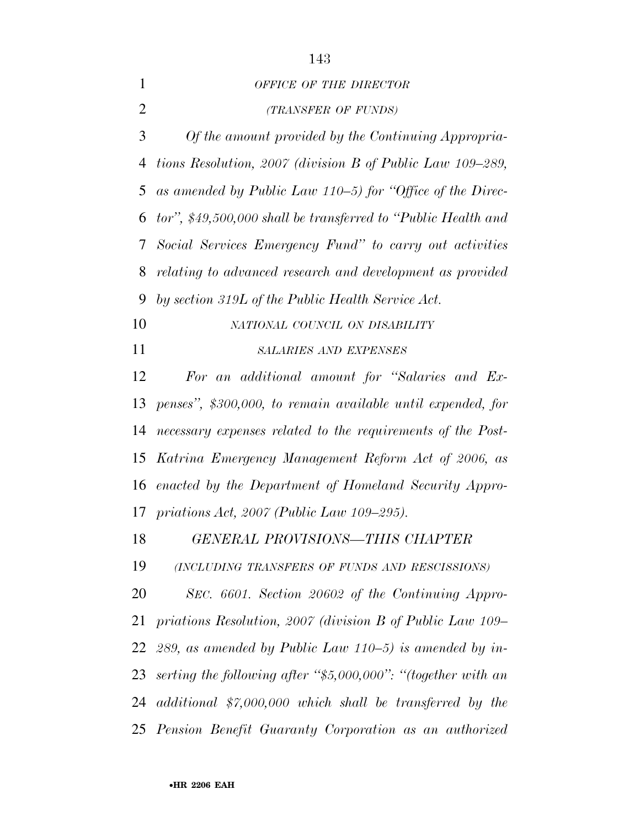|                | 143                                                             |
|----------------|-----------------------------------------------------------------|
| 1              | OFFICE OF THE DIRECTOR                                          |
| $\overline{2}$ | (TRANSFER OF FUNDS)                                             |
| 3              | Of the amount provided by the Continuing Appropria-             |
|                | 4 tions Resolution, 2007 (division B of Public Law 109–289,     |
|                | 5 as amended by Public Law $110-5$ for "Office of the Direc-    |
|                | 6 tor", \$49,500,000 shall be transferred to "Public Health and |
|                | 7 Social Services Emergency Fund" to carry out activities       |
| 8              | relating to advanced research and development as provided       |
| 9              | by section 319L of the Public Health Service Act.               |
| 10             | NATIONAL COUNCIL ON DISABILITY                                  |

*SALARIES AND EXPENSES*

 *For an additional amount for ''Salaries and Ex- penses'', \$300,000, to remain available until expended, for necessary expenses related to the requirements of the Post- Katrina Emergency Management Reform Act of 2006, as enacted by the Department of Homeland Security Appro-priations Act, 2007 (Public Law 109–295).* 

*GENERAL PROVISIONS—THIS CHAPTER* 

*(INCLUDING TRANSFERS OF FUNDS AND RESCISSIONS)*

 *SEC. 6601. Section 20602 of the Continuing Appro- priations Resolution, 2007 (division B of Public Law 109– 289, as amended by Public Law 110–5) is amended by in- serting the following after ''\$5,000,000'': ''(together with an additional \$7,000,000 which shall be transferred by the Pension Benefit Guaranty Corporation as an authorized*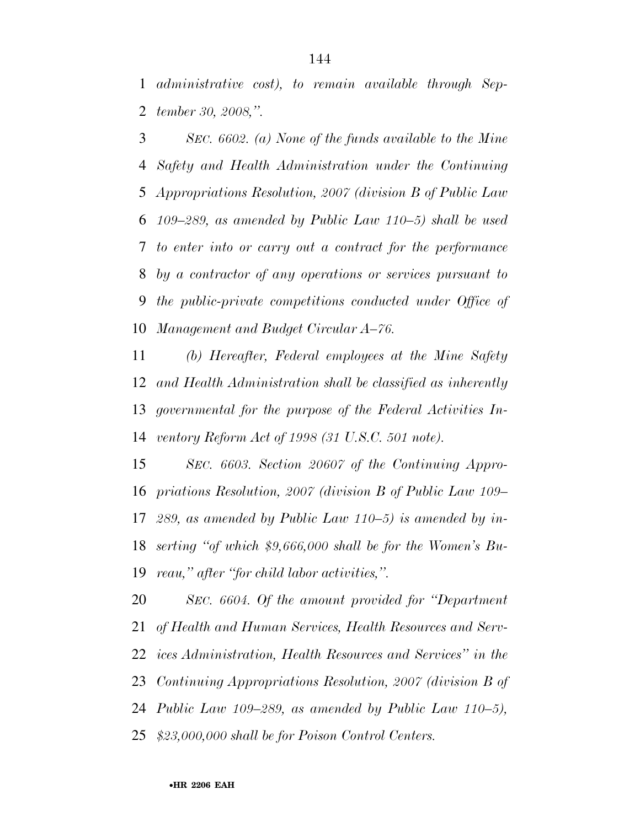*administrative cost), to remain available through Sep-tember 30, 2008,''.* 

 *SEC. 6602. (a) None of the funds available to the Mine Safety and Health Administration under the Continuing Appropriations Resolution, 2007 (division B of Public Law 109–289, as amended by Public Law 110–5) shall be used to enter into or carry out a contract for the performance by a contractor of any operations or services pursuant to the public-private competitions conducted under Office of Management and Budget Circular A–76.* 

 *(b) Hereafter, Federal employees at the Mine Safety and Health Administration shall be classified as inherently governmental for the purpose of the Federal Activities In-ventory Reform Act of 1998 (31 U.S.C. 501 note).* 

 *SEC. 6603. Section 20607 of the Continuing Appro- priations Resolution, 2007 (division B of Public Law 109– 289, as amended by Public Law 110–5) is amended by in- serting ''of which \$9,666,000 shall be for the Women's Bu-reau,'' after ''for child labor activities,''.* 

 *SEC. 6604. Of the amount provided for ''Department of Health and Human Services, Health Resources and Serv- ices Administration, Health Resources and Services'' in the Continuing Appropriations Resolution, 2007 (division B of Public Law 109–289, as amended by Public Law 110–5), \$23,000,000 shall be for Poison Control Centers.*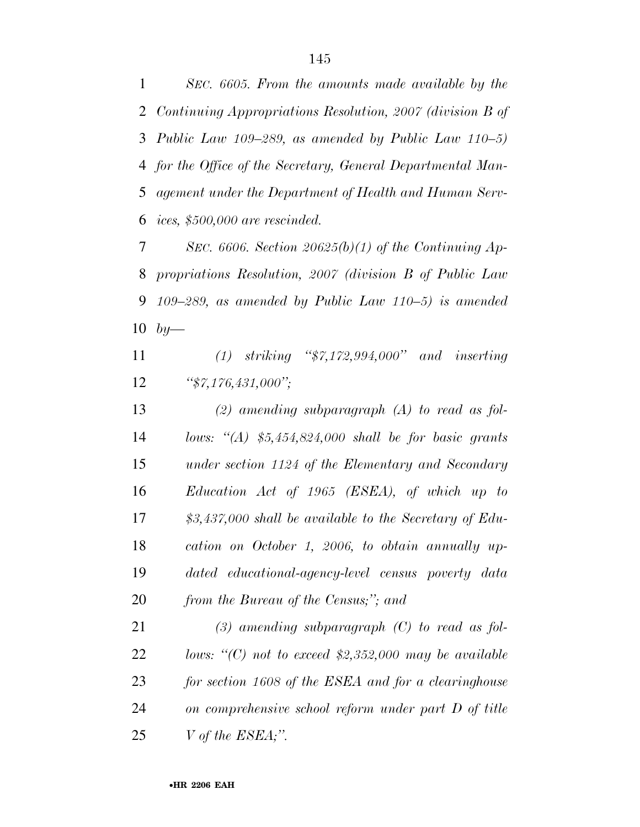*SEC. 6605. From the amounts made available by the Continuing Appropriations Resolution, 2007 (division B of Public Law 109–289, as amended by Public Law 110–5) for the Office of the Secretary, General Departmental Man- agement under the Department of Health and Human Serv-ices, \$500,000 are rescinded.* 

 *SEC. 6606. Section 20625(b)(1) of the Continuing Ap- propriations Resolution, 2007 (division B of Public Law 109–289, as amended by Public Law 110–5) is amended by—*

 *(1) striking ''\$7,172,994,000'' and inserting ''\$7,176,431,000'';* 

 *(2) amending subparagraph (A) to read as fol- lows: ''(A) \$5,454,824,000 shall be for basic grants under section 1124 of the Elementary and Secondary Education Act of 1965 (ESEA), of which up to \$3,437,000 shall be available to the Secretary of Edu- cation on October 1, 2006, to obtain annually up- dated educational-agency-level census poverty data from the Bureau of the Census;''; and* 

 *(3) amending subparagraph (C) to read as fol- lows: ''(C) not to exceed \$2,352,000 may be available for section 1608 of the ESEA and for a clearinghouse on comprehensive school reform under part D of title V of the ESEA;''.*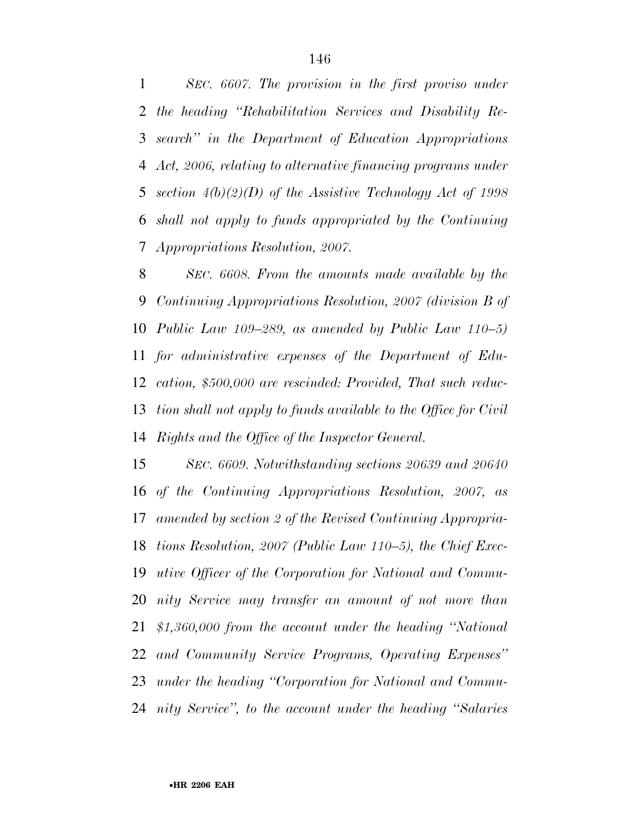*SEC. 6607. The provision in the first proviso under the heading ''Rehabilitation Services and Disability Re- search'' in the Department of Education Appropriations Act, 2006, relating to alternative financing programs under section 4(b)(2)(D) of the Assistive Technology Act of 1998 shall not apply to funds appropriated by the Continuing Appropriations Resolution, 2007.* 

 *SEC. 6608. From the amounts made available by the Continuing Appropriations Resolution, 2007 (division B of Public Law 109–289, as amended by Public Law 110–5) for administrative expenses of the Department of Edu- cation, \$500,000 are rescinded: Provided, That such reduc- tion shall not apply to funds available to the Office for Civil Rights and the Office of the Inspector General.* 

 *SEC. 6609. Notwithstanding sections 20639 and 20640 of the Continuing Appropriations Resolution, 2007, as amended by section 2 of the Revised Continuing Appropria- tions Resolution, 2007 (Public Law 110–5), the Chief Exec- utive Officer of the Corporation for National and Commu- nity Service may transfer an amount of not more than \$1,360,000 from the account under the heading ''National and Community Service Programs, Operating Expenses'' under the heading ''Corporation for National and Commu-nity Service'', to the account under the heading ''Salaries*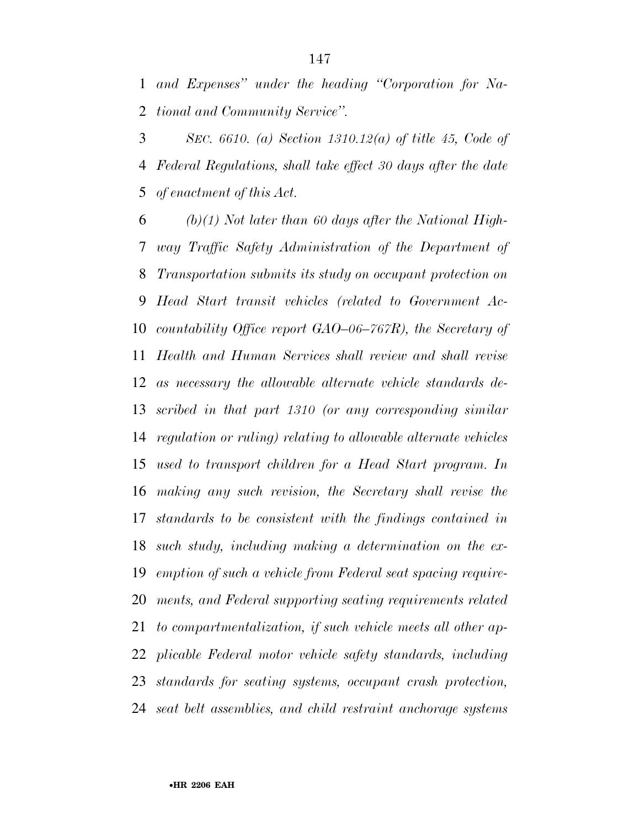*and Expenses'' under the heading ''Corporation for Na-tional and Community Service''.* 

 *SEC. 6610. (a) Section 1310.12(a) of title 45, Code of Federal Regulations, shall take effect 30 days after the date of enactment of this Act.* 

 *(b)(1) Not later than 60 days after the National High- way Traffic Safety Administration of the Department of Transportation submits its study on occupant protection on Head Start transit vehicles (related to Government Ac- countability Office report GAO–06–767R), the Secretary of Health and Human Services shall review and shall revise as necessary the allowable alternate vehicle standards de- scribed in that part 1310 (or any corresponding similar regulation or ruling) relating to allowable alternate vehicles used to transport children for a Head Start program. In making any such revision, the Secretary shall revise the standards to be consistent with the findings contained in such study, including making a determination on the ex- emption of such a vehicle from Federal seat spacing require- ments, and Federal supporting seating requirements related to compartmentalization, if such vehicle meets all other ap- plicable Federal motor vehicle safety standards, including standards for seating systems, occupant crash protection, seat belt assemblies, and child restraint anchorage systems*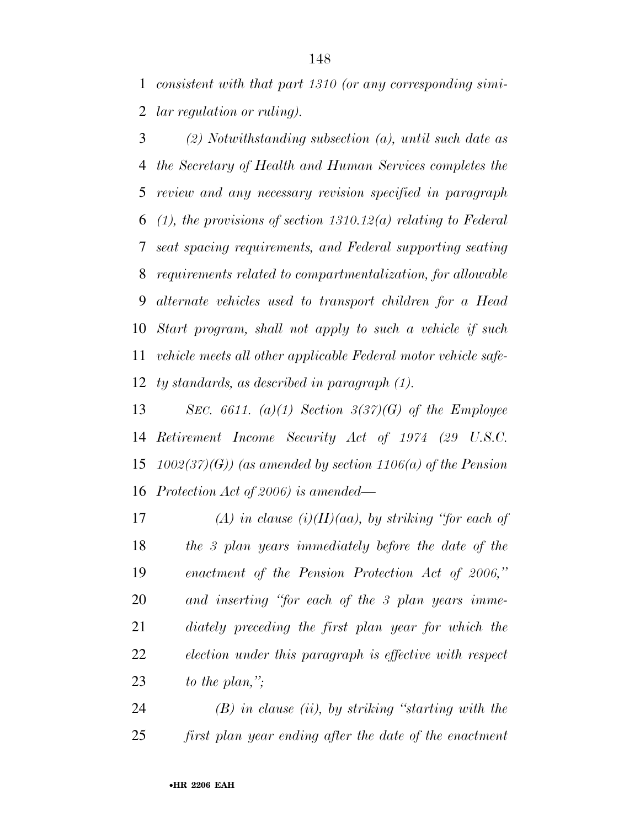*consistent with that part 1310 (or any corresponding simi-lar regulation or ruling).* 

 *(2) Notwithstanding subsection (a), until such date as the Secretary of Health and Human Services completes the review and any necessary revision specified in paragraph (1), the provisions of section 1310.12(a) relating to Federal seat spacing requirements, and Federal supporting seating requirements related to compartmentalization, for allowable alternate vehicles used to transport children for a Head Start program, shall not apply to such a vehicle if such vehicle meets all other applicable Federal motor vehicle safe-ty standards, as described in paragraph (1).* 

 *SEC. 6611. (a)(1) Section 3(37)(G) of the Employee Retirement Income Security Act of 1974 (29 U.S.C. 1002(37)(G)) (as amended by section 1106(a) of the Pension Protection Act of 2006) is amended—*

 *(A) in clause (i)(II)(aa), by striking ''for each of the 3 plan years immediately before the date of the enactment of the Pension Protection Act of 2006,'' and inserting ''for each of the 3 plan years imme- diately preceding the first plan year for which the election under this paragraph is effective with respect to the plan,'';* 

 *(B) in clause (ii), by striking ''starting with the first plan year ending after the date of the enactment*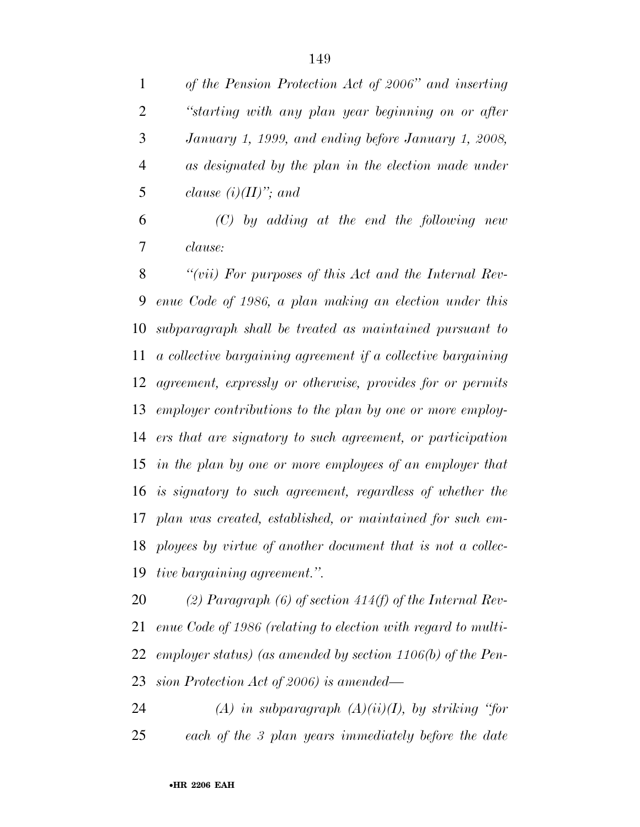|   | of the Pension Protection Act of 2006" and inserting |
|---|------------------------------------------------------|
| 2 | "starting with any plan year beginning on or after   |
| 3 | January 1, 1999, and ending before January 1, 2008,  |
|   | as designated by the plan in the election made under |
|   | clause $(i)(II)$ "; and                              |

 *(C) by adding at the end the following new clause:* 

 *''(vii) For purposes of this Act and the Internal Rev- enue Code of 1986, a plan making an election under this subparagraph shall be treated as maintained pursuant to a collective bargaining agreement if a collective bargaining agreement, expressly or otherwise, provides for or permits employer contributions to the plan by one or more employ- ers that are signatory to such agreement, or participation in the plan by one or more employees of an employer that is signatory to such agreement, regardless of whether the plan was created, established, or maintained for such em- ployees by virtue of another document that is not a collec-tive bargaining agreement.''.* 

 *(2) Paragraph (6) of section 414(f) of the Internal Rev- enue Code of 1986 (relating to election with regard to multi- employer status) (as amended by section 1106(b) of the Pen-sion Protection Act of 2006) is amended—*

 *(A) in subparagraph (A)(ii)(I), by striking ''for each of the 3 plan years immediately before the date*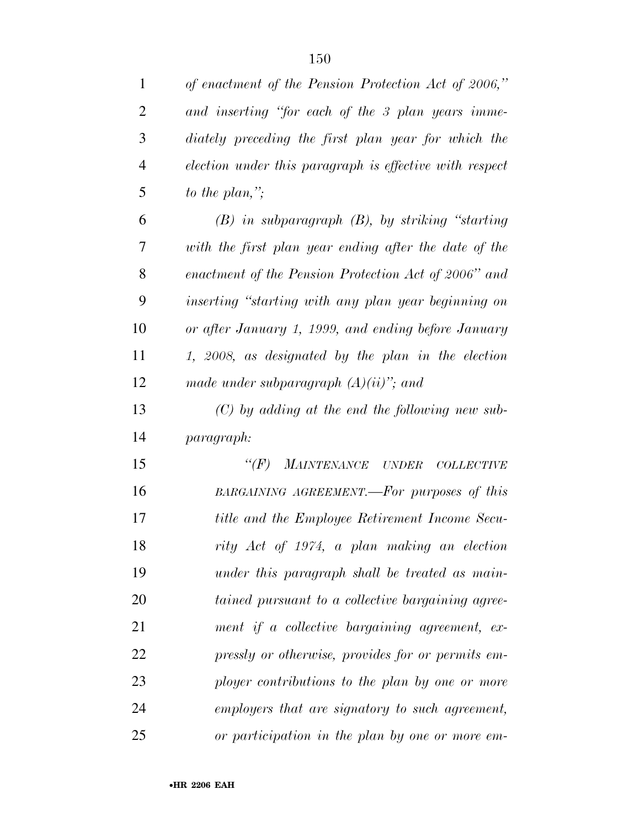| 1              | of enactment of the Pension Protection Act of 2006,"    |
|----------------|---------------------------------------------------------|
| $\overline{2}$ | and inserting "for each of the 3 plan years imme-       |
| 3              | diately preceding the first plan year for which the     |
| $\overline{4}$ | election under this paragraph is effective with respect |
| 5              | to the plan,";                                          |
| 6              | $(B)$ in subparagraph $(B)$ , by striking "starting"    |
| 7              | with the first plan year ending after the date of the   |
| 8              | enactment of the Pension Protection Act of 2006" and    |
| 9              | inserting "starting with any plan year beginning on     |
| 10             | or after January 1, 1999, and ending before January     |
| 11             | 1, 2008, as designated by the plan in the election      |
| 12             | made under subparagraph $(A)(ii)$ "; and                |
| 13             | $(C)$ by adding at the end the following new sub-       |
| 14             | paragraph:                                              |
| 15             | $\lq (F)$<br>MAINTENANCE UNDER<br><b>COLLECTIVE</b>     |
| 16             | BARGAINING AGREEMENT.—For purposes of this              |
| 17             | title and the Employee Retirement Income Secu-          |
| 18             | rity Act of 1974, a plan making an election             |
| 19             | under this paragraph shall be treated as main-          |
| 20             | tained pursuant to a collective bargaining agree-       |
| 21             | ment if a collective bargaining agreement, ex-          |
| 22             | pressly or otherwise, provides for or permits em-       |
| 23             | ployer contributions to the plan by one or more         |
| 24             | employers that are signatory to such agreement,         |
| 25             | or participation in the plan by one or more em-         |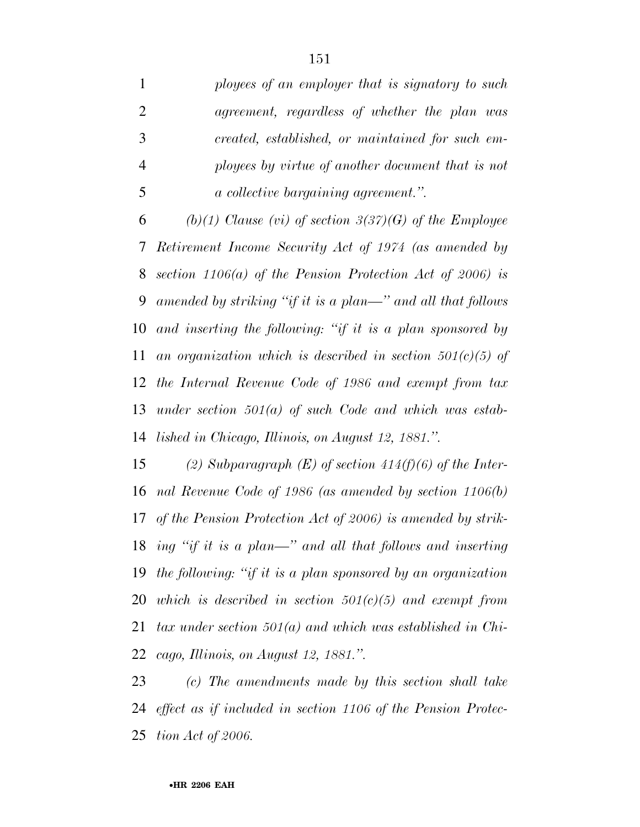|                | ployees of an employer that is signatory to such  |
|----------------|---------------------------------------------------|
| 2              | agreement, regardless of whether the plan was     |
| 3              | created, established, or maintained for such em-  |
| $\overline{4}$ | ployees by virtue of another document that is not |
| -5             | <i>a collective bargaining agreement.</i> "       |

 *(b)(1) Clause (vi) of section 3(37)(G) of the Employee Retirement Income Security Act of 1974 (as amended by section 1106(a) of the Pension Protection Act of 2006) is amended by striking ''if it is a plan—'' and all that follows and inserting the following: ''if it is a plan sponsored by an organization which is described in section 501(c)(5) of the Internal Revenue Code of 1986 and exempt from tax under section 501(a) of such Code and which was estab-lished in Chicago, Illinois, on August 12, 1881.''.* 

 *(2) Subparagraph (E) of section 414(f)(6) of the Inter- nal Revenue Code of 1986 (as amended by section 1106(b) of the Pension Protection Act of 2006) is amended by strik- ing ''if it is a plan—'' and all that follows and inserting the following: ''if it is a plan sponsored by an organization which is described in section 501(c)(5) and exempt from tax under section 501(a) and which was established in Chi-cago, Illinois, on August 12, 1881.''.* 

 *(c) The amendments made by this section shall take effect as if included in section 1106 of the Pension Protec-tion Act of 2006.*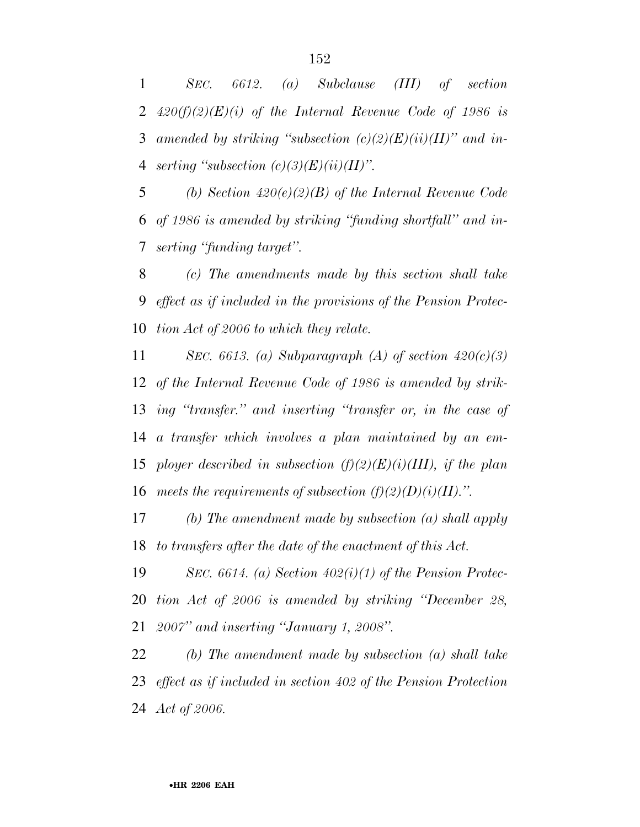*SEC. 6612. (a) Subclause (III) of section 420(f)(2)(E)(i) of the Internal Revenue Code of 1986 is amended by striking ''subsection (c)(2)(E)(ii)(II)'' and in-serting ''subsection (c)(3)(E)(ii)(II)''.* 

 *(b) Section 420(e)(2)(B) of the Internal Revenue Code of 1986 is amended by striking ''funding shortfall'' and in-serting ''funding target''.* 

 *(c) The amendments made by this section shall take effect as if included in the provisions of the Pension Protec-tion Act of 2006 to which they relate.* 

 *SEC. 6613. (a) Subparagraph (A) of section 420(c)(3) of the Internal Revenue Code of 1986 is amended by strik- ing ''transfer.'' and inserting ''transfer or, in the case of a transfer which involves a plan maintained by an em- ployer described in subsection (f)(2)(E)(i)(III), if the plan*  16 meets the requirements of subsection  $(f)(2)(D)(i)(II)$ .".

 *(b) The amendment made by subsection (a) shall apply to transfers after the date of the enactment of this Act.* 

 *SEC. 6614. (a) Section 402(i)(1) of the Pension Protec- tion Act of 2006 is amended by striking ''December 28, 2007'' and inserting ''January 1, 2008''.* 

 *(b) The amendment made by subsection (a) shall take effect as if included in section 402 of the Pension Protection Act of 2006.*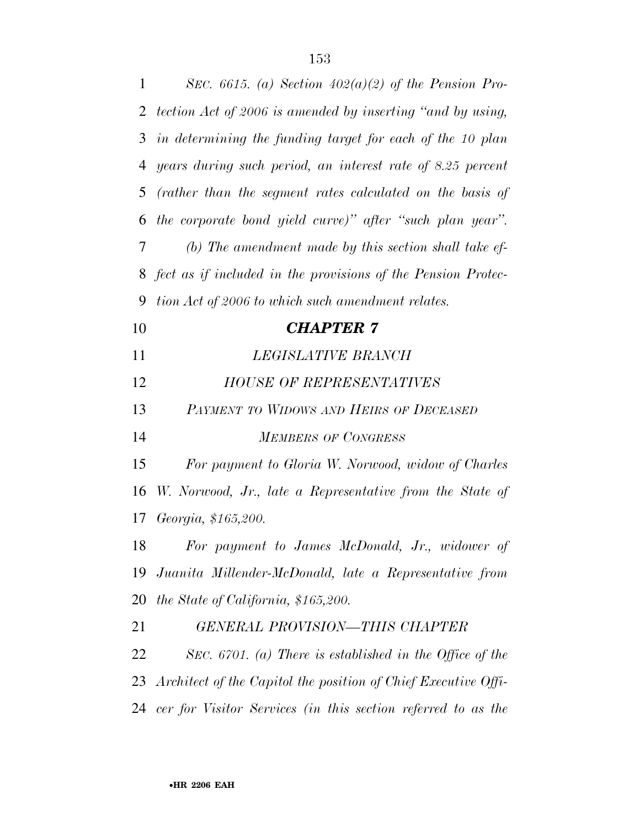| $\mathbf{1}$ | SEC. 6615. (a) Section $402(a)(2)$ of the Pension Pro-            |
|--------------|-------------------------------------------------------------------|
| 2            | tection Act of 2006 is amended by inserting "and by using,        |
| 3            | in determining the funding target for each of the 10 plan         |
| 4            | years during such period, an interest rate of 8.25 percent        |
| 5            | (rather than the segment rates calculated on the basis of         |
| 6            | the corporate bond yield curve)" after "such plan year".          |
| 7            | (b) The amendment made by this section shall take ef-             |
| 8            | fect as if included in the provisions of the Pension Protec-      |
| 9            | tion Act of 2006 to which such amendment relates.                 |
| 10           | <b>CHAPTER 7</b>                                                  |
| 11           | LEGISLATIVE BRANCH                                                |
| 12           | <b>HOUSE OF REPRESENTATIVES</b>                                   |
| 13           | PAYMENT TO WIDOWS AND HEIRS OF DECEASED                           |
| 14           | <b>MEMBERS OF CONGRESS</b>                                        |
| 15           | For payment to Gloria W. Norwood, widow of Charles                |
| 16           | W. Norwood, Jr., late a Representative from the State of          |
| 17           | Georgia, \$165,200.                                               |
| 18           | For payment to James McDonald, Jr., widower of                    |
| 19           | Juanita Millender-McDonald, late a Representative from            |
| 20           | the State of California, \$165,200.                               |
| 21           | <b>GENERAL PROVISION-THIS CHAPTER</b>                             |
| 22           | SEC. 6701. (a) There is established in the Office of the          |
|              | 23 Architect of the Capitol the position of Chief Executive Offi- |
|              | 24 cer for Visitor Services (in this section referred to as the   |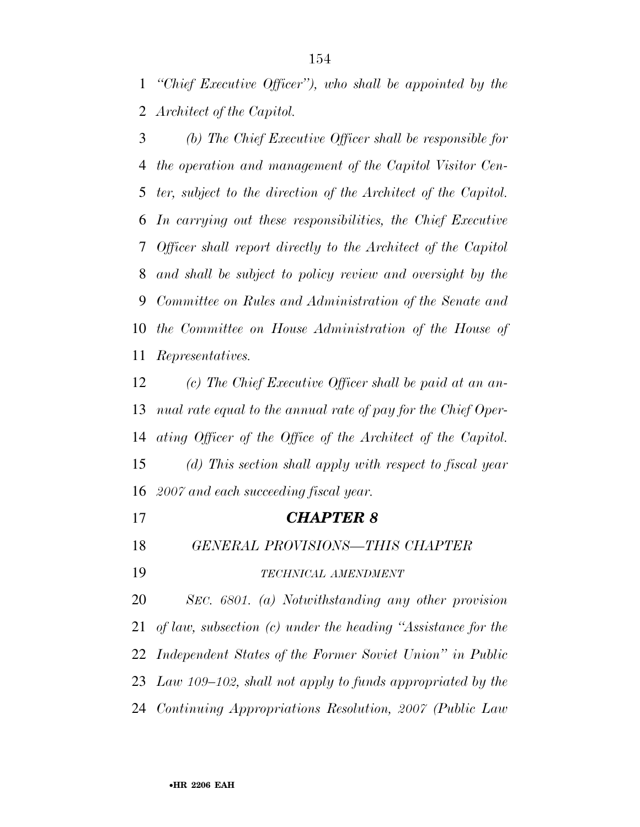*''Chief Executive Officer''), who shall be appointed by the Architect of the Capitol.* 

 *(b) The Chief Executive Officer shall be responsible for the operation and management of the Capitol Visitor Cen- ter, subject to the direction of the Architect of the Capitol. In carrying out these responsibilities, the Chief Executive Officer shall report directly to the Architect of the Capitol and shall be subject to policy review and oversight by the Committee on Rules and Administration of the Senate and the Committee on House Administration of the House of Representatives.* 

 *(c) The Chief Executive Officer shall be paid at an an- nual rate equal to the annual rate of pay for the Chief Oper- ating Officer of the Office of the Architect of the Capitol. (d) This section shall apply with respect to fiscal year 2007 and each succeeding fiscal year.* 

*CHAPTER 8*

*GENERAL PROVISIONS—THIS CHAPTER* 

*TECHNICAL AMENDMENT*

 *SEC. 6801. (a) Notwithstanding any other provision of law, subsection (c) under the heading ''Assistance for the Independent States of the Former Soviet Union'' in Public Law 109–102, shall not apply to funds appropriated by the Continuing Appropriations Resolution, 2007 (Public Law*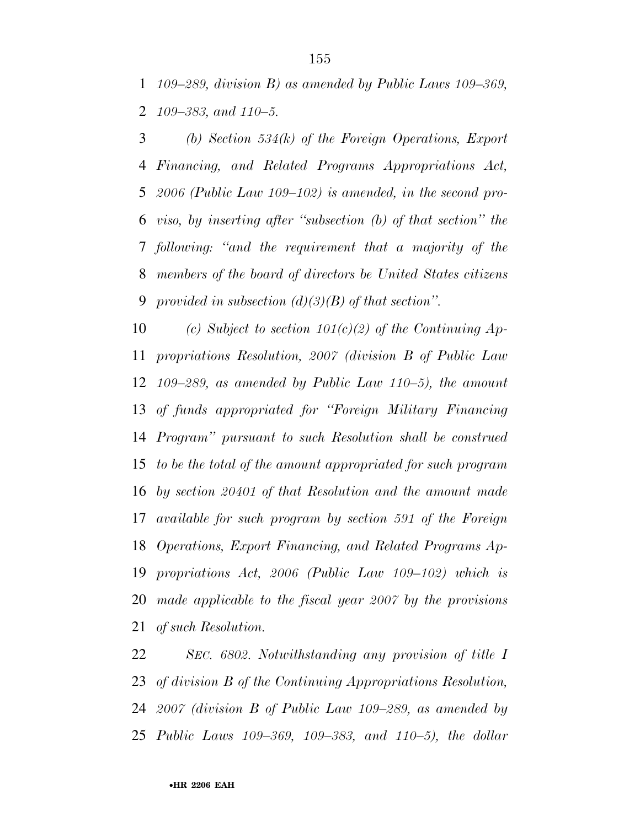*109–289, division B) as amended by Public Laws 109–369, 109–383, and 110–5.* 

 *(b) Section 534(k) of the Foreign Operations, Export Financing, and Related Programs Appropriations Act, 2006 (Public Law 109–102) is amended, in the second pro- viso, by inserting after ''subsection (b) of that section'' the following: ''and the requirement that a majority of the members of the board of directors be United States citizens provided in subsection (d)(3)(B) of that section''.* 

 *(c) Subject to section 101(c)(2) of the Continuing Ap- propriations Resolution, 2007 (division B of Public Law 109–289, as amended by Public Law 110–5), the amount of funds appropriated for ''Foreign Military Financing Program'' pursuant to such Resolution shall be construed to be the total of the amount appropriated for such program by section 20401 of that Resolution and the amount made available for such program by section 591 of the Foreign Operations, Export Financing, and Related Programs Ap- propriations Act, 2006 (Public Law 109–102) which is made applicable to the fiscal year 2007 by the provisions of such Resolution.* 

 *SEC. 6802. Notwithstanding any provision of title I of division B of the Continuing Appropriations Resolution, 2007 (division B of Public Law 109–289, as amended by Public Laws 109–369, 109–383, and 110–5), the dollar*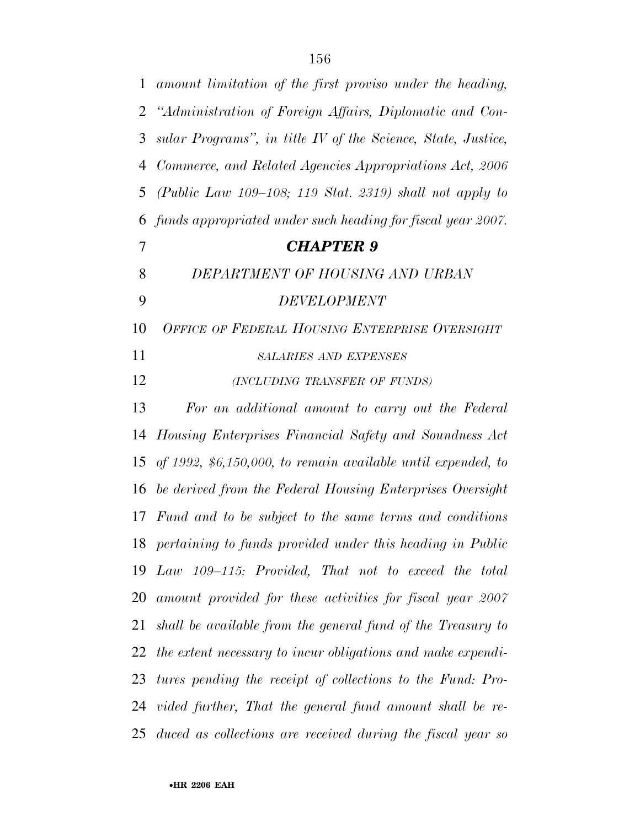| $\mathbf{1}$   | amount limitation of the first proviso under the heading,      |
|----------------|----------------------------------------------------------------|
| 2              | "Administration of Foreign Affairs, Diplomatic and Con-        |
| 3              | sular Programs", in title IV of the Science, State, Justice,   |
| 4              | Commerce, and Related Agencies Appropriations Act, 2006        |
| 5              | (Public Law $109-108$ ; 119 Stat. 2319) shall not apply to     |
| 6              | funds appropriated under such heading for fiscal year 2007.    |
| $\overline{7}$ | <b>CHAPTER 9</b>                                               |
| 8              | DEPARTMENT OF HOUSING AND URBAN                                |
| 9              | <b>DEVELOPMENT</b>                                             |
| 10             | OFFICE OF FEDERAL HOUSING ENTERPRISE OVERSIGHT                 |
| 11             | <b>SALARIES AND EXPENSES</b>                                   |
| 12             | (INCLUDING TRANSFER OF FUNDS)                                  |
| 13             | For an additional amount to carry out the Federal              |
| 14             | Housing Enterprises Financial Safety and Soundness Act         |
| 15             | of 1992, $$6,150,000$ , to remain available until expended, to |
| 16             | be derived from the Federal Housing Enterprises Oversight      |
|                | 17 Fund and to be subject to the same terms and conditions     |
|                | 18 pertaining to funds provided under this heading in Public   |
|                | 19 Law 109–115: Provided, That not to exceed the total         |
|                | 20 amount provided for these activities for fiscal year 2007   |
| 21             | shall be available from the general fund of the Treasury to    |
|                | 22 the extent necessary to incur obligations and make expendi- |
|                | 23 tures pending the receipt of collections to the Fund: Pro-  |
|                | 24 vided further, That the general fund amount shall be re-    |
|                | 25 duced as collections are received during the fiscal year so |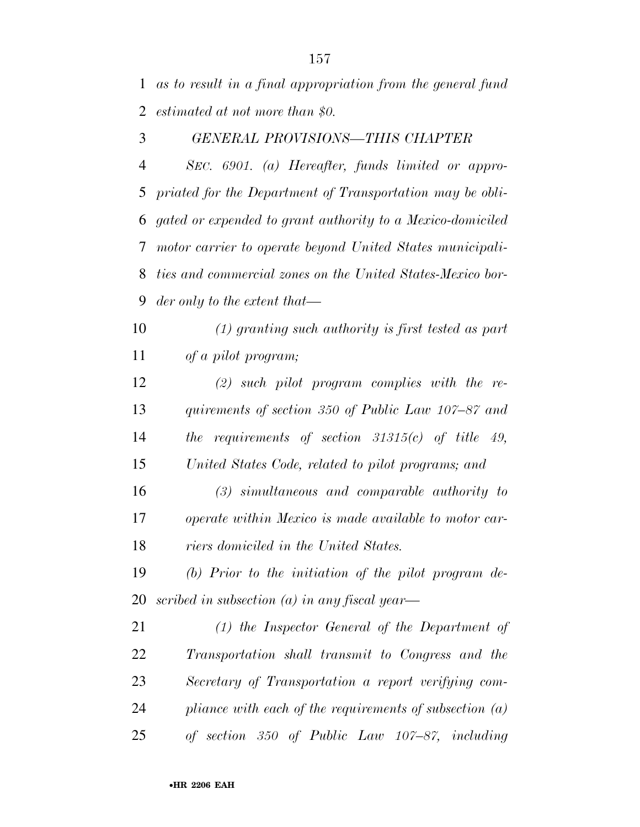*as to result in a final appropriation from the general fund estimated at not more than \$0.* 

### *GENERAL PROVISIONS—THIS CHAPTER*

 *SEC. 6901. (a) Hereafter, funds limited or appro- priated for the Department of Transportation may be obli- gated or expended to grant authority to a Mexico-domiciled motor carrier to operate beyond United States municipali- ties and commercial zones on the United States-Mexico bor-der only to the extent that—*

 *(1) granting such authority is first tested as part of a pilot program;* 

 *(2) such pilot program complies with the re- quirements of section 350 of Public Law 107–87 and the requirements of section 31315(c) of title 49, United States Code, related to pilot programs; and* 

 *(3) simultaneous and comparable authority to operate within Mexico is made available to motor car-riers domiciled in the United States.* 

 *(b) Prior to the initiation of the pilot program de-scribed in subsection (a) in any fiscal year—*

 *(1) the Inspector General of the Department of Transportation shall transmit to Congress and the Secretary of Transportation a report verifying com- pliance with each of the requirements of subsection (a) of section 350 of Public Law 107–87, including*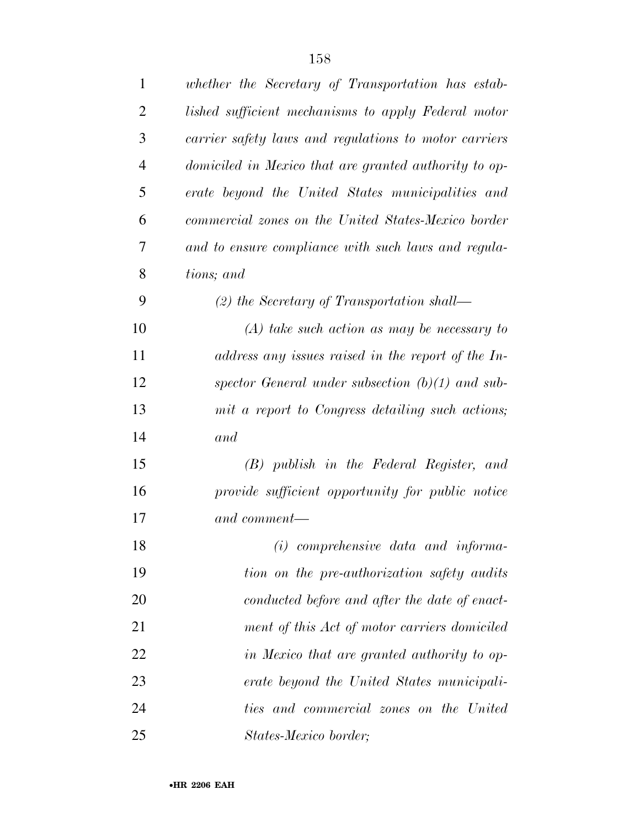| $\mathbf{1}$   | whether the Secretary of Transportation has estab-    |
|----------------|-------------------------------------------------------|
| $\overline{2}$ | lished sufficient mechanisms to apply Federal motor   |
| 3              | carrier safety laws and regulations to motor carriers |
| $\overline{4}$ | domiciled in Mexico that are granted authority to op- |
| 5              | erate beyond the United States municipalities and     |
| 6              | commercial zones on the United States-Mexico border   |
| 7              | and to ensure compliance with such laws and regula-   |
| 8              | tions; and                                            |
| 9              | $(2)$ the Secretary of Transportation shall—          |
| 10             | $(A)$ take such action as may be necessary to         |
| 11             | address any issues raised in the report of the In-    |
| 12             | spector General under subsection $(b)(1)$ and sub-    |
| 13             | mit a report to Congress detailing such actions;      |
| 14             | and                                                   |
| 15             | (B) publish in the Federal Register, and              |
| 16             | provide sufficient opportunity for public notice      |
| 17             | and comment—                                          |
| 18             | $(i)$ comprehensive data and informa-                 |
| 19             | tion on the pre-authorization safety audits           |
| 20             | conducted before and after the date of enact-         |
| 21             | ment of this Act of motor carriers domiciled          |
| 22             | in Mexico that are granted authority to op-           |
| 23             | erate beyond the United States municipali-            |
| 24             | ties and commercial zones on the United               |
| 25             | States-Mexico border;                                 |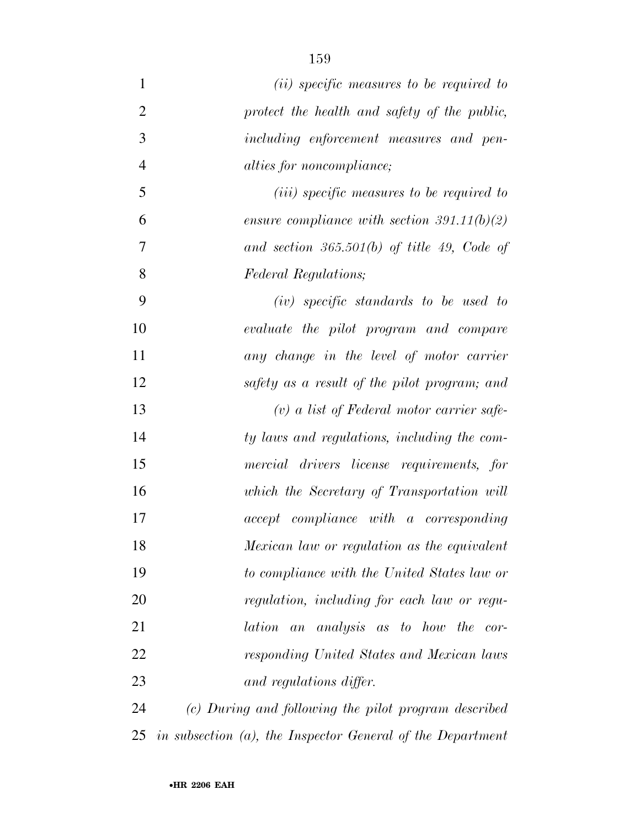*(ii) specific measures to be required to protect the health and safety of the public, including enforcement measures and pen- alties for noncompliance; (iii) specific measures to be required to ensure compliance with section 391.11(b)(2) and section 365.501(b) of title 49, Code of Federal Regulations; (iv) specific standards to be used to evaluate the pilot program and compare any change in the level of motor carrier safety as a result of the pilot program; and (v) a list of Federal motor carrier safe- ty laws and regulations, including the com- mercial drivers license requirements, for which the Secretary of Transportation will accept compliance with a corresponding Mexican law or regulation as the equivalent to compliance with the United States law or regulation, including for each law or regu- lation an analysis as to how the cor- responding United States and Mexican laws and regulations differ.* 

 *(c) During and following the pilot program described in subsection (a), the Inspector General of the Department*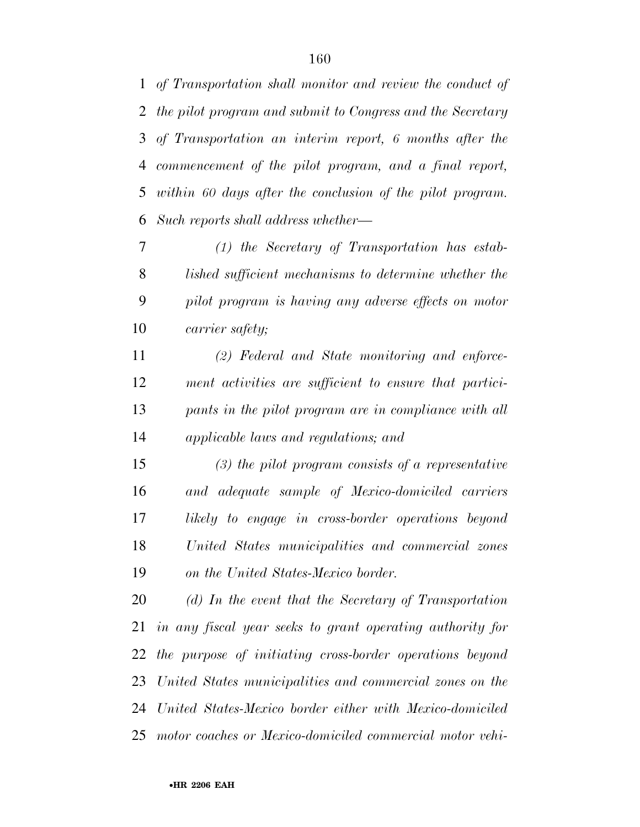*of Transportation shall monitor and review the conduct of the pilot program and submit to Congress and the Secretary of Transportation an interim report, 6 months after the commencement of the pilot program, and a final report, within 60 days after the conclusion of the pilot program. Such reports shall address whether—*

 *(1) the Secretary of Transportation has estab- lished sufficient mechanisms to determine whether the pilot program is having any adverse effects on motor carrier safety;* 

 *(2) Federal and State monitoring and enforce- ment activities are sufficient to ensure that partici- pants in the pilot program are in compliance with all applicable laws and regulations; and* 

 *(3) the pilot program consists of a representative and adequate sample of Mexico-domiciled carriers likely to engage in cross-border operations beyond United States municipalities and commercial zones on the United States-Mexico border.* 

 *(d) In the event that the Secretary of Transportation in any fiscal year seeks to grant operating authority for the purpose of initiating cross-border operations beyond United States municipalities and commercial zones on the United States-Mexico border either with Mexico-domiciled motor coaches or Mexico-domiciled commercial motor vehi-*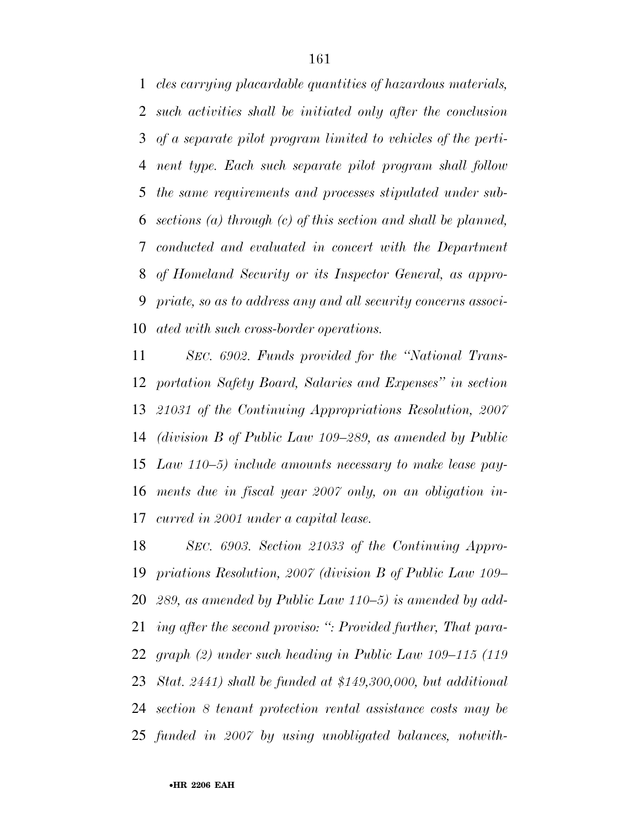*cles carrying placardable quantities of hazardous materials, such activities shall be initiated only after the conclusion of a separate pilot program limited to vehicles of the perti- nent type. Each such separate pilot program shall follow the same requirements and processes stipulated under sub- sections (a) through (c) of this section and shall be planned, conducted and evaluated in concert with the Department of Homeland Security or its Inspector General, as appro- priate, so as to address any and all security concerns associ-ated with such cross-border operations.* 

 *SEC. 6902. Funds provided for the ''National Trans- portation Safety Board, Salaries and Expenses'' in section 21031 of the Continuing Appropriations Resolution, 2007 (division B of Public Law 109–289, as amended by Public Law 110–5) include amounts necessary to make lease pay- ments due in fiscal year 2007 only, on an obligation in-curred in 2001 under a capital lease.* 

 *SEC. 6903. Section 21033 of the Continuing Appro- priations Resolution, 2007 (division B of Public Law 109– 289, as amended by Public Law 110–5) is amended by add- ing after the second proviso: '': Provided further, That para- graph (2) under such heading in Public Law 109–115 (119 Stat. 2441) shall be funded at \$149,300,000, but additional section 8 tenant protection rental assistance costs may be funded in 2007 by using unobligated balances, notwith-*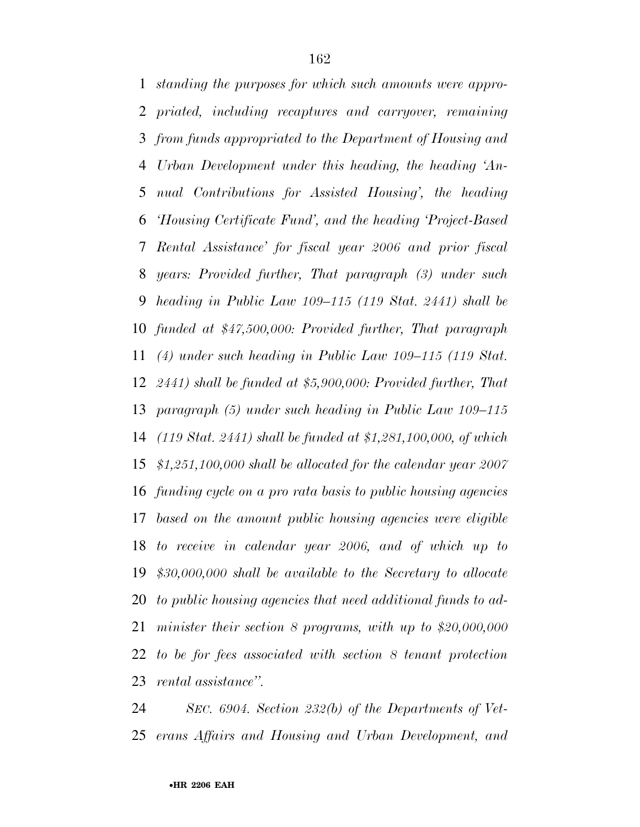*standing the purposes for which such amounts were appro- priated, including recaptures and carryover, remaining from funds appropriated to the Department of Housing and Urban Development under this heading, the heading 'An- nual Contributions for Assisted Housing', the heading 'Housing Certificate Fund', and the heading 'Project-Based Rental Assistance' for fiscal year 2006 and prior fiscal years: Provided further, That paragraph (3) under such heading in Public Law 109–115 (119 Stat. 2441) shall be funded at \$47,500,000: Provided further, That paragraph (4) under such heading in Public Law 109–115 (119 Stat. 2441) shall be funded at \$5,900,000: Provided further, That paragraph (5) under such heading in Public Law 109–115 (119 Stat. 2441) shall be funded at \$1,281,100,000, of which \$1,251,100,000 shall be allocated for the calendar year 2007 funding cycle on a pro rata basis to public housing agencies based on the amount public housing agencies were eligible to receive in calendar year 2006, and of which up to \$30,000,000 shall be available to the Secretary to allocate to public housing agencies that need additional funds to ad- minister their section 8 programs, with up to \$20,000,000 to be for fees associated with section 8 tenant protection rental assistance''.* 

 *SEC. 6904. Section 232(b) of the Departments of Vet-erans Affairs and Housing and Urban Development, and*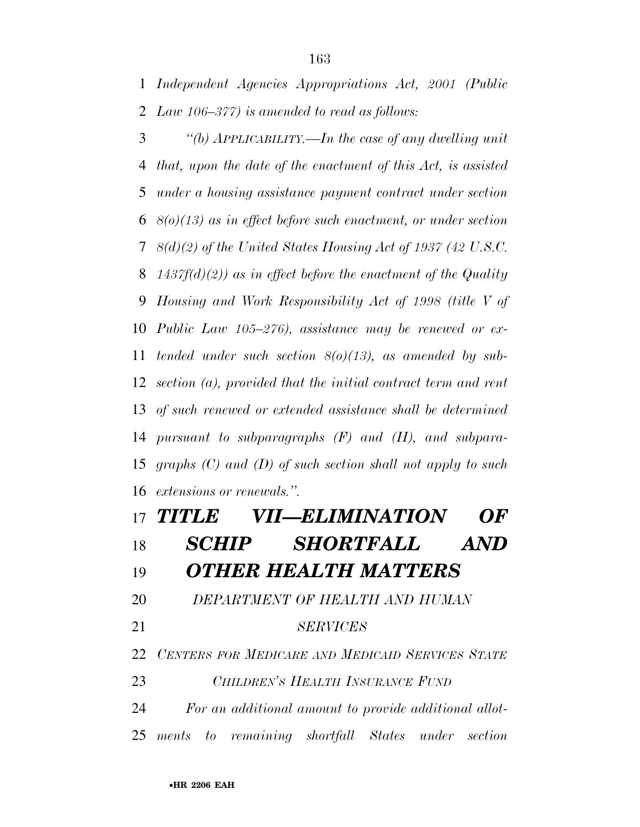*Law 106–377) is amended to read as follows:* 

 *''(b) APPLICABILITY.—In the case of any dwelling unit that, upon the date of the enactment of this Act, is assisted under a housing assistance payment contract under section 8(o)(13) as in effect before such enactment, or under section 8(d)(2) of the United States Housing Act of 1937 (42 U.S.C. 1437f(d)(2)) as in effect before the enactment of the Quality Housing and Work Responsibility Act of 1998 (title V of Public Law 105–276), assistance may be renewed or ex- tended under such section 8(o)(13), as amended by sub- section (a), provided that the initial contract term and rent of such renewed or extended assistance shall be determined pursuant to subparagraphs (F) and (H), and subpara- graphs (C) and (D) of such section shall not apply to such extensions or renewals.''.* 

# *TITLE VII—ELIMINATION OF SCHIP SHORTFALL AND OTHER HEALTH MATTERS DEPARTMENT OF HEALTH AND HUMAN SERVICES CENTERS FOR MEDICARE AND MEDICAID SERVICES STATE CHILDREN'S HEALTH INSURANCE FUND For an additional amount to provide additional allot-ments to remaining shortfall States under section*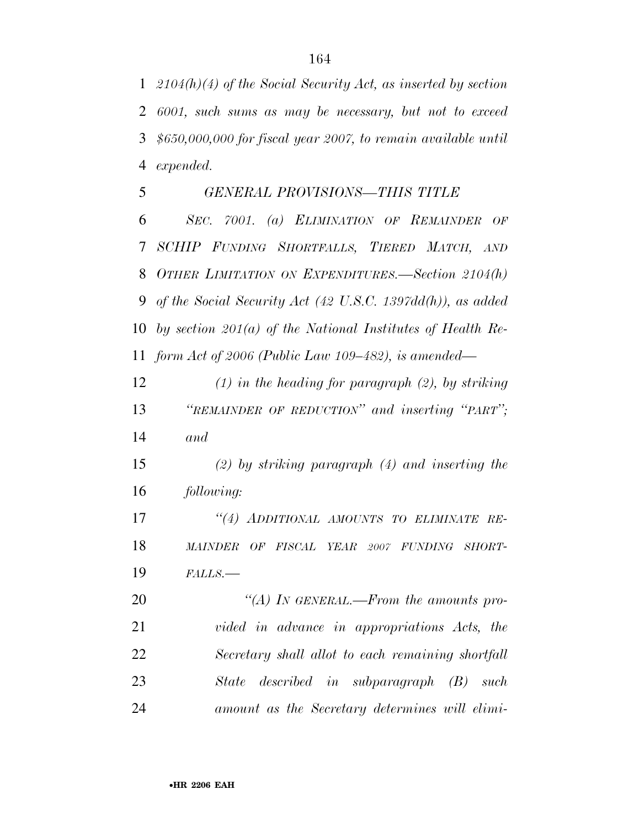*2104(h)(4) of the Social Security Act, as inserted by section 6001, such sums as may be necessary, but not to exceed \$650,000,000 for fiscal year 2007, to remain available until expended.* 

## *GENERAL PROVISIONS—THIS TITLE*

 *SEC. 7001. (a) ELIMINATION OF REMAINDER OF SCHIP FUNDING SHORTFALLS, TIERED MATCH, AND OTHER LIMITATION ON EXPENDITURES.—Section 2104(h) of the Social Security Act (42 U.S.C. 1397dd(h)), as added by section 201(a) of the National Institutes of Health Re-form Act of 2006 (Public Law 109–482), is amended—*

 *(1) in the heading for paragraph (2), by striking ''REMAINDER OF REDUCTION'' and inserting ''PART''; and* 

 *(2) by striking paragraph (4) and inserting the following:* 

 *''(4) ADDITIONAL AMOUNTS TO ELIMINATE RE- MAINDER OF FISCAL YEAR 2007 FUNDING SHORT-FALLS.—*

 *''(A) IN GENERAL.—From the amounts pro- vided in advance in appropriations Acts, the Secretary shall allot to each remaining shortfall State described in subparagraph (B) such amount as the Secretary determines will elimi-*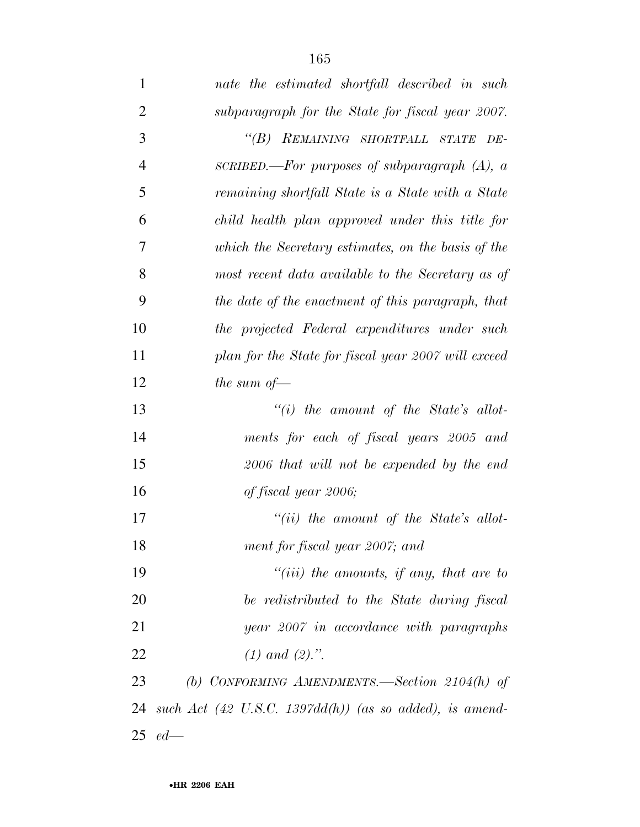| $\mathbf{1}$   | nate the estimated shortfall described in such                     |
|----------------|--------------------------------------------------------------------|
| $\overline{2}$ | subparagraph for the State for fiscal year 2007.                   |
| 3              | "(B) REMAINING SHORTFALL STATE DE-                                 |
| $\overline{4}$ | SCRIBED.—For purposes of subparagraph $(A)$ , a                    |
| 5              | remaining shortfall State is a State with a State                  |
| 6              | child health plan approved under this title for                    |
| 7              | which the Secretary estimates, on the basis of the                 |
| 8              | most recent data available to the Secretary as of                  |
| 9              | the date of the enactment of this paragraph, that                  |
| 10             | the projected Federal expenditures under such                      |
| 11             | plan for the State for fiscal year 2007 will exceed                |
| 12             | the sum of $-$                                                     |
| 13             | $``(i)$ the amount of the State's allot-                           |
| 14             | ments for each of fiscal years 2005 and                            |
| 15             | 2006 that will not be expended by the end                          |
| 16             | of fiscal year 2006;                                               |
| 17             | "(ii) the amount of the State's allot-                             |
| 18             | ment for fiscal year 2007; and                                     |
| 19             | $``(iii)$ the amounts, if any, that are to                         |
| 20             | be redistributed to the State during fiscal                        |
| 21             | year 2007 in accordance with paragraphs                            |
| 22             | $(1)$ and $(2)$ .".                                                |
| 23             | (b) CONFORMING AMENDMENTS.—Section $2104(h)$ of                    |
| 24             | such Act $(42 \text{ U.S.C. } 1397dd(h))$ (as so added), is amend- |
| 25             | $ed$ —                                                             |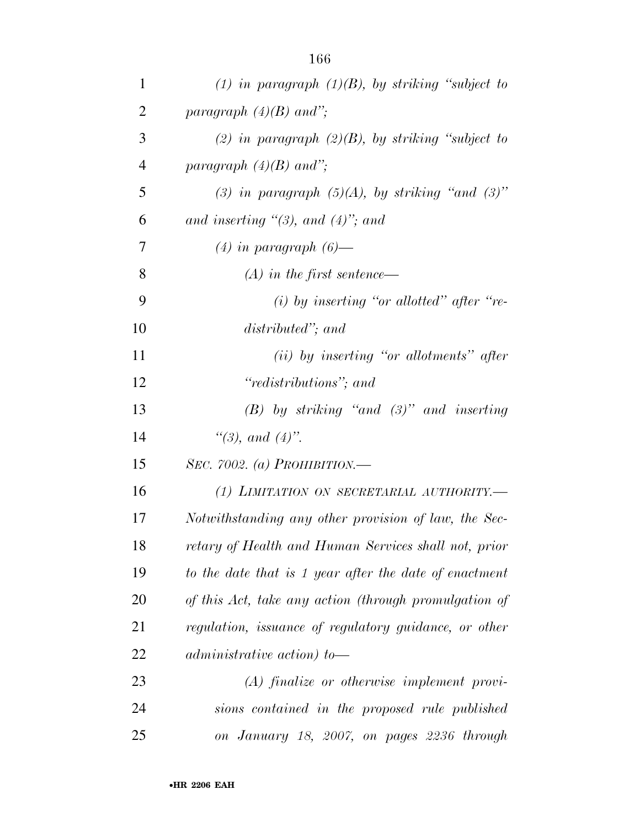| $\mathbf{1}$   | (1) in paragraph $(1)(B)$ , by striking "subject to    |
|----------------|--------------------------------------------------------|
| $\overline{2}$ | paragraph $(4)(B)$ and";                               |
| 3              | (2) in paragraph $(2)(B)$ , by striking "subject to    |
| $\overline{4}$ | paragraph $(4)(B)$ and";                               |
| 5              | (3) in paragraph $(5)(A)$ , by striking "and $(3)$ "   |
| 6              | and inserting $\lq(3)$ , and $(4)$ "; and              |
| 7              | $(4)$ in paragraph $(6)$ —                             |
| 8              | $(A)$ in the first sentence—                           |
| 9              | (i) by inserting "or allotted" after "re-              |
| 10             | distributed"; and                                      |
| 11             | $(ii)$ by inserting "or allotments" after              |
| 12             | "redistributions"; and                                 |
| 13             | $(B)$ by striking "and $(3)$ " and inserting           |
| 14             | "(3), and $(4)$ ".                                     |
| 15             | SEC. 7002. (a) PROHIBITION.—                           |
| 16             | (1) LIMITATION ON SECRETARIAL AUTHORITY.—              |
| 17             | Notwithstanding any other provision of law, the Sec-   |
| 18             | retary of Health and Human Services shall not, prior   |
| 19             | to the date that is 1 year after the date of enactment |
| 20             | of this Act, take any action (through promulgation of  |
| 21             | regulation, issuance of regulatory guidance, or other  |
| 22             | administrative action) to-                             |
| 23             | $(A)$ finalize or otherwise implement provi-           |
| 24             | sions contained in the proposed rule published         |
| 25             | on January 18, 2007, on pages 2236 through             |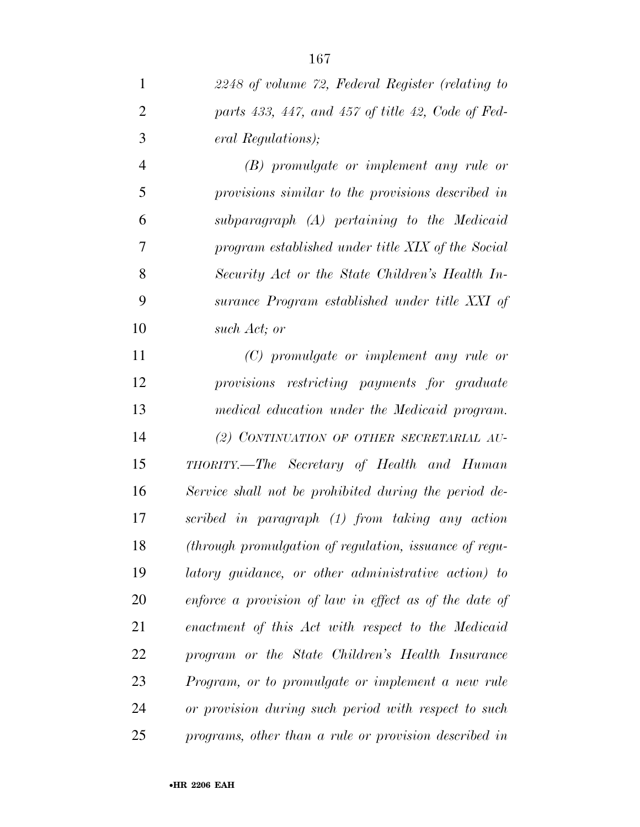*(B) promulgate or implement any rule or provisions similar to the provisions described in subparagraph (A) pertaining to the Medicaid program established under title XIX of the Social Security Act or the State Children's Health In- surance Program established under title XXI of such Act; or* 

 *(C) promulgate or implement any rule or provisions restricting payments for graduate medical education under the Medicaid program. (2) CONTINUATION OF OTHER SECRETARIAL AU- THORITY.—The Secretary of Health and Human Service shall not be prohibited during the period de- scribed in paragraph (1) from taking any action (through promulgation of regulation, issuance of regu- latory guidance, or other administrative action) to enforce a provision of law in effect as of the date of enactment of this Act with respect to the Medicaid program or the State Children's Health Insurance Program, or to promulgate or implement a new rule or provision during such period with respect to such programs, other than a rule or provision described in*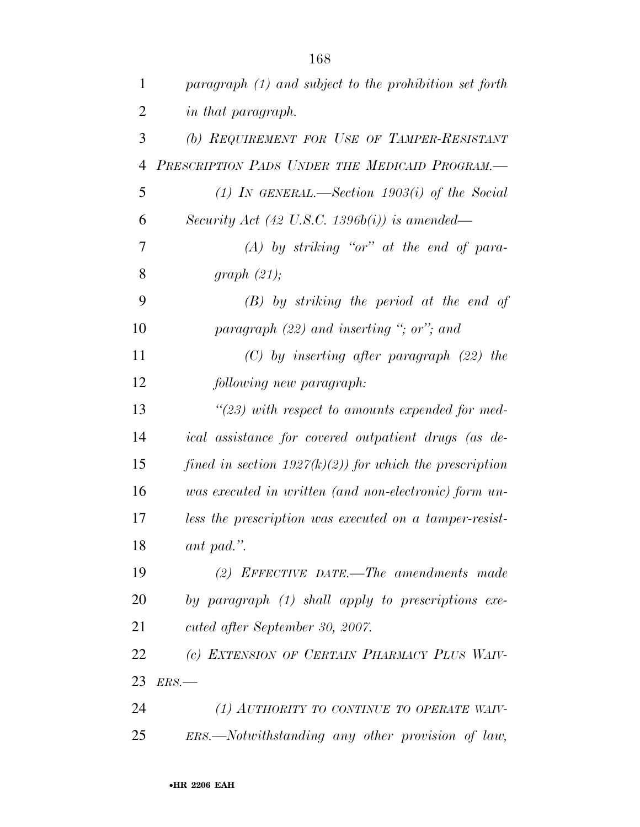| $\mathbf{1}$   | paragraph (1) and subject to the prohibition set forth     |
|----------------|------------------------------------------------------------|
| $\overline{2}$ | in that paragraph.                                         |
| 3              | (b) REQUIREMENT FOR USE OF TAMPER-RESISTANT                |
| $\overline{4}$ | PRESCRIPTION PADS UNDER THE MEDICAID PROGRAM.              |
| 5              | (1) IN GENERAL.—Section $1903(i)$ of the Social            |
| 6              | Security Act (42 U.S.C. 1396b(i)) is amended—              |
| 7              | $(A)$ by striking "or" at the end of para-                 |
| 8              | graph $(21)$ ;                                             |
| 9              | $(B)$ by striking the period at the end of                 |
| 10             | paragraph $(22)$ and inserting "; or"; and                 |
| 11             | $(C)$ by inserting after paragraph $(22)$ the              |
| 12             | following new paragraph:                                   |
| 13             | $\lq(23)$ with respect to amounts expended for med-        |
| 14             | ical assistance for covered outpatient drugs (as de-       |
| 15             | fined in section $1927(k)(2)$ ) for which the prescription |
| 16             | was executed in written (and non-electronic) form un-      |
| 17             | less the prescription was executed on a tamper-resist-     |
| 18             | ant pad.".                                                 |
| 19             | (2) EFFECTIVE DATE.—The amendments made                    |
| 20             | by paragraph (1) shall apply to prescriptions exe-         |
| 21             | cuted after September 30, 2007.                            |
| 22             | (c) EXTENSION OF CERTAIN PHARMACY PLUS WAIV-               |
| 23             | ERS.                                                       |
| 24             | (1) AUTHORITY TO CONTINUE TO OPERATE WAIV-                 |
| 25             | ERS.—Notwithstanding any other provision of law,           |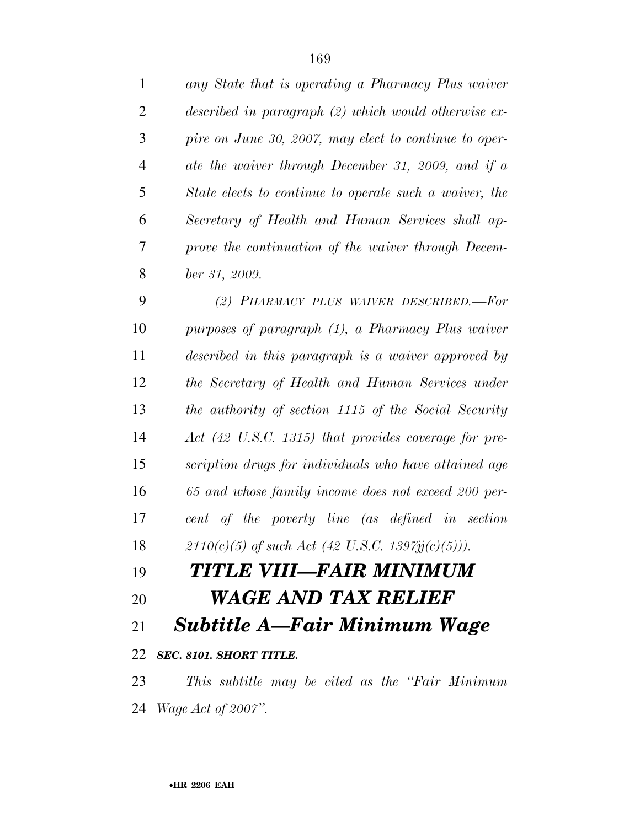| $\mathbf{1}$   | any State that is operating a Pharmacy Plus waiver              |
|----------------|-----------------------------------------------------------------|
| $\overline{2}$ | described in paragraph $(2)$ which would otherwise ex-          |
| 3              | pire on June 30, 2007, may elect to continue to oper-           |
| $\overline{4}$ | ate the waiver through December 31, 2009, and if a              |
| 5              | State elects to continue to operate such a waiver, the          |
| 6              | Secretary of Health and Human Services shall ap-                |
| 7              | prove the continuation of the waiver through Decem-             |
| 8              | ber 31, 2009.                                                   |
| 9              | (2) PHARMACY PLUS WAIVER DESCRIBED.-For                         |
| 10             | purposes of paragraph (1), a Pharmacy Plus waiver               |
| 11             | described in this paragraph is a waiver approved by             |
| 12             | the Secretary of Health and Human Services under                |
| 13             | the authority of section 1115 of the Social Security            |
| 14             | Act $(42 \text{ U.S.C. } 1315)$ that provides coverage for pre- |
| 15             | scription drugs for individuals who have attained age           |
| 16             | 65 and whose family income does not exceed 200 per-             |
| 17             | cent of the poverty line (as defined in section                 |
| 18             | $2110(c)(5)$ of such Act (42 U.S.C. 1397jj(c)(5))).             |
| 19             | TITLE VIII—FAIR MINIMUM                                         |
| 20             | WAGE AND TAX RELIEF                                             |
| 21             | <b>Subtitle A—Fair Minimum Wage</b>                             |
| 22             | SEC. 8101. SHORT TITLE.                                         |
| 23             | This subtitle may be cited as the "Fair Minimum"                |
|                | 24 <i>Wage Act of 2007"</i> .                                   |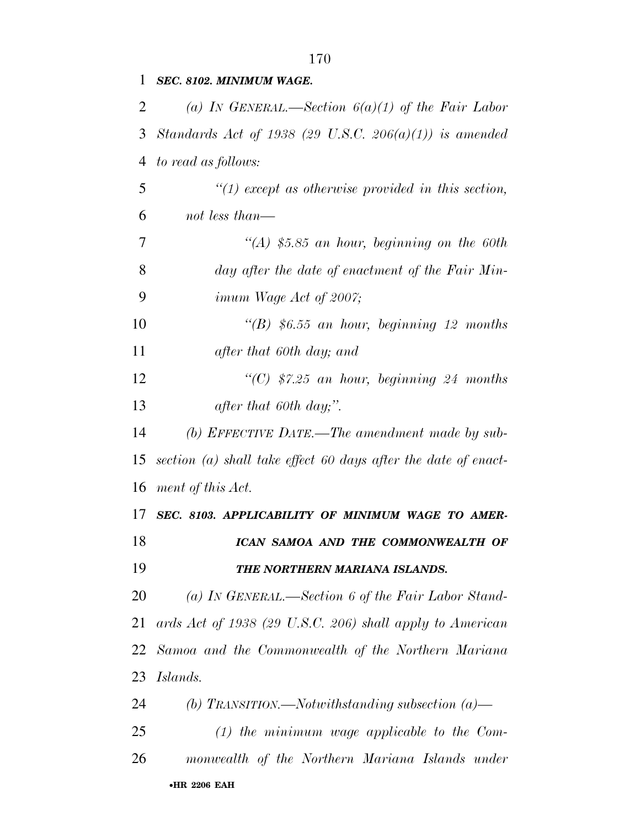*SEC. 8102. MINIMUM WAGE.* 

| 2  | (a) IN GENERAL.—Section $6(a)(1)$ of the Fair Labor            |
|----|----------------------------------------------------------------|
| 3  | Standards Act of 1938 (29 U.S.C. 206(a)(1)) is amended         |
| 4  | to read as follows:                                            |
| 5  | $\lq(1)$ except as otherwise provided in this section,         |
| 6  | not less than—                                                 |
| 7  | $\mathcal{H}(A)$ \$5.85 an hour, beginning on the 60th         |
| 8  | day after the date of enactment of the Fair Min-               |
| 9  | imum Wage Act of 2007;                                         |
| 10 | "(B) $$6.55$ an hour, beginning 12 months                      |
| 11 | after that 60th day; and                                       |
| 12 | "(C) $$7.25$ an hour, beginning 24 months                      |
| 13 | after that 60th day;".                                         |
| 14 | (b) EFFECTIVE DATE.—The amendment made by sub-                 |
| 15 | section (a) shall take effect 60 days after the date of enact- |
| 16 | ment of this Act.                                              |
| 17 | SEC. 8103. APPLICABILITY OF MINIMUM WAGE TO AMER-              |
| 18 | ICAN SAMOA AND THE COMMONWEALTH OF                             |
| 19 | THE NORTHERN MARIANA ISLANDS.                                  |
| 20 | (a) IN GENERAL.—Section 6 of the Fair Labor Stand-             |
| 21 | ards Act of 1938 (29 U.S.C. 206) shall apply to American       |
| 22 | Samoa and the Commonwealth of the Northern Mariana             |
| 23 | Islands.                                                       |
| 24 | (b) TRANSITION.—Notwithstanding subsection $(a)$ —             |
| 25 | $(1)$ the minimum wage applicable to the Com-                  |
| 26 | monwealth of the Northern Mariana Islands under                |
|    | <b>•HR 2206 EAH</b>                                            |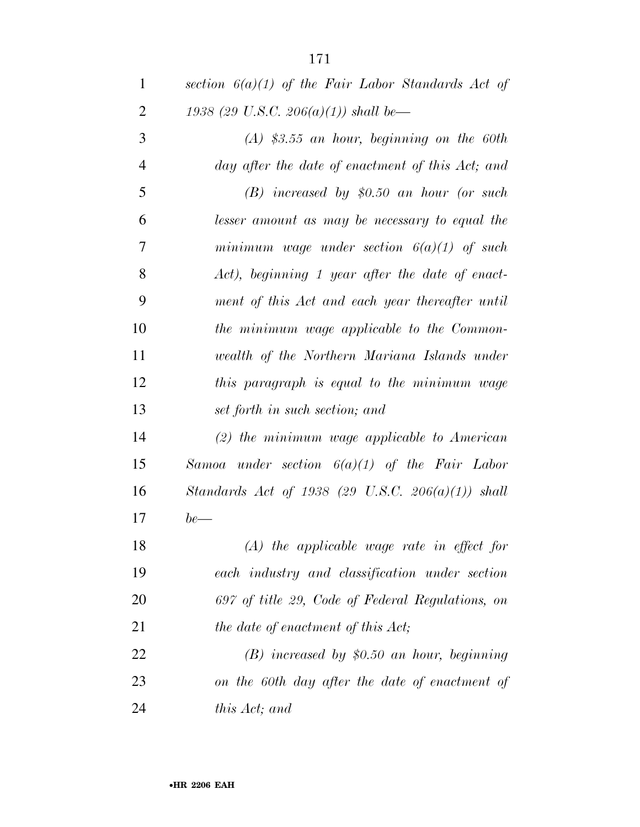*section 6(a)(1) of the Fair Labor Standards Act of 1938 (29 U.S.C. 206(a)(1)) shall be— (A) \$3.55 an hour, beginning on the 60th day after the date of enactment of this Act; and (B) increased by \$0.50 an hour (or such lesser amount as may be necessary to equal the minimum wage under section 6(a)(1) of such Act), beginning 1 year after the date of enact- ment of this Act and each year thereafter until the minimum wage applicable to the Common- wealth of the Northern Mariana Islands under this paragraph is equal to the minimum wage set forth in such section; and (2) the minimum wage applicable to American Samoa under section 6(a)(1) of the Fair Labor Standards Act of 1938 (29 U.S.C. 206(a)(1)) shall be— (A) the applicable wage rate in effect for each industry and classification under section 697 of title 29, Code of Federal Regulations, on the date of enactment of this Act; (B) increased by \$0.50 an hour, beginning on the 60th day after the date of enactment of* 

*this Act; and*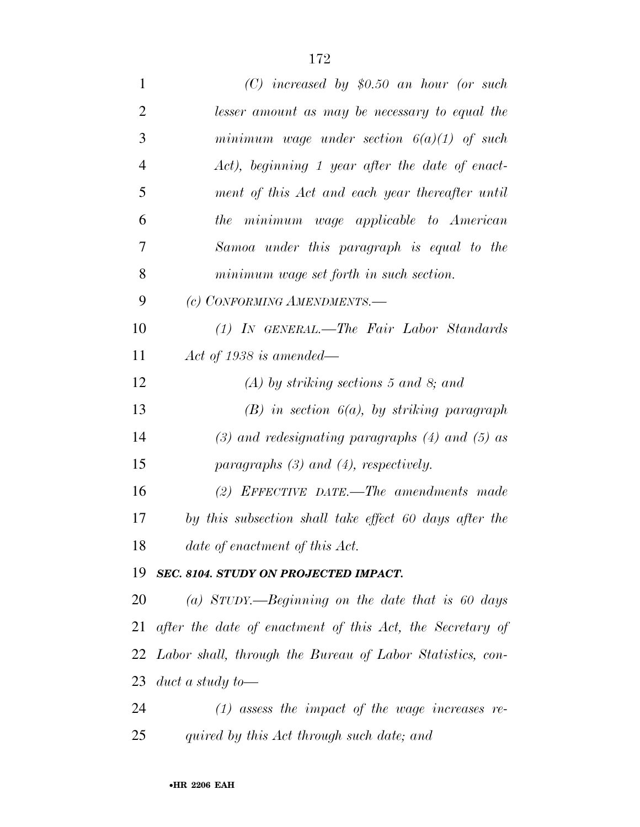| $\mathbf{1}$   | $(C)$ increased by \$0.50 an hour (or such                |
|----------------|-----------------------------------------------------------|
| $\overline{2}$ | lesser amount as may be necessary to equal the            |
| 3              | minimum wage under section $6(a)(1)$ of such              |
| $\overline{4}$ | Act), beginning 1 year after the date of enact-           |
| 5              | ment of this Act and each year thereafter until           |
| 6              | the minimum wage applicable to American                   |
| 7              | Samoa under this paragraph is equal to the                |
| 8              | minimum wage set forth in such section.                   |
| 9              | (c) CONFORMING AMENDMENTS.-                               |
| 10             | (1) IN GENERAL.—The Fair Labor Standards                  |
| 11             | Act of 1938 is amended—                                   |
| 12             | $(A)$ by striking sections 5 and 8; and                   |
| 13             | $(B)$ in section $6(a)$ , by striking paragraph           |
| 14             | $(3)$ and redesignating paragraphs $(4)$ and $(5)$ as     |
| 15             | paragraphs $(3)$ and $(4)$ , respectively.                |
| 16             | (2) EFFECTIVE DATE.—The amendments made                   |
| 17             | by this subsection shall take effect 60 days after the    |
| 18             | date of enactment of this Act.                            |
| 19             | SEC. 8104. STUDY ON PROJECTED IMPACT.                     |
| 20             | (a) STUDY.—Beginning on the date that is 60 days          |
| 21             | after the date of enactment of this Act, the Secretary of |
| 22             | Labor shall, through the Bureau of Labor Statistics, con- |
| 23             | duct a study to-                                          |
| 24             | $(1)$ assess the impact of the wage increases re-         |
| 25             | quired by this Act through such date; and                 |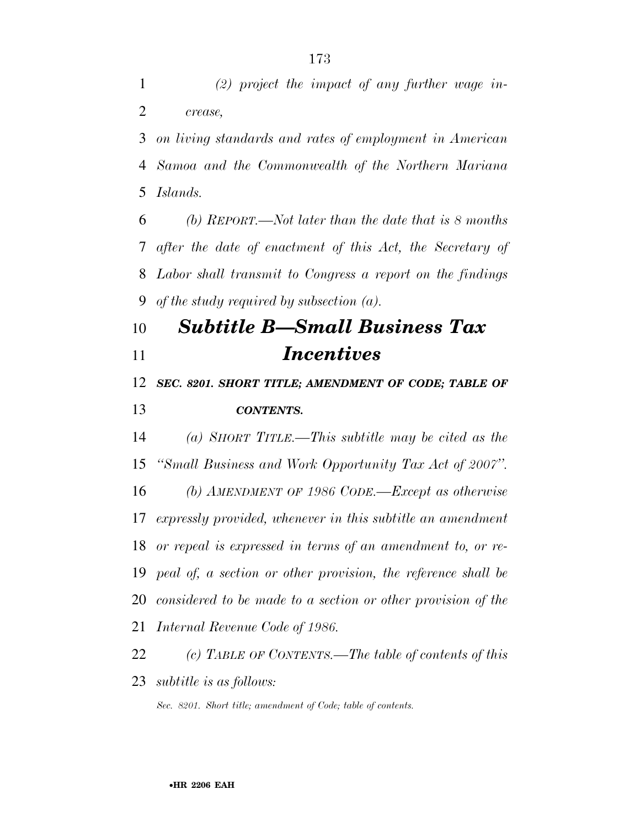*(2) project the impact of any further wage in-crease,* 

 *on living standards and rates of employment in American Samoa and the Commonwealth of the Northern Mariana Islands.* 

 *(b) REPORT.—Not later than the date that is 8 months after the date of enactment of this Act, the Secretary of Labor shall transmit to Congress a report on the findings of the study required by subsection (a).* 

## *Subtitle B—Small Business Tax Incentives*

 *SEC. 8201. SHORT TITLE; AMENDMENT OF CODE; TABLE OF CONTENTS.* 

 *(a) SHORT TITLE.—This subtitle may be cited as the ''Small Business and Work Opportunity Tax Act of 2007''. (b) AMENDMENT OF 1986 CODE.—Except as otherwise expressly provided, whenever in this subtitle an amendment or repeal is expressed in terms of an amendment to, or re- peal of, a section or other provision, the reference shall be considered to be made to a section or other provision of the Internal Revenue Code of 1986.* 

 *(c) TABLE OF CONTENTS.—The table of contents of this subtitle is as follows:*

*Sec. 8201. Short title; amendment of Code; table of contents.*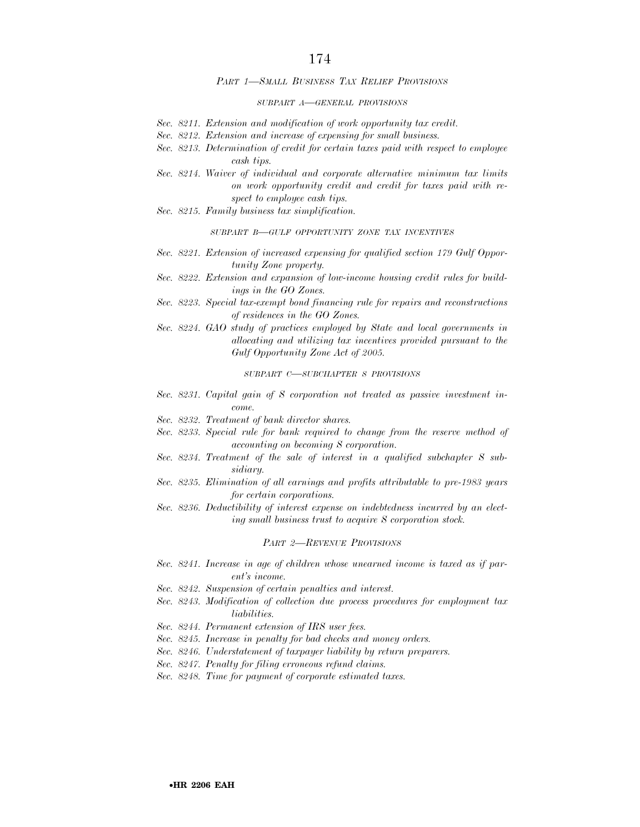#### *PART 1—SMALL BUSINESS TAX RELIEF PROVISIONS*

#### *SUBPART A—GENERAL PROVISIONS*

- *Sec. 8211. Extension and modification of work opportunity tax credit.*
- *Sec. 8212. Extension and increase of expensing for small business.*
- *Sec. 8213. Determination of credit for certain taxes paid with respect to employee cash tips.*
- *Sec. 8214. Waiver of individual and corporate alternative minimum tax limits on work opportunity credit and credit for taxes paid with respect to employee cash tips.*
- *Sec. 8215. Family business tax simplification.*

#### *SUBPART B—GULF OPPORTUNITY ZONE TAX INCENTIVES*

- *Sec. 8221. Extension of increased expensing for qualified section 179 Gulf Opportunity Zone property.*
- *Sec. 8222. Extension and expansion of low-income housing credit rules for buildings in the GO Zones.*
- *Sec. 8223. Special tax-exempt bond financing rule for repairs and reconstructions of residences in the GO Zones.*
- *Sec. 8224. GAO study of practices employed by State and local governments in allocating and utilizing tax incentives provided pursuant to the Gulf Opportunity Zone Act of 2005.*

*SUBPART C—SUBCHAPTER S PROVISIONS*

- *Sec. 8231. Capital gain of S corporation not treated as passive investment income.*
- *Sec. 8232. Treatment of bank director shares.*
- *Sec. 8233. Special rule for bank required to change from the reserve method of accounting on becoming S corporation.*
- *Sec. 8234. Treatment of the sale of interest in a qualified subchapter S subsidiary.*
- *Sec. 8235. Elimination of all earnings and profits attributable to pre-1983 years for certain corporations.*
- *Sec. 8236. Deductibility of interest expense on indebtedness incurred by an electing small business trust to acquire S corporation stock.*

#### *PART 2—REVENUE PROVISIONS*

- *Sec. 8241. Increase in age of children whose unearned income is taxed as if parent's income.*
- *Sec. 8242. Suspension of certain penalties and interest.*
- *Sec. 8243. Modification of collection due process procedures for employment tax liabilities.*
- *Sec. 8244. Permanent extension of IRS user fees.*
- *Sec. 8245. Increase in penalty for bad checks and money orders.*
- *Sec. 8246. Understatement of taxpayer liability by return preparers.*
- *Sec. 8247. Penalty for filing erroneous refund claims.*
- *Sec. 8248. Time for payment of corporate estimated taxes.*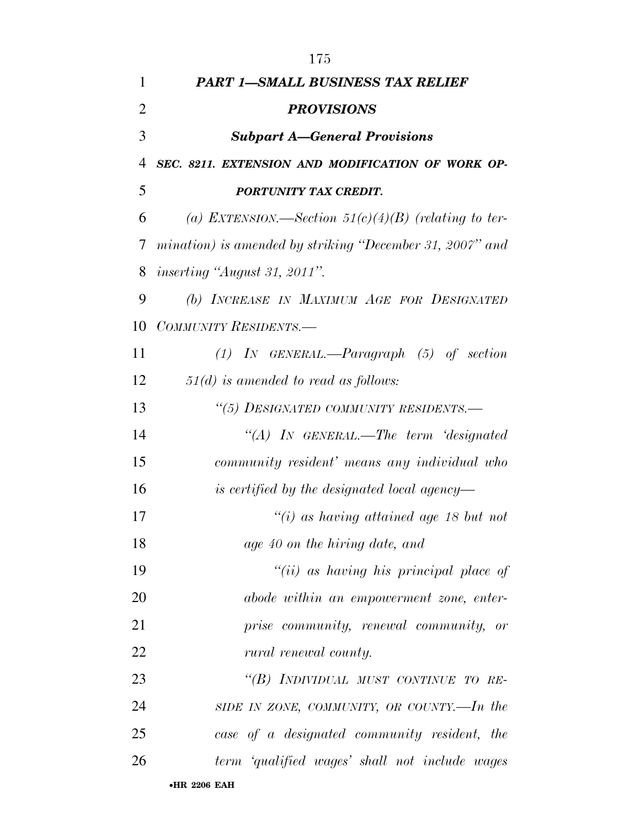| 1  | <b>PART 1-SMALL BUSINESS TAX RELIEF</b>                  |
|----|----------------------------------------------------------|
| 2  | <b>PROVISIONS</b>                                        |
| 3  | <b>Subpart A–General Provisions</b>                      |
| 4  | SEC. 8211. EXTENSION AND MODIFICATION OF WORK OP-        |
| 5  | PORTUNITY TAX CREDIT.                                    |
| 6  | (a) EXTENSION.—Section $51(c)(4)(B)$ (relating to ter-   |
| 7  | mination) is amended by striking "December 31, 2007" and |
| 8  | <i>inserting "August 31, 2011".</i>                      |
| 9  | (b) INCREASE IN MAXIMUM AGE FOR DESIGNATED               |
| 10 | COMMUNITY RESIDENTS.-                                    |
| 11 | $(1)$ IN GENERAL.—Paragraph $(5)$ of section             |
| 12 | $51(d)$ is amended to read as follows:                   |
| 13 | "(5) DESIGNATED COMMUNITY RESIDENTS.-                    |
| 14 | "(A) IN GENERAL.—The term 'designated                    |
| 15 | community resident' means any individual who             |
| 16 | is certified by the designated local agency—             |
| 17 | $``(i)$ as having attained age 18 but not                |
| 18 | age 40 on the hiring date, and                           |
| 19 | $``(ii)$ as having his principal place of                |
| 20 | abode within an empowerment zone, enter-                 |
| 21 | prise community, renewal community, or                   |
| 22 | rural renewal county.                                    |
| 23 | "(B) INDIVIDUAL MUST CONTINUE TO RE-                     |
| 24 | SIDE IN ZONE, COMMUNITY, OR COUNTY.—In the               |
| 25 | case of a designated community resident, the             |
| 26 | term 'qualified wages' shall not include wages           |
|    | $\bullet$ HR 2206 EAH                                    |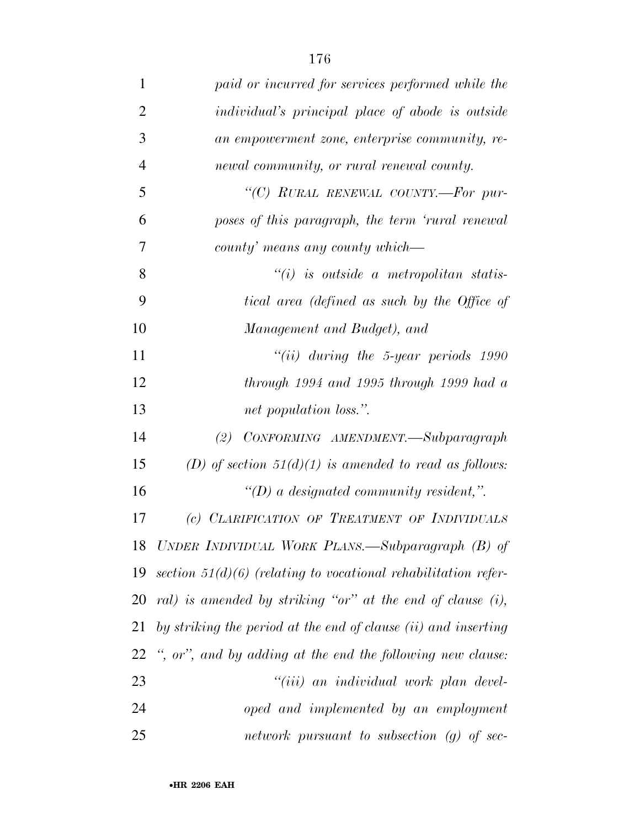| $\mathbf{1}$   | paid or incurred for services performed while the                |
|----------------|------------------------------------------------------------------|
| $\overline{2}$ | individual's principal place of abode is outside                 |
| 3              | an empowerment zone, enterprise community, re-                   |
| $\overline{4}$ | newal community, or rural renewal county.                        |
| 5              | "(C) RURAL RENEWAL COUNTY.-For pur-                              |
| 6              | poses of this paragraph, the term 'rural renewal                 |
| 7              | county' means any county which—                                  |
| 8              | $``(i)$ is outside a metropolitan statis-                        |
| 9              | tical area (defined as such by the Office of                     |
| 10             | Management and Budget), and                                      |
| 11             | $``(ii)$ during the 5-year periods 1990                          |
| 12             | through $1994$ and $1995$ through $1999$ had a                   |
| 13             | net population loss.".                                           |
| 14             | CONFORMING AMENDMENT.-Subparagraph<br>(2)                        |
| 15             | (D) of section $51(d)(1)$ is amended to read as follows:         |
| 16             | "(D) a designated community resident,".                          |
| 17             | (c) CLARIFICATION OF TREATMENT OF INDIVIDUALS                    |
| 18             | UNDER INDIVIDUAL WORK PLANS.—Subparagraph (B) of                 |
| 19             | section $51(d)(6)$ (relating to vocational rehabilitation refer- |
| 20             | ral) is amended by striking "or" at the end of clause $(i)$ ,    |
| 21             | by striking the period at the end of clause (ii) and inserting   |
| 22             | ", or", and by adding at the end the following new clause:       |
| 23             | "(iii) an individual work plan devel-                            |
| 24             | oped and implemented by an employment                            |
| 25             | network pursuant to subsection $(g)$ of sec-                     |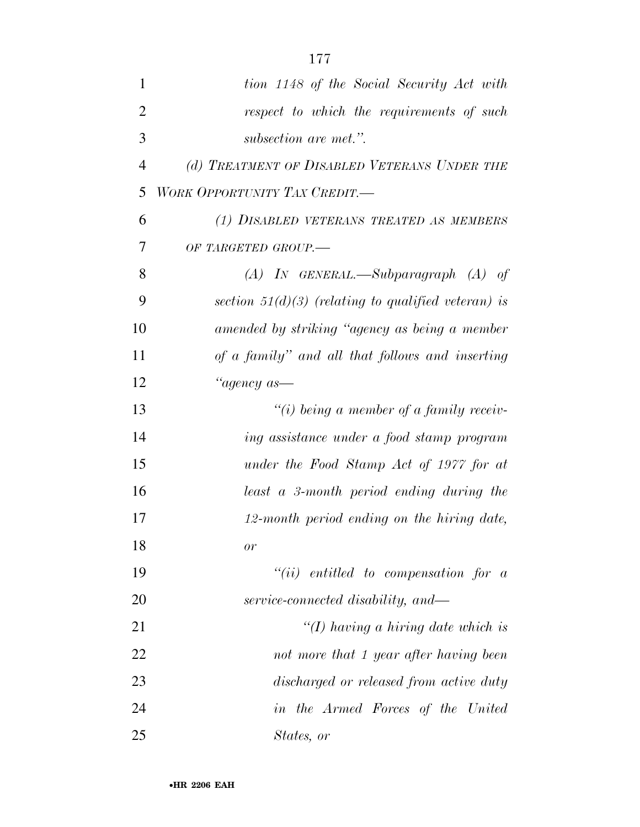| $\mathbf{1}$ | tion 1148 of the Social Security Act with             |
|--------------|-------------------------------------------------------|
| 2            | respect to which the requirements of such             |
| 3            | subsection are met.".                                 |
| 4            | (d) TREATMENT OF DISABLED VETERANS UNDER THE          |
| 5            | WORK OPPORTUNITY TAX CREDIT.—                         |
| 6            | (1) DISABLED VETERANS TREATED AS MEMBERS              |
| 7            | OF TARGETED GROUP.-                                   |
| 8            | $(A)$ IN GENERAL.—Subparagraph $(A)$ of               |
| 9            | section $51(d)(3)$ (relating to qualified veteran) is |
| 10           | amended by striking "agency as being a member         |
| 11           | of a family" and all that follows and inserting       |
| 12           | "agency as—                                           |
| 13           | $``(i)$ being a member of a family receiv-            |
| 14           | ing assistance under a food stamp program             |
| 15           | under the Food Stamp Act of 1977 for at               |
| 16           | least a 3-month period ending during the              |
| 17           | 12-month period ending on the hiring date,            |
| 18           | or                                                    |
| 19           | $``(ii)$ entitled to compensation for a               |
| 20           | service-connected disability, and—                    |
| 21           | "(I) having a hiring date which is                    |
| 22           | not more that 1 year after having been                |
| 23           | discharged or released from active duty               |
| 24           | in the Armed Forces of the United                     |
| 25           | States, or                                            |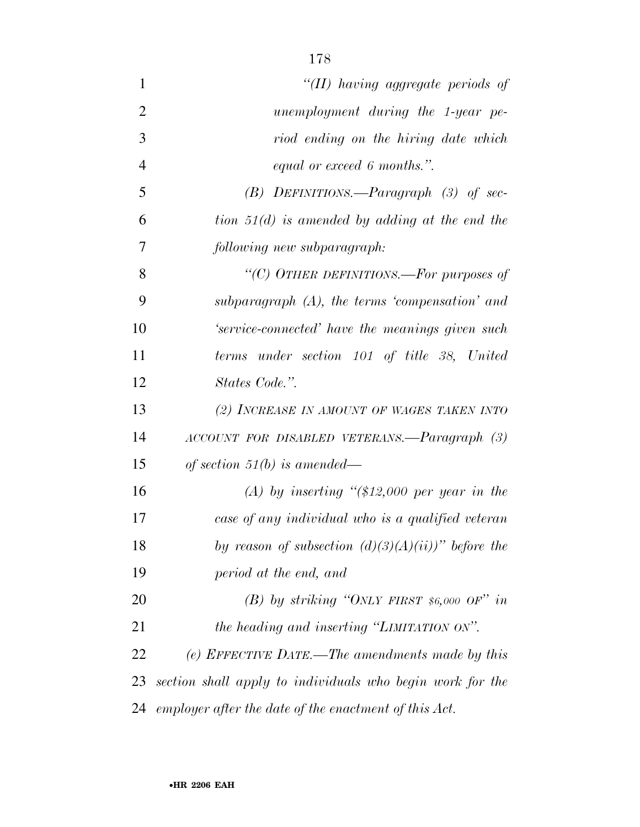| $\mathbf{1}$   | "(II) having aggregate periods of                         |
|----------------|-----------------------------------------------------------|
| $\overline{2}$ | unemployment during the 1-year pe-                        |
| 3              | riod ending on the hiring date which                      |
| $\overline{4}$ | equal or exceed 6 months.".                               |
| 5              | $(B)$ DEFINITIONS.—Paragraph (3) of sec-                  |
| 6              | tion $51(d)$ is amended by adding at the end the          |
| 7              | following new subparagraph:                               |
| 8              | "(C) OTHER DEFINITIONS.—For purposes of                   |
| 9              | subparagraph $(A)$ , the terms 'compensation' and         |
| 10             | 'service-connected' have the meanings given such          |
| 11             | terms under section 101 of title 38, United               |
| 12             | States Code.".                                            |
| 13             | (2) INCREASE IN AMOUNT OF WAGES TAKEN INTO                |
| 14             | ACCOUNT FOR DISABLED VETERANS.-Paragraph (3)              |
| 15             | of section 51(b) is amended—                              |
| 16             | (A) by inserting " $($12,000$ per year in the             |
| 17             | case of any individual who is a qualified veteran         |
| 18             | by reason of subsection $(d)(3)(A)(ii))$ " before the     |
| 19             | period at the end, and                                    |
| 20             | (B) by striking "ONLY FIRST \$6,000 OF" in                |
| 21             | the heading and inserting "LIMITATION ON".                |
| 22             | (e) EFFECTIVE DATE.—The amendments made by this           |
| 23             | section shall apply to individuals who begin work for the |
| 24             | employer after the date of the enactment of this Act.     |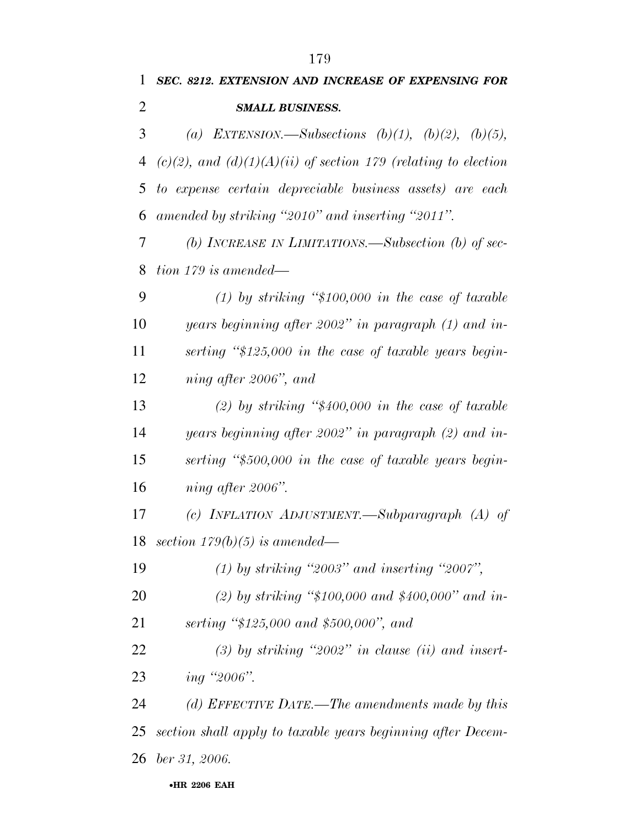| 1              | SEC. 8212. EXTENSION AND INCREASE OF EXPENSING FOR                  |
|----------------|---------------------------------------------------------------------|
| $\overline{2}$ | <b>SMALL BUSINESS.</b>                                              |
| 3              | (a) EXTENSION.—Subsections $(b)(1)$ , $(b)(2)$ , $(b)(5)$ ,         |
| 4              | $(c)(2)$ , and $(d)(1)(A)(ii)$ of section 179 (relating to election |
| 5              | to expense certain depreciable business assets) are each            |
| 6              | amended by striking "2010" and inserting "2011".                    |
| 7              | (b) INCREASE IN LIMITATIONS.—Subsection (b) of sec-                 |
| 8              | $tion\ 179\ is\ amended—$                                           |
| 9              | (1) by striking "\$100,000 in the case of taxable                   |
| 10             | years beginning after 2002" in paragraph $(1)$ and in-              |
| 11             | serting "\$125,000 in the case of taxable years begin-              |
| 12             | ning after 2006", and                                               |
| 13             | (2) by striking " $$400,000$ in the case of taxable                 |
| 14             | years beginning after 2002" in paragraph $(2)$ and in-              |
| 15             | serting "\$500,000 in the case of taxable years begin-              |
| 16             | ning after 2006".                                                   |
| 17             | (c) INFLATION ADJUSTMENT.—Subparagraph $(A)$ of                     |
|                | 18 section $179(b)(5)$ is amended—                                  |
| 19             | $(1)$ by striking "2003" and inserting "2007",                      |
| 20             | (2) by striking " $$100,000$ and $$400,000$ " and in-               |
| 21             | serting " $$125,000$ and $$500,000$ ", and                          |
| 22             | $(3)$ by striking "2002" in clause (ii) and insert-                 |
| 23             | ing "2006".                                                         |
| 24             | (d) EFFECTIVE DATE.—The amendments made by this                     |
| 25             | section shall apply to taxable years beginning after Decem-         |
| 26             | $ber\,31, 2006.$                                                    |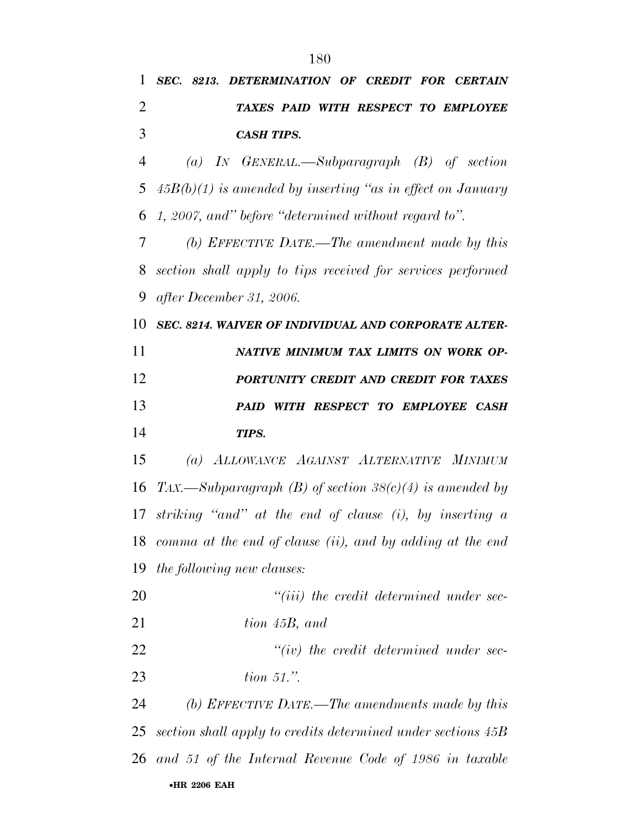| 1  | SEC. 8213. DETERMINATION OF CREDIT FOR CERTAIN               |
|----|--------------------------------------------------------------|
| 2  | TAXES PAID WITH RESPECT TO EMPLOYEE                          |
| 3  | <b>CASH TIPS.</b>                                            |
| 4  | (a) IN GENERAL.—Subparagraph $(B)$ of section                |
| 5  | $45B(b)(1)$ is amended by inserting "as in effect on January |
| 6  | 1, 2007, and" before "determined without regard to".         |
| 7  | (b) EFFECTIVE DATE.—The amendment made by this               |
| 8  | section shall apply to tips received for services performed  |
| 9  | after December 31, 2006.                                     |
| 10 | <b>SEC. 8214. WAIVER OF INDIVIDUAL AND CORPORATE ALTER-</b>  |
| 11 | NATIVE MINIMUM TAX LIMITS ON WORK OP-                        |
| 12 | PORTUNITY CREDIT AND CREDIT FOR TAXES                        |
| 13 | PAID WITH RESPECT TO EMPLOYEE CASH                           |
| 14 | TIPS.                                                        |
| 15 | (a) ALLOWANCE AGAINST ALTERNATIVE MINIMUM                    |
| 16 | TAX.—Subparagraph (B) of section $38(c)(4)$ is amended by    |
| 17 | striking "and" at the end of clause $(i)$ , by inserting a   |
| 18 | comma at the end of clause (ii), and by adding at the end    |
| 19 | <i>the following new clauses:</i>                            |
| 20 | $``(iii)$ the credit determined under sec-                   |
| 21 | tion 45B, and                                                |
| 22 | $``(iv)$ the credit determined under sec-                    |
| 23 | tion $51$ .".                                                |
| 24 | (b) EFFECTIVE DATE.—The amendments made by this              |
| 25 | section shall apply to credits determined under sections 45B |
| 26 | and 51 of the Internal Revenue Code of 1986 in taxable       |
|    | •HR 2206 EAH                                                 |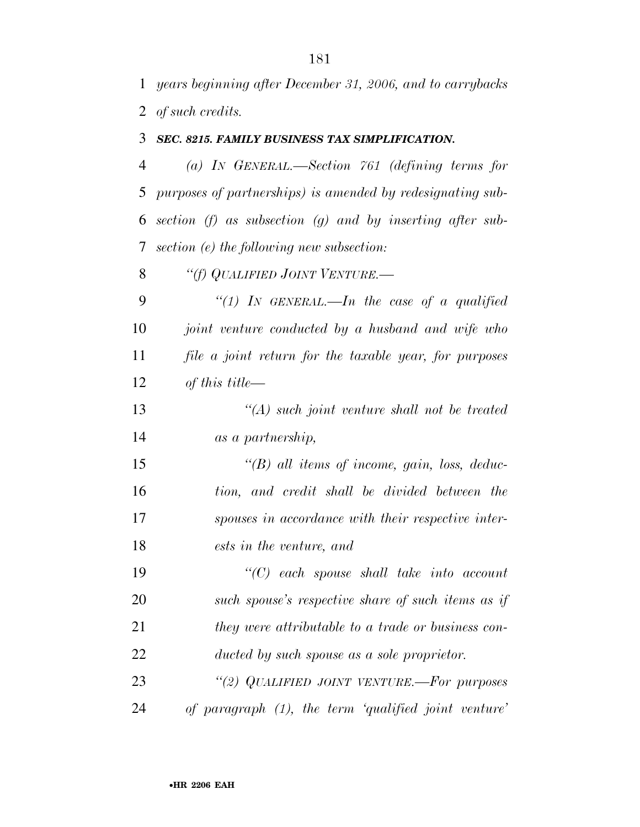*years beginning after December 31, 2006, and to carrybacks of such credits.* 

## *SEC. 8215. FAMILY BUSINESS TAX SIMPLIFICATION.*

 *(a) IN GENERAL.—Section 761 (defining terms for purposes of partnerships) is amended by redesignating sub- section (f) as subsection (g) and by inserting after sub-section (e) the following new subsection:* 

*''(f) QUALIFIED JOINT VENTURE.—*

 *''(1) IN GENERAL.—In the case of a qualified joint venture conducted by a husband and wife who file a joint return for the taxable year, for purposes of this title—*

 *''(A) such joint venture shall not be treated as a partnership,* 

 *''(B) all items of income, gain, loss, deduc- tion, and credit shall be divided between the spouses in accordance with their respective inter-ests in the venture, and* 

 *''(C) each spouse shall take into account such spouse's respective share of such items as if they were attributable to a trade or business con-ducted by such spouse as a sole proprietor.* 

 *''(2) QUALIFIED JOINT VENTURE.—For purposes of paragraph (1), the term 'qualified joint venture'*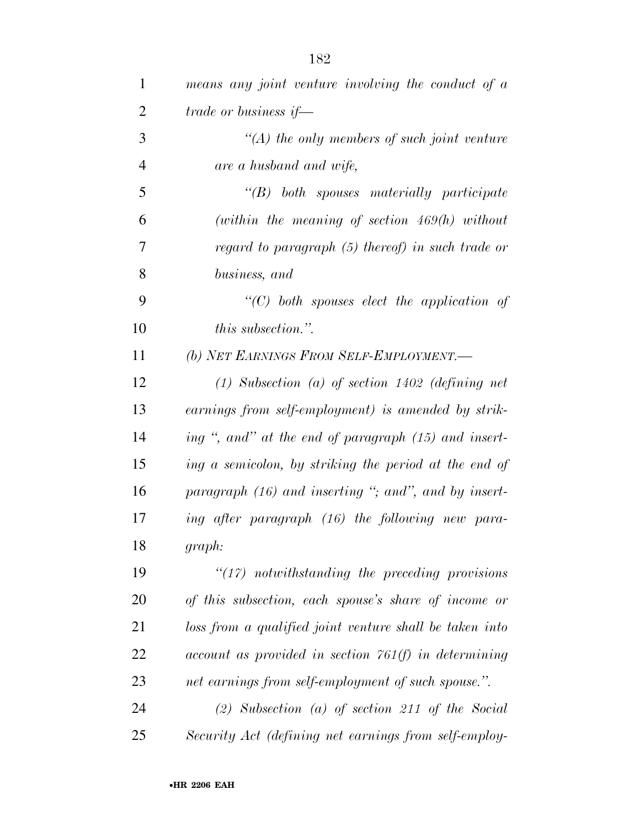| $\mathbf{1}$   | means any joint venture involving the conduct of a       |
|----------------|----------------------------------------------------------|
| $\overline{2}$ | trade or business if—                                    |
| 3              | $\lq (A)$ the only members of such joint venture         |
| $\overline{4}$ | are a husband and wife,                                  |
| 5              | $\lq$ (B) both spouses materially participate            |
| 6              | (within the meaning of section $469(h)$ without          |
| 7              | regard to paragraph (5) thereof) in such trade or        |
| 8              | business, and                                            |
| 9              | "(C) both spouses elect the application of               |
| 10             | <i>this subsection.</i> "                                |
| 11             | (b) NET EARNINGS FROM SELF-EMPLOYMENT.-                  |
| 12             | $(1)$ Subsection $(a)$ of section 1402 (defining net     |
| 13             | earnings from self-employment) is amended by strik-      |
| 14             | ing ", and" at the end of paragraph (15) and insert-     |
| 15             | ing a semicolon, by striking the period at the end of    |
| 16             | paragraph $(16)$ and inserting "; and", and by insert-   |
| 17             | ing after paragraph (16) the following new para-         |
| 18             | graph:                                                   |
| 19             | $\lq(17)$ notwithstanding the preceding provisions       |
| 20             | of this subsection, each spouse's share of income or     |
| 21             | loss from a qualified joint venture shall be taken into  |
| 22             | $account$ as provided in section $761(f)$ in determining |
| 23             | net earnings from self-employment of such spouse.".      |
| 24             | $(2)$ Subsection $(a)$ of section 211 of the Social      |
| 25             | Security Act (defining net earnings from self-employ-    |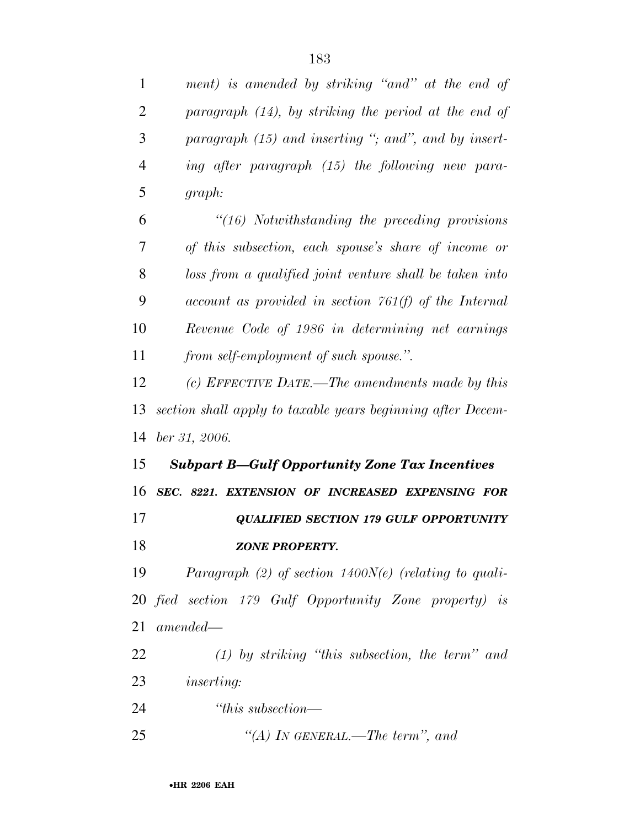| $\mathbf{1}$   | ment) is amended by striking "and" at the end of            |
|----------------|-------------------------------------------------------------|
| 2              | paragraph $(14)$ , by striking the period at the end of     |
| 3              | paragraph $(15)$ and inserting "; and", and by insert-      |
| $\overline{4}$ | ing after paragraph (15) the following new para-            |
| 5              | graph:                                                      |
| 6              | $\degree$ (16) Notwithstanding the preceding provisions     |
| 7              | of this subsection, each spouse's share of income or        |
| 8              | loss from a qualified joint venture shall be taken into     |
| 9              | $account$ as provided in section $761(f)$ of the Internal   |
| 10             | Revenue Code of 1986 in determining net earnings            |
| 11             | from self-employment of such spouse.".                      |
| 12             | (c) EFFECTIVE DATE.—The amendments made by this             |
| 13             | section shall apply to taxable years beginning after Decem- |
| 14             | ber 31, 2006.                                               |
| 15             | <b>Subpart B-Gulf Opportunity Zone Tax Incentives</b>       |
| 16             | SEC. 8221. EXTENSION OF INCREASED EXPENSING FOR             |
| 17             | <b>QUALIFIED SECTION 179 GULF OPPORTUNITY</b>               |
| 18             | <b>ZONE PROPERTY.</b>                                       |
| 19             | Paragraph (2) of section $1400N(e)$ (relating to quali-     |
|                | 20 fied section 179 Gulf Opportunity Zone property) is      |
| 21             | $amended-$                                                  |
| 22             | $(1)$ by striking "this subsection, the term" and           |
| 23             | <i>inserting:</i>                                           |
| 24             | "this subsection—                                           |
|                |                                                             |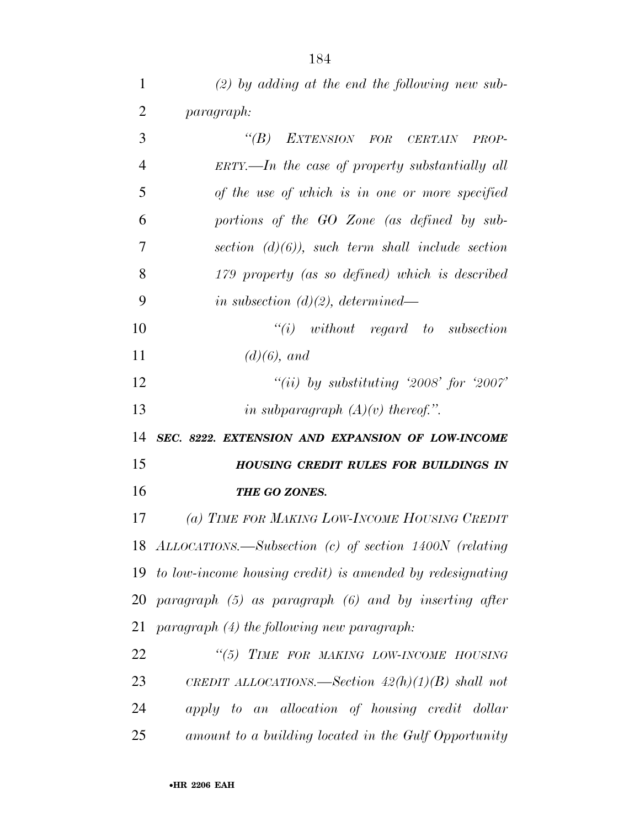| 1              | $(2)$ by adding at the end the following new sub-              |
|----------------|----------------------------------------------------------------|
| $\overline{2}$ | <i>paragraph:</i>                                              |
| 3              | "(B) EXTENSION FOR CERTAIN PROP-                               |
| $\overline{4}$ | $ERTY. — In the case of property substantially all$            |
| 5              | of the use of which is in one or more specified                |
| 6              | portions of the GO Zone (as defined by sub-                    |
| 7              | section $(d)(6)$ , such term shall include section             |
| 8              | 179 property (as so defined) which is described                |
| 9              | in subsection $(d)(2)$ , determined—                           |
| 10             | $``(i)$ without regard to subsection                           |
| 11             | $(d)(6)$ , and                                                 |
| 12             | "(ii) by substituting '2008' for '2007'                        |
| 13             | in subparagraph $(A)(v)$ thereof.".                            |
| 14             | SEC. 8222. EXTENSION AND EXPANSION OF LOW-INCOME               |
| 15             | <b>HOUSING CREDIT RULES FOR BUILDINGS IN</b>                   |
| 16             |                                                                |
|                | THE GO ZONES.                                                  |
|                | (a) TIME FOR MAKING LOW-INCOME HOUSING CREDIT                  |
| 17             | 18 ALLOCATIONS.—Subsection (c) of section 1400N (relating      |
|                | 19 to low-income housing credit) is amended by redesignating   |
|                | $20$ paragraph $(5)$ as paragraph $(6)$ and by inserting after |
| 21             | $paramph (4)$ the following new paragraph:                     |
| 22             | "(5) TIME FOR MAKING LOW-INCOME HOUSING                        |
| 23             | CREDIT ALLOCATIONS.—Section $42(h)(1)(B)$ shall not            |
| 24             | apply to an allocation of housing credit dollar                |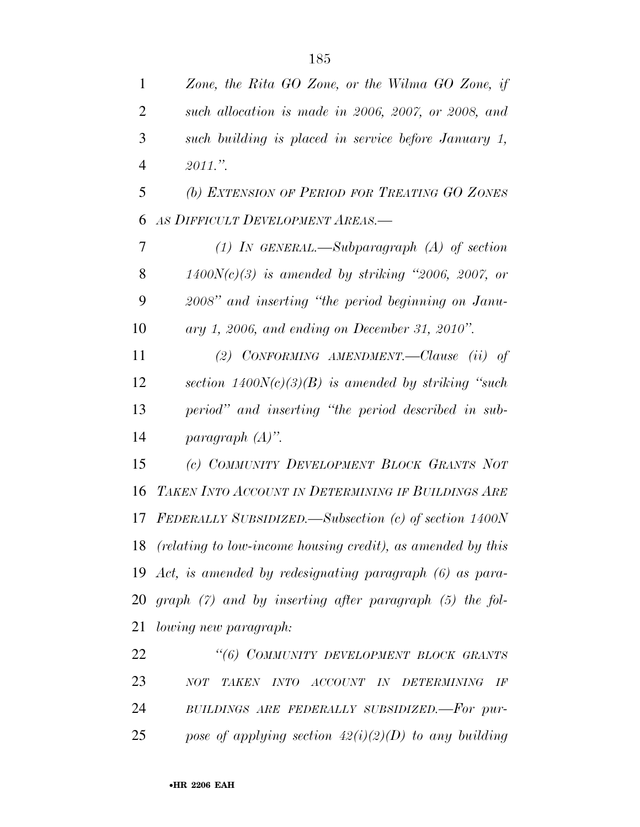*Zone, the Rita GO Zone, or the Wilma GO Zone, if* 

| such allocation is made in 2006, 2007, or 2008, and         |
|-------------------------------------------------------------|
| such building is placed in service before January 1,        |
| $2011$ ."                                                   |
| (b) EXTENSION OF PERIOD FOR TREATING GO ZONES               |
| AS DIFFICULT DEVELOPMENT AREAS.-                            |
| (1) IN GENERAL.—Subparagraph (A) of section                 |
| $1400N(c)(3)$ is amended by striking "2006, 2007, or        |
| 2008" and inserting "the period beginning on Janu-          |
| ary 1, 2006, and ending on December 31, 2010".              |
| (2) CONFORMING AMENDMENT.—Clause $(ii)$ of                  |
| section $1400N(c)(3)(B)$ is amended by striking "such"      |
| period" and inserting "the period described in sub-         |
| paragraph $(A)$ ".                                          |
| (c) COMMUNITY DEVELOPMENT BLOCK GRANTS NOT                  |
| TAKEN INTO ACCOUNT IN DETERMINING IF BUILDINGS ARE          |
| FEDERALLY SUBSIDIZED.—Subsection (c) of section 1400N       |
| (relating to low-income housing credit), as amended by this |
|                                                             |

 *Act, is amended by redesignating paragraph (6) as para- graph (7) and by inserting after paragraph (5) the fol-lowing new paragraph:* 

 *''(6) COMMUNITY DEVELOPMENT BLOCK GRANTS NOT TAKEN INTO ACCOUNT IN DETERMINING IF BUILDINGS ARE FEDERALLY SUBSIDIZED.—For pur-pose of applying section 42(i)(2)(D) to any building*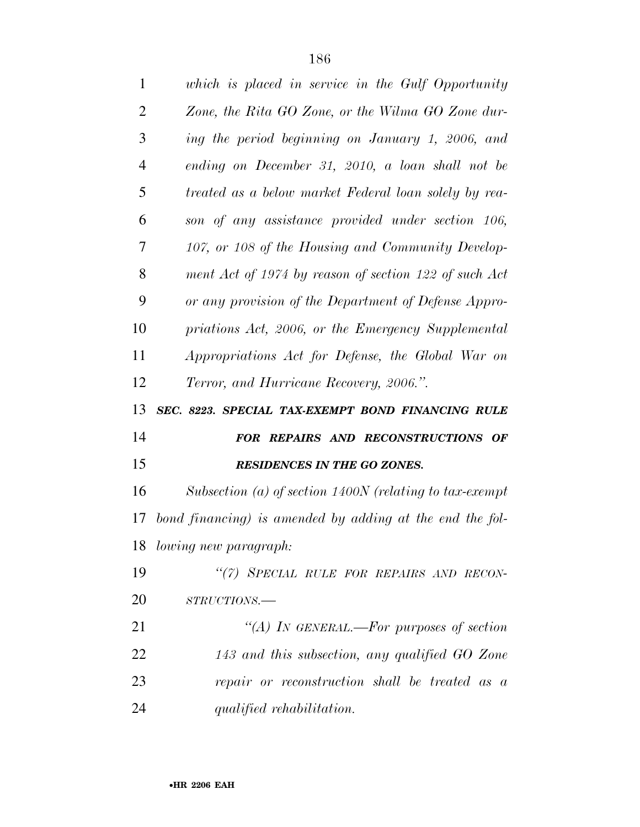| $\mathbf{1}$   | which is placed in service in the Gulf Opportunity        |
|----------------|-----------------------------------------------------------|
| $\overline{2}$ | Zone, the Rita GO Zone, or the Wilma GO Zone dur-         |
| 3              | ing the period beginning on January 1, 2006, and          |
| 4              | ending on December 31, 2010, a loan shall not be          |
| 5              | treated as a below market Federal loan solely by rea-     |
| 6              | son of any assistance provided under section 106,         |
| 7              | 107, or 108 of the Housing and Community Develop-         |
| 8              | ment Act of 1974 by reason of section 122 of such Act     |
| 9              | or any provision of the Department of Defense Appro-      |
| 10             | priations Act, 2006, or the Emergency Supplemental        |
| 11             | Appropriations Act for Defense, the Global War on         |
| 12             | Terror, and Hurricane Recovery, 2006.".                   |
|                |                                                           |
| 13             | SEC. 8223. SPECIAL TAX-EXEMPT BOND FINANCING RULE         |
| 14             | FOR REPAIRS AND RECONSTRUCTIONS OF                        |
| 15             | <b>RESIDENCES IN THE GO ZONES.</b>                        |
| 16             | Subsection (a) of section $1400N$ (relating to tax-exempt |
| 17             | bond financing) is amended by adding at the end the fol-  |
|                | 18 lowing new paragraph:                                  |
| 19             | "(7) SPECIAL RULE FOR REPAIRS AND RECON-                  |
| 20             | STRUCTIONS.-                                              |
| 21             | "(A) IN GENERAL.—For purposes of section                  |
| 22             | 143 and this subsection, any qualified GO Zone            |
| 23             | repair or reconstruction shall be treated as a            |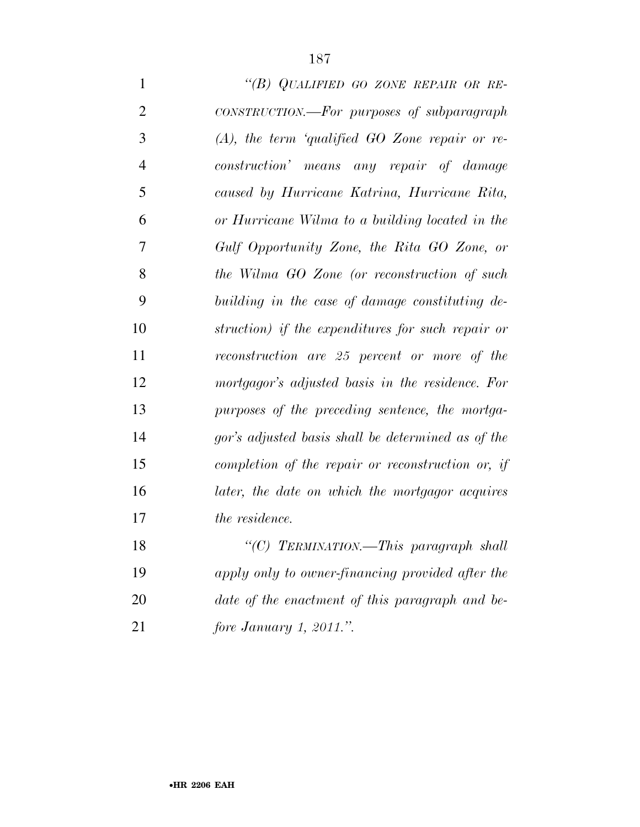| $\mathbf{1}$   | "(B) QUALIFIED GO ZONE REPAIR OR RE-               |
|----------------|----------------------------------------------------|
| $\overline{2}$ | CONSTRUCTION.—For purposes of subparagraph         |
| 3              | $(A)$ , the term 'qualified GO Zone repair or re-  |
| $\overline{4}$ | construction' means any repair of damage           |
| 5              | caused by Hurricane Katrina, Hurricane Rita,       |
| 6              | or Hurricane Wilma to a building located in the    |
| 7              | Gulf Opportunity Zone, the Rita GO Zone, or        |
| 8              | the Wilma GO Zone (or reconstruction of such       |
| 9              | building in the case of damage constituting de-    |
| 10             | struction) if the expenditures for such repair or  |
| 11             | reconstruction are 25 percent or more of the       |
| 12             | mortgagor's adjusted basis in the residence. For   |
| 13             | purposes of the preceding sentence, the mortga-    |
| 14             | gor's adjusted basis shall be determined as of the |
| 15             | completion of the repair or reconstruction or, if  |
| 16             | later, the date on which the mortgagor acquires    |
| 17             | the residence.                                     |
| 18             | "(C) TERMINATION.—This paragraph shall             |
| 19             | apply only to owner-financing provided after the   |
| 20             | date of the enactment of this paragraph and be-    |
|                |                                                    |

*fore January 1, 2011.''.*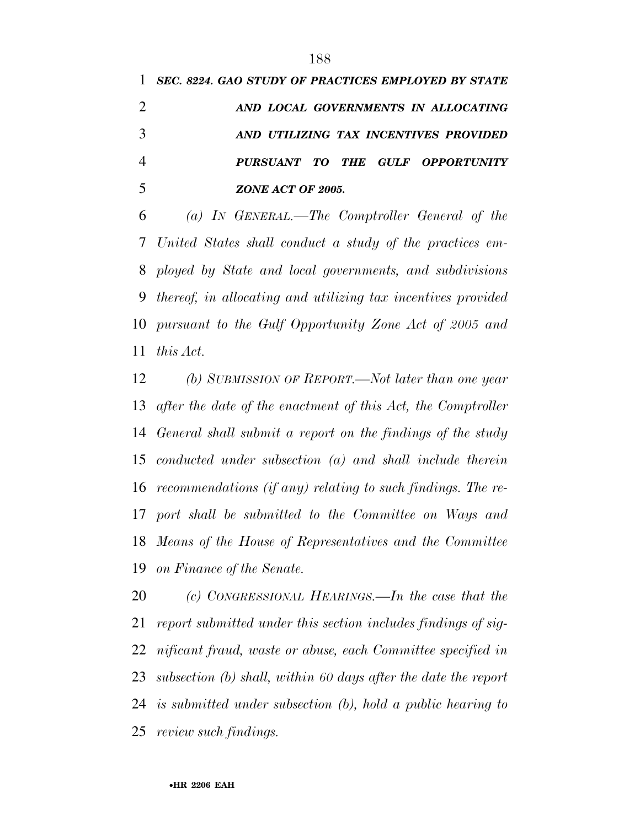| 1 SEC. 8224. GAO STUDY OF PRACTICES EMPLOYED BY STATE |
|-------------------------------------------------------|
| AND LOCAL GOVERNMENTS IN ALLOCATING                   |
| AND UTILIZING TAX INCENTIVES PROVIDED                 |
| PURSUANT TO THE GULF OPPORTUNITY                      |
| ZONE ACT OF 2005.                                     |

 *(a) IN GENERAL.—The Comptroller General of the United States shall conduct a study of the practices em- ployed by State and local governments, and subdivisions thereof, in allocating and utilizing tax incentives provided pursuant to the Gulf Opportunity Zone Act of 2005 and this Act.* 

 *(b) SUBMISSION OF REPORT.—Not later than one year after the date of the enactment of this Act, the Comptroller General shall submit a report on the findings of the study conducted under subsection (a) and shall include therein recommendations (if any) relating to such findings. The re- port shall be submitted to the Committee on Ways and Means of the House of Representatives and the Committee on Finance of the Senate.* 

 *(c) CONGRESSIONAL HEARINGS.—In the case that the report submitted under this section includes findings of sig- nificant fraud, waste or abuse, each Committee specified in subsection (b) shall, within 60 days after the date the report is submitted under subsection (b), hold a public hearing to review such findings.*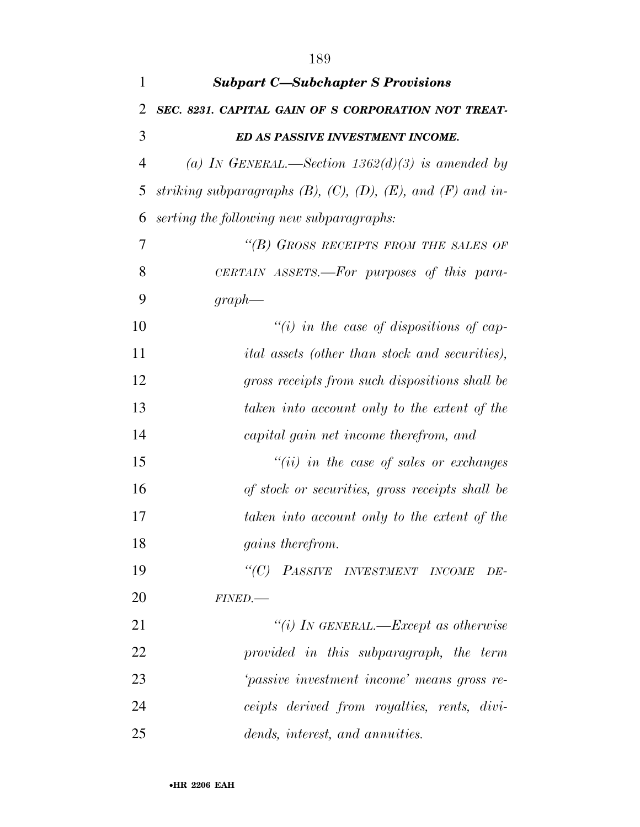| $\mathbf{1}$   | <b>Subpart C-Subchapter S Provisions</b>                                 |
|----------------|--------------------------------------------------------------------------|
| 2              | SEC. 8231. CAPITAL GAIN OF S CORPORATION NOT TREAT-                      |
| 3              | ED AS PASSIVE INVESTMENT INCOME.                                         |
| $\overline{4}$ | (a) IN GENERAL.—Section $1362(d)(3)$ is amended by                       |
| 5              | striking subparagraphs $(B)$ , $(C)$ , $(D)$ , $(E)$ , and $(F)$ and in- |
| 6              | serting the following new subparagraphs:                                 |
| 7              | "(B) GROSS RECEIPTS FROM THE SALES OF                                    |
| 8              | CERTAIN ASSETS.—For purposes of this para-                               |
| 9              | $graph$ —                                                                |
| 10             | "(i) in the case of dispositions of cap-                                 |
| 11             | <i>ital</i> assets (other than stock and securities),                    |
| 12             | gross receipts from such dispositions shall be                           |
| 13             | taken into account only to the extent of the                             |
| 14             | capital gain net income therefrom, and                                   |
| 15             | $``(ii)$ in the case of sales or exchanges                               |
| 16             | of stock or securities, gross receipts shall be                          |
| 17             | taken into account only to the extent of the                             |
| 18             | gains therefrom.                                                         |
| 19             | "(C) PASSIVE INVESTMENT INCOME<br>DE-                                    |
| 20             | FINED.                                                                   |
| 21             | "(i) IN GENERAL.—Except as otherwise                                     |
| 22             | provided in this subparagraph, the term                                  |
| 23             | 'passive investment income' means gross re-                              |
| 24             | ceipts derived from royalties, rents, divi-                              |
| 25             | dends, interest, and annuities.                                          |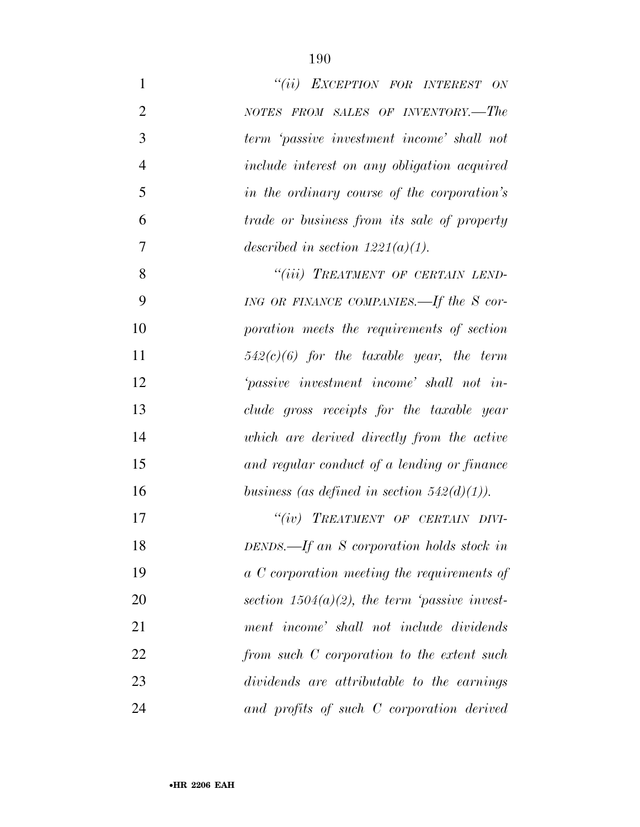| $\mathbf{1}$   | "(ii) EXCEPTION FOR INTEREST ON                    |
|----------------|----------------------------------------------------|
| $\overline{2}$ | NOTES FROM SALES OF INVENTORY.-The                 |
| 3              | term 'passive investment income' shall not         |
| $\overline{4}$ | include interest on any obligation acquired        |
| 5              | in the ordinary course of the corporation's        |
| 6              | <i>trade or business from its sale of property</i> |
| 7              | described in section $1221(a)(1)$ .                |
| 8              | "(iii) TREATMENT OF CERTAIN LEND-                  |
| 9              | ING OR FINANCE COMPANIES.—If the S cor-            |
| 10             | poration meets the requirements of section         |
| 11             | $542(c)(6)$ for the taxable year, the term         |
| 12             | 'passive investment income' shall not in-          |
| 13             | clude gross receipts for the taxable year          |
| 14             | which are derived directly from the active         |
| 15             | and regular conduct of a lending or finance        |
| 16             | business (as defined in section $542(d)(1)$ ).     |
| 17             | "(iv) TREATMENT OF CERTAIN DIVI-                   |
| 18             | DENDS.—If an S corporation holds stock in          |
| 19             | a C corporation meeting the requirements of        |
| 20             | section $1504(a)(2)$ , the term 'passive invest-   |
| 21             | ment income' shall not include dividends           |
| 22             | from such C corporation to the extent such         |
| 23             | dividends are attributable to the earnings         |
| 24             | and profits of such C corporation derived          |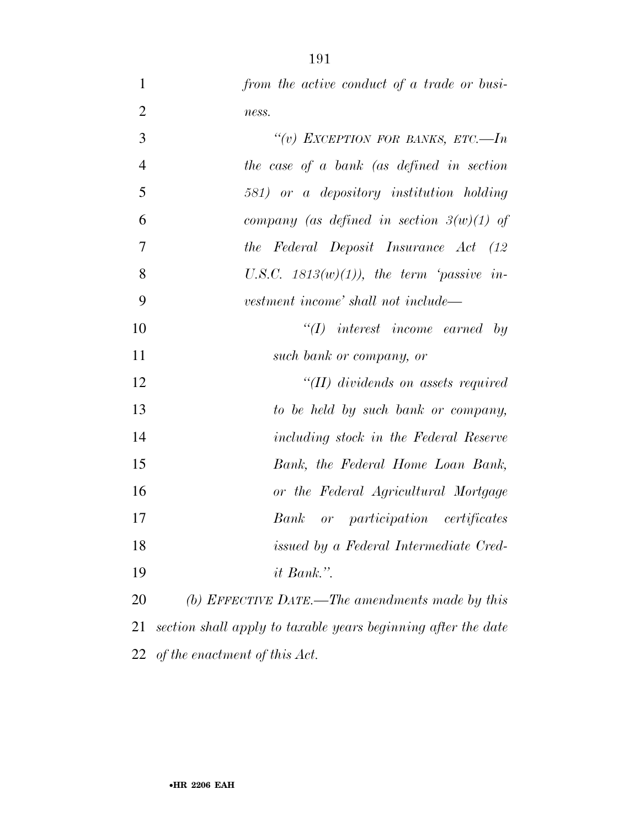| $\mathbf{1}$   | from the active conduct of a trade or busi-                   |
|----------------|---------------------------------------------------------------|
| $\overline{2}$ | ness.                                                         |
| 3              | "(v) EXCEPTION FOR BANKS, ETC.-In                             |
| $\overline{4}$ | the case of a bank (as defined in section                     |
| 5              | 581) or a depository institution holding                      |
| 6              | company (as defined in section $3(w)(1)$ of                   |
| 7              | the Federal Deposit Insurance Act (12                         |
| 8              | U.S.C. $1813(w)(1)$ , the term 'passive in-                   |
| 9              | vestment income' shall not include—                           |
| 10             | $\lq (I)$ interest income earned by                           |
| 11             | such bank or company, or                                      |
| 12             | $\lq (II)$ dividends on assets required                       |
| 13             | to be held by such bank or company,                           |
| 14             | including stock in the Federal Reserve                        |
| 15             | Bank, the Federal Home Loan Bank,                             |
| 16             | or the Federal Agricultural Mortgage                          |
| 17             | or participation certificates<br>Bank                         |
| 18             | issued by a Federal Intermediate Cred-                        |
| 19             | <i>it Bank.</i> ".                                            |
| 20             | (b) EFFECTIVE DATE.—The amendments made by this               |
| 21             | section shall apply to taxable years beginning after the date |
| 22             | of the enactment of this Act.                                 |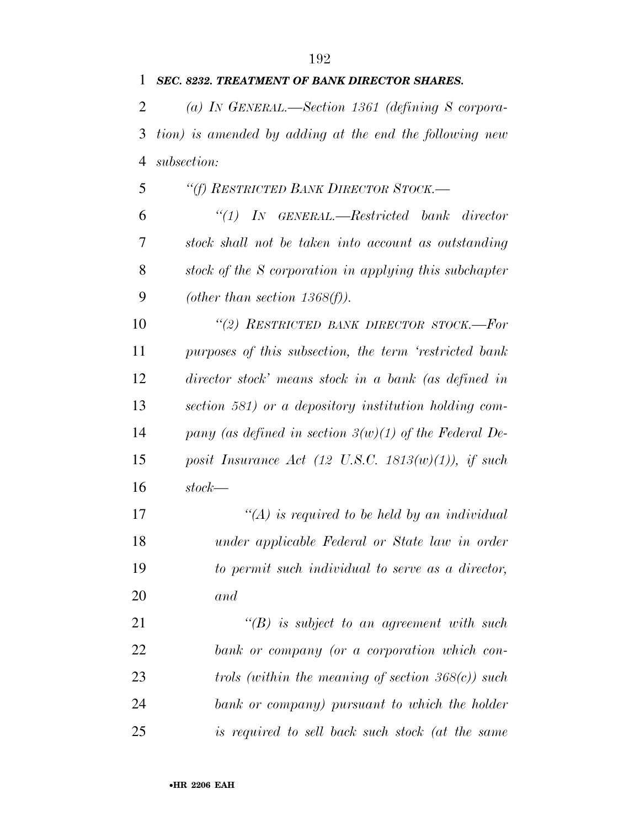| 1              | SEC. 8232. TREATMENT OF BANK DIRECTOR SHARES.            |
|----------------|----------------------------------------------------------|
| 2              | (a) IN GENERAL.—Section 1361 (defining S corpora-        |
| 3              | tion) is amended by adding at the end the following new  |
| $\overline{4}$ | subsection:                                              |
| 5              | "(f) RESTRICTED BANK DIRECTOR STOCK.-                    |
| 6              | $\lq(1)$ IN GENERAL.—Restricted bank director            |
| 7              | stock shall not be taken into account as outstanding     |
| 8              | stock of the S corporation in applying this subchapter   |
| 9              | (other than section $1368(f)$ ).                         |
| 10             | "(2) RESTRICTED BANK DIRECTOR STOCK.-For                 |
| 11             | purposes of this subsection, the term 'restricted bank   |
| 12             | director stock' means stock in a bank (as defined in     |
| 13             | section 581) or a depository institution holding com-    |
| 14             | pany (as defined in section $3(w)(1)$ of the Federal De- |
| 15             | posit Insurance Act (12 U.S.C. 1813 $(w)(1)$ ), if such  |
| 16             | $stock$ —                                                |
| 17             | "(A) is required to be held by an individual             |
| 18             | under applicable Federal or State law in order           |
| 19             | to permit such individual to serve as a director,        |
| 20             | and                                                      |
| 21             | $\lq (B)$ is subject to an agreement with such           |
| 22             | bank or company (or a corporation which con-             |
| 23             | trols (within the meaning of section $368(c)$ ) such     |
| 24             | bank or company) pursuant to which the holder            |
| 25             | is required to sell back such stock (at the same         |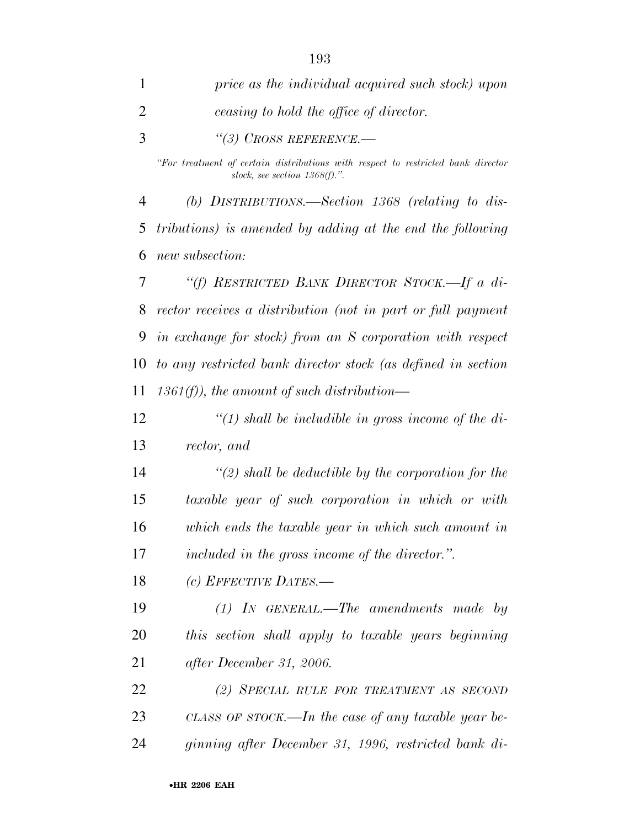| 1  | price as the individual acquired such stock) upon                                                                    |
|----|----------------------------------------------------------------------------------------------------------------------|
| 2  | ceasing to hold the office of director.                                                                              |
| 3  | $\lq(3)$ CROSS REFERENCE.—                                                                                           |
|    | "For treatment of certain distributions with respect to restricted bank director<br>stock, see section $1368(f)$ .". |
| 4  | (b) DISTRIBUTIONS.—Section 1368 (relating to dis-                                                                    |
| 5  | tributions) is amended by adding at the end the following                                                            |
| 6  | new subsection:                                                                                                      |
| 7  | "(f) RESTRICTED BANK DIRECTOR STOCK.—If a di-                                                                        |
| 8  | rector receives a distribution (not in part or full payment                                                          |
|    | 9 in exchange for stock) from an S corporation with respect                                                          |
| 10 | to any restricted bank director stock (as defined in section                                                         |
| 11 | $1361(f)$ , the amount of such distribution—                                                                         |
| 12 | $\lq(1)$ shall be includible in gross income of the di-                                                              |
|    |                                                                                                                      |

*rector, and* 

 *''(2) shall be deductible by the corporation for the taxable year of such corporation in which or with which ends the taxable year in which such amount in included in the gross income of the director.''.* 

*(c) EFFECTIVE DATES.—*

 *(1) IN GENERAL.—The amendments made by this section shall apply to taxable years beginning after December 31, 2006.* 

 *(2) SPECIAL RULE FOR TREATMENT AS SECOND CLASS OF STOCK.—In the case of any taxable year be-ginning after December 31, 1996, restricted bank di-*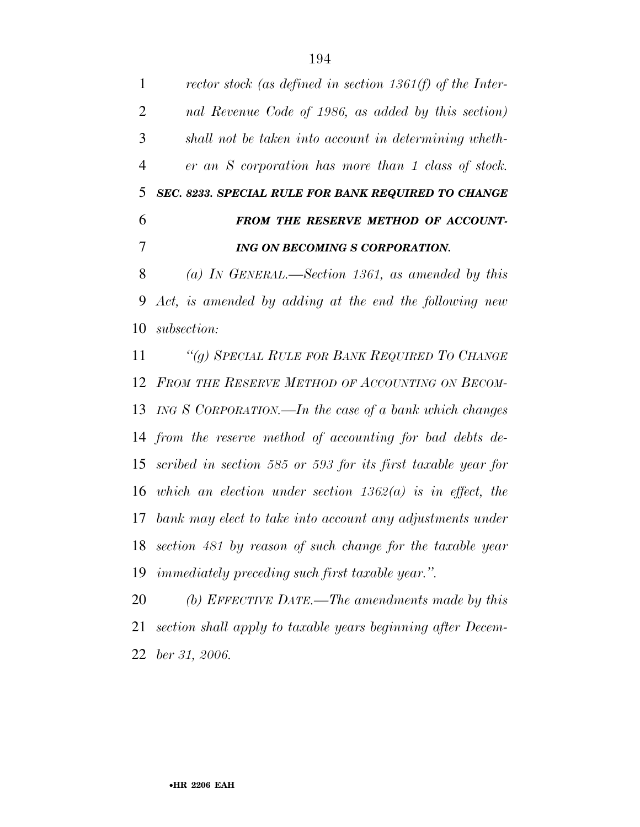*rector stock (as defined in section 1361(f) of the Inter- nal Revenue Code of 1986, as added by this section) shall not be taken into account in determining wheth- er an S corporation has more than 1 class of stock. SEC. 8233. SPECIAL RULE FOR BANK REQUIRED TO CHANGE FROM THE RESERVE METHOD OF ACCOUNT- ING ON BECOMING S CORPORATION. (a) IN GENERAL.—Section 1361, as amended by this Act, is amended by adding at the end the following new subsection: ''(g) SPECIAL RULE FOR BANK REQUIRED TO CHANGE FROM THE RESERVE METHOD OF ACCOUNTING ON BECOM- ING S CORPORATION.—In the case of a bank which changes from the reserve method of accounting for bad debts de- scribed in section 585 or 593 for its first taxable year for which an election under section 1362(a) is in effect, the bank may elect to take into account any adjustments under section 481 by reason of such change for the taxable year immediately preceding such first taxable year.''. (b) EFFECTIVE DATE.—The amendments made by this section shall apply to taxable years beginning after Decem-*

*ber 31, 2006.*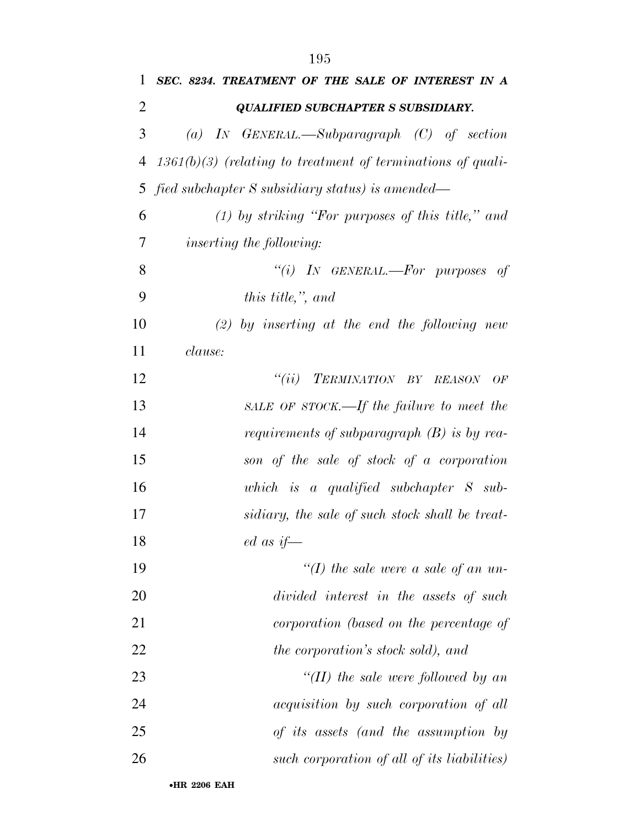| 1  | SEC. 8234. TREATMENT OF THE SALE OF INTEREST IN A             |
|----|---------------------------------------------------------------|
| 2  | <b>QUALIFIED SUBCHAPTER S SUBSIDIARY.</b>                     |
| 3  | (a) IN GENERAL.—Subparagraph $(C)$ of section                 |
| 4  | $1361(b)(3)$ (relating to treatment of terminations of quali- |
| 5  | fied subchapter S subsidiary status) is amended—              |
| 6  | $(1)$ by striking "For purposes of this title," and           |
| 7  | <i>inserting the following:</i>                               |
| 8  | "(i) IN GENERAL.—For purposes of                              |
| 9  | this title,", and                                             |
| 10 | $(2)$ by inserting at the end the following new               |
| 11 | clause:                                                       |
| 12 | "(ii) TERMINATION BY REASON<br>OF                             |
| 13 | SALE OF STOCK.—If the failure to meet the                     |
| 14 | requirements of subparagraph $(B)$ is by rea-                 |
| 15 | son of the sale of stock of a corporation                     |
| 16 | which is a qualified subchapter $S$ sub-                      |
| 17 | sidiary, the sale of such stock shall be treat-               |
| 18 | $ed \mathit{as} \mathit{if}$                                  |
| 19 | "(I) the sale were a sale of an un-                           |
| 20 | divided interest in the assets of such                        |
| 21 | corporation (based on the percentage of                       |
| 22 | <i>the corporation's stock sold), and</i>                     |
| 23 | "(II) the sale were followed by an                            |
| 24 | <i>acquisition by such corporation of all</i>                 |
| 25 | of its assets (and the assumption by                          |
| 26 | such corporation of all of its liabilities)                   |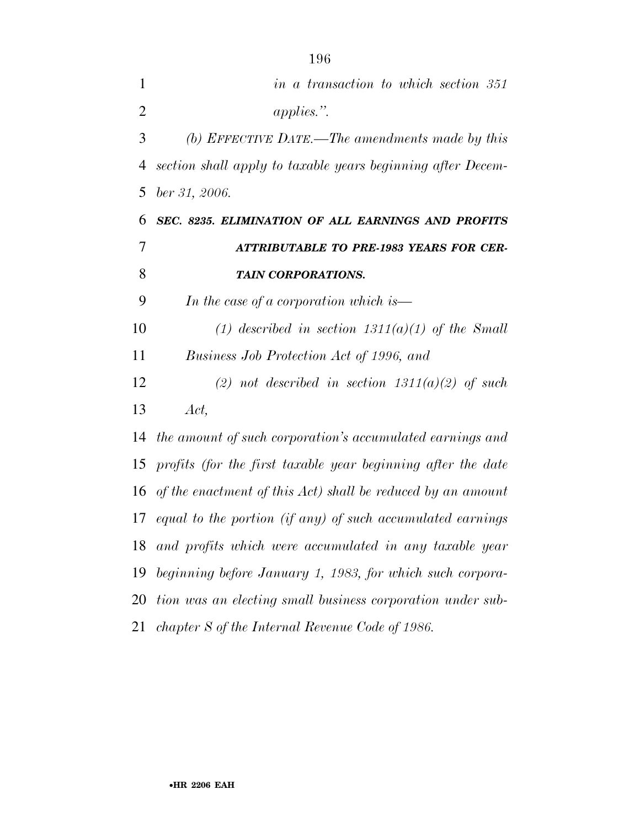| 1              | in a transaction to which section 351                        |
|----------------|--------------------------------------------------------------|
| $\overline{2}$ | $applies.$ ".                                                |
| 3              | (b) EFFECTIVE DATE.—The amendments made by this              |
| 4              | section shall apply to taxable years beginning after Decem-  |
| 5              | ber 31, 2006.                                                |
| 6              | SEC. 8235. ELIMINATION OF ALL EARNINGS AND PROFITS           |
| $\overline{7}$ | <b>ATTRIBUTABLE TO PRE-1983 YEARS FOR CER-</b>               |
| 8              | <b>TAIN CORPORATIONS.</b>                                    |
| 9              | In the case of a corporation which is—                       |
| 10             | (1) described in section $1311(a)(1)$ of the Small           |
| 11             | Business Job Protection Act of 1996, and                     |
| 12             | (2) not described in section $1311(a)(2)$ of such            |
| 13             | Act,                                                         |
| 14             | the amount of such corporation's accumulated earnings and    |
| 15             | profits (for the first taxable year beginning after the date |
| 16             | of the enactment of this Act) shall be reduced by an amount  |
| 17             | equal to the portion (if any) of such accumulated earnings   |
| 18             | and profits which were accumulated in any taxable year       |
| 19             | beginning before January 1, 1983, for which such corpora-    |
| 20             | tion was an electing small business corporation under sub-   |
| 21             | chapter S of the Internal Revenue Code of 1986.              |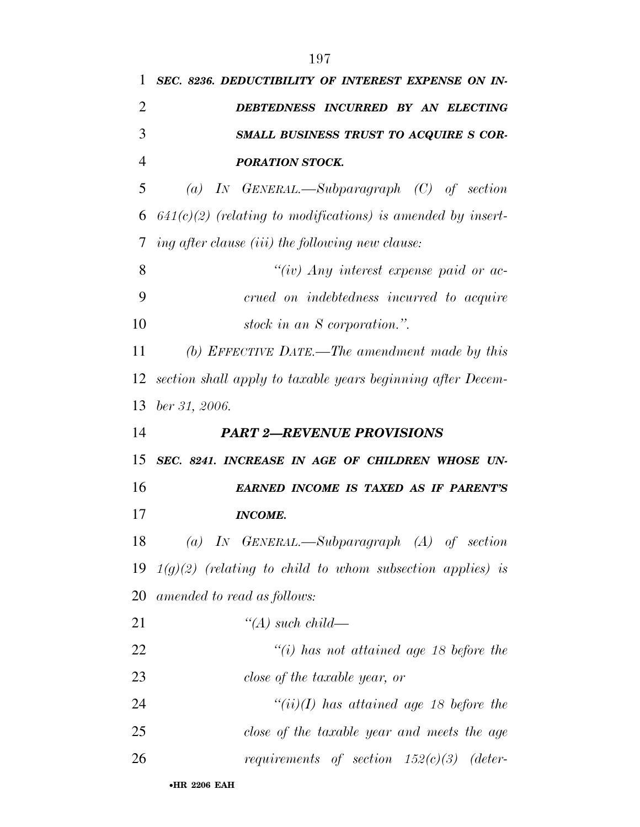| 1              | SEC. 8236. DEDUCTIBILITY OF INTEREST EXPENSE ON IN-           |
|----------------|---------------------------------------------------------------|
| $\overline{2}$ | DEBTEDNESS INCURRED BY AN ELECTING                            |
| 3              | SMALL BUSINESS TRUST TO ACQUIRE S COR-                        |
| $\overline{4}$ | <b>PORATION STOCK.</b>                                        |
| 5              | (a) IN GENERAL.—Subparagraph $(C)$ of section                 |
| 6              | $641(c)(2)$ (relating to modifications) is amended by insert- |
| 7              | ing after clause (iii) the following new clause:              |
| 8              | "(iv) Any interest expense paid or $ac$ -                     |
| 9              | crued on indebtedness incurred to acquire                     |
| 10             | stock in an S corporation.".                                  |
| 11             | (b) EFFECTIVE DATE.—The amendment made by this                |
| 12             | section shall apply to taxable years beginning after Decem-   |
| 13             | ber 31, 2006.                                                 |
|                |                                                               |
| 14             | <b>PART 2-REVENUE PROVISIONS</b>                              |
| 15             | SEC. 8241. INCREASE IN AGE OF CHILDREN WHOSE UN-              |
| 16             | <b>EARNED INCOME IS TAXED AS IF PARENT'S</b>                  |
| 17             | <b>INCOME.</b>                                                |
| 18             | (a) IN GENERAL.—Subparagraph $(A)$ of section                 |
| 19             | $1(g)(2)$ (relating to child to whom subsection applies) is   |
| 20             | amended to read as follows:                                   |
| 21             | $\lq (A)$ such child—                                         |
| 22             | $\lq\lq(i)$ has not attained age 18 before the                |
| 23             | close of the taxable year, or                                 |
| 24             | $``(ii)(I)$ has attained age 18 before the                    |
| 25             | close of the taxable year and meets the age                   |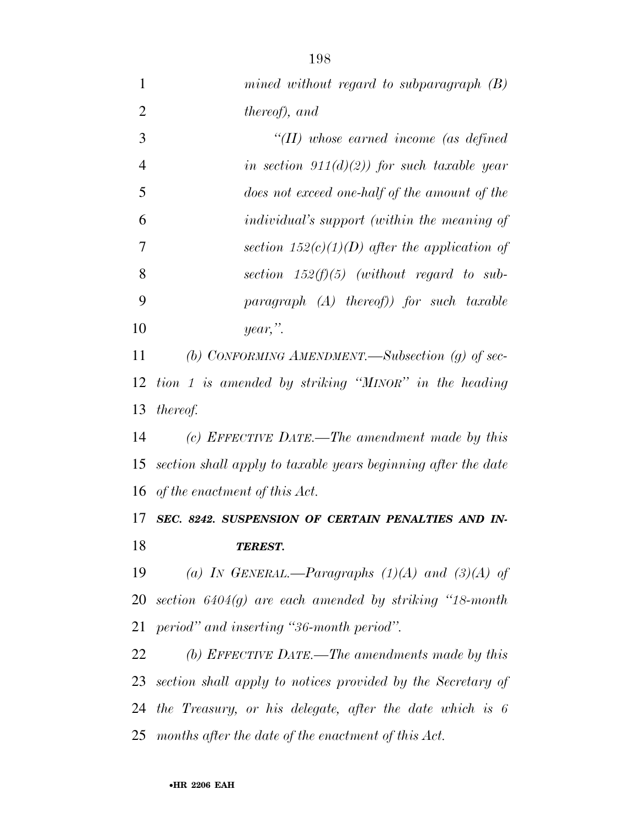*mined without regard to subparagraph (B) thereof), and ''(II) whose earned income (as defined in section 911(d)(2)) for such taxable year does not exceed one-half of the amount of the individual's support (within the meaning of section 152(c)(1)(D) after the application of section 152(f)(5) (without regard to sub- paragraph (A) thereof)) for such taxable year,''. (b) CONFORMING AMENDMENT.—Subsection (g) of sec- tion 1 is amended by striking ''MINOR'' in the heading thereof. (c) EFFECTIVE DATE.—The amendment made by this section shall apply to taxable years beginning after the date of the enactment of this Act. SEC. 8242. SUSPENSION OF CERTAIN PENALTIES AND IN- TEREST. (a) IN GENERAL.—Paragraphs (1)(A) and (3)(A) of section 6404(g) are each amended by striking ''18-month period'' and inserting ''36-month period''. (b) EFFECTIVE DATE.—The amendments made by this* 

 *section shall apply to notices provided by the Secretary of the Treasury, or his delegate, after the date which is 6 months after the date of the enactment of this Act.*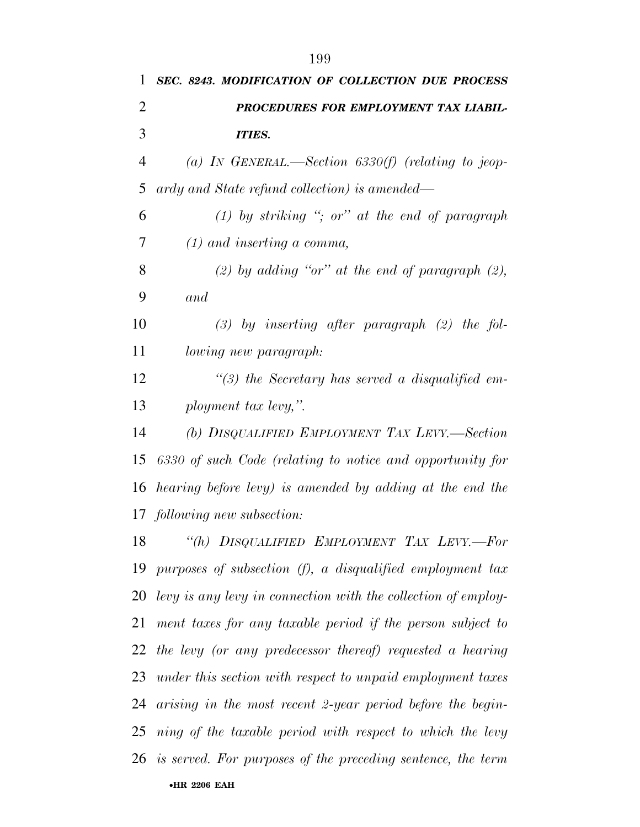*PROCEDURES FOR EMPLOYMENT TAX LIABIL- ITIES. (a) IN GENERAL.—Section 6330(f) (relating to jeop- ardy and State refund collection) is amended— (1) by striking ''; or'' at the end of paragraph (1) and inserting a comma, (2) by adding ''or'' at the end of paragraph (2), and (3) by inserting after paragraph (2) the fol- lowing new paragraph: ''(3) the Secretary has served a disqualified em- ployment tax levy,''. (b) DISQUALIFIED EMPLOYMENT TAX LEVY.—Section 6330 of such Code (relating to notice and opportunity for hearing before levy) is amended by adding at the end the following new subsection: ''(h) DISQUALIFIED EMPLOYMENT TAX LEVY.—For* 

•**HR 2206 EAH**  *purposes of subsection (f), a disqualified employment tax levy is any levy in connection with the collection of employ- ment taxes for any taxable period if the person subject to the levy (or any predecessor thereof) requested a hearing under this section with respect to unpaid employment taxes arising in the most recent 2-year period before the begin- ning of the taxable period with respect to which the levy is served. For purposes of the preceding sentence, the term*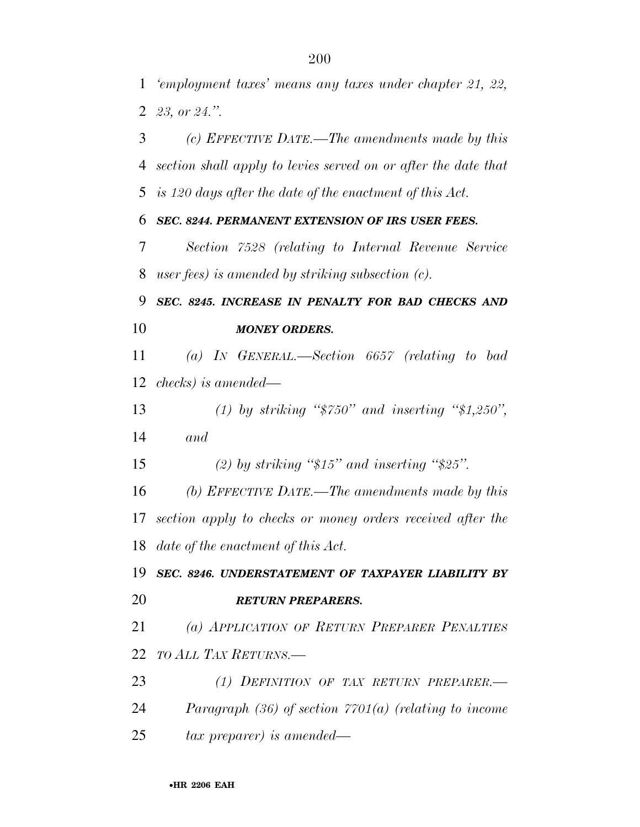*'employment taxes' means any taxes under chapter 21, 22, 23, or 24.''.* 

 *(c) EFFECTIVE DATE.—The amendments made by this section shall apply to levies served on or after the date that is 120 days after the date of the enactment of this Act.* 

*SEC. 8244. PERMANENT EXTENSION OF IRS USER FEES.* 

 *Section 7528 (relating to Internal Revenue Service user fees) is amended by striking subsection (c).* 

 *SEC. 8245. INCREASE IN PENALTY FOR BAD CHECKS AND MONEY ORDERS.* 

 *(a) IN GENERAL.—Section 6657 (relating to bad checks) is amended—*

 *(1) by striking ''\$750'' and inserting ''\$1,250'', and* 

*(2) by striking ''\$15'' and inserting ''\$25''.* 

 *(b) EFFECTIVE DATE.—The amendments made by this section apply to checks or money orders received after the date of the enactment of this Act.* 

 *SEC. 8246. UNDERSTATEMENT OF TAXPAYER LIABILITY BY RETURN PREPARERS.* 

 *(a) APPLICATION OF RETURN PREPARER PENALTIES TO ALL TAX RETURNS.—*

 *(1) DEFINITION OF TAX RETURN PREPARER.— Paragraph (36) of section 7701(a) (relating to income tax preparer) is amended—*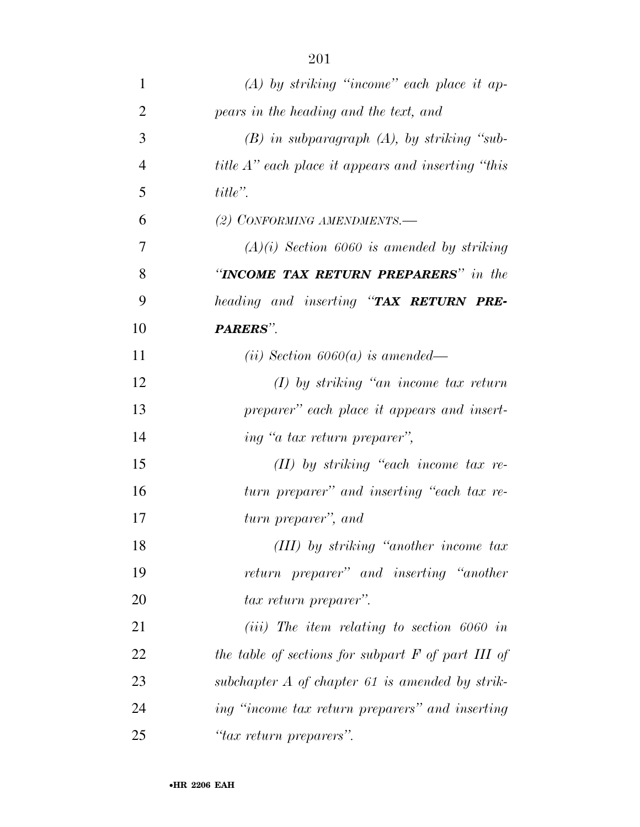| $\mathbf{1}$   | $(A)$ by striking "income" each place it ap-               |
|----------------|------------------------------------------------------------|
| $\overline{2}$ | pears in the heading and the text, and                     |
| 3              | $(B)$ in subparagraph $(A)$ , by striking "sub-            |
| $\overline{4}$ | <i>title A</i> " each place it appears and inserting "this |
| 5              | $title$ ".                                                 |
| 6              | (2) CONFORMING AMENDMENTS.-                                |
| 7              | $(A)(i)$ Section 6060 is amended by striking               |
| 8              | "INCOME TAX RETURN PREPARERS" in the                       |
| 9              | heading and inserting "TAX RETURN PRE-                     |
| 10             | PARERS".                                                   |
| 11             | (ii) Section $6060(a)$ is amended—                         |
| 12             | $(I)$ by striking "an income tax return"                   |
| 13             | preparer" each place it appears and insert-                |
| 14             | ing "a tax return preparer",                               |
| 15             | $(II)$ by striking "each income tax re-                    |
| 16             | turn preparer" and inserting "each tax re-                 |
| 17             | turn preparer", and                                        |
| 18             | (III) by striking "another income tax                      |
| 19             | return preparer" and inserting "another                    |
| 20             | <i>tax return preparer</i> ".                              |
| 21             | $(iii)$ The item relating to section 6060 in               |
| 22             | the table of sections for subpart $F$ of part III of       |
| 23             | subchapter $A$ of chapter 61 is amended by strik-          |
| 24             | ing "income tax return preparers" and inserting            |
| 25             | "tax return preparers".                                    |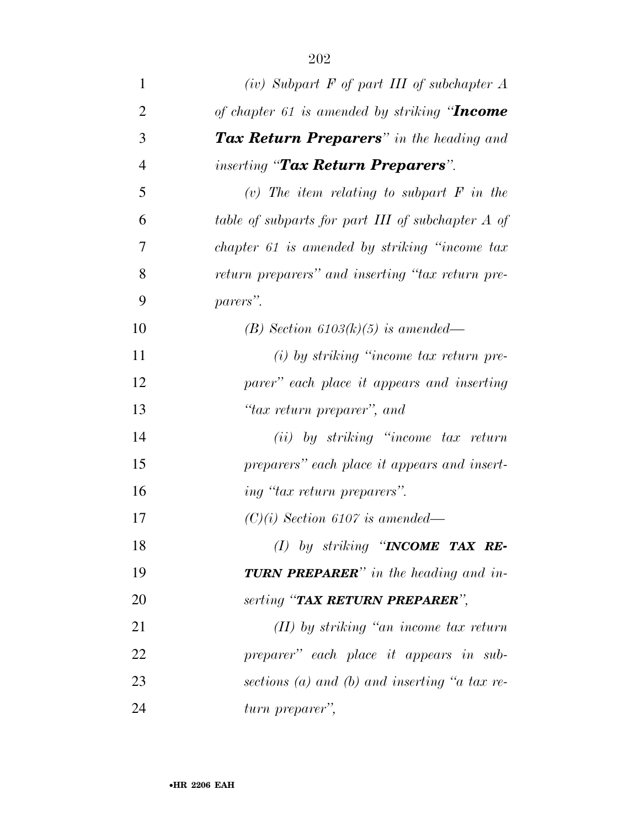| $\mathbf{1}$   | $(iv)$ Subpart F of part III of subchapter A      |
|----------------|---------------------------------------------------|
| $\overline{2}$ | of chapter 61 is amended by striking "Income      |
| 3              | <b>Tax Return Preparers</b> " in the heading and  |
| $\overline{4}$ | <i>inserting</i> "Tax Return Preparers".          |
| 5              | (v) The item relating to subpart $F$ in the       |
| 6              | table of subparts for part III of subchapter A of |
| 7              | chapter 61 is amended by striking "income tax     |
| 8              | return preparers" and inserting "tax return pre-  |
| 9              | parers".                                          |
| 10             | (B) Section $6103(k)(5)$ is amended—              |
| 11             | $(i)$ by striking "income tax return pre-         |
| 12             | parer" each place it appears and inserting        |
| 13             | "tax return preparer", and                        |
| 14             | $(ii)$ by striking "income tax return"            |
| 15             | preparers" each place it appears and insert-      |
| 16             | ing "tax return preparers".                       |
| 17             | $(C)(i)$ Section 6107 is amended—                 |
| 18             | (1) by striking "INCOME TAX RE-                   |
| 19             | <b>TURN PREPARER</b> " in the heading and in-     |
| 20             | serting "TAX RETURN PREPARER",                    |
| 21             | $(II)$ by striking "an income tax return"         |
| 22             | preparer" each place it appears in sub-           |
| 23             | sections (a) and (b) and inserting "a tax re-     |
| 24             | turn preparer",                                   |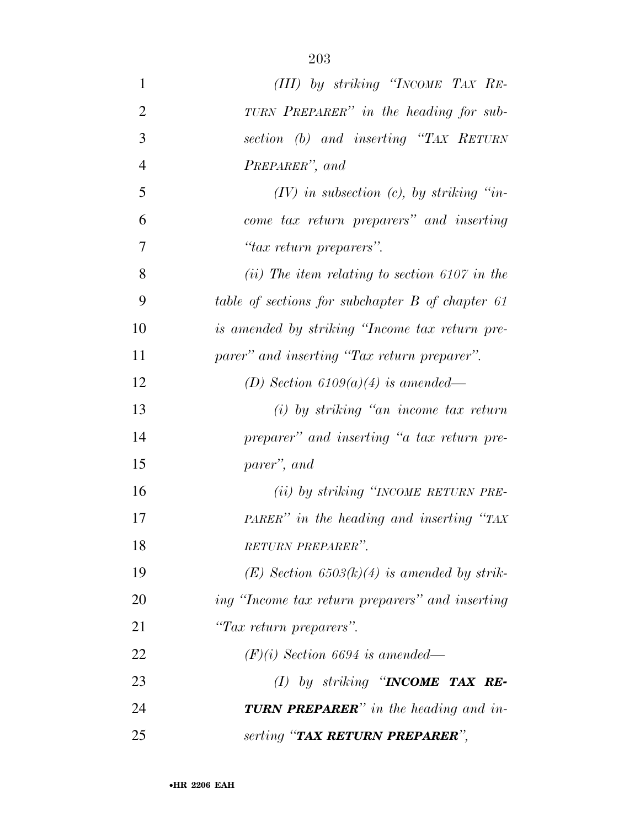| $\mathbf{1}$   | (III) by striking "INCOME TAX RE-                |
|----------------|--------------------------------------------------|
| $\overline{2}$ | TURN PREPARER" in the heading for sub-           |
| 3              | section (b) and inserting "TAX RETURN            |
| $\overline{4}$ | PREPARER", and                                   |
| 5              | $(IV)$ in subsection $(c)$ , by striking "in-    |
| 6              | come tax return preparers" and inserting         |
| 7              | "tax return preparers".                          |
| 8              | $(ii)$ The item relating to section 6107 in the  |
| 9              | table of sections for subchapter B of chapter 61 |
| 10             | is amended by striking "Income tax return pre-   |
| 11             | parer" and inserting "Tax return preparer".      |
| 12             | (D) Section $6109(a)(4)$ is amended—             |
| 13             | $(i)$ by striking "an income tax return"         |
| 14             | preparer" and inserting "a tax return pre-       |
| 15             | parer'', and                                     |
| 16             | (ii) by striking "INCOME RETURN PRE-             |
| 17             | PARER" in the heading and inserting "TAX"        |
| 18             | RETURN PREPARER".                                |
| 19             | $(E)$ Section 6503(k)(4) is amended by strik-    |
| 20             | ing "Income tax return preparers" and inserting  |
| 21             | "Tax return preparers".                          |
| 22             | $(F)(i)$ Section 6694 is amended—                |
| 23             | (I) by striking "INCOME TAX RE-                  |
| 24             | <b>TURN PREPARER</b> " in the heading and in-    |
| 25             | serting "TAX RETURN PREPARER",                   |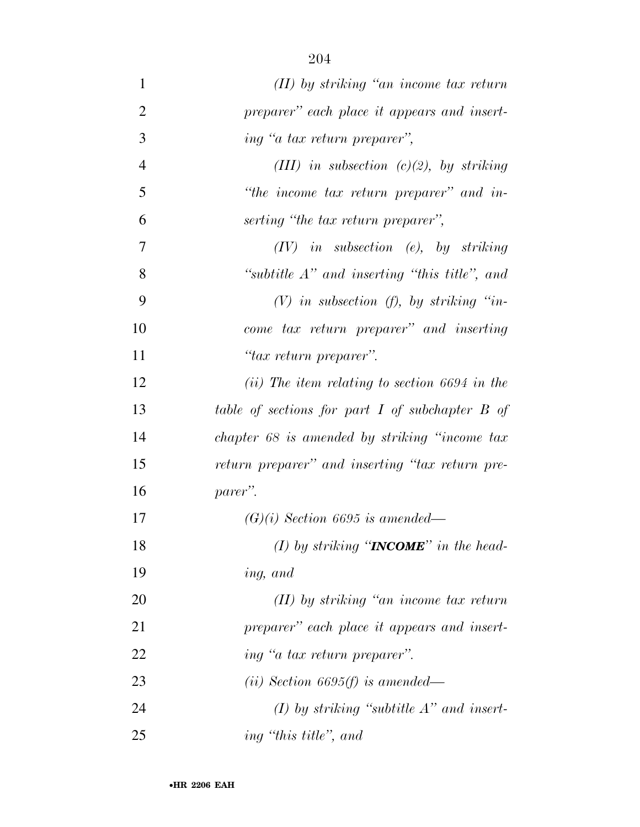| $\mathbf{1}$   | $(II)$ by striking "an income tax return"           |
|----------------|-----------------------------------------------------|
| $\overline{2}$ | preparer" each place it appears and insert-         |
| 3              | ing "a tax return preparer",                        |
| $\overline{4}$ | (III) in subsection $(c)(2)$ , by striking          |
| 5              | "the income tax return preparer" and in-            |
| 6              | serting "the tax return preparer",                  |
| 7              | $(IV)$ in subsection (e), by striking               |
| 8              | "subtitle $A$ " and inserting "this title", and     |
| 9              | $(V)$ in subsection $(f)$ , by striking "in-        |
| 10             | come tax return preparer" and inserting             |
| 11             | "tax return preparer".                              |
| 12             | $(ii)$ The item relating to section 6694 in the     |
| 13             | table of sections for part $I$ of subchapter $B$ of |
| 14             | chapter 68 is amended by striking "income tax"      |
| 15             | return preparer" and inserting "tax return pre-     |
| 16             | parer".                                             |
| 17             | $(G)(i)$ Section 6695 is amended—                   |
| 18             | (I) by striking " <b>INCOME</b> " in the head-      |
| 19             | ing, and                                            |
| 20             | $(II)$ by striking "an income tax return"           |
| 21             | preparer" each place it appears and insert-         |
| 22             | ing "a tax return preparer".                        |
| 23             | (ii) Section 6695(f) is amended—                    |
| 24             | (1) by striking "subtitle $A$ " and insert-         |
| 25             | ing "this title", and                               |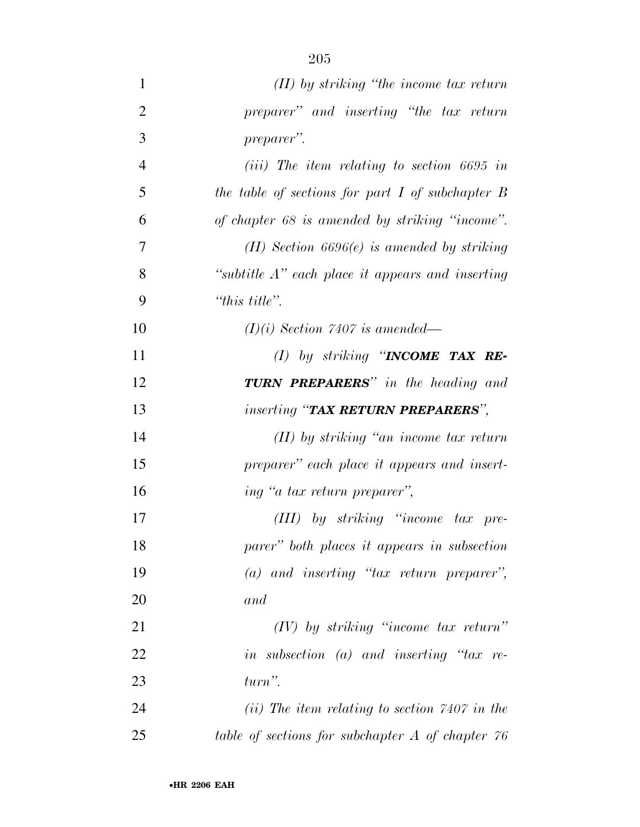| $\mathbf{1}$   | $(II)$ by striking "the income tax return"           |
|----------------|------------------------------------------------------|
| $\overline{2}$ | preparer" and inserting "the tax return              |
| 3              | preparer".                                           |
| $\overline{4}$ | $(iii)$ The item relating to section 6695 in         |
| 5              | the table of sections for part $I$ of subchapter $B$ |
| 6              | of chapter 68 is amended by striking "income".       |
| 7              | $(H)$ Section 6696 $(e)$ is amended by striking      |
| 8              | "subtitle $A$ " each place it appears and inserting  |
| 9              | "this title".                                        |
| 10             | $(I)(i)$ Section 7407 is amended—                    |
| 11             | (1) by striking "INCOME TAX RE-                      |
| 12             | <b>TURN PREPARERS</b> " in the heading and           |
| 13             | <i>inserting</i> "TAX RETURN PREPARERS",             |
| 14             | $(II)$ by striking "an income tax return"            |
| 15             | preparer" each place it appears and insert-          |
| 16             | ing "a tax return preparer",                         |
| 17             | $(III)$ by striking "income tax pre-                 |
| 18             | parer" both places it appears in subsection          |
| 19             | $(a)$ and inserting "tax return preparer",           |
| 20             | and                                                  |
| 21             | $(IV)$ by striking "income tax return"               |
| 22             | in subsection (a) and inserting " $tax$ re-          |
| 23             | $turn$ ".                                            |
| 24             | (ii) The item relating to section $7407$ in the      |
| 25             | table of sections for subchapter $A$ of chapter $76$ |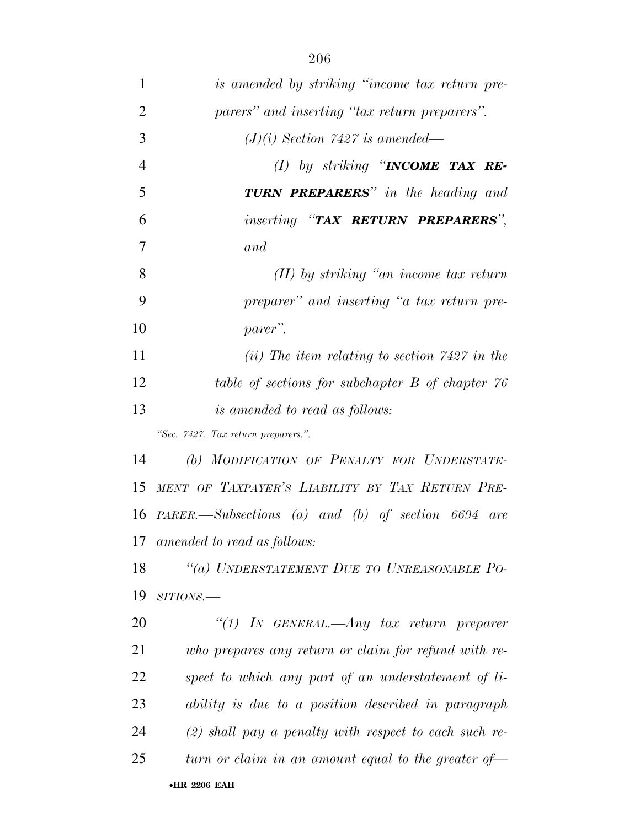| $\mathbf{1}$   | is amended by striking "income tax return pre-                   |
|----------------|------------------------------------------------------------------|
| $\overline{2}$ | parers" and inserting "tax return preparers".                    |
| 3              | $(J)(i)$ Section 7427 is amended—                                |
| $\overline{4}$ | (1) by striking "INCOME TAX RE-                                  |
| 5              | <b>TURN PREPARERS</b> " in the heading and                       |
| 6              | <i>inserting</i> "TAX RETURN PREPARERS",                         |
| 7              | and                                                              |
| 8              | $(II)$ by striking "an income tax return"                        |
| 9              | preparer" and inserting "a tax return pre-                       |
| 10             | parer".                                                          |
| 11             | (ii) The item relating to section $7427$ in the                  |
| 12             | table of sections for subchapter B of chapter 76                 |
| 13             | <i>is amended to read as follows:</i>                            |
|                | "Sec. 7427. Tax return preparers.".                              |
| 14             | (b) MODIFICATION OF PENALTY FOR UNDERSTATE-                      |
| 15             | MENT OF TAXPAYER'S LIABILITY BY TAX RETURN PRE-                  |
|                | 16 PARER.—Subsections (a) and (b) of section 6694 are            |
|                | 17 amended to read as follows:                                   |
| 18             | "(a) UNDERSTATEMENT DUE TO UNREASONABLE PO-                      |
| 19             | $SITIONS$ .                                                      |
| 20             | "(1) IN GENERAL.—Any tax return preparer                         |
| 21             | who prepares any return or claim for refund with re-             |
| 22             | spect to which any part of an understatement of li-              |
| 23             | ability is due to a position described in paragraph              |
| 24             | $(2)$ shall pay a penalty with respect to each such re-          |
| 25             | turn or claim in an amount equal to the greater of $\rightarrow$ |
|                | <b>•HR 2206 EAH</b>                                              |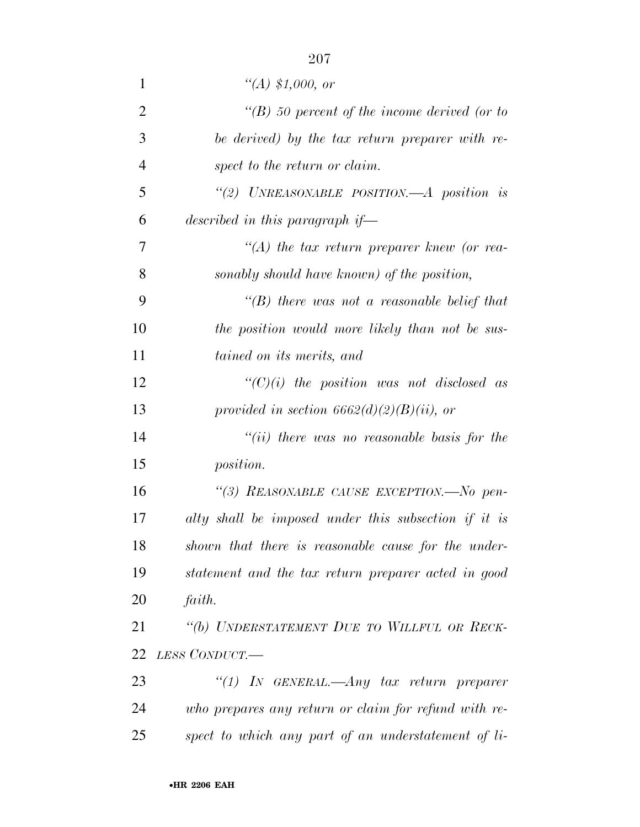| $\mathbf{1}$   | $\lq (A) \ \$1,000, \text{ or}$                      |
|----------------|------------------------------------------------------|
| $\overline{2}$ | $\lq (B)$ 50 percent of the income derived (or to    |
| 3              | be derived) by the tax return preparer with re-      |
| $\overline{4}$ | spect to the return or claim.                        |
| 5              | "(2) UNREASONABLE POSITION.—A position is            |
| 6              | described in this paragraph if—                      |
| 7              | $\lq (A)$ the tax return preparer knew (or rea-      |
| 8              | sonably should have known) of the position,          |
| 9              | "(B) there was not a reasonable belief that          |
| 10             | the position would more likely than not be sus-      |
| 11             | tained on its merits, and                            |
| 12             | $``(C)(i)$ the position was not disclosed as         |
| 13             | provided in section $6662(d)(2)(B)(ii)$ , or         |
| 14             | "(ii) there was no reasonable basis for the          |
| 15             | <i>position.</i>                                     |
| 16             | "(3) REASONABLE CAUSE EXCEPTION.-No pen-             |
| 17             | alty shall be imposed under this subsection if it is |
| 18             | shown that there is reasonable cause for the under-  |
| 19             | statement and the tax return preparer acted in good  |
| 20             | faith.                                               |
| 21             | "(b) UNDERSTATEMENT DUE TO WILLFUL OR RECK-          |
| 22             | LESS CONDUCT.—                                       |
| 23             | "(1) In GENERAL.—Any tax return preparer             |
| 24             | who prepares any return or claim for refund with re- |
| 25             | spect to which any part of an understatement of li-  |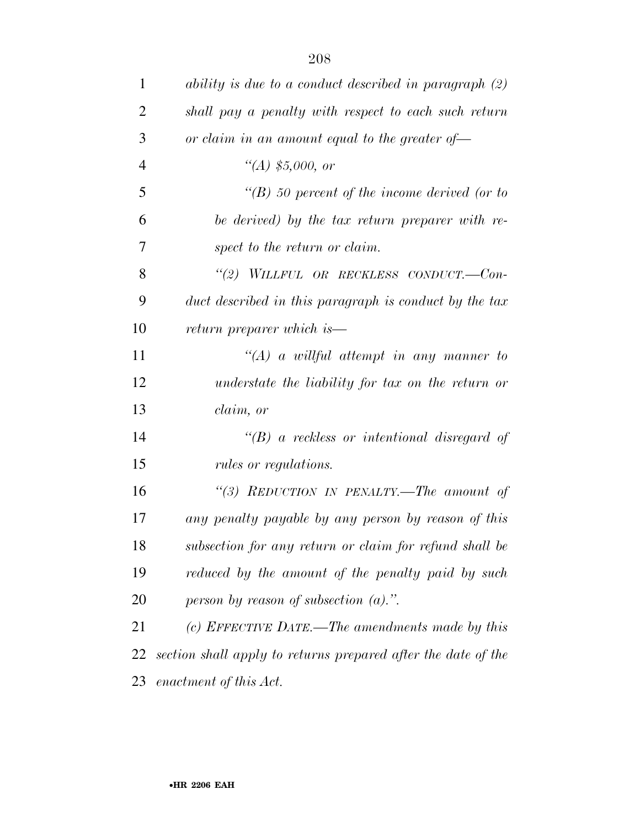| 1              | ability is due to a conduct described in paragraph (2)        |
|----------------|---------------------------------------------------------------|
| $\overline{2}$ | shall pay a penalty with respect to each such return          |
| 3              | or claim in an amount equal to the greater of $-$             |
| $\overline{4}$ | "(A) $$5,000, or$                                             |
| 5              | $\lq (B)$ 50 percent of the income derived (or to             |
| 6              | be derived) by the tax return preparer with re-               |
| 7              | spect to the return or claim.                                 |
| 8              | "(2) WILLFUL OR RECKLESS CONDUCT.—Con-                        |
| 9              | duct described in this paragraph is conduct by the tax        |
| 10             | return preparer which is—                                     |
| 11             | $\lq (A)$ a willful attempt in any manner to                  |
| 12             | understate the liability for tax on the return or             |
| 13             | claim, or                                                     |
| 14             | $\lq (B)$ a reckless or intentional disregard of              |
| 15             | rules or regulations.                                         |
| 16             | "(3) REDUCTION IN PENALTY.—The amount of                      |
| 17             | any penalty payable by any person by reason of this           |
| 18             | subsection for any return or claim for refund shall be        |
| 19             | reduced by the amount of the penalty paid by such             |
| 20             | person by reason of subsection $(a)$ .".                      |
| 21             | (c) EFFECTIVE DATE.—The amendments made by this               |
| 22             | section shall apply to returns prepared after the date of the |
| 23             | enactment of this Act.                                        |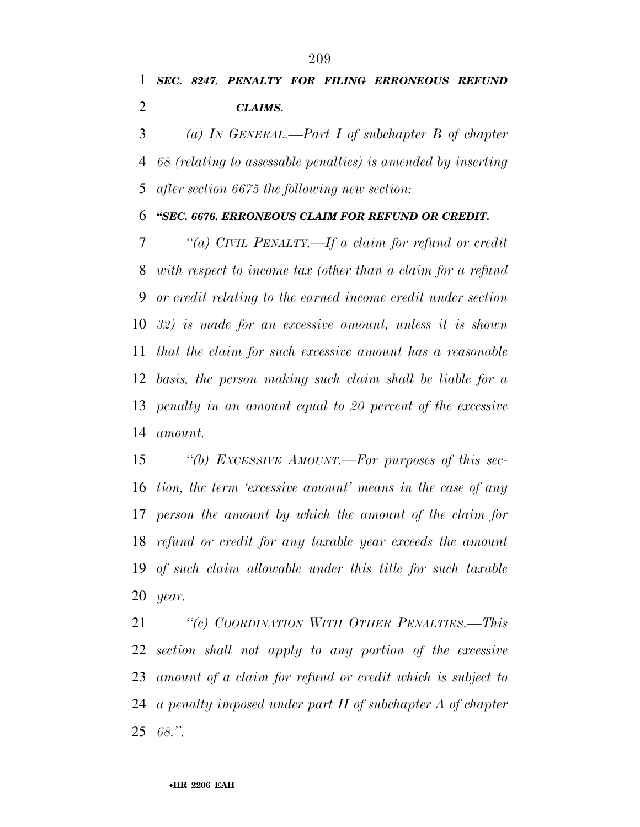*SEC. 8247. PENALTY FOR FILING ERRONEOUS REFUND CLAIMS.* 

 *(a) IN GENERAL.—Part I of subchapter B of chapter 68 (relating to assessable penalties) is amended by inserting after section 6675 the following new section:* 

*''SEC. 6676. ERRONEOUS CLAIM FOR REFUND OR CREDIT.* 

 *''(a) CIVIL PENALTY.—If a claim for refund or credit with respect to income tax (other than a claim for a refund or credit relating to the earned income credit under section 32) is made for an excessive amount, unless it is shown that the claim for such excessive amount has a reasonable basis, the person making such claim shall be liable for a penalty in an amount equal to 20 percent of the excessive amount.* 

 *''(b) EXCESSIVE AMOUNT.—For purposes of this sec- tion, the term 'excessive amount' means in the case of any person the amount by which the amount of the claim for refund or credit for any taxable year exceeds the amount of such claim allowable under this title for such taxable year.* 

 *''(c) COORDINATION WITH OTHER PENALTIES.—This section shall not apply to any portion of the excessive amount of a claim for refund or credit which is subject to a penalty imposed under part II of subchapter A of chapter 68.''.*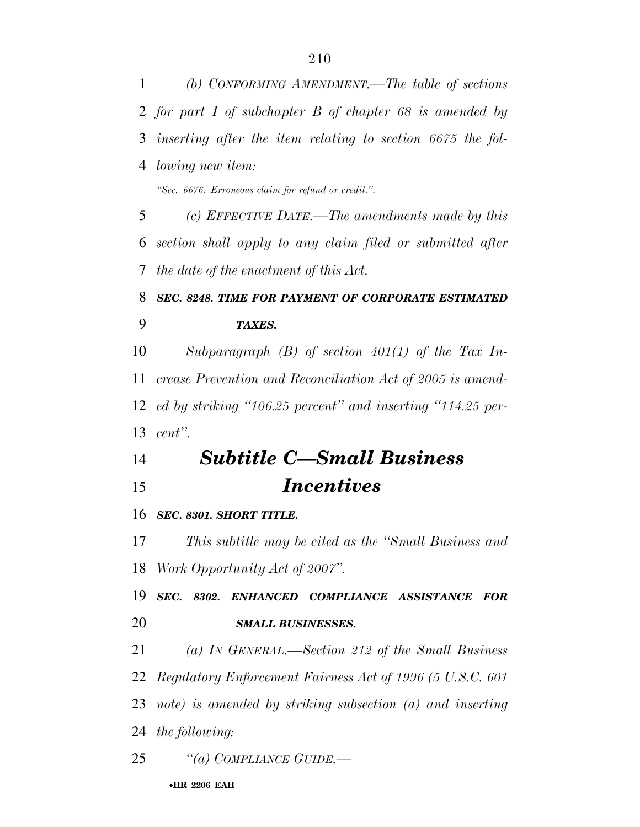*(b) CONFORMING AMENDMENT.—The table of sections for part I of subchapter B of chapter 68 is amended by inserting after the item relating to section 6675 the fol-lowing new item:*

*''Sec. 6676. Erroneous claim for refund or credit.''.*

 *(c) EFFECTIVE DATE.—The amendments made by this section shall apply to any claim filed or submitted after the date of the enactment of this Act.* 

## *SEC. 8248. TIME FOR PAYMENT OF CORPORATE ESTIMATED TAXES.*

 *Subparagraph (B) of section 401(1) of the Tax In- crease Prevention and Reconciliation Act of 2005 is amend- ed by striking ''106.25 percent'' and inserting ''114.25 per-cent''.* 

## *Subtitle C—Small Business Incentives*

## *SEC. 8301. SHORT TITLE.*

 *This subtitle may be cited as the ''Small Business and Work Opportunity Act of 2007''.* 

 *SEC. 8302. ENHANCED COMPLIANCE ASSISTANCE FOR SMALL BUSINESSES.* 

*(a) IN GENERAL.—Section 212 of the Small Business* 

*Regulatory Enforcement Fairness Act of 1996 (5 U.S.C. 601* 

*note) is amended by striking subsection (a) and inserting* 

*the following:* 

*''(a) COMPLIANCE GUIDE.—*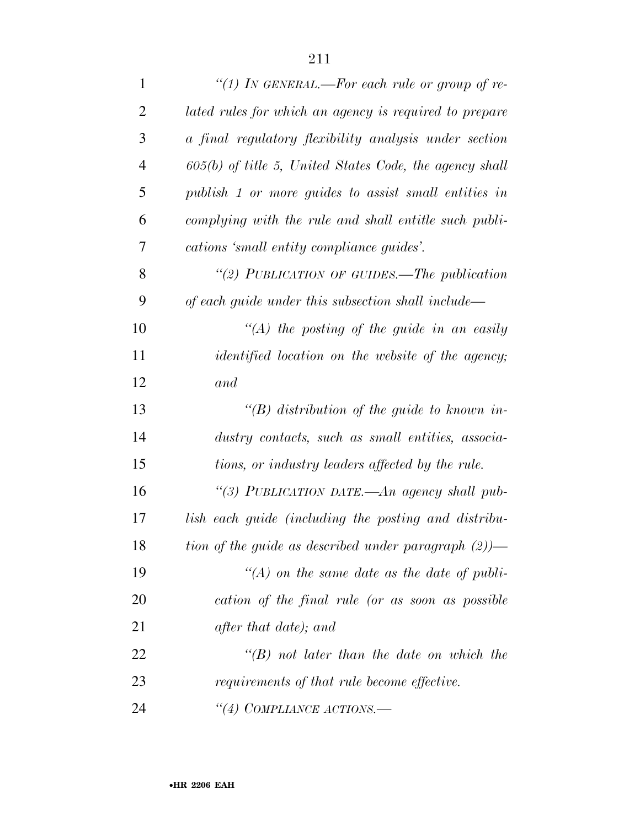| $\mathbf{1}$   | "(1) IN GENERAL.—For each rule or group of re-            |
|----------------|-----------------------------------------------------------|
| $\overline{2}$ | lated rules for which an agency is required to prepare    |
| 3              | a final regulatory flexibility analysis under section     |
| $\overline{4}$ | $605(b)$ of title 5, United States Code, the agency shall |
| 5              | publish 1 or more guides to assist small entities in      |
| 6              | complying with the rule and shall entitle such publi-     |
| $\tau$         | cations 'small entity compliance guides'.                 |
| 8              | "(2) PUBLICATION OF GUIDES.—The publication               |
| 9              | of each guide under this subsection shall include—        |
| 10             | $\lq (A)$ the posting of the guide in an easily           |
| 11             | <i>identified location on the website of the agency;</i>  |
| 12             | and                                                       |
| 13             | $\lq (B)$ distribution of the guide to known in-          |
| 14             | dustry contacts, such as small entities, associa-         |
| 15             | tions, or industry leaders affected by the rule.          |
| 16             | "(3) PUBLICATION DATE.-An agency shall pub-               |
| 17             | lish each guide (including the posting and distribu-      |
| 18             | tion of the guide as described under paragraph $(2)$ )—   |
| 19             | $\lq (A)$ on the same date as the date of publi-          |
| 20             | cation of the final rule (or as soon as possible          |
| 21             | after that date); and                                     |
| 22             | $\lq\lq B$ not later than the date on which the           |
| 23             | requirements of that rule become effective.               |
| 24             | "(4) COMPLIANCE ACTIONS.—                                 |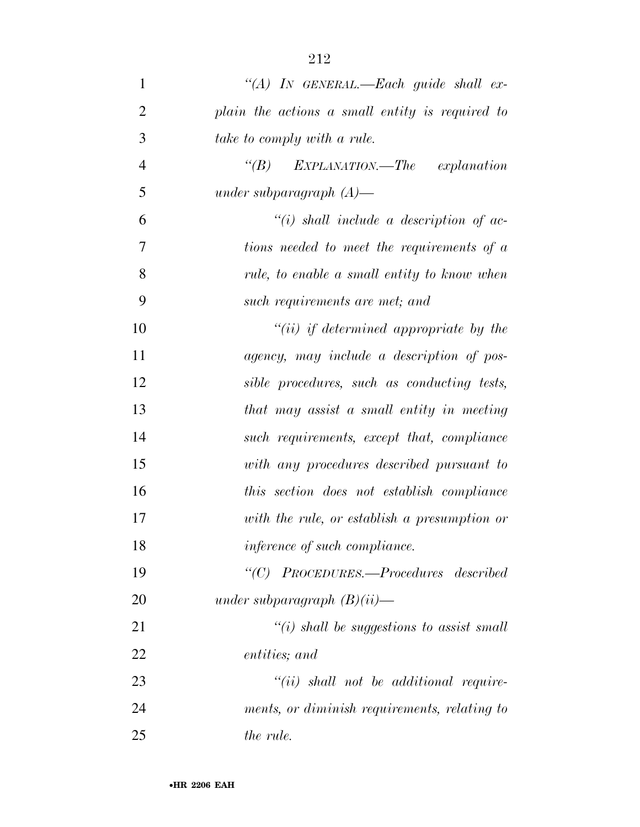| $\mathbf{1}$   | "(A) IN GENERAL.—Each guide shall ex-           |
|----------------|-------------------------------------------------|
|                |                                                 |
| $\overline{2}$ | plain the actions a small entity is required to |
| 3              | take to comply with a rule.                     |
| $\overline{4}$ | "(B) EXPLANATION.—The explanation               |
| 5              | under subparagraph $(A)$ —                      |
| 6              | $``(i)$ shall include a description of ac-      |
| 7              | tions needed to meet the requirements of a      |
| 8              | rule, to enable a small entity to know when     |
| 9              | such requirements are met; and                  |
| 10             | $``(ii)$ if determined appropriate by the       |
| 11             | agency, may include a description of pos-       |
| 12             | sible procedures, such as conducting tests,     |
| 13             | that may assist a small entity in meeting       |
| 14             | such requirements, except that, compliance      |
| 15             | with any procedures described pursuant to       |
| 16             | this section does not establish compliance      |
| 17             | with the rule, or establish a presumption or    |
| 18             | inference of such compliance.                   |
| 19             | "(C) PROCEDURES.—Procedures described           |
| 20             | under subparagraph $(B)(ii)$ —                  |
| 21             | "(i) shall be suggestions to assist small       |
| 22             | entities; and                                   |
| 23             | $``(ii)$ shall not be additional require-       |
|                |                                                 |

 *ments, or diminish requirements, relating to the rule.*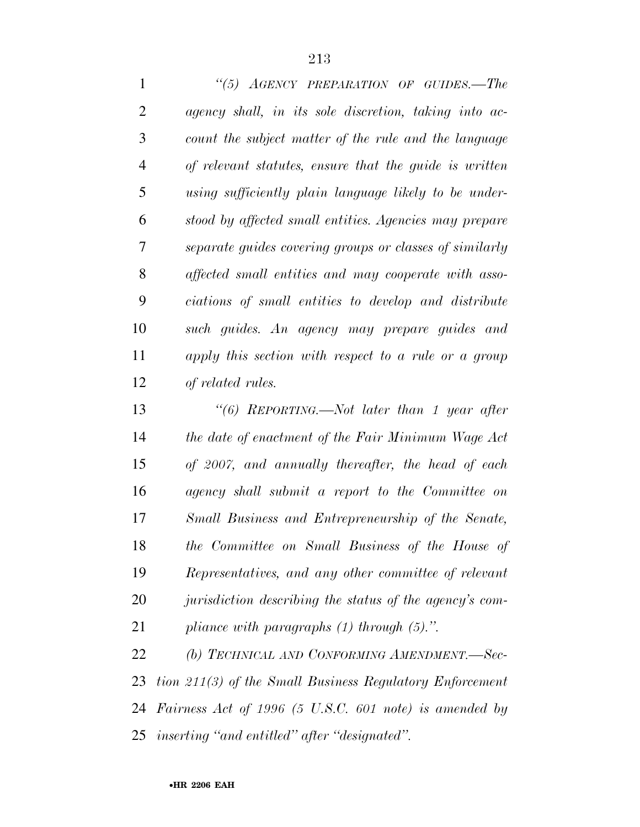*''(5) AGENCY PREPARATION OF GUIDES.—The agency shall, in its sole discretion, taking into ac- count the subject matter of the rule and the language of relevant statutes, ensure that the guide is written using sufficiently plain language likely to be under- stood by affected small entities. Agencies may prepare separate guides covering groups or classes of similarly affected small entities and may cooperate with asso- ciations of small entities to develop and distribute such guides. An agency may prepare guides and apply this section with respect to a rule or a group of related rules.* 

 *''(6) REPORTING.—Not later than 1 year after the date of enactment of the Fair Minimum Wage Act of 2007, and annually thereafter, the head of each agency shall submit a report to the Committee on Small Business and Entrepreneurship of the Senate, the Committee on Small Business of the House of Representatives, and any other committee of relevant jurisdiction describing the status of the agency's com-pliance with paragraphs (1) through (5).''.* 

 *(b) TECHNICAL AND CONFORMING AMENDMENT.—Sec- tion 211(3) of the Small Business Regulatory Enforcement Fairness Act of 1996 (5 U.S.C. 601 note) is amended by inserting ''and entitled'' after ''designated''.*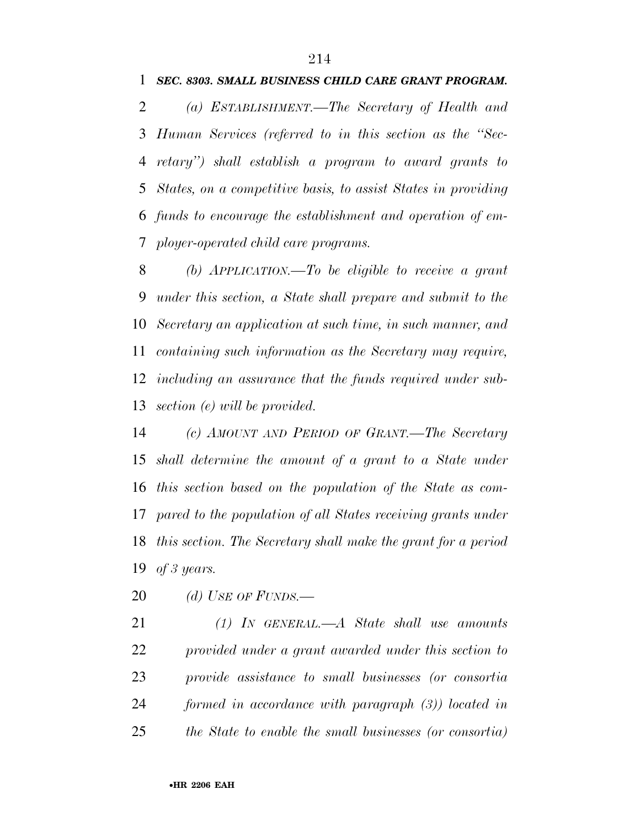*(a) ESTABLISHMENT.—The Secretary of Health and Human Services (referred to in this section as the ''Sec- retary'') shall establish a program to award grants to States, on a competitive basis, to assist States in providing funds to encourage the establishment and operation of em-ployer-operated child care programs.* 

 *(b) APPLICATION.—To be eligible to receive a grant under this section, a State shall prepare and submit to the Secretary an application at such time, in such manner, and containing such information as the Secretary may require, including an assurance that the funds required under sub-section (e) will be provided.* 

 *(c) AMOUNT AND PERIOD OF GRANT.—The Secretary shall determine the amount of a grant to a State under this section based on the population of the State as com- pared to the population of all States receiving grants under this section. The Secretary shall make the grant for a period of 3 years.* 

*(d) USE OF FUNDS.—*

 *(1) IN GENERAL.—A State shall use amounts provided under a grant awarded under this section to provide assistance to small businesses (or consortia formed in accordance with paragraph (3)) located in the State to enable the small businesses (or consortia)*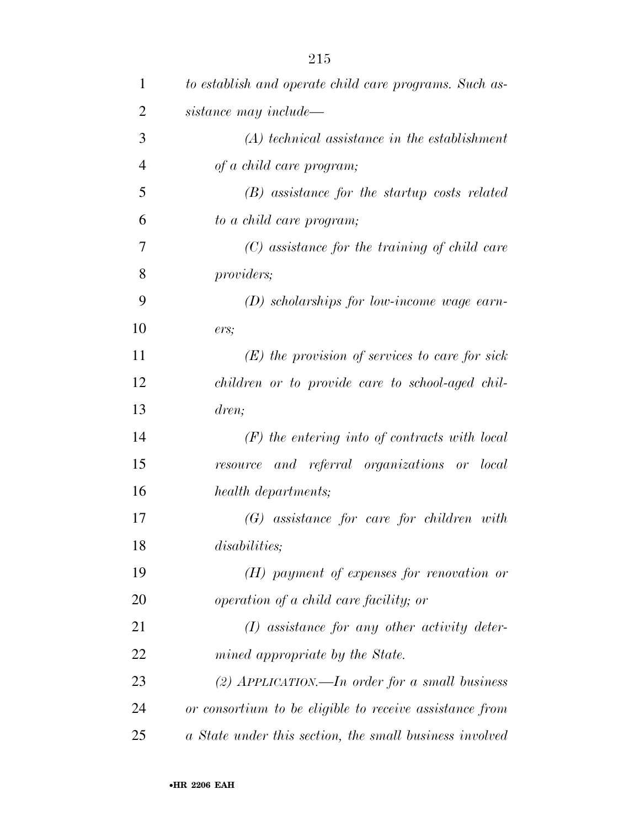| $\mathbf{1}$   | to establish and operate child care programs. Such as-  |
|----------------|---------------------------------------------------------|
| $\overline{2}$ | sistance may include—                                   |
| 3              | $(A)$ technical assistance in the establishment         |
| $\overline{4}$ | of a child care program;                                |
| 5              | (B) assistance for the startup costs related            |
| 6              | to a child care program;                                |
| 7              | $(C)$ assistance for the training of child care         |
| 8              | <i>providers;</i>                                       |
| 9              | $(D)$ scholarships for low-income wage earn-            |
| 10             | ers;                                                    |
| 11             | $(E)$ the provision of services to care for sick        |
| 12             | children or to provide care to school-aged chil-        |
| 13             | dren;                                                   |
| 14             | $(F)$ the entering into of contracts with local         |
| 15             | resource and referral organizations or local            |
| 16             | health departments;                                     |
| 17             | $(G)$ assistance for care for children with             |
| 18             | <i>disabilities</i> ;                                   |
| 19             | $(H)$ payment of expenses for renovation or             |
| 20             | operation of a child care facility; or                  |
| 21             | $(I)$ assistance for any other activity deter-          |
| 22             | mined appropriate by the State.                         |
| 23             | (2) APPLICATION.—In order for a small business          |
| 24             | or consortium to be eligible to receive assistance from |
| 25             | a State under this section, the small business involved |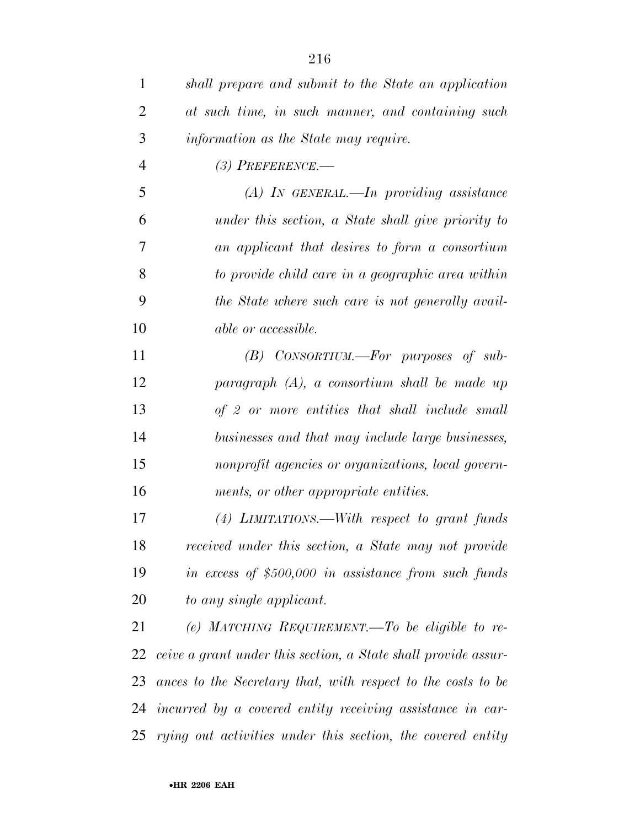| $\mathbf{1}$   | shall prepare and submit to the State an application           |
|----------------|----------------------------------------------------------------|
| $\overline{2}$ | at such time, in such manner, and containing such              |
| 3              | information as the State may require.                          |
| $\overline{4}$ | $(3)$ PREFERENCE.—                                             |
| 5              | $(A)$ In GENERAL.—In providing assistance                      |
| 6              | under this section, a State shall give priority to             |
| 7              | an applicant that desires to form a consortium                 |
| 8              | to provide child care in a geographic area within              |
| 9              | the State where such care is not generally avail-              |
| 10             | able or accessible.                                            |
| 11             | $(B)$ CONSORTIUM.—For purposes of sub-                         |
| 12             | paragraph (A), a consortium shall be made up                   |
| 13             | of 2 or more entities that shall include small                 |
| 14             | businesses and that may include large businesses,              |
| 15             | nonprofit agencies or organizations, local govern-             |
| 16             | ments, or other appropriate entities.                          |
| 17             | $(4)$ LIMITATIONS.—With respect to grant funds                 |
| 18             | received under this section, a State may not provide           |
| 19             | in excess of $$500,000$ in assistance from such funds          |
| 20             | to any single applicant.                                       |
| 21             | (e) MATCHING REQUIREMENT.—To be eligible to re-                |
| 22             | ceive a grant under this section, a State shall provide assur- |
| 23             | ances to the Secretary that, with respect to the costs to be   |
| 24             | incurred by a covered entity receiving assistance in car-      |
| 25             | rying out activities under this section, the covered entity    |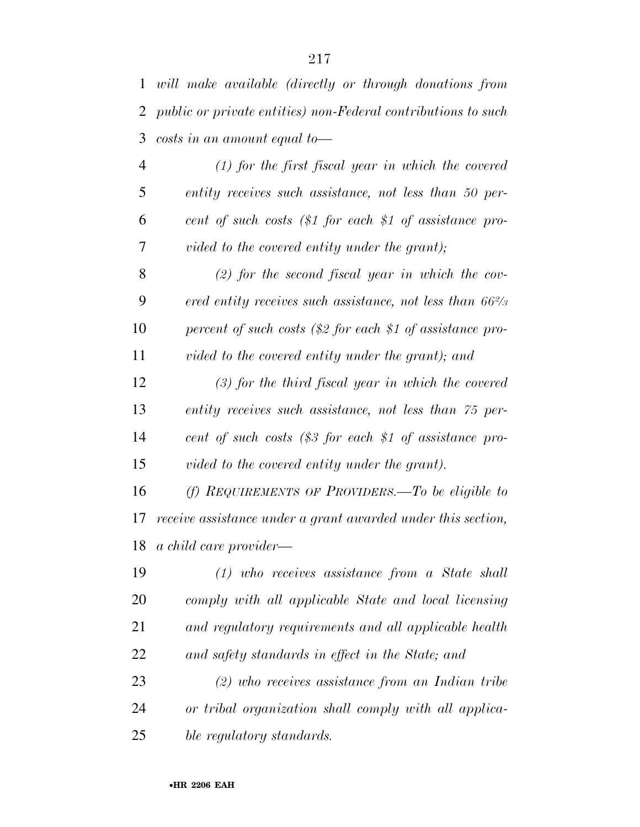| $\mathbf{1}$   | will make available (directly or through donations from             |
|----------------|---------------------------------------------------------------------|
| $\overline{2}$ | public or private entities) non-Federal contributions to such       |
| 3              | $costs$ in an amount equal to-                                      |
| 4              | $(1)$ for the first fiscal year in which the covered                |
| 5              | entity receives such assistance, not less than 50 per-              |
| 6              | cent of such costs (\$1 for each \$1 of assistance pro-             |
| 7              | vided to the covered entity under the grant);                       |
| 8              | $(2)$ for the second fiscal year in which the cov-                  |
| 9              | ered entity receives such assistance, not less than $66\frac{2}{3}$ |
| 10             | percent of such costs $(\$2$ for each \$1 of assistance pro-        |
| 11             | vided to the covered entity under the grant); and                   |
| 12             | $(3)$ for the third fiscal year in which the covered                |
| 13             | entity receives such assistance, not less than 75 per-              |
| 14             | cent of such costs $(\$3$ for each \$1 of assistance pro-           |
| 15             | vided to the covered entity under the grant).                       |
| 16             | (f) REQUIREMENTS OF PROVIDERS.—To be eligible to                    |
| 17             | receive assistance under a grant awarded under this section,        |
| 18             | a child care provider—                                              |
| 19             | $(1)$ who receives assistance from a State shall                    |
| 20             | comply with all applicable State and local licensing                |
| 21             | and regulatory requirements and all applicable health               |
| 22             | and safety standards in effect in the State; and                    |
| 23             | $(2)$ who receives assistance from an Indian tribe                  |
| 24             | or tribal organization shall comply with all applica-               |
| 25             | ble regulatory standards.                                           |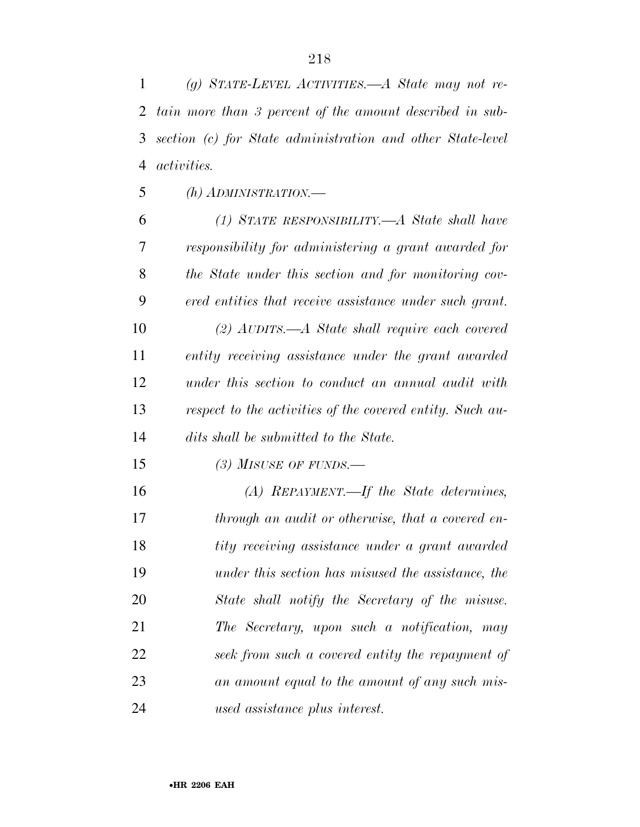*(g) STATE-LEVEL ACTIVITIES.—A State may not re- tain more than 3 percent of the amount described in sub- section (c) for State administration and other State-level activities.* 

*(h) ADMINISTRATION.—*

 *(1) STATE RESPONSIBILITY.—A State shall have responsibility for administering a grant awarded for the State under this section and for monitoring cov- ered entities that receive assistance under such grant. (2) AUDITS.—A State shall require each covered entity receiving assistance under the grant awarded under this section to conduct an annual audit with respect to the activities of the covered entity. Such au-dits shall be submitted to the State.* 

*(3) MISUSE OF FUNDS.—*

 *(A) REPAYMENT.—If the State determines, through an audit or otherwise, that a covered en- tity receiving assistance under a grant awarded under this section has misused the assistance, the State shall notify the Secretary of the misuse. The Secretary, upon such a notification, may seek from such a covered entity the repayment of an amount equal to the amount of any such mis-used assistance plus interest.*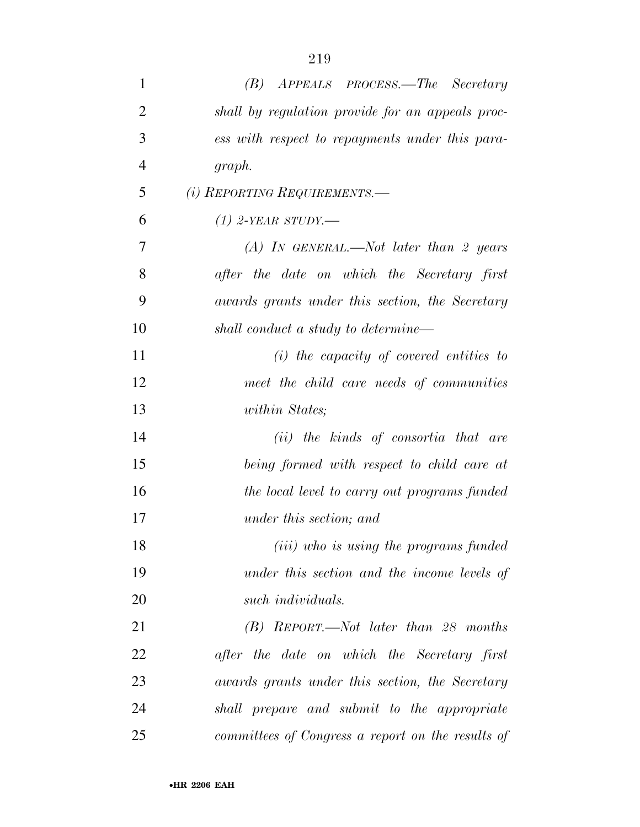| $\mathbf{1}$   | (B) APPEALS PROCESS.—The Secretary                |
|----------------|---------------------------------------------------|
| $\overline{2}$ | shall by regulation provide for an appeals proc-  |
| 3              | ess with respect to repayments under this para-   |
| $\overline{4}$ | graph.                                            |
| 5              | (i) REPORTING REQUIREMENTS.—                      |
| 6              | $(1)$ 2-YEAR STUDY.—                              |
| 7              | $(A)$ IN GENERAL.—Not later than 2 years          |
| 8              | after the date on which the Secretary first       |
| 9              | awards grants under this section, the Secretary   |
| 10             | shall conduct a study to determine—               |
| 11             | $(i)$ the capacity of covered entities to         |
| 12             | meet the child care needs of communities          |
| 13             | within States;                                    |
| 14             | (ii) the kinds of consortia that are              |
| 15             | being formed with respect to child care at        |
| 16             | the local level to carry out programs funded      |
| 17             | under this section; and                           |
| 18             | ( <i>iii</i> ) who is using the programs funded   |
| 19             | under this section and the income levels of       |
| <b>20</b>      | such <i>individuals</i> .                         |
| 21             | $(B)$ REPORT.—Not later than 28 months            |
| 22             | after the date on which the Secretary first       |
| 23             | awards grants under this section, the Secretary   |
| 24             | shall prepare and submit to the appropriate       |
| 25             | committees of Congress a report on the results of |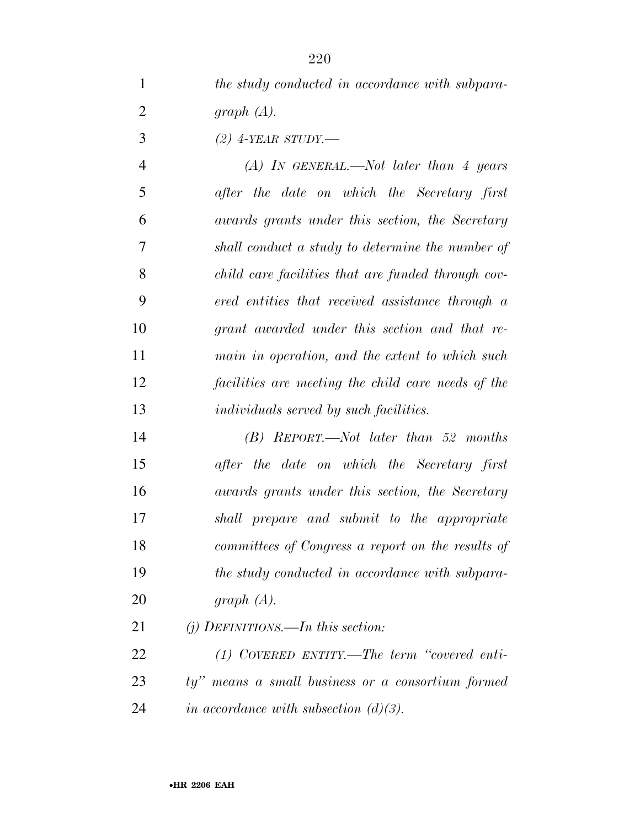*the study conducted in accordance with subpara-graph (A).* 

*(2) 4-YEAR STUDY.—*

 *(A) IN GENERAL.—Not later than 4 years after the date on which the Secretary first awards grants under this section, the Secretary shall conduct a study to determine the number of child care facilities that are funded through cov- ered entities that received assistance through a grant awarded under this section and that re- main in operation, and the extent to which such facilities are meeting the child care needs of the individuals served by such facilities.* 

 *(B) REPORT.—Not later than 52 months after the date on which the Secretary first awards grants under this section, the Secretary shall prepare and submit to the appropriate committees of Congress a report on the results of the study conducted in accordance with subpara-graph (A).* 

*(j) DEFINITIONS.—In this section:* 

 *(1) COVERED ENTITY.—The term ''covered enti- ty'' means a small business or a consortium formed in accordance with subsection (d)(3).*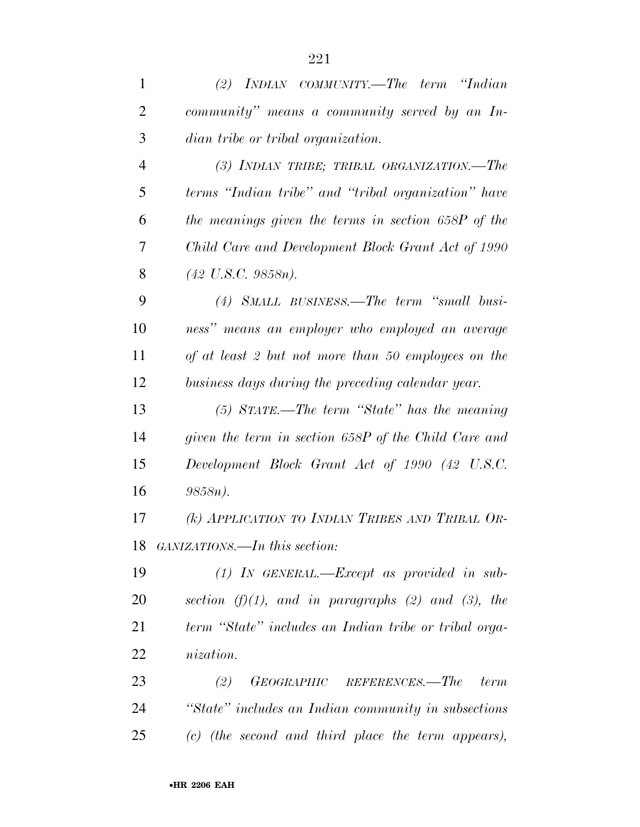| $\mathbf{1}$   | (2) INDIAN COMMUNITY.—The term "Indian                |
|----------------|-------------------------------------------------------|
| $\overline{2}$ | community" means a community served by an In-         |
| 3              | dian tribe or tribal organization.                    |
| $\overline{4}$ | (3) INDIAN TRIBE; TRIBAL ORGANIZATION.—The            |
| 5              | terms "Indian tribe" and "tribal organization" have   |
| 6              | the meanings given the terms in section 658P of the   |
| 7              | Child Care and Development Block Grant Act of 1990    |
| 8              | $(42 \text{ U.S.C. } 9858n)$ .                        |
| 9              | (4) SMALL BUSINESS.—The term "small busi-             |
| 10             | ness" means an employer who employed an average       |
| 11             | of at least 2 but not more than 50 employees on the   |
| 12             | business days during the preceding calendar year.     |
| 13             | $(5)$ STATE.—The term "State" has the meaning         |
| 14             | given the term in section 658P of the Child Care and  |
| 15             | Development Block Grant Act of 1990 (42 U.S.C.        |
| 16             | 9858n).                                               |
| 17             | (k) APPLICATION TO INDIAN TRIBES AND TRIBAL OR-       |
| 18             | GANIZATIONS.—In this section:                         |
| 19             | $(1)$ IN GENERAL.—Except as provided in sub-          |
| 20             | section $(f)(1)$ , and in paragraphs (2) and (3), the |
| 21             | term "State" includes an Indian tribe or tribal orga- |
| 22             | <i>nization.</i>                                      |
| 23             | (2)<br>GEOGRAPHIC REFERENCES.—The<br><i>term</i>      |
| 24             | "State" includes an Indian community in subsections   |
| 25             | (c) (the second and third place the term appears),    |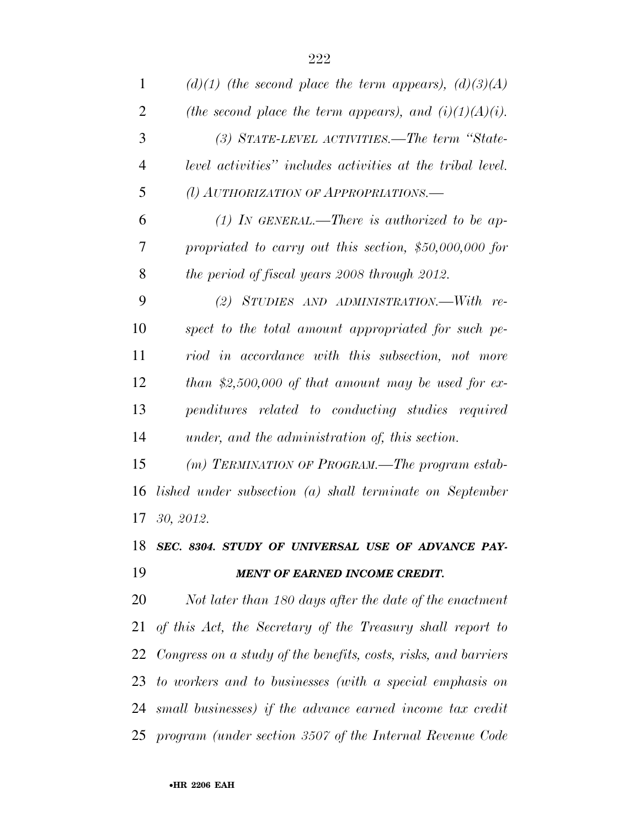| 1              | $(d)(1)$ (the second place the term appears), $(d)(3)(A)$          |
|----------------|--------------------------------------------------------------------|
| $\overline{2}$ | (the second place the term appears), and $(i)(1)(A)(i)$ .          |
| 3              | (3) STATE-LEVEL ACTIVITIES.—The term "State-                       |
| $\overline{4}$ | level activities" includes activities at the tribal level.         |
| 5              | (l) AUTHORIZATION OF APPROPRIATIONS.                               |
| 6              | (1) In GENERAL.—There is authorized to be ap-                      |
| 7              | propriated to carry out this section, $$50,000,000$ for            |
| 8              | the period of fiscal years 2008 through 2012.                      |
| 9              | (2) STUDIES AND ADMINISTRATION.—With re-                           |
| 10             | spect to the total amount appropriated for such pe-                |
| 11             | riod in accordance with this subsection, not more                  |
| 12             | than \$2,500,000 of that amount may be used for ex-                |
| 13             | penditures related to conducting studies required                  |
| 14             | under, and the administration of, this section.                    |
| 15             | (m) TERMINATION OF PROGRAM.—The program estab-                     |
| 16             | lished under subsection (a) shall terminate on September           |
| 17             | 30, 2012.                                                          |
| 18             | SEC. 8304. STUDY OF UNIVERSAL USE OF ADVANCE PAY-                  |
| 19             | <b>MENT OF EARNED INCOME CREDIT.</b>                               |
| 20             | Not later than 180 days after the date of the enactment            |
| 21             | of this Act, the Secretary of the Treasury shall report to         |
|                | 22 Congress on a study of the benefits, costs, risks, and barriers |
| 23             | to workers and to businesses (with a special emphasis on           |
| 24             | small businesses) if the advance earned income tax credit          |
|                | 25 program (under section 3507 of the Internal Revenue Code        |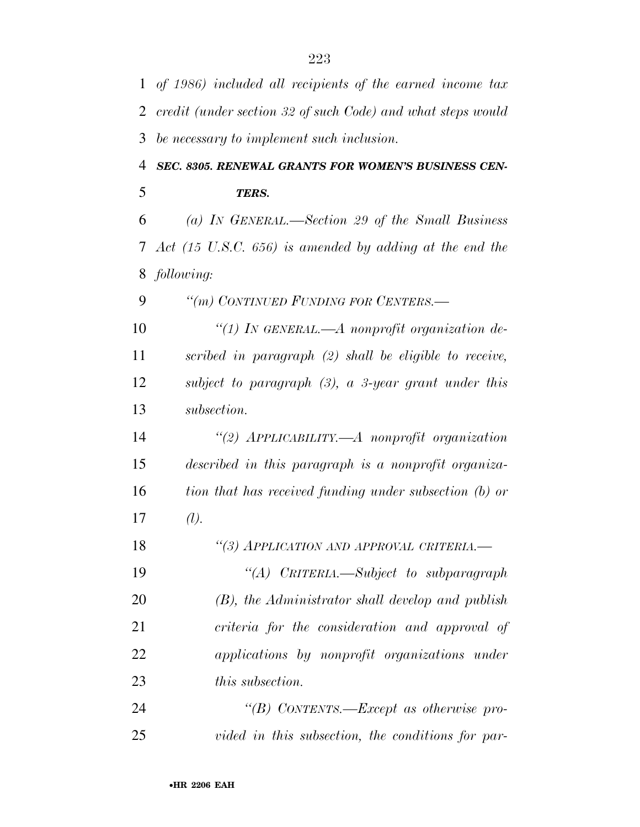|               | 1 of 1986) included all recipients of the earned income tax        |
|---------------|--------------------------------------------------------------------|
| 2             | credit (under section 32 of such Code) and what steps would        |
| 3             | be necessary to implement such inclusion.                          |
| 4             | SEC. 8305. RENEWAL GRANTS FOR WOMEN'S BUSINESS CEN-                |
| 5             | TERS.                                                              |
| 6             | (a) IN GENERAL.—Section 29 of the Small Business                   |
| $\mathcal{T}$ | Act $(15 \text{ U.S.C. } 656)$ is amended by adding at the end the |
| 8             | following:                                                         |
| 9             | "(m) CONTINUED FUNDING FOR CENTERS.-                               |
| 10            | "(1) IN GENERAL.— $A$ nonprofit organization de-                   |
| 11            | scribed in paragraph $(2)$ shall be eligible to receive,           |
| 12            | subject to paragraph $(3)$ , a 3-year grant under this             |
| 13            | subsection.                                                        |
| 14            | "(2) APPLICABILITY.—A nonprofit organization                       |
| 15            | described in this paragraph is a nonprofit organiza-               |
| 16            | tion that has received funding under subsection (b) or             |
| 17            | (l).                                                               |
| 18            | "(3) APPLICATION AND APPROVAL CRITERIA.-                           |
| 19            | "(A) CRITERIA.—Subject to subparagraph                             |
| 20            | $(B)$ , the Administrator shall develop and publish                |
| 21            | criteria for the consideration and approval of                     |
| 22            | applications by nonprofit organizations under                      |
| 23            | <i>this subsection.</i>                                            |
| 24            | "(B) CONTENTS.—Except as otherwise pro-                            |
| 25            | vided in this subsection, the conditions for par-                  |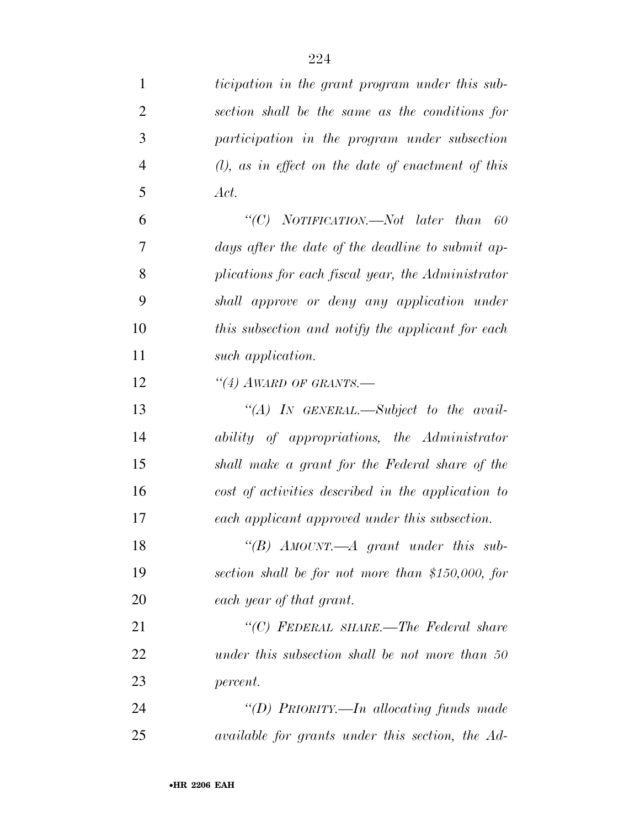| $\mathbf{1}$   | ticipation in the grant program under this sub-       |
|----------------|-------------------------------------------------------|
| $\overline{2}$ | section shall be the same as the conditions for       |
| 3              | participation in the program under subsection         |
| $\overline{4}$ | $(l)$ , as in effect on the date of enactment of this |
| 5              | Act.                                                  |
| 6              | "(C) NOTIFICATION.—Not later than 60                  |
| 7              | days after the date of the deadline to submit ap-     |
| 8              | plications for each fiscal year, the Administrator    |
| 9              | shall approve or deny any application under           |
| 10             | this subsection and notify the applicant for each     |
| 11             | such application.                                     |
| 12             | $\lq(4)$ AWARD OF GRANTS.—                            |
| 13             | $\lq (A)$ IN GENERAL.—Subject to the avail-           |
| 14             | ability of appropriations, the Administrator          |
| 15             | shall make a grant for the Federal share of the       |
| 16             | cost of activities described in the application to    |
| 17             | each applicant approved under this subsection.        |
| 18             | "(B) AMOUNT.—A grant under this sub-                  |
| 19             | section shall be for not more than \$150,000, for     |
| 20             | each year of that grant.                              |
| 21             | "(C) FEDERAL SHARE.—The Federal share                 |
| 22             | under this subsection shall be not more than 50       |
| 23             | percent.                                              |
| 24             | "(D) PRIORITY.—In allocating funds made               |
| 25             | available for grants under this section, the Ad-      |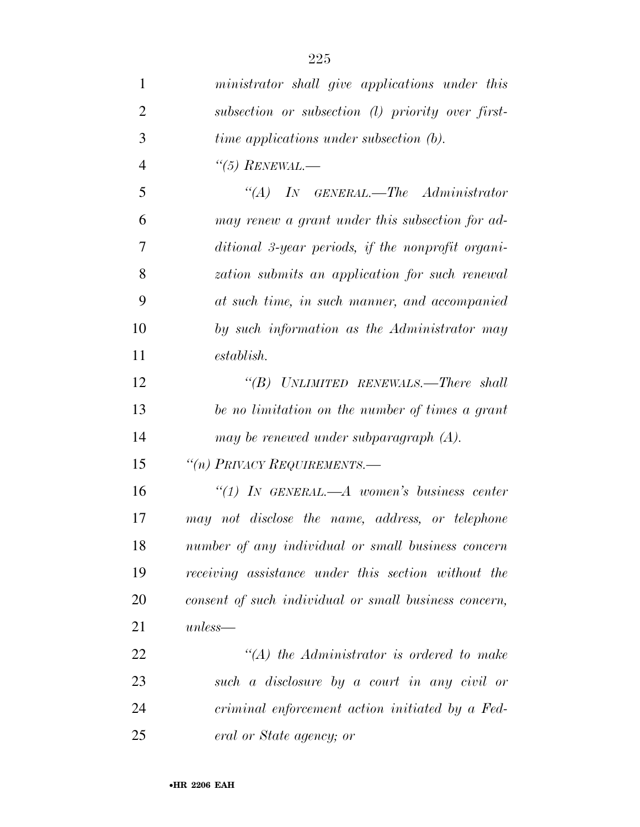| $\mathbf{1}$   | ministrator shall give applications under this        |
|----------------|-------------------------------------------------------|
| $\overline{2}$ | subsection or subsection (1) priority over first-     |
| 3              | time applications under subsection (b).               |
| $\overline{4}$ | $\lq(5)$ RENEWAL.—                                    |
| 5              | $\lq \lq (A)$ IN GENERAL.—The Administrator           |
| 6              | may renew a grant under this subsection for ad-       |
| 7              | ditional 3-year periods, if the nonprofit organi-     |
| 8              | zation submits an application for such renewal        |
| 9              | at such time, in such manner, and accompanied         |
| 10             | by such information as the Administrator may          |
| 11             | $establish$ .                                         |
| 12             | "(B) UNLIMITED RENEWALS.—There shall                  |
| 13             | be no limitation on the number of times a grant       |
| 14             | may be renewed under subparagraph $(A)$ .             |
| 15             | "(n) PRIVACY REQUIREMENTS.-                           |
| 16             | "(1) IN GENERAL.—A women's business center            |
| 17             | may not disclose the name, address, or telephone      |
| 18             | number of any individual or small business concern    |
| 19             | receiving assistance under this section without the   |
| 20             | consent of such individual or small business concern, |
| 21             | $unless-$                                             |
| 22             | $\lq (A)$ the Administrator is ordered to make        |
| 23             | such a disclosure by a court in any civil or          |
| 24             | criminal enforcement action initiated by a Fed-       |
| 25             | eral or State agency; or                              |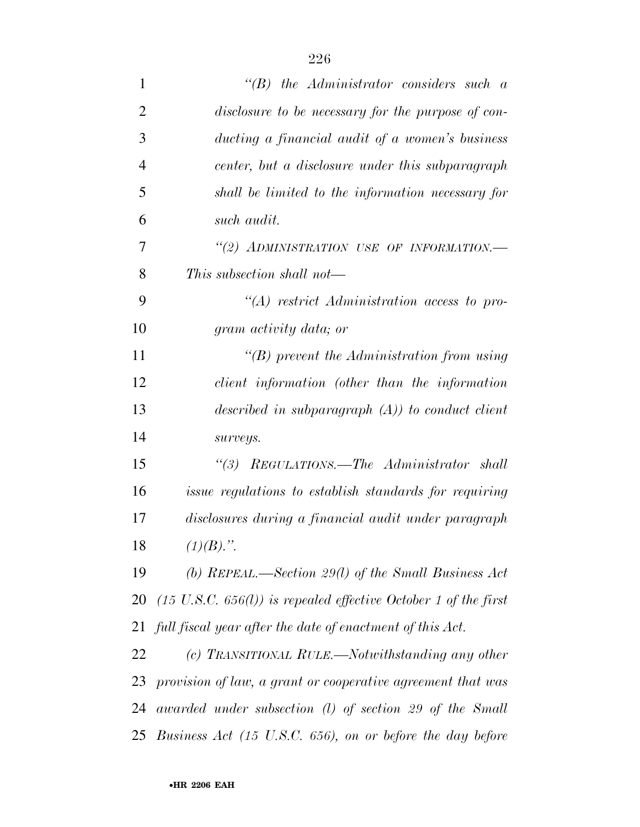| $\mathbf{1}$   | $\lq\lq B$ the Administrator considers such a                              |
|----------------|----------------------------------------------------------------------------|
| $\overline{2}$ | disclosure to be necessary for the purpose of con-                         |
| 3              | ducting a financial audit of a women's business                            |
| $\overline{4}$ | center, but a disclosure under this subparagraph                           |
| 5              | shall be limited to the information necessary for                          |
| 6              | such audit.                                                                |
| 7              | "(2) ADMINISTRATION USE OF INFORMATION.-                                   |
| 8              | This subsection shall not—                                                 |
| 9              | $\lq (A)$ restrict Administration access to pro-                           |
| 10             | gram activity data; or                                                     |
| 11             | $\lq\lq(B)$ prevent the Administration from using                          |
| 12             | client information (other than the information                             |
| 13             | described in subparagraph $(A)$ to conduct client                          |
| 14             | surveys.                                                                   |
| 15             | "(3) REGULATIONS.—The Administrator shall                                  |
| 16             | <i>issue regulations to establish standards for requiring</i>              |
| 17             | disclosures during a financial audit under paragraph                       |
| 18             | $(1)(B)$ .".                                                               |
| 19             | (b) REPEAL.—Section 29(l) of the Small Business Act                        |
| 20             | $(15 \text{ U.S.C. } 656(l))$ is repealed effective October 1 of the first |
| 21             | full fiscal year after the date of enactment of this Act.                  |
| 22             | (c) TRANSITIONAL RULE.—Notwithstanding any other                           |
| 23             | provision of law, a grant or cooperative agreement that was                |
| 24             | awarded under subsection $(l)$ of section 29 of the Small                  |
| 25             | Business Act $(15 \text{ U.S.C. } 656)$ , on or before the day before      |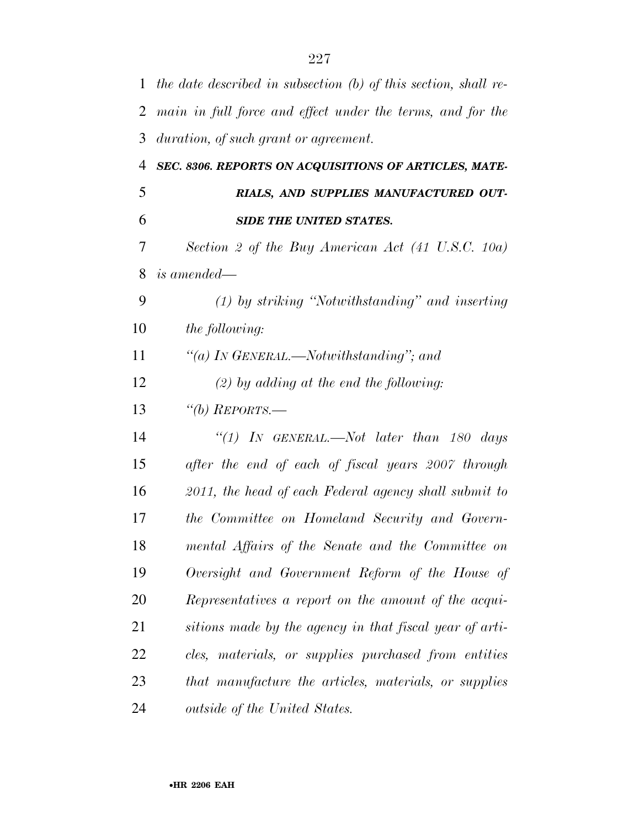| $\mathbf{1}$ | the date described in subsection (b) of this section, shall re- |
|--------------|-----------------------------------------------------------------|
| 2            | main in full force and effect under the terms, and for the      |
| 3            | duration, of such grant or agreement.                           |
| 4            | SEC. 8306. REPORTS ON ACQUISITIONS OF ARTICLES, MATE-           |
| 5            | RIALS, AND SUPPLIES MANUFACTURED OUT-                           |
| 6            | <b>SIDE THE UNITED STATES.</b>                                  |
| 7            | Section 2 of the Buy American Act (41 U.S.C. 10a)               |
| 8            | <i>is amended—</i>                                              |
| 9            | (1) by striking "Notwithstanding" and inserting                 |
| 10           | the following:                                                  |
| 11           | "(a) IN GENERAL.—Notwithstanding"; and                          |
| 12           | $(2)$ by adding at the end the following:                       |
| 13           | "(b) $REPORTS$ .                                                |
| 14           | "(1) In GENERAL.—Not later than 180 days                        |
| 15           | after the end of each of fiscal years 2007 through              |
| 16           | 2011, the head of each Federal agency shall submit to           |
| 17           | the Committee on Homeland Security and Govern-                  |
| 18           | mental Affairs of the Senate and the Committee on               |
| 19           | Oversight and Government Reform of the House of                 |
| 20           | Representatives a report on the amount of the acqui-            |
| 21           | sitions made by the agency in that fiscal year of arti-         |
| 22           | cles, materials, or supplies purchased from entities            |
| 23           | that manufacture the articles, materials, or supplies           |
| 24           | <i>outside of the United States.</i>                            |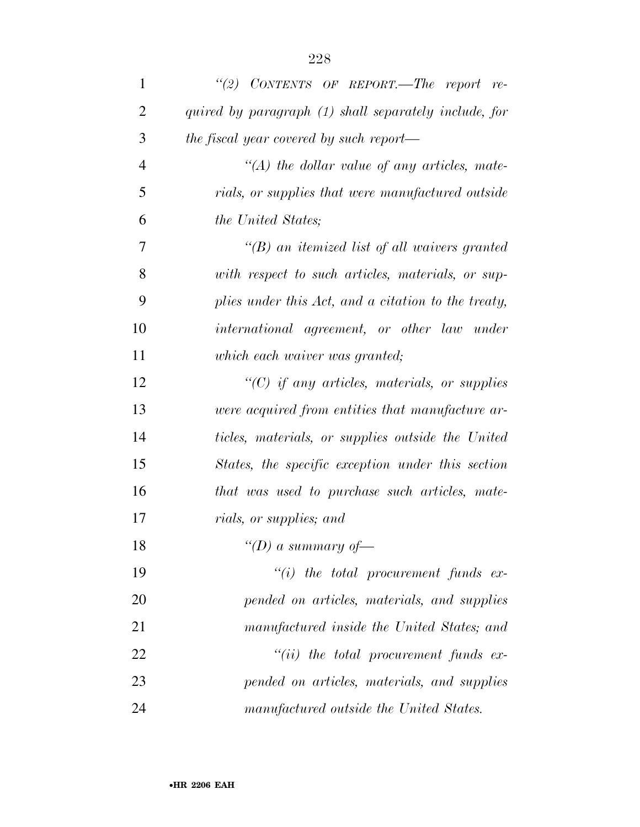| $\mathbf{1}$   | "(2) CONTENTS OF REPORT.—The report re-                 |
|----------------|---------------------------------------------------------|
| $\overline{2}$ | quired by paragraph (1) shall separately include, for   |
| 3              | the fiscal year covered by such report—                 |
| $\overline{4}$ | $\lq (A)$ the dollar value of any articles, mate-       |
| 5              | rials, or supplies that were manufactured outside       |
| 6              | the United States;                                      |
| 7              | $\lq (B)$ an itemized list of all waivers granted       |
| 8              | with respect to such articles, materials, or sup-       |
| 9              | plies under this Act, and a citation to the treaty,     |
| 10             | international agreement, or other law under             |
| 11             | which each waiver was granted;                          |
| 12             | $\lq\lq C$ if any articles, materials, or supplies      |
| 13             | <i>were acquired from entities that manufacture ar-</i> |
| 14             | ticles, materials, or supplies outside the United       |
| 15             | States, the specific exception under this section       |
| 16             | that was used to purchase such articles, mate-          |
| 17             | rials, or supplies; and                                 |
| 18             | "(D) a summary of-                                      |
| 19             | $``(i)$ the total procurement funds ex-                 |
| 20             | pended on articles, materials, and supplies             |
| 21             | manufactured inside the United States; and              |
| 22             | $``(ii)$ the total procurement funds ex-                |
| 23             | pended on articles, materials, and supplies             |
| 24             | manufactured outside the United States.                 |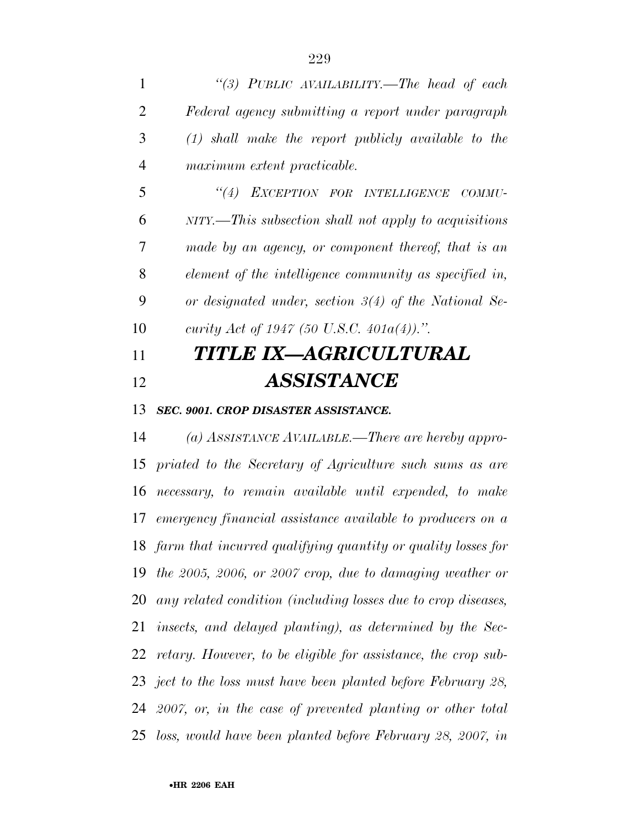|                | "(3) PUBLIC AVAILABILITY.—The head of each              |
|----------------|---------------------------------------------------------|
| $\overline{2}$ | Federal agency submitting a report under paragraph      |
| 3              | $(1)$ shall make the report publicly available to the   |
| 4              | maximum extent practicable.                             |
| 5              | "(4) EXCEPTION FOR INTELLIGENCE COMMU-                  |
| 6              | $NITY$ —This subsection shall not apply to acquisitions |
| 7              | made by an agency, or component thereof, that is an     |
| 8              | element of the intelligence community as specified in,  |
| 9              | or designated under, section $3(4)$ of the National Se- |
| 10             | curity Act of 1947 (50 U.S.C. 401 $a(4)$ ).".           |
| 11             | <b>TITLE IX-AGRICULTURAL</b>                            |
| 12             | <b>ASSISTANCE</b>                                       |
|                |                                                         |

*SEC. 9001. CROP DISASTER ASSISTANCE.* 

 *(a) ASSISTANCE AVAILABLE.—There are hereby appro- priated to the Secretary of Agriculture such sums as are necessary, to remain available until expended, to make emergency financial assistance available to producers on a farm that incurred qualifying quantity or quality losses for the 2005, 2006, or 2007 crop, due to damaging weather or any related condition (including losses due to crop diseases, insects, and delayed planting), as determined by the Sec- retary. However, to be eligible for assistance, the crop sub- ject to the loss must have been planted before February 28, 2007, or, in the case of prevented planting or other total loss, would have been planted before February 28, 2007, in*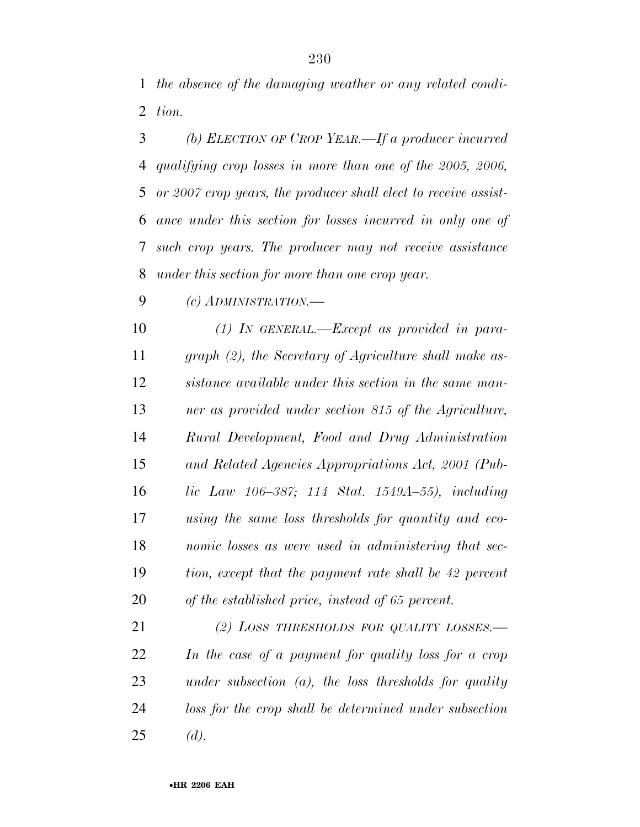*the absence of the damaging weather or any related condi-tion.* 

 *(b) ELECTION OF CROP YEAR.—If a producer incurred qualifying crop losses in more than one of the 2005, 2006, or 2007 crop years, the producer shall elect to receive assist- ance under this section for losses incurred in only one of such crop years. The producer may not receive assistance under this section for more than one crop year.* 

*(c) ADMINISTRATION.—*

 *(1) IN GENERAL.—Except as provided in para- graph (2), the Secretary of Agriculture shall make as- sistance available under this section in the same man- ner as provided under section 815 of the Agriculture, Rural Development, Food and Drug Administration and Related Agencies Appropriations Act, 2001 (Pub- lic Law 106–387; 114 Stat. 1549A–55), including using the same loss thresholds for quantity and eco- nomic losses as were used in administering that sec- tion, except that the payment rate shall be 42 percent of the established price, instead of 65 percent.* 

 *(2) LOSS THRESHOLDS FOR QUALITY LOSSES.— In the case of a payment for quality loss for a crop under subsection (a), the loss thresholds for quality loss for the crop shall be determined under subsection (d).*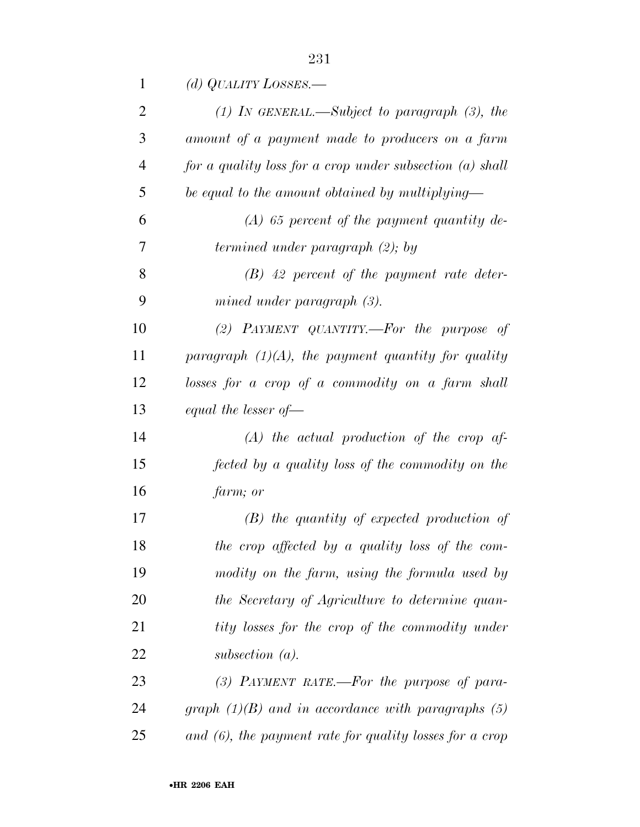| 1              | (d) QUALITY LOSSES.—                                       |
|----------------|------------------------------------------------------------|
| $\overline{2}$ | $(1)$ IN GENERAL.—Subject to paragraph $(3)$ , the         |
| 3              | amount of a payment made to producers on a farm            |
| $\overline{4}$ | for a quality loss for a crop under subsection $(a)$ shall |
| 5              | be equal to the amount obtained by multiplying—            |
| 6              | $(A)$ 65 percent of the payment quantity de-               |
| 7              | termined under paragraph (2); by                           |
| 8              | $(B)$ 42 percent of the payment rate deter-                |
| 9              | mined under paragraph $(3)$ .                              |
| 10             | (2) PAYMENT QUANTITY.—For the purpose of                   |
| 11             | paragraph $(1)(A)$ , the payment quantity for quality      |
| 12             | losses for a crop of a commodity on a farm shall           |
| 13             | equal the lesser of $-$                                    |
| 14             | $(A)$ the actual production of the crop af-                |
| 15             | fected by a quality loss of the commodity on the           |
| 16             | farm; or                                                   |
| 17             | $(B)$ the quantity of expected production of               |
| 18             | the crop affected by a quality loss of the com-            |
| 19             | modity on the farm, using the formula used by              |
| 20             | the Secretary of Agriculture to determine quan-            |
| 21             | tity losses for the crop of the commodity under            |
| 22             | subsection $(a)$ .                                         |
| 23             | $(3)$ PAYMENT RATE.—For the purpose of para-               |
| 24             | graph $(1)(B)$ and in accordance with paragraphs (5)       |
| 25             | and $(6)$ , the payment rate for quality losses for a crop |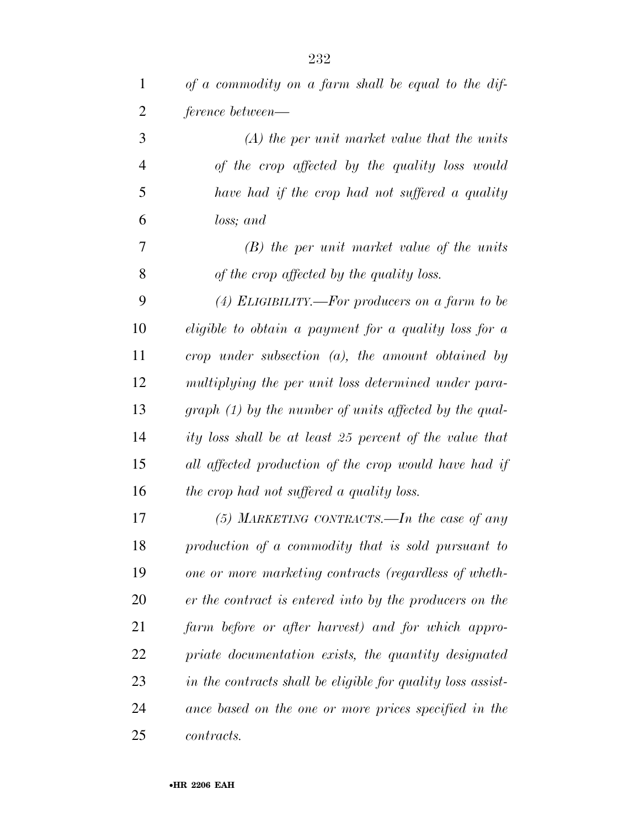| 1              | of a commodity on a farm shall be equal to the dif-          |
|----------------|--------------------------------------------------------------|
| 2              | ference between—                                             |
| 3              | $(A)$ the per unit market value that the units               |
| $\overline{4}$ | of the crop affected by the quality loss would               |
| 5              | have had if the crop had not suffered a quality              |
| 6              | loss; and                                                    |
| 7              | $(B)$ the per unit market value of the units                 |
| 8              | of the crop affected by the quality loss.                    |
| 9              | $(4)$ ELIGIBILITY.—For producers on a farm to be             |
| 10             | <i>eligible to obtain a payment for a quality loss for a</i> |
| 11             | crop under subsection $(a)$ , the amount obtained by         |
| 12             | multiplying the per unit loss determined under para-         |
| 13             | graph (1) by the number of units affected by the qual-       |
| 14             | ity loss shall be at least 25 percent of the value that      |
| 15             | all affected production of the crop would have had if        |
| 16             | the crop had not suffered a quality loss.                    |
| 17             | $(5)$ MARKETING CONTRACTS.—In the case of any                |
| 18             | production of a commodity that is sold pursuant to           |
| 19             | one or more marketing contracts (regardless of wheth-        |
| 20             | er the contract is entered into by the producers on the      |
| 21             | farm before or after harvest) and for which appro-           |
| 22             | priate documentation exists, the quantity designated         |
| 23             | in the contracts shall be eligible for quality loss assist-  |
| 24             | ance based on the one or more prices specified in the        |
| 25             | <i>contracts.</i>                                            |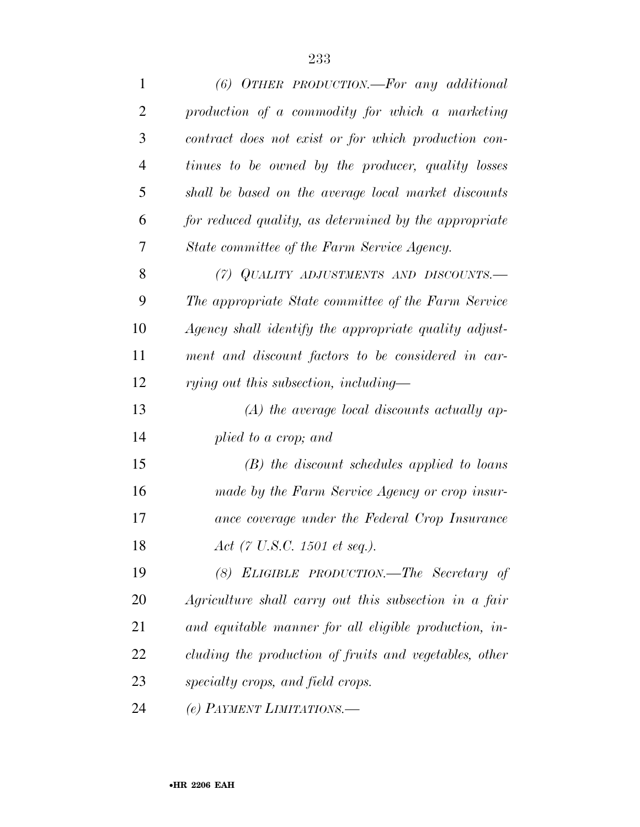| $\mathbf{1}$   | $(6)$ OTHER PRODUCTION.—For any additional             |
|----------------|--------------------------------------------------------|
| $\overline{2}$ | production of a commodity for which a marketing        |
| 3              | contract does not exist or for which production con-   |
| $\overline{4}$ | tinues to be owned by the producer, quality losses     |
| 5              | shall be based on the average local market discounts   |
| 6              | for reduced quality, as determined by the appropriate  |
| 7              | State committee of the Farm Service Agency.            |
| 8              | (7) QUALITY ADJUSTMENTS AND DISCOUNTS.-                |
| 9              | The appropriate State committee of the Farm Service    |
| 10             | Agency shall identify the appropriate quality adjust-  |
| 11             | ment and discount factors to be considered in car-     |
| 12             | rying out this subsection, including—                  |
| 13             | $(A)$ the average local discounts actually ap-         |
| 14             | plied to a crop; and                                   |
| 15             | $(B)$ the discount schedules applied to loans          |
| 16             | made by the Farm Service Agency or crop insur-         |
| 17             | ance coverage under the Federal Crop Insurance         |
| 18             | Act (7 U.S.C. 1501 et seq.).                           |
| 19             | ELIGIBLE PRODUCTION.—The Secretary of<br>(8)           |
| 20             | Agriculture shall carry out this subsection in a fair  |
| 21             | and equitable manner for all eligible production, in-  |
| 22             | cluding the production of fruits and vegetables, other |
| 23             | specialty crops, and field crops.                      |
| 24             | (e) PAYMENT LIMITATIONS.-                              |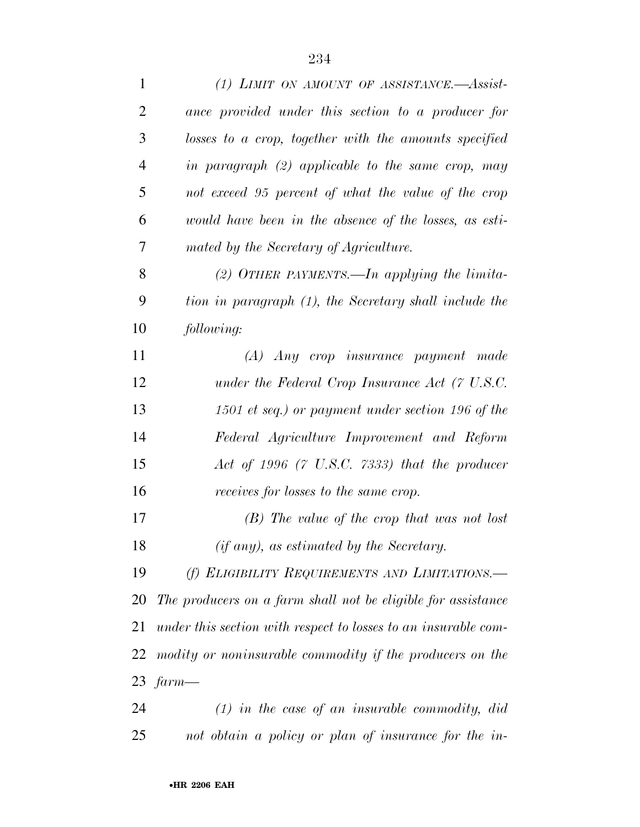| $\mathbf{1}$   | (1) LIMIT ON AMOUNT OF ASSISTANCE.—Assist-                     |
|----------------|----------------------------------------------------------------|
| 2              | ance provided under this section to a producer for             |
| 3              | losses to a crop, together with the amounts specified          |
| $\overline{4}$ | in paragraph $(2)$ applicable to the same crop, may            |
| 5              | not exceed 95 percent of what the value of the crop            |
| 6              | would have been in the absence of the losses, as esti-         |
| 7              | mated by the Secretary of Agriculture.                         |
| 8              | (2) OTHER PAYMENTS.—In applying the limita-                    |
| 9              | tion in paragraph (1), the Secretary shall include the         |
| 10             | following:                                                     |
| 11             | (A) Any crop insurance payment made                            |
| 12             | under the Federal Crop Insurance Act $(7 \text{ U.S. C.})$     |
| 13             | 1501 et seq.) or payment under section 196 of the              |
| 14             | Federal Agriculture Improvement and Reform                     |
| 15             | Act of 1996 (7 U.S.C. $7333$ ) that the producer               |
| 16             | receives for losses to the same crop.                          |
| 17             | $(B)$ The value of the crop that was not lost                  |
| 18             | (if any), as estimated by the Secretary.                       |
| 19             | (f) ELIGIBILITY REQUIREMENTS AND LIMITATIONS.-                 |
| 20             | The producers on a farm shall not be eligible for assistance   |
| 21             | under this section with respect to losses to an insurable com- |
| 22             | modity or noninsurable commodity if the producers on the       |
|                | 23 $farm$ —                                                    |
| 24             | $(1)$ in the case of an insurable commodity, did               |
| 25             | not obtain a policy or plan of insurance for the in-           |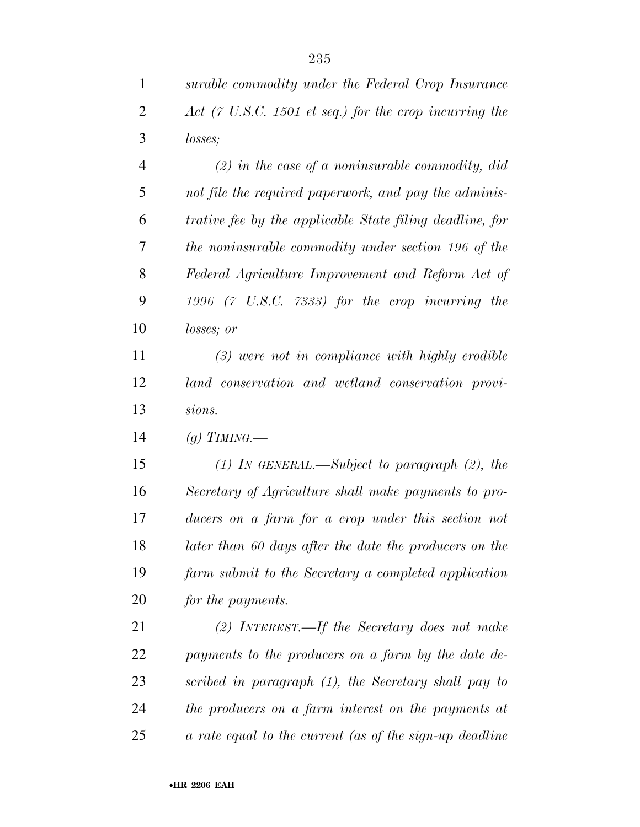|   | surable commodity under the Federal Crop Insurance                        |
|---|---------------------------------------------------------------------------|
| 2 | Act $(7 \text{ U.S.C. } 1501 \text{ et seq.})$ for the crop incurring the |
| 3 | <i>losses</i> ;                                                           |

 *(2) in the case of a noninsurable commodity, did not file the required paperwork, and pay the adminis- trative fee by the applicable State filing deadline, for the noninsurable commodity under section 196 of the Federal Agriculture Improvement and Reform Act of 1996 (7 U.S.C. 7333) for the crop incurring the losses; or* 

 *(3) were not in compliance with highly erodible land conservation and wetland conservation provi-sions.* 

*(g) TIMING.—*

 *(1) IN GENERAL.—Subject to paragraph (2), the Secretary of Agriculture shall make payments to pro- ducers on a farm for a crop under this section not later than 60 days after the date the producers on the farm submit to the Secretary a completed application for the payments.* 

 *(2) INTEREST.—If the Secretary does not make payments to the producers on a farm by the date de- scribed in paragraph (1), the Secretary shall pay to the producers on a farm interest on the payments at a rate equal to the current (as of the sign-up deadline*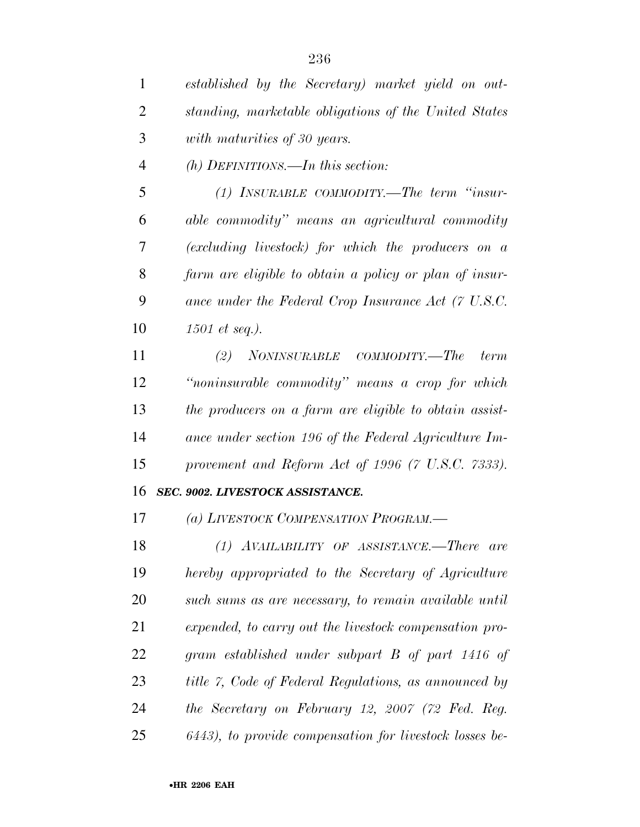*established by the Secretary) market yield on out-*

*standing, marketable obligations of the United States* 

| 3              | with maturities of 30 years.                                                                                       |
|----------------|--------------------------------------------------------------------------------------------------------------------|
| $\overline{4}$ | $(h)$ DEFINITIONS.—In this section:                                                                                |
| 5              | (1) INSURABLE COMMODITY.—The term "insur-                                                                          |
| 6              | able commodity" means an agricultural commodity                                                                    |
| 7              | (excluding livestock) for which the producers on a                                                                 |
| 8              | farm are eligible to obtain a policy or plan of insur-                                                             |
| 9              | ance under the Federal Crop Insurance Act (7 U.S.C.                                                                |
| 10             | $1501$ et seq.).                                                                                                   |
| 11             | $\label{eq:2} NONINSURABLE \quad \textit{COMMODITY}\text{.}\text{\textbf{---}} \textit{The}$<br>(2)<br><i>term</i> |
| 12             | "noninsurable commodity" means a crop for which                                                                    |
| 13             | the producers on a farm are eligible to obtain assist-                                                             |
| 14             | ance under section 196 of the Federal Agriculture Im-                                                              |
| 15             | provement and Reform Act of 1996 (7 U.S.C. 7333).                                                                  |
| 16             | SEC. 9002. LIVESTOCK ASSISTANCE.                                                                                   |
| 17             | (a) LIVESTOCK COMPENSATION PROGRAM.-                                                                               |
| 18             | $(1)$ AVAILABILITY OF ASSISTANCE.—There are                                                                        |
| 19             | hereby appropriated to the Secretary of Agriculture                                                                |
| 20             | such sums as are necessary, to remain available until                                                              |
| 21             | expended, to carry out the livestock compensation pro-                                                             |
| 22             | gram established under subpart B of part 1416 of                                                                   |
| 23             | title 7, Code of Federal Regulations, as announced by                                                              |
| 24             | the Secretary on February 12, 2007 (72 Fed. Reg.                                                                   |
| 25             | 6443), to provide compensation for livestock losses be-                                                            |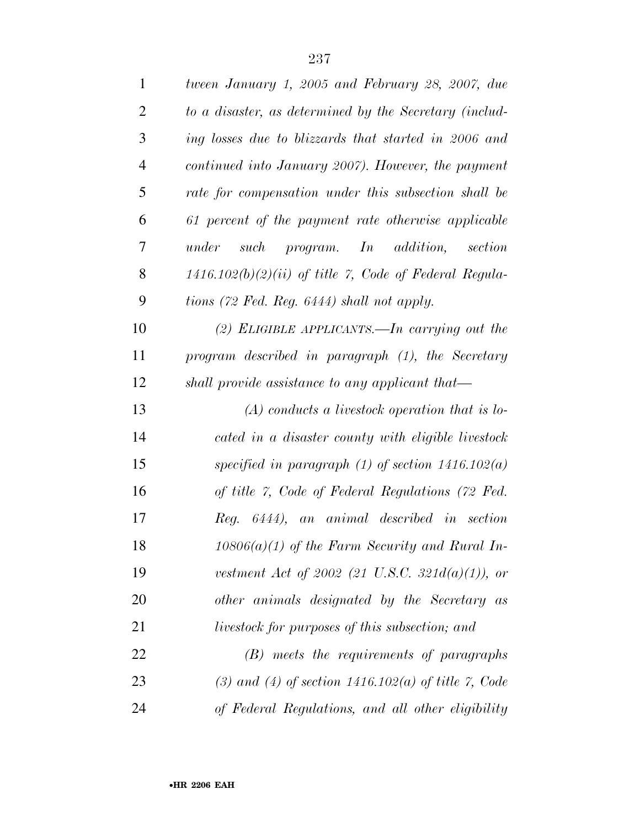| $\mathbf{1}$   | tween January 1, 2005 and February 28, 2007, due         |
|----------------|----------------------------------------------------------|
| $\overline{2}$ | to a disaster, as determined by the Secretary (includ-   |
| 3              | ing losses due to blizzards that started in 2006 and     |
| $\overline{4}$ | continued into January 2007). However, the payment       |
| 5              | rate for compensation under this subsection shall be     |
| 6              | 61 percent of the payment rate otherwise applicable      |
| 7              | program. In addition, section<br>under<br>such           |
| 8              | $1416.102(b)(2)(ii)$ of title 7, Code of Federal Regula- |
| 9              | tions (72 Fed. Reg. 6444) shall not apply.               |
| 10             | (2) ELIGIBLE APPLICANTS.—In carrying out the             |
| 11             | program described in paragraph (1), the Secretary        |
| 12             | shall provide assistance to any applicant that—          |
| 13             | $(A)$ conducts a livestock operation that is lo-         |
| 14             | cated in a disaster county with eligible livestock       |
| 15             | specified in paragraph $(1)$ of section 1416.102 $(a)$   |
| 16             | of title 7, Code of Federal Regulations (72 Fed.         |
| 17             | Reg. 6444), an animal described in section               |
| 18             | $10806(a)(1)$ of the Farm Security and Rural In-         |
| 19             | vestment Act of 2002 (21 U.S.C. 321 $d(a)(1)$ ), or      |
| 20             | other animals designated by the Secretary as             |
| 21             | livestock for purposes of this subsection; and           |
| 22             | $(B)$ meets the requirements of paragraphs               |
| 23             | (3) and (4) of section $1416.102(a)$ of title 7, Code    |
| 24             | of Federal Regulations, and all other eligibility        |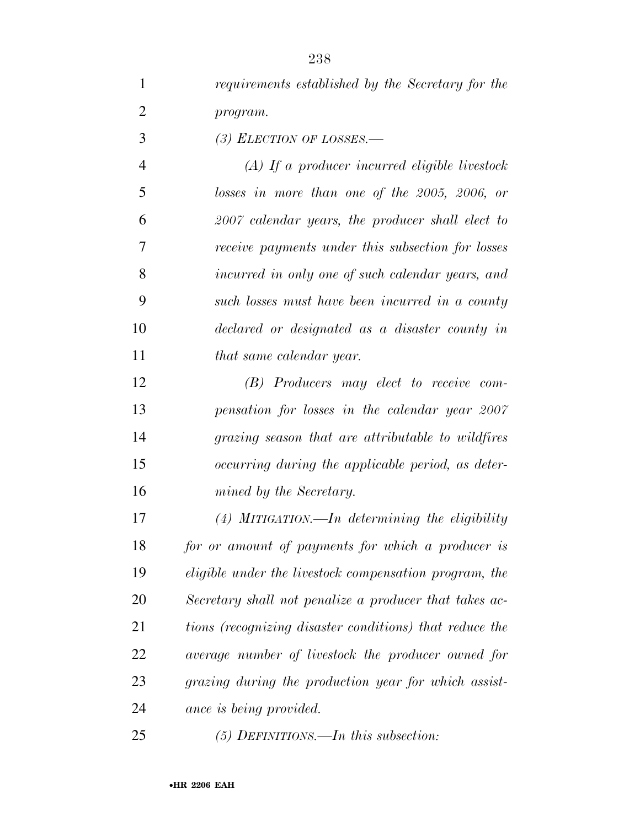*requirements established by the Secretary for the program.* 

*(3) ELECTION OF LOSSES.—*

 *(A) If a producer incurred eligible livestock losses in more than one of the 2005, 2006, or 2007 calendar years, the producer shall elect to receive payments under this subsection for losses incurred in only one of such calendar years, and such losses must have been incurred in a county declared or designated as a disaster county in that same calendar year.* 

 *(B) Producers may elect to receive com- pensation for losses in the calendar year 2007 grazing season that are attributable to wildfires occurring during the applicable period, as deter-mined by the Secretary.* 

 *(4) MITIGATION.—In determining the eligibility for or amount of payments for which a producer is eligible under the livestock compensation program, the Secretary shall not penalize a producer that takes ac- tions (recognizing disaster conditions) that reduce the average number of livestock the producer owned for grazing during the production year for which assist-ance is being provided.* 

*(5) DEFINITIONS.—In this subsection:*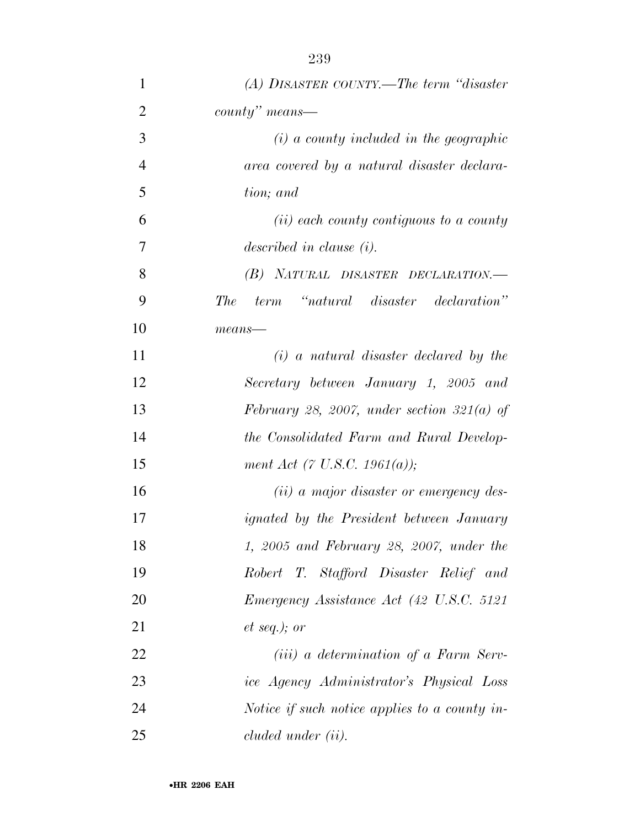| $\mathbf{1}$   | $(A)$ DISASTER COUNTY.—The term "disaster"       |
|----------------|--------------------------------------------------|
| $\overline{2}$ | $county"$ means—                                 |
| 3              | $(i)$ a county included in the geographic        |
| $\overline{4}$ | area covered by a natural disaster declara-      |
| 5              | tion; and                                        |
| 6              | $(ii)$ each county contiguous to a county        |
| 7              | described in clause $(i)$ .                      |
| 8              | (B) NATURAL DISASTER DECLARATION.—               |
| 9              | The<br>term "natural disaster declaration"       |
| 10             | $means-$                                         |
| 11             | $(i)$ a natural disaster declared by the         |
| 12             | Secretary between January 1, 2005 and            |
| 13             | February 28, 2007, under section 321(a) of       |
| 14             | the Consolidated Farm and Rural Develop-         |
| 15             | ment Act (7 U.S.C. 1961(a));                     |
| 16             | ( <i>ii</i> ) a major disaster or emergency des- |
| 17             | <i>ignated by the President between January</i>  |
| 18             | 1, 2005 and February 28, 2007, under the         |
| 19             | Robert T. Stafford Disaster Relief and           |
| 20             | Emergency Assistance Act (42 U.S.C. 5121)        |
| 21             | $et\ seq.); or$                                  |
| 22             | ( <i>iii</i> ) a determination of a Farm Serv-   |
| 23             | ice Agency Administrator's Physical Loss         |
| 24             | Notice if such notice applies to a county in-    |
| 25             | cluded under (ii).                               |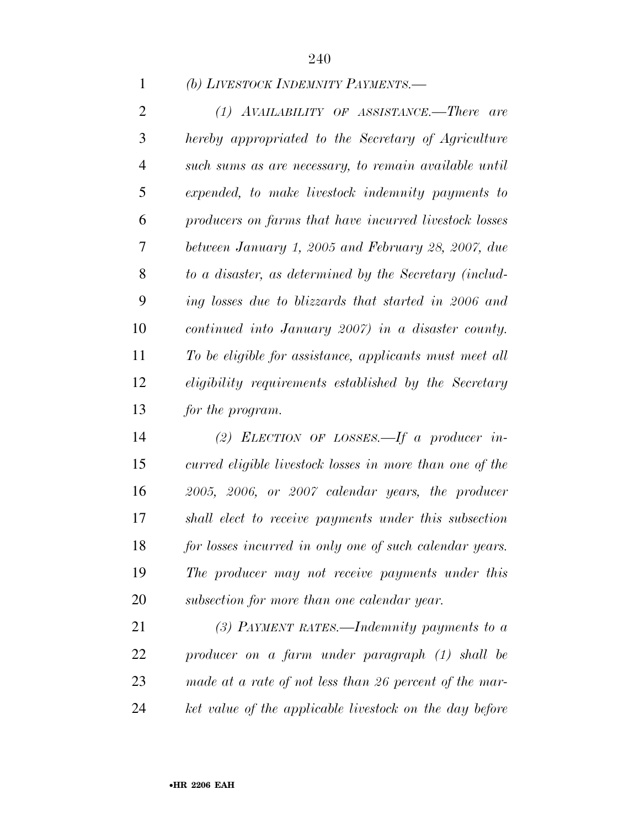#### *(b) LIVESTOCK INDEMNITY PAYMENTS.—*

 *(1) AVAILABILITY OF ASSISTANCE.—There are hereby appropriated to the Secretary of Agriculture such sums as are necessary, to remain available until expended, to make livestock indemnity payments to producers on farms that have incurred livestock losses between January 1, 2005 and February 28, 2007, due to a disaster, as determined by the Secretary (includ- ing losses due to blizzards that started in 2006 and continued into January 2007) in a disaster county. To be eligible for assistance, applicants must meet all eligibility requirements established by the Secretary for the program.* 

 *(2) ELECTION OF LOSSES.—If a producer in- curred eligible livestock losses in more than one of the 2005, 2006, or 2007 calendar years, the producer shall elect to receive payments under this subsection for losses incurred in only one of such calendar years. The producer may not receive payments under this subsection for more than one calendar year.* 

 *(3) PAYMENT RATES.—Indemnity payments to a producer on a farm under paragraph (1) shall be made at a rate of not less than 26 percent of the mar-ket value of the applicable livestock on the day before*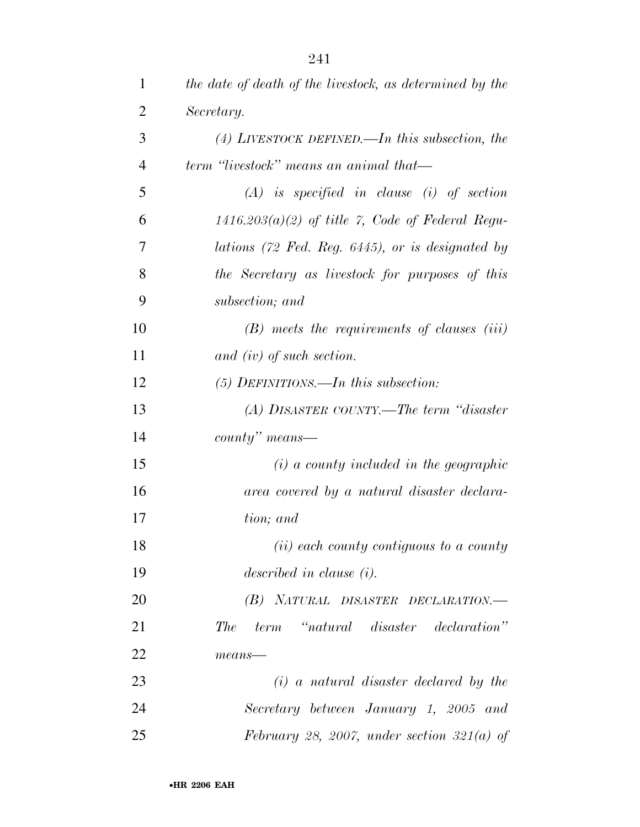| $\mathbf{1}$   | the date of death of the livestock, as determined by the |
|----------------|----------------------------------------------------------|
| $\overline{2}$ | Secretary.                                               |
| 3              | (4) LIVESTOCK DEFINED.—In this subsection, the           |
| $\overline{4}$ | term 'livestock'' means an animal that—                  |
| 5              | $(A)$ is specified in clause (i) of section              |
| 6              | $1416.203(a)(2)$ of title 7, Code of Federal Regu-       |
| 7              | lations (72 Fed. Reg. 6445), or is designated by         |
| 8              | the Secretary as livestock for purposes of this          |
| 9              | subsection; and                                          |
| 10             | $(B)$ meets the requirements of clauses $(iii)$          |
| 11             | and $(iv)$ of such section.                              |
| 12             | $(5)$ DEFINITIONS.—In this subsection:                   |
| 13             | (A) DISASTER COUNTY.—The term "disaster"                 |
| 14             | $\textit{county}$ " means—                               |
| 15             | $(i)$ a county included in the geographic                |
| 16             | area covered by a natural disaster declara-              |
| 17             | tion; and                                                |
| 18             | ( <i>ii</i> ) each county contiguous to a county         |
| 19             | described in clause $(i)$ .                              |
| 20             | (B) NATURAL DISASTER DECLARATION.-                       |
| 21             | term "natural disaster declaration"<br>The               |
| 22             | $means$ —                                                |
| 23             | $(i)$ a natural disaster declared by the                 |
| 24             | Secretary between January 1, 2005 and                    |
| 25             | February 28, 2007, under section 321(a) of               |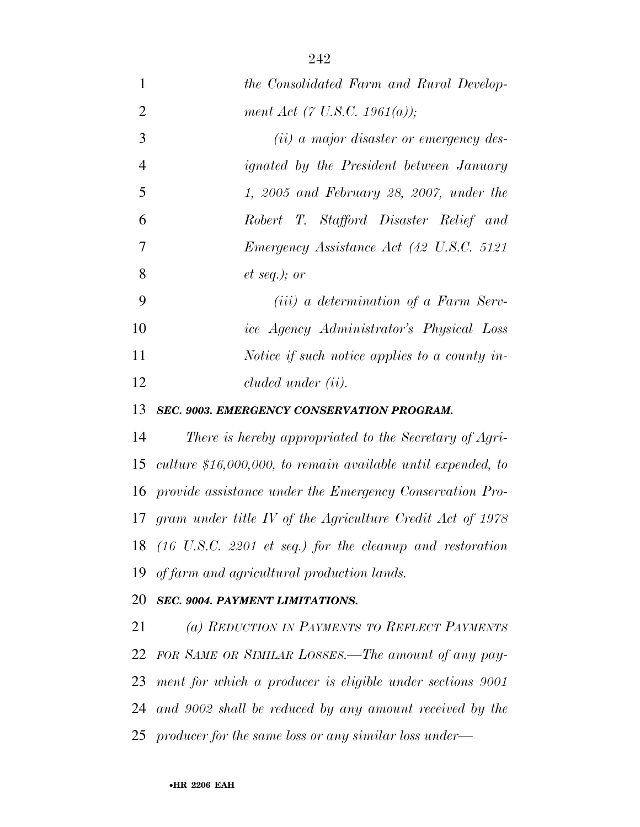| $\mathbf{1}$   | the Consolidated Farm and Rural Develop-                      |
|----------------|---------------------------------------------------------------|
| $\overline{2}$ | ment Act (7 U.S.C. 1961(a));                                  |
| 3              | ( <i>ii</i> ) a major disaster or emergency des-              |
| $\overline{4}$ | <i>ignated by the President between January</i>               |
| 5              | $1, 2005$ and February 28, 2007, under the                    |
| 6              | Robert T. Stafford Disaster Relief and                        |
| 7              | Emergency Assistance Act (42 U.S.C. 5121                      |
| 8              | $et\ seq.); or$                                               |
| 9              | ( <i>iii</i> ) a determination of a Farm Serv-                |
| 10             | ice Agency Administrator's Physical Loss                      |
| 11             | Notice if such notice applies to a county in-                 |
| 12             | cluded under (ii).                                            |
| 13             | SEC. 9003. EMERGENCY CONSERVATION PROGRAM.                    |
| 14             | There is hereby appropriated to the Secretary of Agri-        |
| 15             | culture $$16,000,000,$ to remain available until expended, to |
| 16             | provide assistance under the Emergency Conservation Pro-      |
| 17             | gram under title IV of the Agriculture Credit Act of $1978$   |
|                | 18 (16 U.S.C. 2201 et seq.) for the cleanup and restoration   |
| 19             | of farm and agricultural production lands.                    |
| 20             | SEC. 9004. PAYMENT LIMITATIONS.                               |
| 21             | (a) REDUCTION IN PAYMENTS TO REFLECT PAYMENTS                 |
| 22             | FOR SAME OR SIMILAR LOSSES.—The amount of any pay-            |
| 23             | ment for which a producer is eligible under sections 9001     |
| 24             | and 9002 shall be reduced by any amount received by the       |
| 25             | producer for the same loss or any similar loss under—         |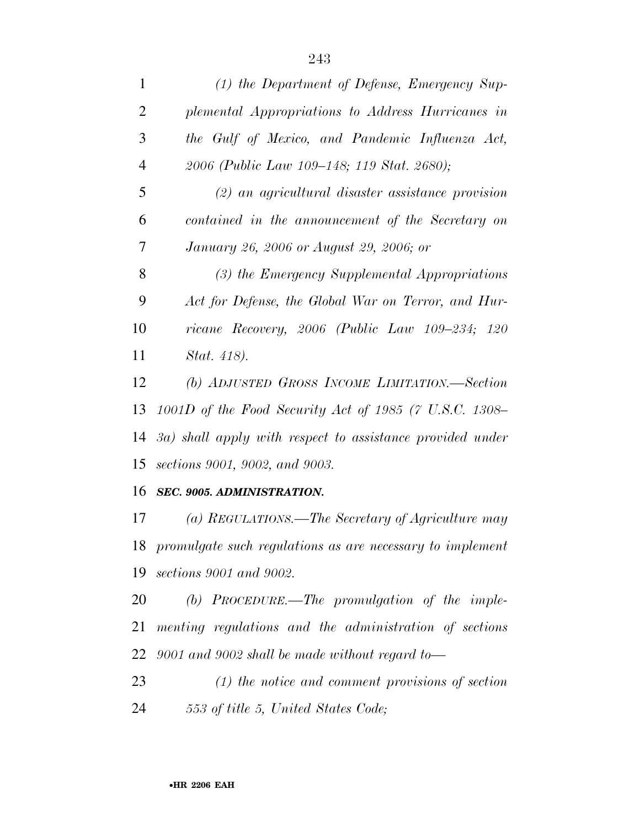| $\mathbf{1}$   | (1) the Department of Defense, Emergency Sup-             |
|----------------|-----------------------------------------------------------|
| $\overline{2}$ | plemental Appropriations to Address Hurricanes in         |
| 3              | the Gulf of Mexico, and Pandemic Influenza Act,           |
| $\overline{4}$ | 2006 (Public Law 109–148; 119 Stat. 2680);                |
| 5              | $(2)$ an agricultural disaster assistance provision       |
| 6              | contained in the announcement of the Secretary on         |
| 7              | January 26, 2006 or August 29, 2006; or                   |
| 8              | (3) the Emergency Supplemental Appropriations             |
| 9              | Act for Defense, the Global War on Terror, and Hur-       |
| 10             | ricane Recovery, $2006$ (Public Law $109-234$ ; $120$     |
| 11             | Stat. 418).                                               |
| 12             | (b) ADJUSTED GROSS INCOME LIMITATION.—Section             |
| 13             | 1001D of the Food Security Act of 1985 (7 U.S.C. 1308–    |
| 14             | 3a) shall apply with respect to assistance provided under |
| 15             | sections 9001, 9002, and 9003.                            |
| 16             | SEC. 9005. ADMINISTRATION.                                |
| 17             | (a) REGULATIONS.—The Secretary of Agriculture may         |
| 18             | promulgate such regulations as are necessary to implement |
|                | 19 sections 9001 and 9002.                                |

 *(b) PROCEDURE.—The promulgation of the imple- menting regulations and the administration of sections 9001 and 9002 shall be made without regard to—*

 *(1) the notice and comment provisions of section 553 of title 5, United States Code;*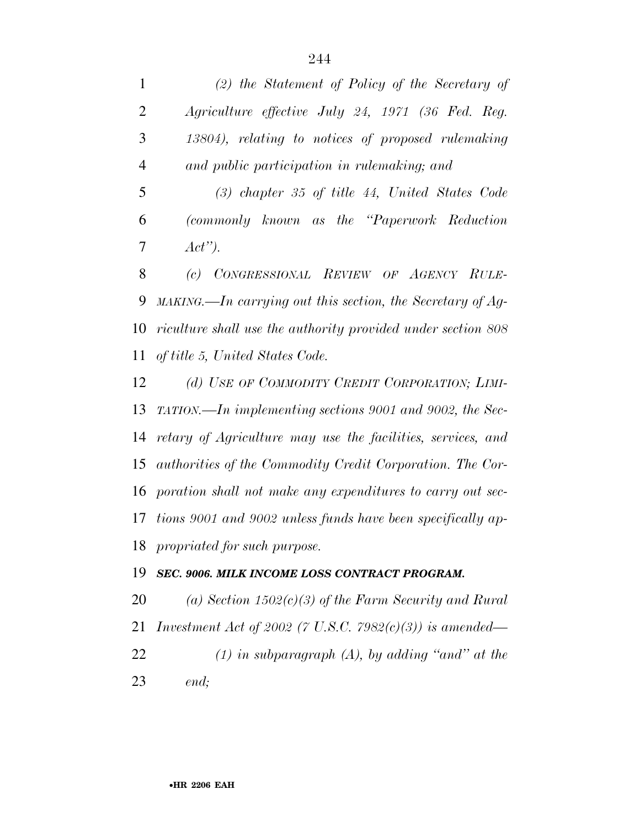*(2) the Statement of Policy of the Secretary of Agriculture effective July 24, 1971 (36 Fed. Reg. 13804), relating to notices of proposed rulemaking and public participation in rulemaking; and (3) chapter 35 of title 44, United States Code (commonly known as the ''Paperwork Reduction Act''). (c) CONGRESSIONAL REVIEW OF AGENCY RULE- MAKING.—In carrying out this section, the Secretary of Ag- riculture shall use the authority provided under section 808 of title 5, United States Code. (d) USE OF COMMODITY CREDIT CORPORATION; LIMI- TATION.—In implementing sections 9001 and 9002, the Sec- retary of Agriculture may use the facilities, services, and authorities of the Commodity Credit Corporation. The Cor- poration shall not make any expenditures to carry out sec- tions 9001 and 9002 unless funds have been specifically ap- propriated for such purpose. SEC. 9006. MILK INCOME LOSS CONTRACT PROGRAM. (a) Section 1502(c)(3) of the Farm Security and Rural* 

 *Investment Act of 2002 (7 U.S.C. 7982(c)(3)) is amended— (1) in subparagraph (A), by adding ''and'' at the end;*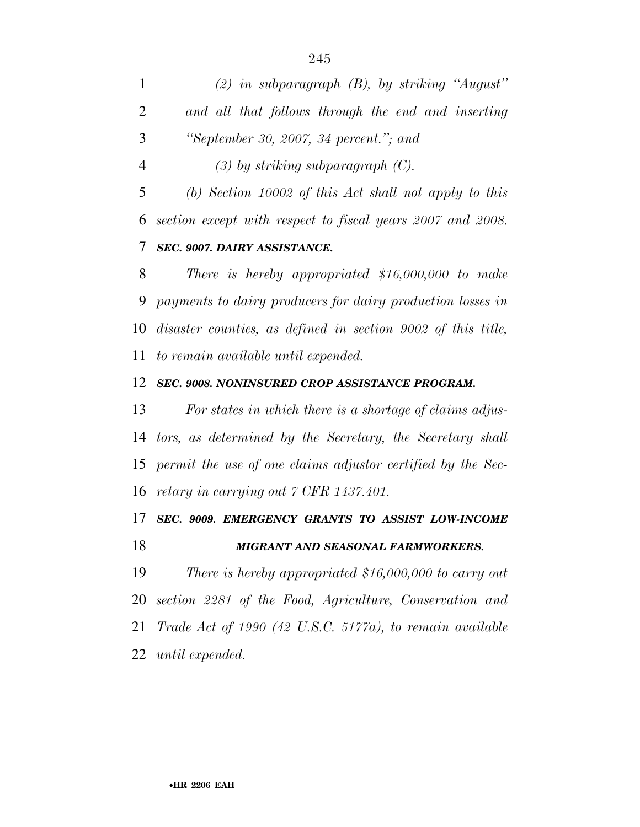*(2) in subparagraph (B), by striking ''August'' and all that follows through the end and inserting ''September 30, 2007, 34 percent.''; and* 

*(3) by striking subparagraph (C).* 

 *(b) Section 10002 of this Act shall not apply to this section except with respect to fiscal years 2007 and 2008. SEC. 9007. DAIRY ASSISTANCE.* 

 *There is hereby appropriated \$16,000,000 to make payments to dairy producers for dairy production losses in disaster counties, as defined in section 9002 of this title, to remain available until expended.* 

#### *SEC. 9008. NONINSURED CROP ASSISTANCE PROGRAM.*

 *For states in which there is a shortage of claims adjus- tors, as determined by the Secretary, the Secretary shall permit the use of one claims adjustor certified by the Sec-retary in carrying out 7 CFR 1437.401.* 

# *SEC. 9009. EMERGENCY GRANTS TO ASSIST LOW-INCOME*

## *MIGRANT AND SEASONAL FARMWORKERS.*

 *There is hereby appropriated \$16,000,000 to carry out section 2281 of the Food, Agriculture, Conservation and Trade Act of 1990 (42 U.S.C. 5177a), to remain available until expended.*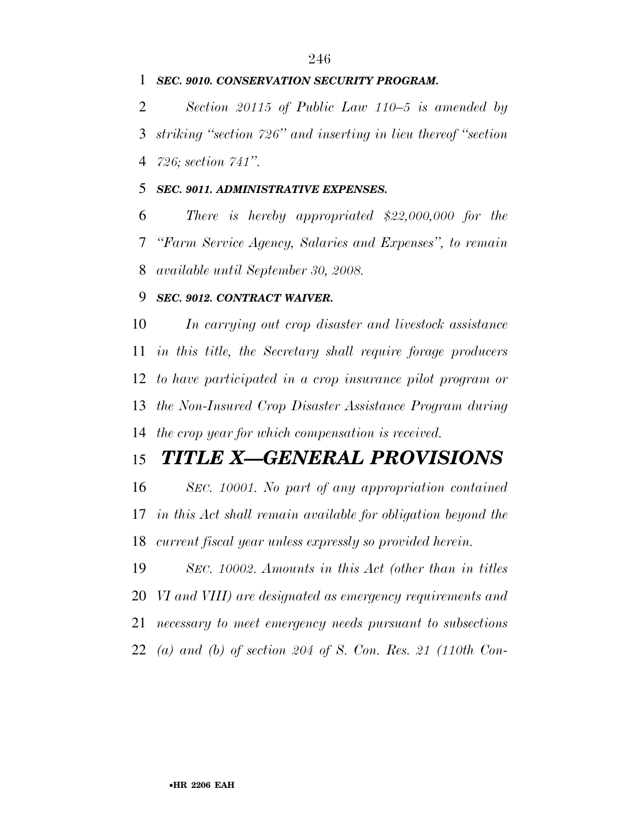### *SEC. 9010. CONSERVATION SECURITY PROGRAM.*

 *Section 20115 of Public Law 110–5 is amended by striking ''section 726'' and inserting in lieu thereof ''section 726; section 741''.* 

#### *SEC. 9011. ADMINISTRATIVE EXPENSES.*

 *There is hereby appropriated \$22,000,000 for the ''Farm Service Agency, Salaries and Expenses'', to remain available until September 30, 2008.* 

#### *SEC. 9012. CONTRACT WAIVER.*

 *In carrying out crop disaster and livestock assistance in this title, the Secretary shall require forage producers to have participated in a crop insurance pilot program or the Non-Insured Crop Disaster Assistance Program during the crop year for which compensation is received.* 

# *TITLE X—GENERAL PROVISIONS*

 *SEC. 10001. No part of any appropriation contained in this Act shall remain available for obligation beyond the current fiscal year unless expressly so provided herein.* 

 *SEC. 10002. Amounts in this Act (other than in titles VI and VIII) are designated as emergency requirements and necessary to meet emergency needs pursuant to subsections (a) and (b) of section 204 of S. Con. Res. 21 (110th Con-*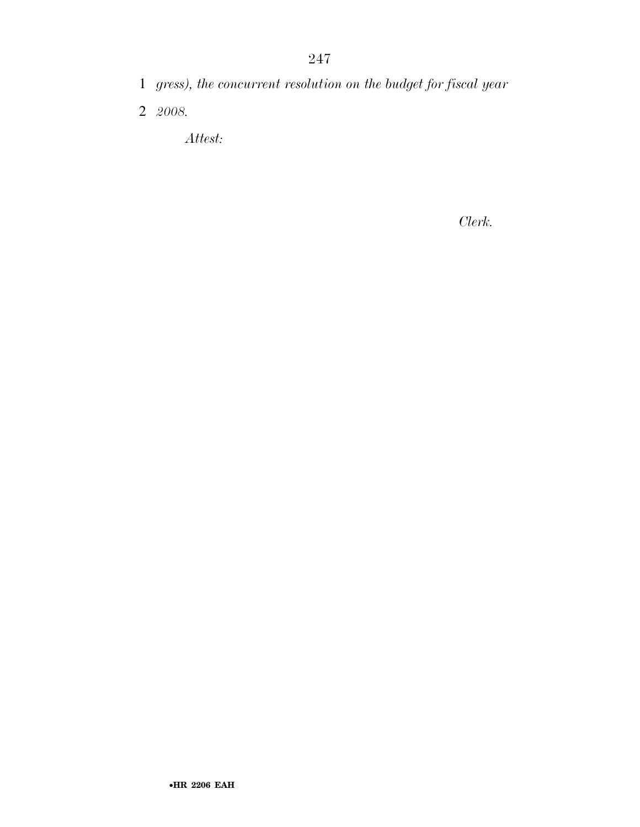- 1 *gress), the concurrent resolution on the budget for fiscal year*
- 2 *2008.*

*Attest:*

*Clerk.*